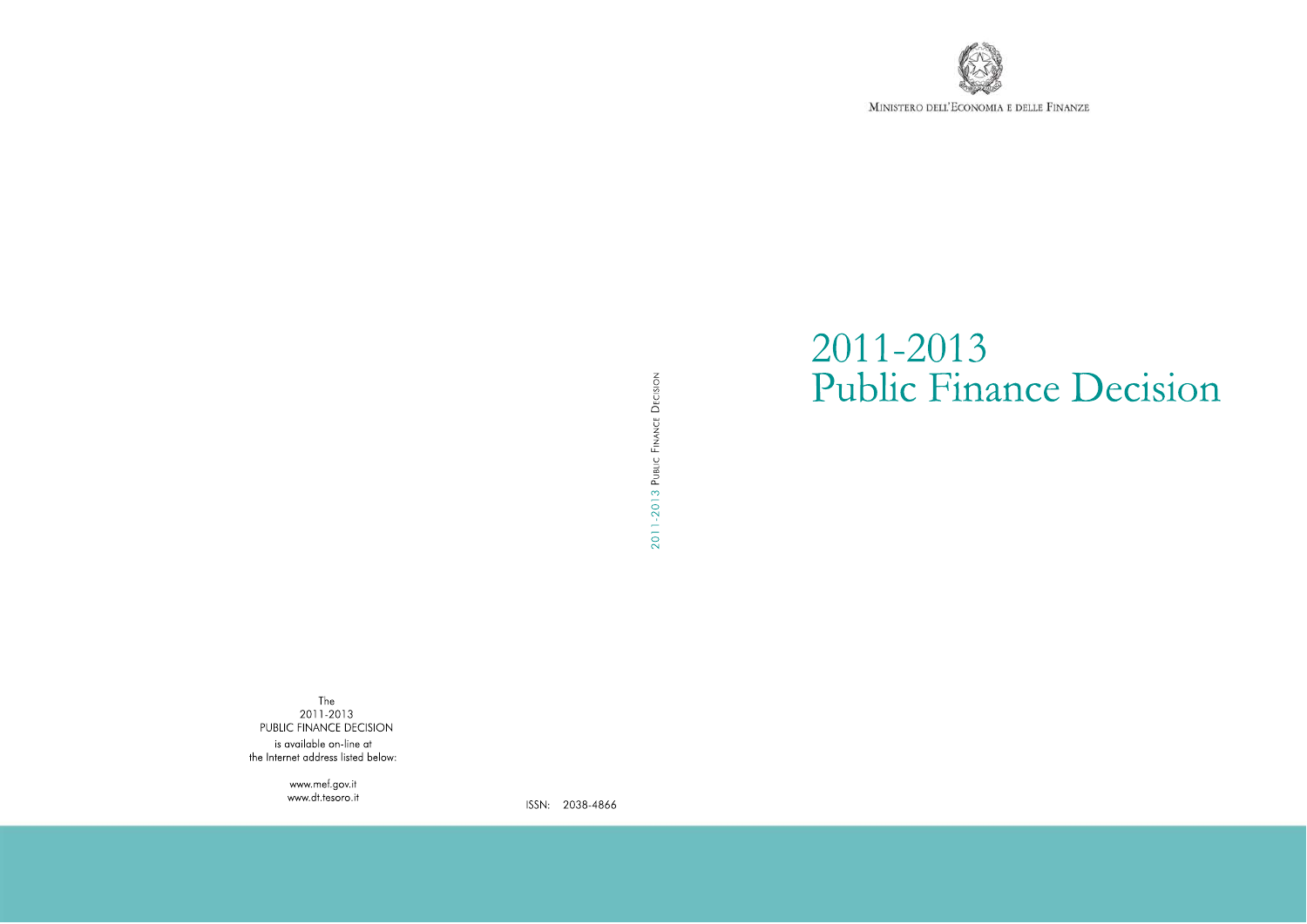

MINISTERO DELL'ECONOMIA E DELLE FINANZE

Public Finance Decision

2011-2013

# 2011-2013 PUBLIC FINANCE DECISION

The  $2011 - 2013$ PUBLIC FINANCE DECISION is available on-line at the Internet address listed below:

> www.mef.gov.it www.dt.tesoro.it

ISSN: 2038-4866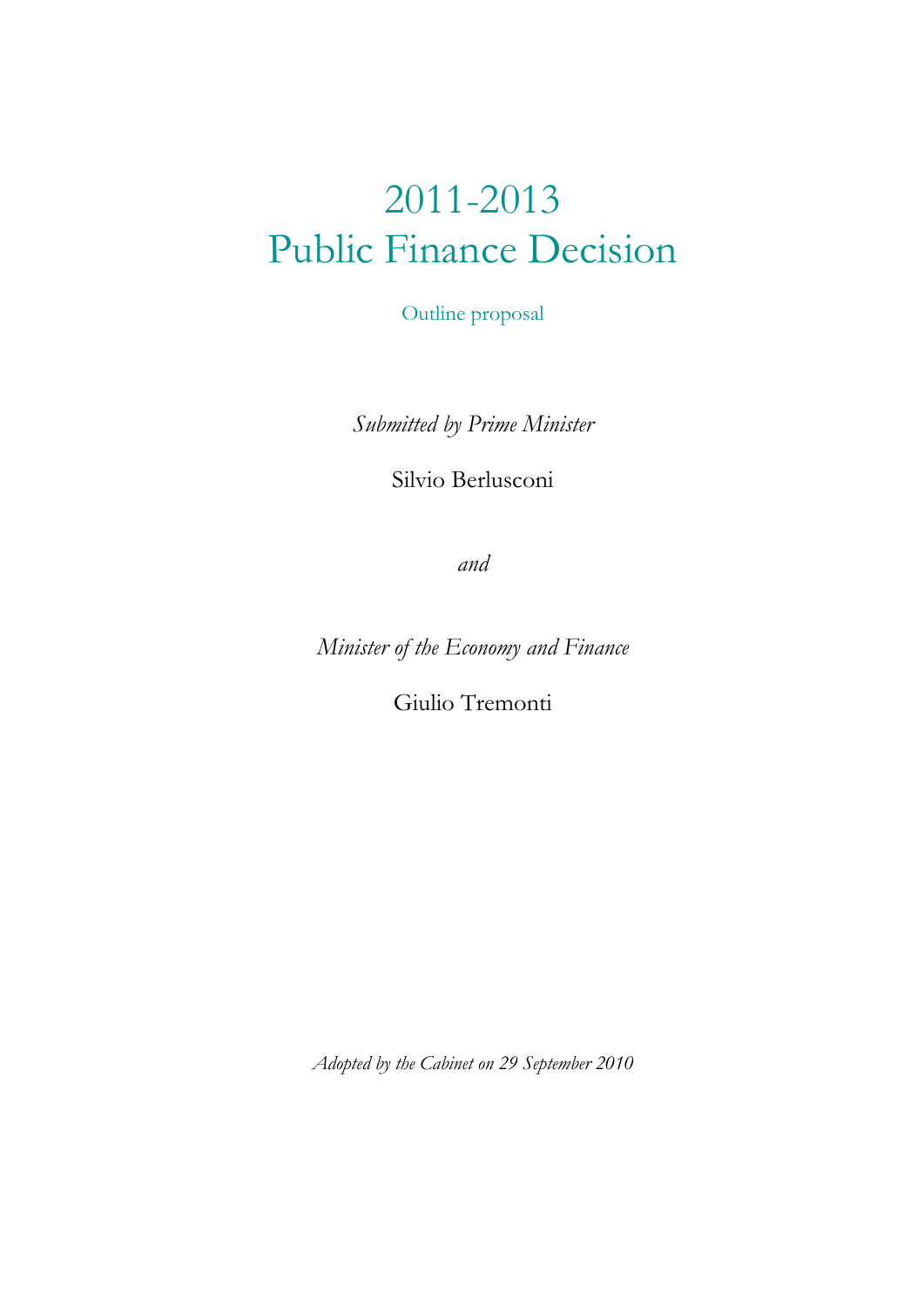# 2011-2013 Public Finance Decision

Outline proposal

*Submitted by Prime Minister* 

Silvio Berlusconi

*and* 

*Minister of the Economy and Finance* 

Giulio Tremonti

*Adopted by the Cabinet on 29 September 2010*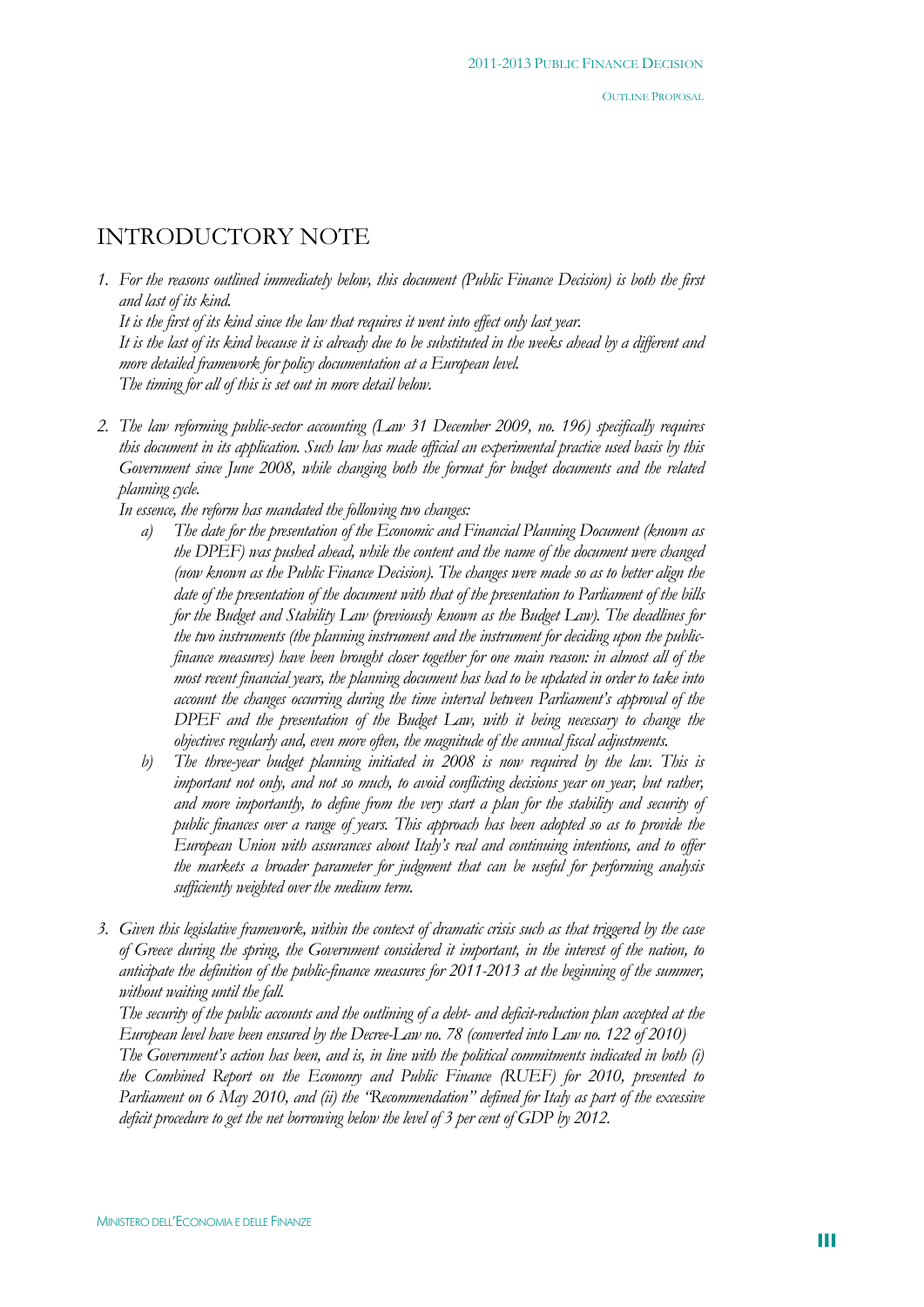# INTRODUCTORY NOTE

*1. For the reasons outlined immediately below, this document (Public Finance Decision) is both the first and last of its kind. It is the first of its kind since the law that requires it went into effect only last year. It is the last of its kind because it is already due to be substituted in the weeks ahead by a different and more detailed framework for policy documentation at a European level. The timing for all of this is set out in more detail below.* 

*2. The law reforming public-sector accounting (Law 31 December 2009, no. 196) specifically requires this document in its application. Such law has made official an experimental practice used basis by this Government since June 2008, while changing both the format for budget documents and the related planning cycle.* 

*In essence, the reform has mandated the following two changes:* 

- *a) The date for the presentation of the Economic and Financial Planning Document (known as the DPEF) was pushed ahead, while the content and the name of the document were changed (now known as the Public Finance Decision). The changes were made so as to better align the date of the presentation of the document with that of the presentation to Parliament of the bills for the Budget and Stability Law (previously known as the Budget Law). The deadlines for the two instruments (the planning instrument and the instrument for deciding upon the publicfinance measures) have been brought closer together for one main reason: in almost all of the most recent financial years, the planning document has had to be updated in order to take into account the changes occurring during the time interval between Parliament's approval of the DPEF and the presentation of the Budget Law, with it being necessary to change the objectives regularly and, even more often, the magnitude of the annual fiscal adjustments.*
- *b) The three-year budget planning initiated in 2008 is now required by the law. This is important not only, and not so much, to avoid conflicting decisions year on year, but rather, and more importantly, to define from the very start a plan for the stability and security of public finances over a range of years. This approach has been adopted so as to provide the European Union with assurances about Italy's real and continuing intentions, and to offer the markets a broader parameter for judgment that can be useful for performing analysis sufficiently weighted over the medium term.*
- *3. Given this legislative framework, within the context of dramatic crisis such as that triggered by the case of Greece during the spring, the Government considered it important, in the interest of the nation, to anticipate the definition of the public-finance measures for 2011-2013 at the beginning of the summer, without waiting until the fall.*

*The security of the public accounts and the outlining of a debt- and deficit-reduction plan accepted at the European level have been ensured by the Decree-Law no. 78 (converted into Law no. 122 of 2010)* 

*The Government's action has been, and is, in line with the political commitments indicated in both (i) the Combined Report on the Economy and Public Finance (RUEF) for 2010, presented to Parliament on 6 May 2010, and (ii) the "Recommendation" defined for Italy as part of the excessive deficit procedure to get the net borrowing below the level of 3 per cent of GDP by 2012.*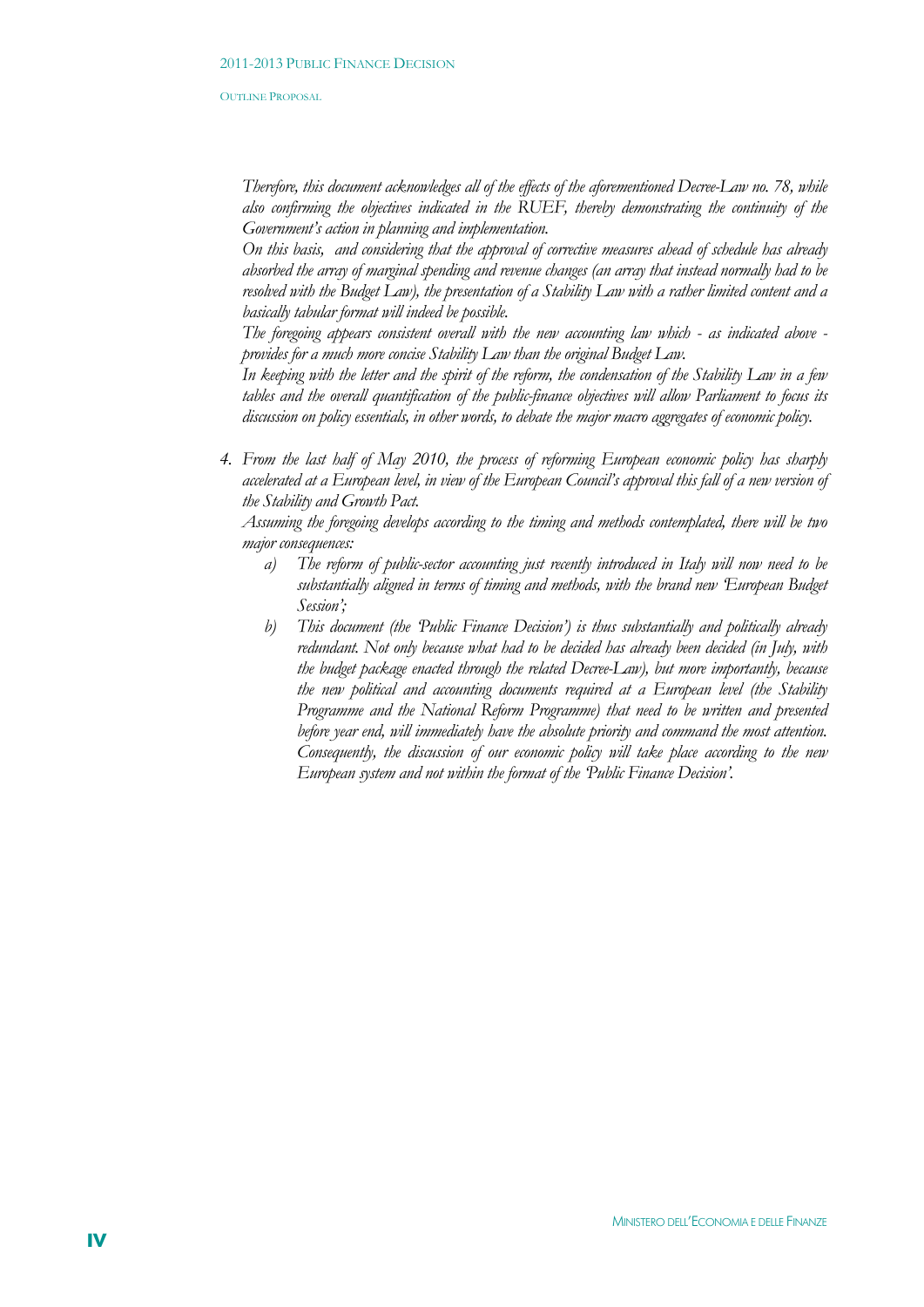*Therefore, this document acknowledges all of the effects of the aforementioned Decree-Law no. 78, while also confirming the objectives indicated in the RUEF, thereby demonstrating the continuity of the Government's action in planning and implementation.* 

*On this basis, and considering that the approval of corrective measures ahead of schedule has already absorbed the array of marginal spending and revenue changes (an array that instead normally had to be resolved with the Budget Law), the presentation of a Stability Law with a rather limited content and a basically tabular format will indeed be possible.* 

*The foregoing appears consistent overall with the new accounting law which - as indicated above provides for a much more concise Stability Law than the original Budget Law.* 

*In keeping with the letter and the spirit of the reform, the condensation of the Stability Law in a few tables and the overall quantification of the public-finance objectives will allow Parliament to focus its discussion on policy essentials, in other words, to debate the major macro aggregates of economic policy.* 

*4. From the last half of May 2010, the process of reforming European economic policy has sharply accelerated at a European level, in view of the European Council's approval this fall of a new version of the Stability and Growth Pact.* 

*Assuming the foregoing develops according to the timing and methods contemplated, there will be two major consequences:* 

- *a) The reform of public-sector accounting just recently introduced in Italy will now need to be substantially aligned in terms of timing and methods, with the brand new 'European Budget Session';*
- *b) This document (the 'Public Finance Decision') is thus substantially and politically already redundant. Not only because what had to be decided has already been decided (in July, with the budget package enacted through the related Decree-Law), but more importantly, because the new political and accounting documents required at a European level (the Stability Programme and the National Reform Programme) that need to be written and presented before year end, will immediately have the absolute priority and command the most attention. Consequently, the discussion of our economic policy will take place according to the new European system and not within the format of the 'Public Finance Decision'.*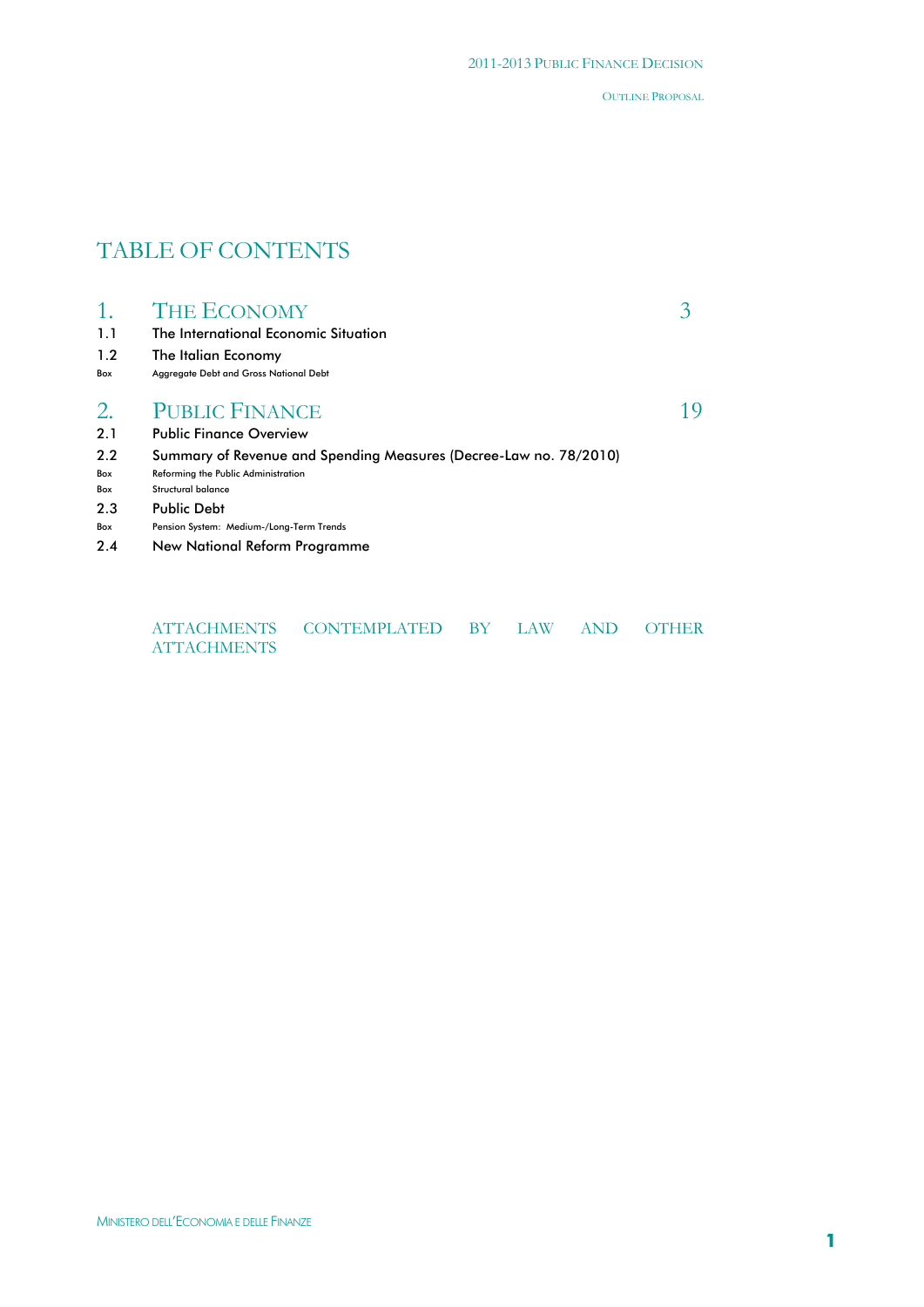# TABLE OF CONTENTS

| 1.1<br>1.2<br>Box                      | <b>THE ECONOMY</b><br>The International Economic Situation<br>The Italian Economy<br>Aggregate Debt and Gross National Debt                                                                                                       |  |
|----------------------------------------|-----------------------------------------------------------------------------------------------------------------------------------------------------------------------------------------------------------------------------------|--|
| 2.<br>2.1                              | <b>PUBLIC FINANCE</b><br><b>Public Finance Overview</b>                                                                                                                                                                           |  |
| 2.2<br>Box<br>Box<br>2.3<br>Box<br>2.4 | Summary of Revenue and Spending Measures (Decree-Law no. 78/2010)<br>Reforming the Public Administration<br>Structural balance<br><b>Public Debt</b><br>Pension System: Medium-/Long-Term Trends<br>New National Reform Programme |  |

| <b>ATTACHMENTS</b> | CONTEMPLATED BY LAW AND OTHER |  |  |
|--------------------|-------------------------------|--|--|
| <b>ATTACHMENTS</b> |                               |  |  |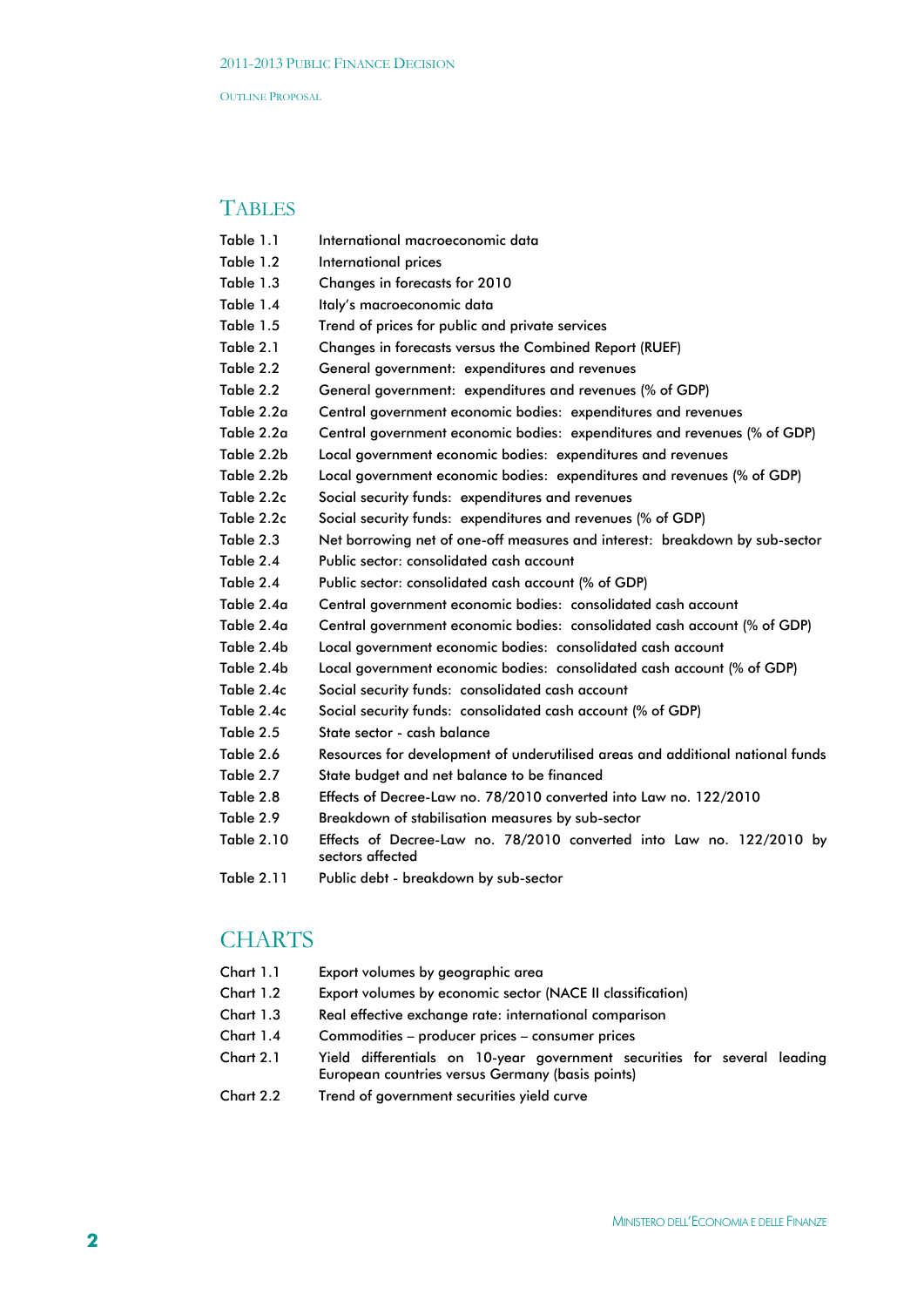# **TABLES**

- Table 1.1 International macroeconomic data
- Table 1.2 International prices
- Table 1.3 Changes in forecasts for 2010
- Table 1.4 Italy's macroeconomic data
- Table 1.5 Trend of prices for public and private services
- Table 2.1 Changes in forecasts versus the Combined Report (RUEF)
- Table 2.2 General government: expenditures and revenues
- Table 2.2 General government: expenditures and revenues (% of GDP)
- Table 2.2a Central government economic bodies: expenditures and revenues
- Table 2.2a Central government economic bodies: expenditures and revenues (% of GDP)
- Table 2.2b Local government economic bodies: expenditures and revenues
- Table 2.2b Local government economic bodies: expenditures and revenues (% of GDP)
- Table 2.2c Social security funds: expenditures and revenues
- Table 2.2c Social security funds: expenditures and revenues (% of GDP)
- Table 2.3 Net borrowing net of one-off measures and interest: breakdown by sub-sector
- Table 2.4 Public sector: consolidated cash account
- Table 2.4 Public sector: consolidated cash account (% of GDP)
- Table 2.4a Central government economic bodies: consolidated cash account
- Table 2.4a Central government economic bodies: consolidated cash account (% of GDP)
- Table 2.4b Local government economic bodies: consolidated cash account
- Table 2.4b Local government economic bodies: consolidated cash account (% of GDP)
- Table 2.4c Social security funds: consolidated cash account
- Table 2.4c Social security funds: consolidated cash account (% of GDP)
- Table 2.5 State sector cash balance
- Table 2.6 Resources for development of underutilised areas and additional national funds
- Table 2.7 State budget and net balance to be financed
- Table 2.8 Effects of Decree-Law no. 78/2010 converted into Law no. 122/2010
- Table 2.9 Breakdown of stabilisation measures by sub-sector
- Table 2.10 Effects of Decree-Law no. 78/2010 converted into Law no. 122/2010 by sectors affected
- Table 2.11 Public debt breakdown by sub-sector

# **CHARTS**

- Chart 1.1 Export volumes by geographic area
- Chart 1.2 Export volumes by economic sector (NACE II classification)
- Chart 1.3 Real effective exchange rate: international comparison
- Chart 1.4 Commodities producer prices consumer prices
- Chart 2.1 Yield differentials on 10-year government securities for several leading European countries versus Germany (basis points)
- Chart 2.2 Trend of government securities yield curve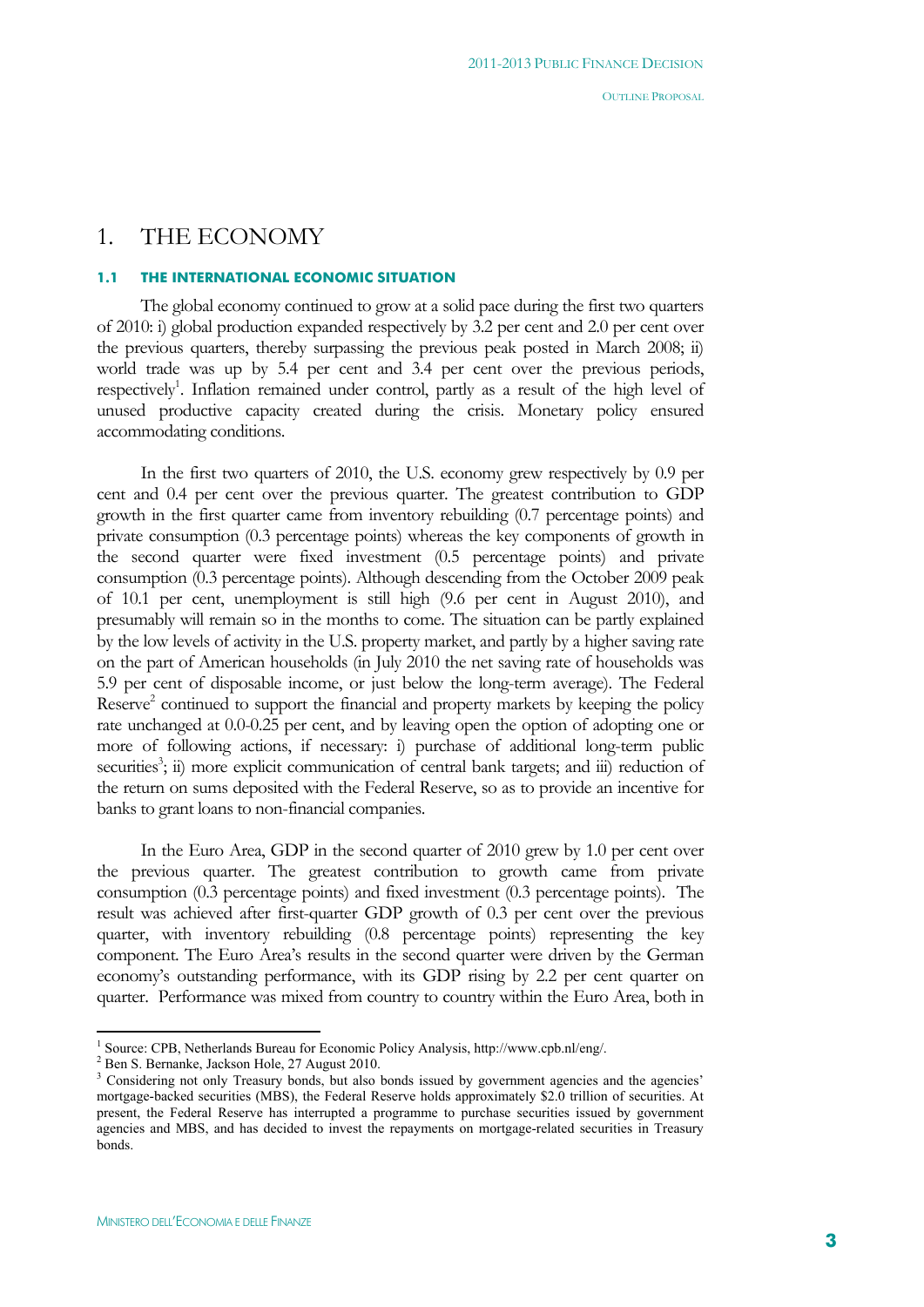# 1. THE ECONOMY

#### **1.1 THE INTERNATIONAL ECONOMIC SITUATION**

The global economy continued to grow at a solid pace during the first two quarters of 2010: i) global production expanded respectively by 3.2 per cent and 2.0 per cent over the previous quarters, thereby surpassing the previous peak posted in March 2008; ii) world trade was up by 5.4 per cent and 3.4 per cent over the previous periods, respectively<sup>1</sup>. Inflation remained under control, partly as a result of the high level of unused productive capacity created during the crisis. Monetary policy ensured accommodating conditions.

In the first two quarters of 2010, the U.S. economy grew respectively by 0.9 per cent and 0.4 per cent over the previous quarter. The greatest contribution to GDP growth in the first quarter came from inventory rebuilding (0.7 percentage points) and private consumption (0.3 percentage points) whereas the key components of growth in the second quarter were fixed investment (0.5 percentage points) and private consumption (0.3 percentage points). Although descending from the October 2009 peak of 10.1 per cent, unemployment is still high (9.6 per cent in August 2010), and presumably will remain so in the months to come. The situation can be partly explained by the low levels of activity in the U.S. property market, and partly by a higher saving rate on the part of American households (in July 2010 the net saving rate of households was 5.9 per cent of disposable income, or just below the long-term average). The Federal Reserve<sup>2</sup> continued to support the financial and property markets by keeping the policy rate unchanged at 0.0-0.25 per cent, and by leaving open the option of adopting one or more of following actions, if necessary: i) purchase of additional long-term public securities<sup>3</sup>; ii) more explicit communication of central bank targets; and iii) reduction of the return on sums deposited with the Federal Reserve, so as to provide an incentive for banks to grant loans to non-financial companies.

In the Euro Area, GDP in the second quarter of 2010 grew by 1.0 per cent over the previous quarter. The greatest contribution to growth came from private consumption (0.3 percentage points) and fixed investment (0.3 percentage points). The result was achieved after first-quarter GDP growth of 0.3 per cent over the previous quarter, with inventory rebuilding (0.8 percentage points) representing the key component. The Euro Area's results in the second quarter were driven by the German economy's outstanding performance, with its GDP rising by 2.2 per cent quarter on quarter. Performance was mixed from country to country within the Euro Area, both in

 $\overline{a}$ 

<sup>&</sup>lt;sup>1</sup> Source: CPB, Netherlands Bureau for Economic Policy Analysis, http://www.cpb.nl/eng/.<br><sup>2</sup> Pen S. Bernanka, Jackson Hole, 27 August 2010.

 $2$  Ben S. Bernanke, Jackson Hole, 27 August 2010.

<sup>&</sup>lt;sup>3</sup> Considering not only Treasury bonds, but also bonds issued by government agencies and the agencies' mortgage-backed securities (MBS), the Federal Reserve holds approximately \$2.0 trillion of securities. At present, the Federal Reserve has interrupted a programme to purchase securities issued by government agencies and MBS, and has decided to invest the repayments on mortgage-related securities in Treasury bonds.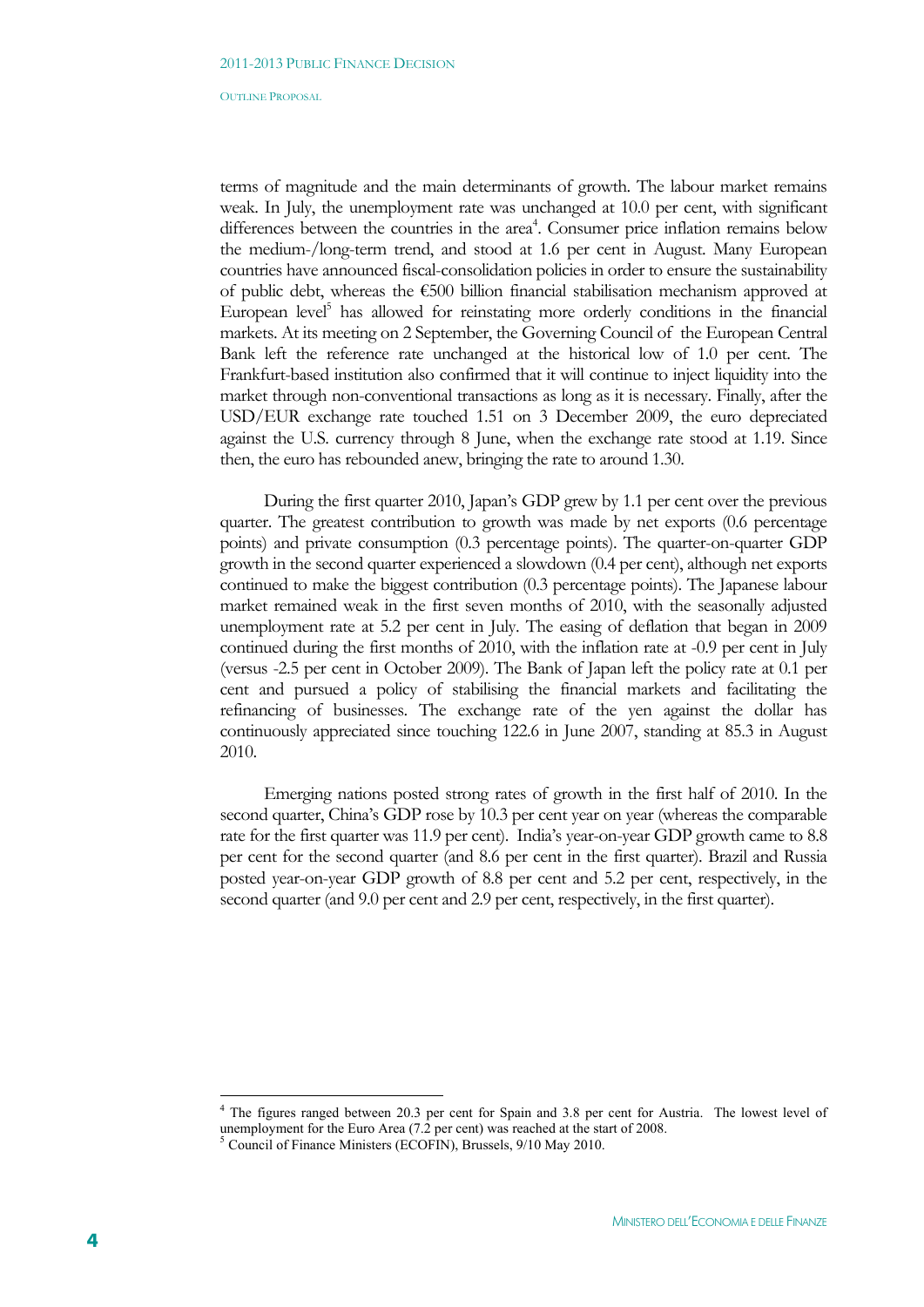terms of magnitude and the main determinants of growth. The labour market remains weak. In July, the unemployment rate was unchanged at 10.0 per cent, with significant differences between the countries in the area<sup>4</sup>. Consumer price inflation remains below the medium-/long-term trend, and stood at 1.6 per cent in August. Many European countries have announced fiscal-consolidation policies in order to ensure the sustainability of public debt, whereas the €500 billion financial stabilisation mechanism approved at European level<sup>5</sup> has allowed for reinstating more orderly conditions in the financial markets. At its meeting on 2 September, the Governing Council of the European Central Bank left the reference rate unchanged at the historical low of 1.0 per cent. The Frankfurt-based institution also confirmed that it will continue to inject liquidity into the market through non-conventional transactions as long as it is necessary. Finally, after the USD/EUR exchange rate touched 1.51 on 3 December 2009, the euro depreciated against the U.S. currency through 8 June, when the exchange rate stood at 1.19. Since then, the euro has rebounded anew, bringing the rate to around 1.30.

During the first quarter 2010, Japan's GDP grew by 1.1 per cent over the previous quarter. The greatest contribution to growth was made by net exports (0.6 percentage points) and private consumption (0.3 percentage points). The quarter-on-quarter GDP growth in the second quarter experienced a slowdown (0.4 per cent), although net exports continued to make the biggest contribution (0.3 percentage points). The Japanese labour market remained weak in the first seven months of 2010, with the seasonally adjusted unemployment rate at 5.2 per cent in July. The easing of deflation that began in 2009 continued during the first months of 2010, with the inflation rate at -0.9 per cent in July (versus -2.5 per cent in October 2009). The Bank of Japan left the policy rate at 0.1 per cent and pursued a policy of stabilising the financial markets and facilitating the refinancing of businesses. The exchange rate of the yen against the dollar has continuously appreciated since touching 122.6 in June 2007, standing at 85.3 in August 2010.

Emerging nations posted strong rates of growth in the first half of 2010. In the second quarter, China's GDP rose by 10.3 per cent year on year (whereas the comparable rate for the first quarter was 11.9 per cent). India's year-on-year GDP growth came to 8.8 per cent for the second quarter (and 8.6 per cent in the first quarter). Brazil and Russia posted year-on-year GDP growth of 8.8 per cent and 5.2 per cent, respectively, in the second quarter (and 9.0 per cent and 2.9 per cent, respectively, in the first quarter).

<u>.</u>

<sup>&</sup>lt;sup>4</sup> The figures ranged between 20.3 per cent for Spain and 3.8 per cent for Austria. The lowest level of unemployment for the Euro Area (7.2 per cent) was reached at the start of 2008.

<sup>5</sup> Council of Finance Ministers (ECOFIN), Brussels, 9/10 May 2010.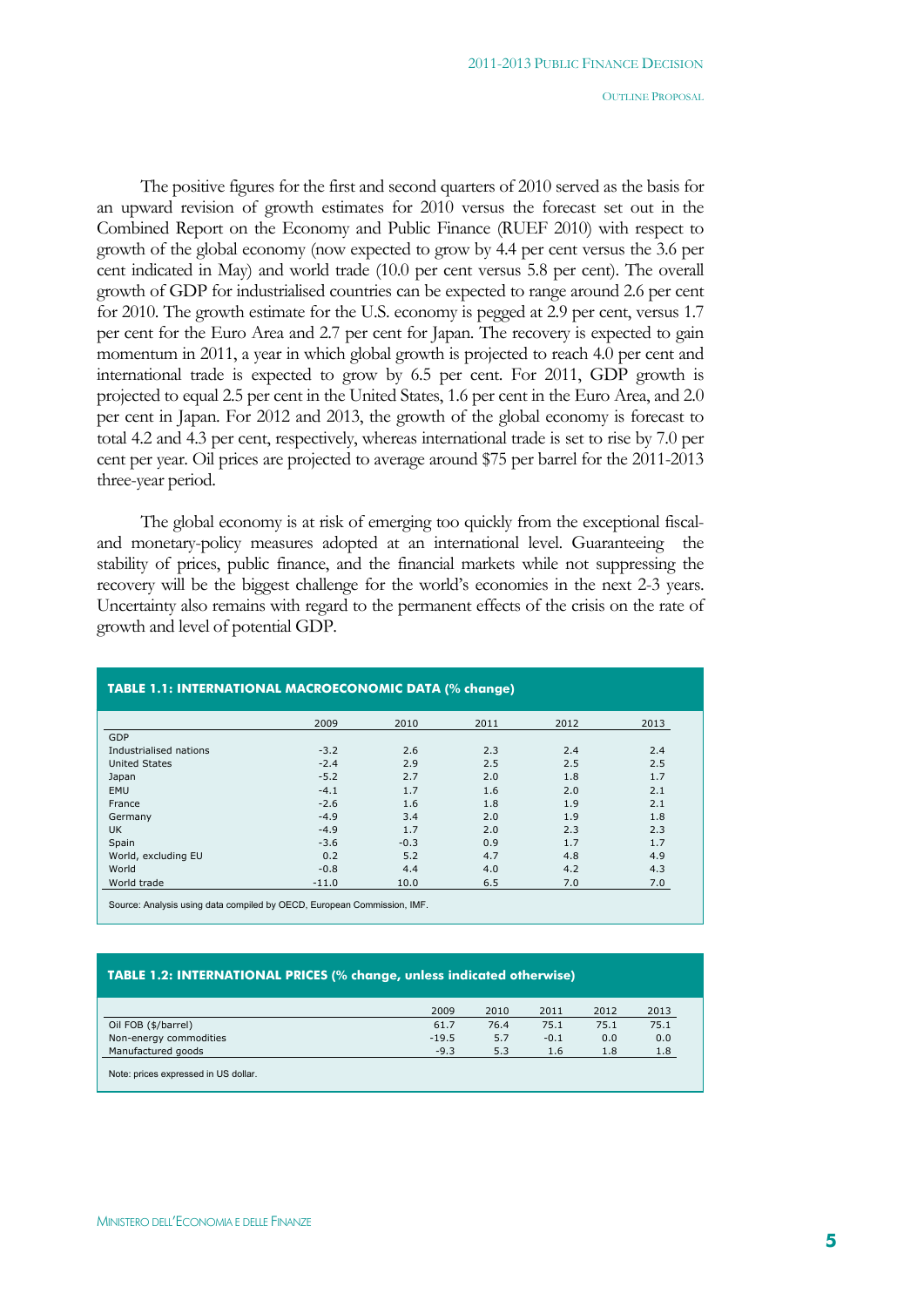The positive figures for the first and second quarters of 2010 served as the basis for an upward revision of growth estimates for 2010 versus the forecast set out in the Combined Report on the Economy and Public Finance (RUEF 2010) with respect to growth of the global economy (now expected to grow by 4.4 per cent versus the 3.6 per cent indicated in May) and world trade (10.0 per cent versus 5.8 per cent). The overall growth of GDP for industrialised countries can be expected to range around 2.6 per cent for 2010. The growth estimate for the U.S. economy is pegged at 2.9 per cent, versus 1.7 per cent for the Euro Area and 2.7 per cent for Japan. The recovery is expected to gain momentum in 2011, a year in which global growth is projected to reach 4.0 per cent and international trade is expected to grow by 6.5 per cent. For 2011, GDP growth is projected to equal 2.5 per cent in the United States, 1.6 per cent in the Euro Area, and 2.0 per cent in Japan. For 2012 and 2013, the growth of the global economy is forecast to total 4.2 and 4.3 per cent, respectively, whereas international trade is set to rise by 7.0 per cent per year. Oil prices are projected to average around \$75 per barrel for the 2011-2013 three-year period.

The global economy is at risk of emerging too quickly from the exceptional fiscaland monetary-policy measures adopted at an international level. Guaranteeing the stability of prices, public finance, and the financial markets while not suppressing the recovery will be the biggest challenge for the world's economies in the next 2-3 years. Uncertainty also remains with regard to the permanent effects of the crisis on the rate of growth and level of potential GDP.

|                        | 2009    | 2010   | 2011 | 2012 | 2013 |
|------------------------|---------|--------|------|------|------|
| GDP                    |         |        |      |      |      |
| Industrialised nations | $-3.2$  | 2.6    | 2.3  | 2.4  | 2.4  |
| <b>United States</b>   | $-2.4$  | 2.9    | 2.5  | 2.5  | 2.5  |
| Japan                  | $-5.2$  | 2.7    | 2.0  | 1.8  | 1.7  |
| <b>EMU</b>             | $-4.1$  | 1.7    | 1.6  | 2.0  | 2.1  |
| France                 | $-2.6$  | 1.6    | 1.8  | 1.9  | 2.1  |
| Germany                | $-4.9$  | 3.4    | 2.0  | 1.9  | 1.8  |
| <b>UK</b>              | $-4.9$  | 1.7    | 2.0  | 2.3  | 2.3  |
| Spain                  | $-3.6$  | $-0.3$ | 0.9  | 1.7  | 1.7  |
| World, excluding EU    | 0.2     | 5.2    | 4.7  | 4.8  | 4.9  |
| World                  | $-0.8$  | 4.4    | 4.0  | 4.2  | 4.3  |
| World trade            | $-11.0$ | 10.0   | 6.5  | 7.0  | 7.0  |

**TABLE 1.1: INTERNATIONAL MACROECONOMIC DATA (% change)**

# **TABLE 1.2: INTERNATIONAL PRICES (% change, unless indicated otherwise)**

|                                      | 2009    | 2010 | 2011   | 2012 | 2013 |
|--------------------------------------|---------|------|--------|------|------|
| Oil FOB (\$/barrel)                  | 61.7    | 76.4 | 75.1   | 75.1 | 75.1 |
| Non-energy commodities               | $-19.5$ | 5.7  | $-0.1$ | 0.0  | 0.0  |
| Manufactured goods                   | $-9.3$  | 5.3  | 1.6    | 1.8  | 1.8  |
| Note: prices expressed in US dollar. |         |      |        |      |      |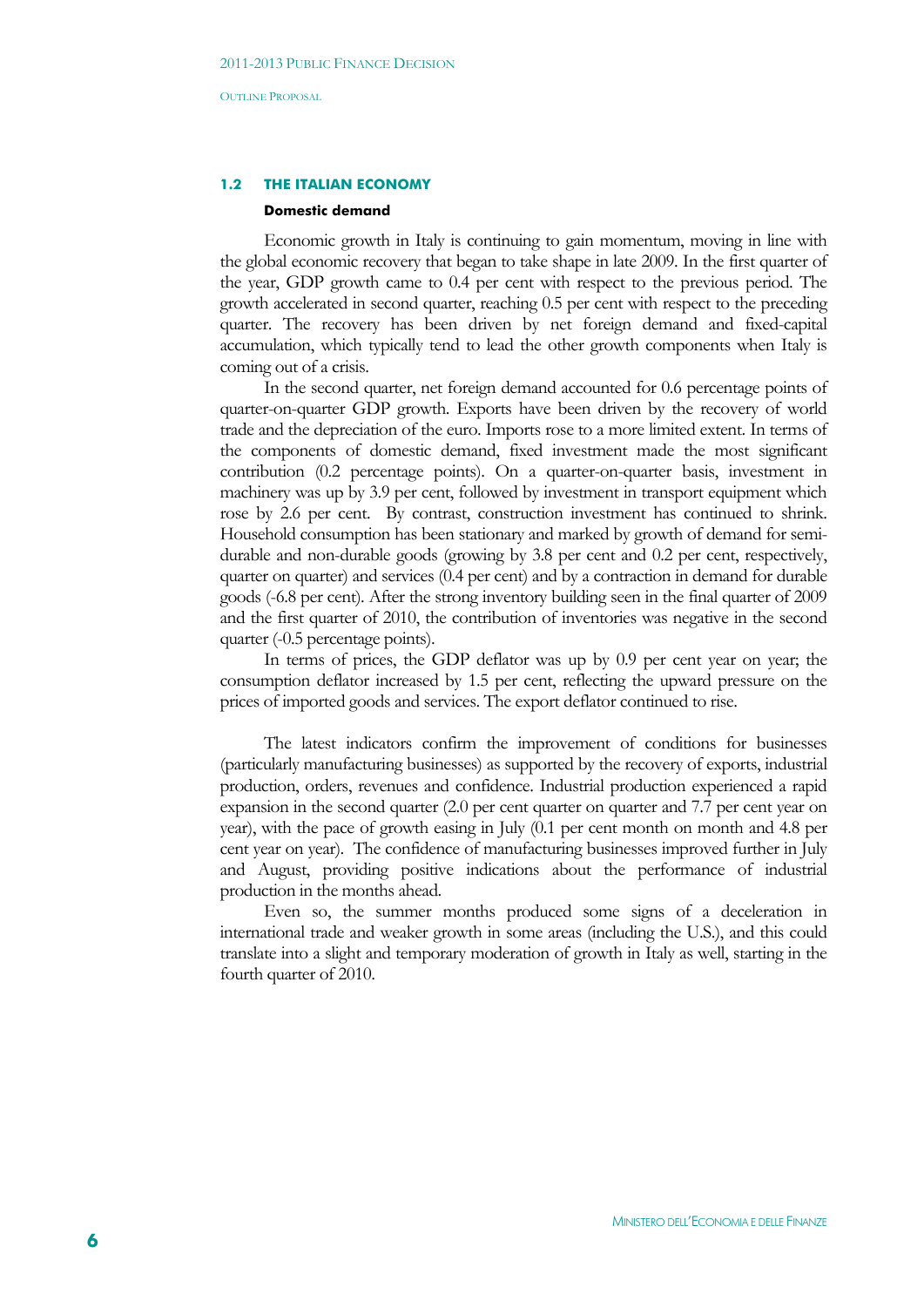#### **1.2 THE ITALIAN ECONOMY**

#### **Domestic demand**

Economic growth in Italy is continuing to gain momentum, moving in line with the global economic recovery that began to take shape in late 2009. In the first quarter of the year, GDP growth came to 0.4 per cent with respect to the previous period. The growth accelerated in second quarter, reaching 0.5 per cent with respect to the preceding quarter. The recovery has been driven by net foreign demand and fixed-capital accumulation, which typically tend to lead the other growth components when Italy is coming out of a crisis.

In the second quarter, net foreign demand accounted for 0.6 percentage points of quarter-on-quarter GDP growth. Exports have been driven by the recovery of world trade and the depreciation of the euro. Imports rose to a more limited extent. In terms of the components of domestic demand, fixed investment made the most significant contribution (0.2 percentage points). On a quarter-on-quarter basis, investment in machinery was up by 3.9 per cent, followed by investment in transport equipment which rose by 2.6 per cent. By contrast, construction investment has continued to shrink. Household consumption has been stationary and marked by growth of demand for semidurable and non-durable goods (growing by 3.8 per cent and 0.2 per cent, respectively, quarter on quarter) and services (0.4 per cent) and by a contraction in demand for durable goods (-6.8 per cent). After the strong inventory building seen in the final quarter of 2009 and the first quarter of 2010, the contribution of inventories was negative in the second quarter (-0.5 percentage points).

In terms of prices, the GDP deflator was up by 0.9 per cent year on year; the consumption deflator increased by 1.5 per cent, reflecting the upward pressure on the prices of imported goods and services. The export deflator continued to rise.

The latest indicators confirm the improvement of conditions for businesses (particularly manufacturing businesses) as supported by the recovery of exports, industrial production, orders, revenues and confidence. Industrial production experienced a rapid expansion in the second quarter (2.0 per cent quarter on quarter and 7.7 per cent year on year), with the pace of growth easing in July (0.1 per cent month on month and 4.8 per cent year on year). The confidence of manufacturing businesses improved further in July and August, providing positive indications about the performance of industrial production in the months ahead.

Even so, the summer months produced some signs of a deceleration in international trade and weaker growth in some areas (including the U.S.), and this could translate into a slight and temporary moderation of growth in Italy as well, starting in the fourth quarter of 2010.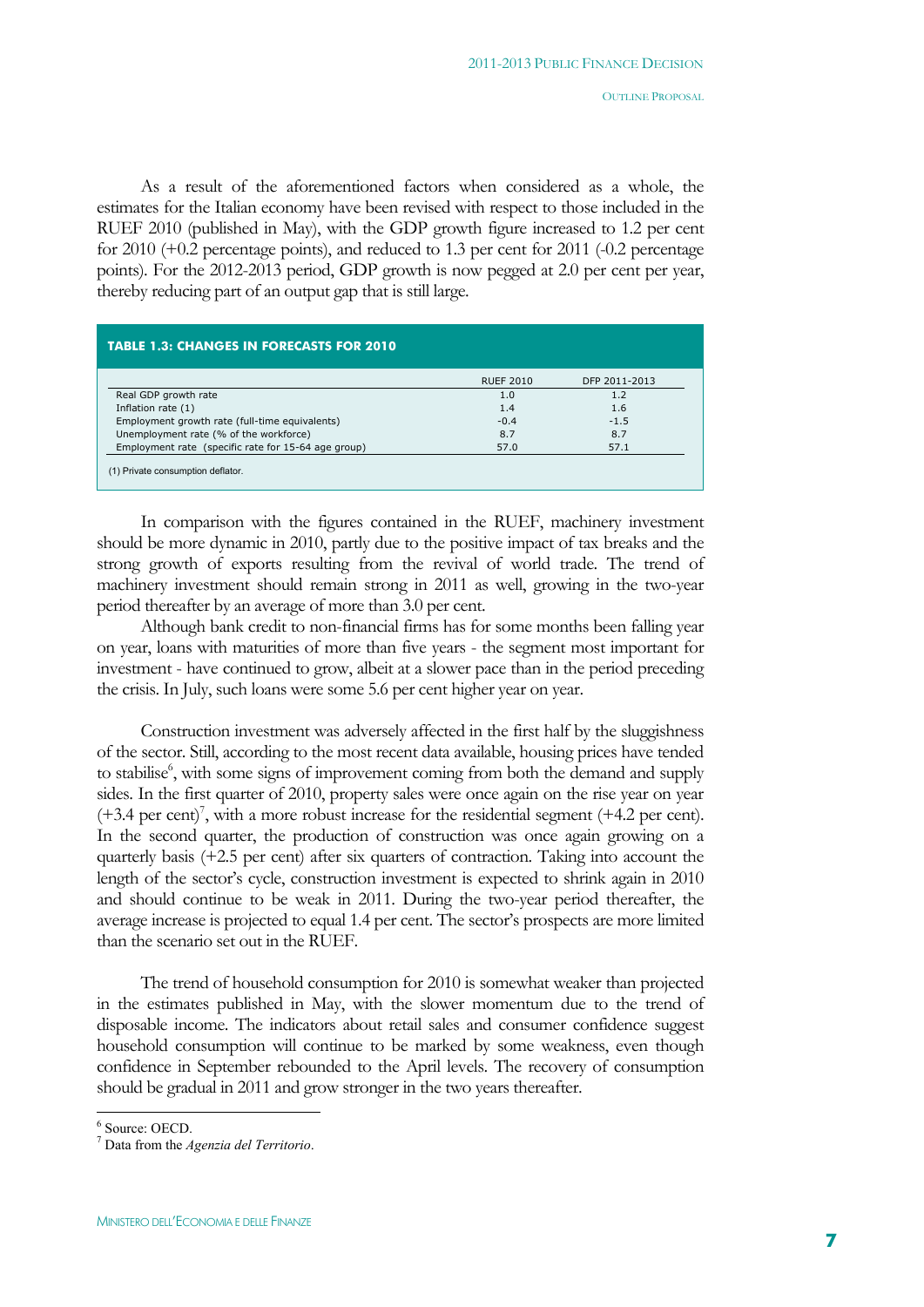As a result of the aforementioned factors when considered as a whole, the estimates for the Italian economy have been revised with respect to those included in the RUEF 2010 (published in May), with the GDP growth figure increased to 1.2 per cent for 2010 (+0.2 percentage points), and reduced to 1.3 per cent for 2011 (-0.2 percentage points). For the 2012-2013 period, GDP growth is now pegged at 2.0 per cent per year, thereby reducing part of an output gap that is still large.

|                                                     | <b>RUEF 2010</b> | DFP 2011-2013 |
|-----------------------------------------------------|------------------|---------------|
| Real GDP growth rate                                | 1.0              | 1.2           |
| Inflation rate (1)                                  | 1.4              | 1.6           |
| Employment growth rate (full-time equivalents)      | $-0.4$           | $-1.5$        |
| Unemployment rate (% of the workforce)              | 8.7              | 8.7           |
| Employment rate (specific rate for 15-64 age group) | 57.0             | 57.1          |

In comparison with the figures contained in the RUEF, machinery investment should be more dynamic in 2010, partly due to the positive impact of tax breaks and the strong growth of exports resulting from the revival of world trade. The trend of machinery investment should remain strong in 2011 as well, growing in the two-year period thereafter by an average of more than 3.0 per cent.

Although bank credit to non-financial firms has for some months been falling year on year, loans with maturities of more than five years - the segment most important for investment - have continued to grow, albeit at a slower pace than in the period preceding the crisis. In July, such loans were some 5.6 per cent higher year on year.

Construction investment was adversely affected in the first half by the sluggishness of the sector. Still, according to the most recent data available, housing prices have tended to stabilise<sup>6</sup>, with some signs of improvement coming from both the demand and supply sides. In the first quarter of 2010, property sales were once again on the rise year on year  $(+3.4 \text{ per cent})^7$ , with a more robust increase for the residential segment  $(+4.2 \text{ per cent})$ . In the second quarter, the production of construction was once again growing on a quarterly basis (+2.5 per cent) after six quarters of contraction. Taking into account the length of the sector's cycle, construction investment is expected to shrink again in 2010 and should continue to be weak in 2011. During the two-year period thereafter, the average increase is projected to equal 1.4 per cent. The sector's prospects are more limited than the scenario set out in the RUEF.

The trend of household consumption for 2010 is somewhat weaker than projected in the estimates published in May, with the slower momentum due to the trend of disposable income. The indicators about retail sales and consumer confidence suggest household consumption will continue to be marked by some weakness, even though confidence in September rebounded to the April levels. The recovery of consumption should be gradual in 2011 and grow stronger in the two years thereafter.

 6 Source: OECD.

<sup>7</sup> Data from the *Agenzia del Territorio*.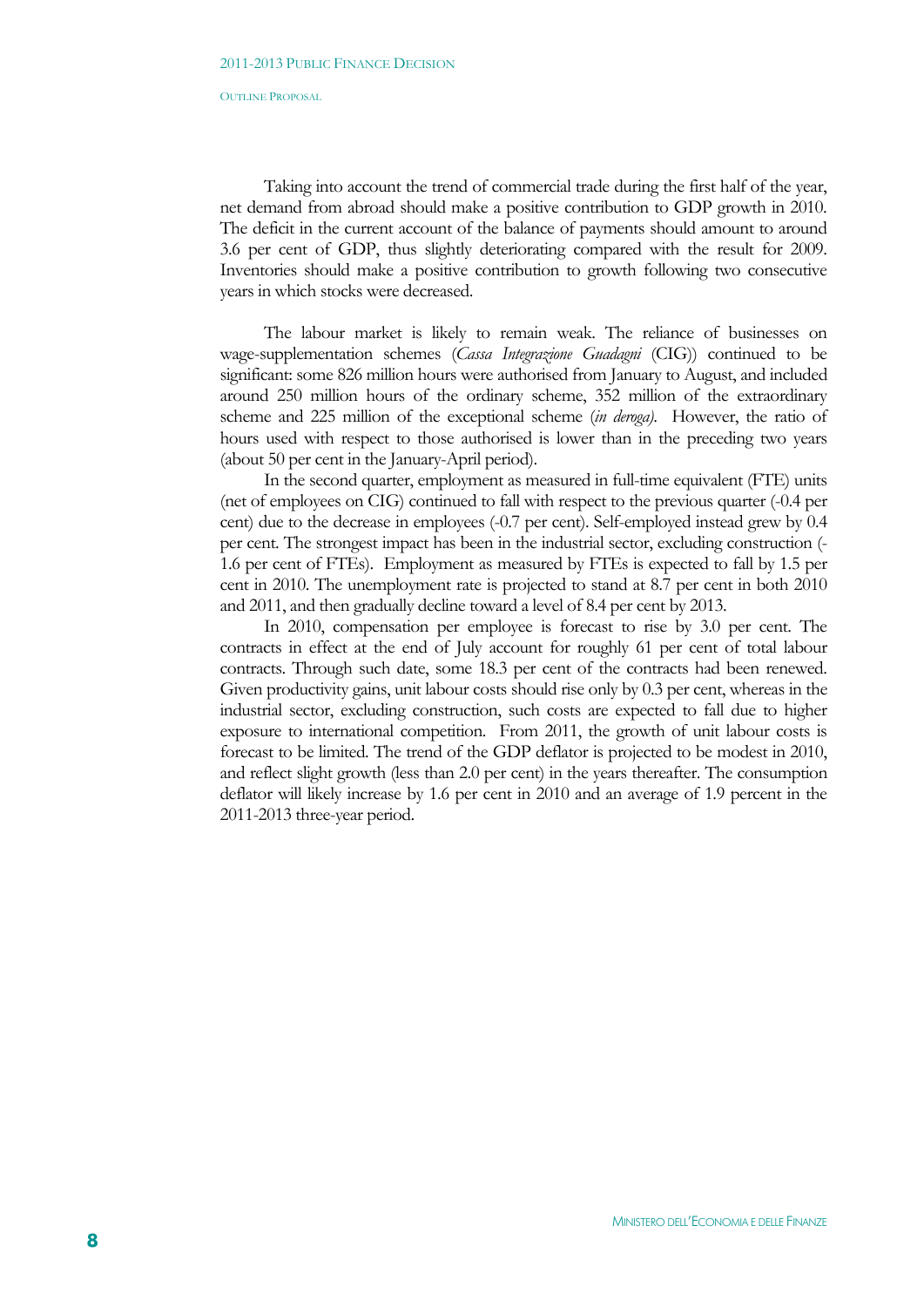Taking into account the trend of commercial trade during the first half of the year, net demand from abroad should make a positive contribution to GDP growth in 2010. The deficit in the current account of the balance of payments should amount to around 3.6 per cent of GDP, thus slightly deteriorating compared with the result for 2009. Inventories should make a positive contribution to growth following two consecutive years in which stocks were decreased.

The labour market is likely to remain weak. The reliance of businesses on wage-supplementation schemes (*Cassa Integrazione Guadagni* (CIG)) continued to be significant: some 826 million hours were authorised from January to August, and included around 250 million hours of the ordinary scheme, 352 million of the extraordinary scheme and 225 million of the exceptional scheme (*in deroga)*. However, the ratio of hours used with respect to those authorised is lower than in the preceding two years (about 50 per cent in the January-April period).

In the second quarter, employment as measured in full-time equivalent (FTE) units (net of employees on CIG) continued to fall with respect to the previous quarter (-0.4 per cent) due to the decrease in employees (-0.7 per cent). Self-employed instead grew by 0.4 per cent. The strongest impact has been in the industrial sector, excluding construction (- 1.6 per cent of FTEs). Employment as measured by FTEs is expected to fall by 1.5 per cent in 2010. The unemployment rate is projected to stand at 8.7 per cent in both 2010 and 2011, and then gradually decline toward a level of 8.4 per cent by 2013.

In 2010, compensation per employee is forecast to rise by 3.0 per cent. The contracts in effect at the end of July account for roughly 61 per cent of total labour contracts. Through such date, some 18.3 per cent of the contracts had been renewed. Given productivity gains, unit labour costs should rise only by 0.3 per cent, whereas in the industrial sector, excluding construction, such costs are expected to fall due to higher exposure to international competition. From 2011, the growth of unit labour costs is forecast to be limited. The trend of the GDP deflator is projected to be modest in 2010, and reflect slight growth (less than 2.0 per cent) in the years thereafter. The consumption deflator will likely increase by 1.6 per cent in 2010 and an average of 1.9 percent in the 2011-2013 three-year period.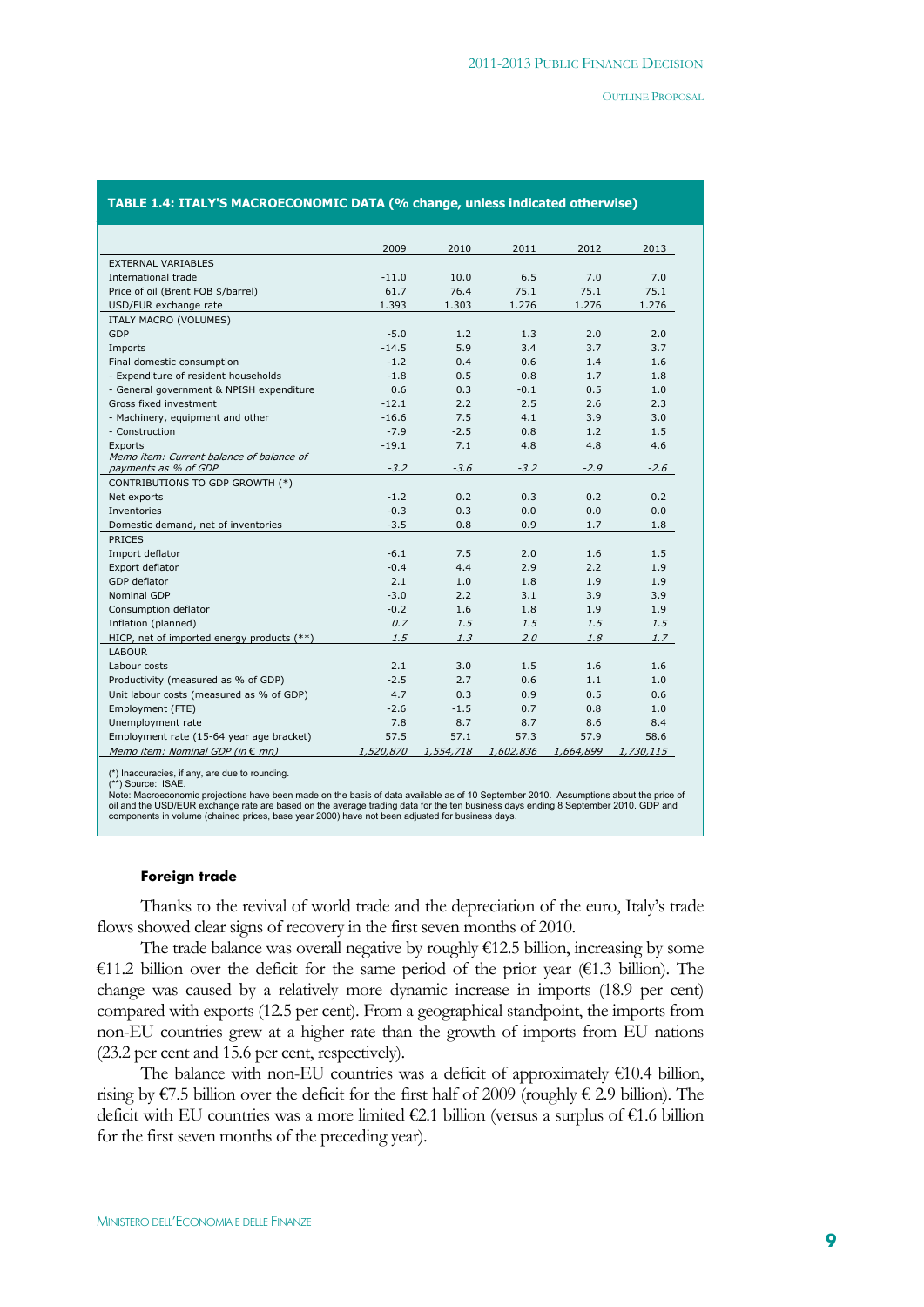#### **TABLE 1.4: ITALY'S MACROECONOMIC DATA (% change, unless indicated otherwise)**

|                                            | 2009      | 2010      | 2011      | 2012      | 2013      |
|--------------------------------------------|-----------|-----------|-----------|-----------|-----------|
| <b>EXTERNAL VARIABLES</b>                  |           |           |           |           |           |
| International trade                        | $-11.0$   | 10.0      | 6.5       | 7.0       | 7.0       |
| Price of oil (Brent FOB \$/barrel)         | 61.7      | 76.4      | 75.1      | 75.1      | 75.1      |
| USD/EUR exchange rate                      | 1.393     | 1.303     | 1.276     | 1.276     | 1.276     |
| ITALY MACRO (VOLUMES)                      |           |           |           |           |           |
| GDP                                        | $-5.0$    | 1.2       | 1.3       | 2.0       | 2.0       |
| Imports                                    | $-14.5$   | 5.9       | 3.4       | 3.7       | 3.7       |
| Final domestic consumption                 | $-1.2$    | 0.4       | 0.6       | 1.4       | 1.6       |
| - Expenditure of resident households       | $-1.8$    | 0.5       | 0.8       | 1.7       | 1.8       |
| - General government & NPISH expenditure   | 0.6       | 0.3       | $-0.1$    | 0.5       | 1.0       |
| Gross fixed investment                     | $-12.1$   | 2.2       | 2.5       | 2.6       | 2.3       |
| - Machinery, equipment and other           | $-16.6$   | 7.5       | 4.1       | 3.9       | 3.0       |
| - Construction                             | $-7.9$    | $-2.5$    | 0.8       | 1.2       | 1.5       |
| <b>Exports</b>                             | $-19.1$   | 7.1       | 4.8       | 4.8       | 4.6       |
| Memo item: Current balance of balance of   |           |           |           |           |           |
| payments as % of GDP                       | $-3.2$    | $-3.6$    | $-3.2$    | $-2.9$    | $-2.6$    |
| CONTRIBUTIONS TO GDP GROWTH (*)            |           |           |           |           |           |
| Net exports                                | $-1.2$    | 0.2       | 0.3       | 0.2       | 0.2       |
| Inventories                                | $-0.3$    | 0.3       | 0.0       | 0.0       | 0.0       |
| Domestic demand, net of inventories        | $-3.5$    | 0.8       | 0.9       | 1.7       | 1.8       |
| <b>PRICES</b>                              |           |           |           |           |           |
| Import deflator                            | $-6.1$    | 7.5       | 2.0       | 1.6       | 1.5       |
| Export deflator                            | $-0.4$    | 4.4       | 2.9       | 2.2       | 1.9       |
| GDP deflator                               | 2.1       | 1.0       | 1.8       | 1.9       | 1.9       |
| <b>Nominal GDP</b>                         | $-3.0$    | 2.2       | 3.1       | 3.9       | 3.9       |
| Consumption deflator                       | $-0.2$    | 1.6       | 1.8       | 1.9       | 1.9       |
| Inflation (planned)                        | 0.7       | 1.5       | 1.5       | 1.5       | 1.5       |
| HICP, net of imported energy products (**) | 1.5       | 1.3       | 2.0       | 1.8       | 1.7       |
| <b>LABOUR</b>                              |           |           |           |           |           |
| Labour costs                               | 2.1       | 3.0       | 1.5       | 1.6       | 1.6       |
| Productivity (measured as % of GDP)        | $-2.5$    | 2.7       | 0.6       | 1.1       | 1.0       |
| Unit labour costs (measured as % of GDP)   | 4.7       | 0.3       | 0.9       | 0.5       | 0.6       |
| Employment (FTE)                           | $-2.6$    | $-1.5$    | 0.7       | 0.8       | 1.0       |
| Unemployment rate                          | 7.8       | 8.7       | 8.7       | 8.6       | 8.4       |
| Employment rate (15-64 year age bracket)   | 57.5      | 57.1      | 57.3      | 57.9      | 58.6      |
| Memo item: Nominal GDP (in $\epsilon$ mn)  | 1,520,870 | 1,554,718 | 1,602,836 | 1,664,899 | 1,730,115 |

(\*) Inaccuracies, if any, are due to rounding.

(\*\*) Source: ISAE.<br>Note: Macroeconomic projections have been made on the basis of data available as of 10 September 2010. Assumptions about the price of<br>oil and the USD/EUR exchange rate are based on the average trading da

#### **Foreign trade**

Thanks to the revival of world trade and the depreciation of the euro, Italy's trade flows showed clear signs of recovery in the first seven months of 2010.

The trade balance was overall negative by roughly  $\epsilon$ 12.5 billion, increasing by some €11.2 billion over the deficit for the same period of the prior year (€1.3 billion). The change was caused by a relatively more dynamic increase in imports (18.9 per cent) compared with exports (12.5 per cent). From a geographical standpoint, the imports from non-EU countries grew at a higher rate than the growth of imports from EU nations (23.2 per cent and 15.6 per cent, respectively).

The balance with non-EU countries was a deficit of approximately  $€10.4$  billion, rising by  $\epsilon$ 7.5 billion over the deficit for the first half of 2009 (roughly  $\epsilon$  2.9 billion). The deficit with EU countries was a more limited  $\epsilon$ 2.1 billion (versus a surplus of  $\epsilon$ 1.6 billion for the first seven months of the preceding year).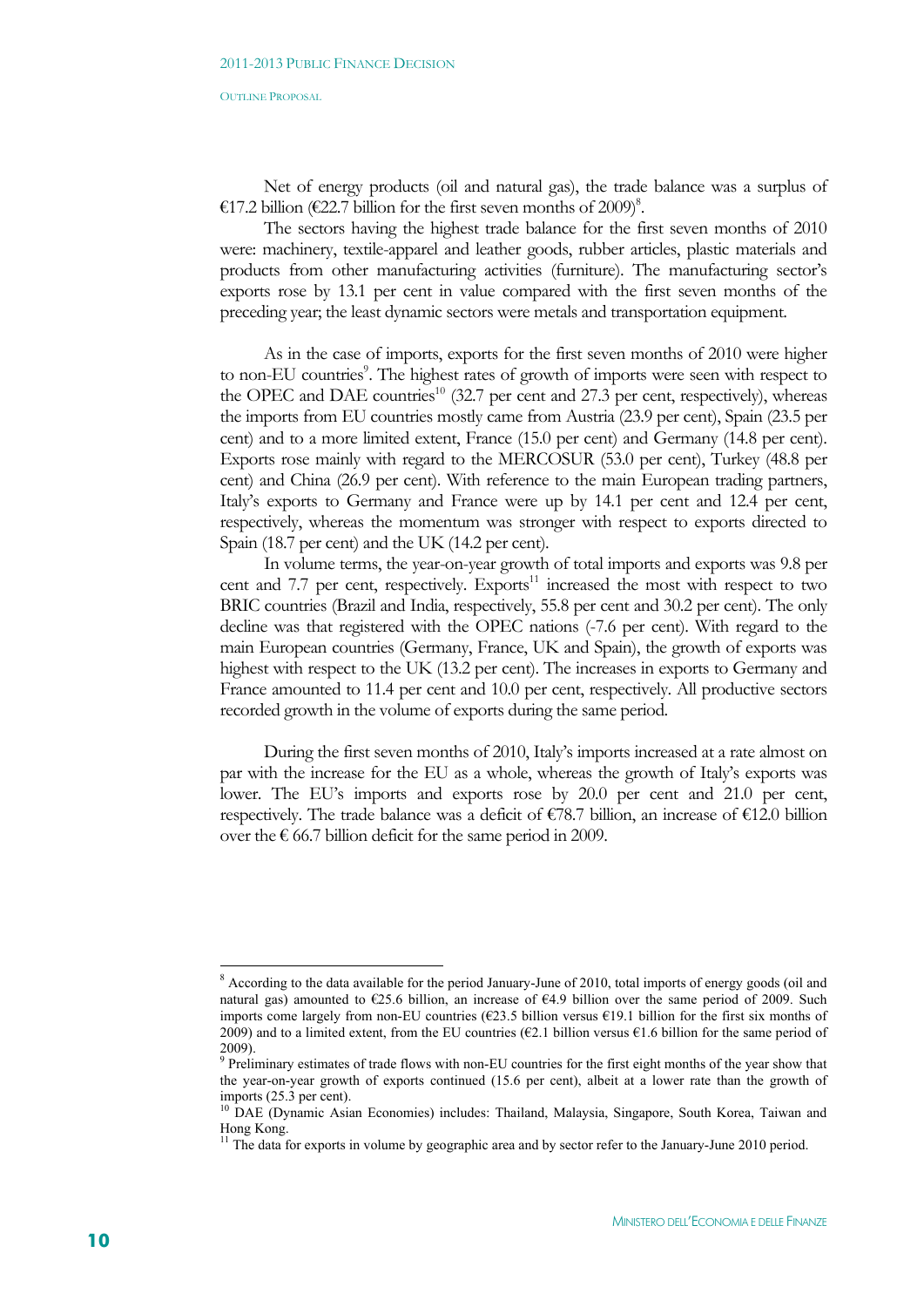Net of energy products (oil and natural gas), the trade balance was a surplus of €17.2 billion (€22.7 billion for the first seven months of 2009)<sup>8</sup>.

The sectors having the highest trade balance for the first seven months of 2010 were: machinery, textile-apparel and leather goods, rubber articles, plastic materials and products from other manufacturing activities (furniture). The manufacturing sector's exports rose by 13.1 per cent in value compared with the first seven months of the preceding year; the least dynamic sectors were metals and transportation equipment.

As in the case of imports, exports for the first seven months of 2010 were higher to non-EU countries<sup>9</sup>. The highest rates of growth of imports were seen with respect to the OPEC and DAE countries<sup>10</sup> (32.7 per cent and 27.3 per cent, respectively), whereas the imports from EU countries mostly came from Austria (23.9 per cent), Spain (23.5 per cent) and to a more limited extent, France (15.0 per cent) and Germany (14.8 per cent). Exports rose mainly with regard to the MERCOSUR (53.0 per cent), Turkey (48.8 per cent) and China (26.9 per cent). With reference to the main European trading partners, Italy's exports to Germany and France were up by 14.1 per cent and 12.4 per cent, respectively, whereas the momentum was stronger with respect to exports directed to Spain (18.7 per cent) and the UK (14.2 per cent).

In volume terms, the year-on-year growth of total imports and exports was 9.8 per cent and  $7.7$  per cent, respectively. Exports<sup>11</sup> increased the most with respect to two BRIC countries (Brazil and India, respectively, 55.8 per cent and 30.2 per cent). The only decline was that registered with the OPEC nations (-7.6 per cent). With regard to the main European countries (Germany, France, UK and Spain), the growth of exports was highest with respect to the UK (13.2 per cent). The increases in exports to Germany and France amounted to 11.4 per cent and 10.0 per cent, respectively. All productive sectors recorded growth in the volume of exports during the same period.

During the first seven months of 2010, Italy's imports increased at a rate almost on par with the increase for the EU as a whole, whereas the growth of Italy's exports was lower. The EU's imports and exports rose by 20.0 per cent and 21.0 per cent, respectively. The trade balance was a deficit of  $\epsilon$ 78.7 billion, an increase of  $\epsilon$ 12.0 billion over the  $\epsilon$  66.7 billion deficit for the same period in 2009.

1

<sup>&</sup>lt;sup>8</sup> According to the data available for the period January-June of 2010, total imports of energy goods (oil and natural gas) amounted to €25.6 billion, an increase of €4.9 billion over the same period of 2009. Such imports come largely from non-EU countries (€23.5 billion versus €19.1 billion for the first six months of 2009) and to a limited extent, from the EU countries ( $\epsilon$ 2.1 billion versus  $\epsilon$ 1.6 billion for the same period of 2009).

<sup>&</sup>lt;sup>9</sup> Preliminary estimates of trade flows with non-EU countries for the first eight months of the year show that the year-on-year growth of exports continued (15.6 per cent), albeit at a lower rate than the growth of imports (25.3 per cent).

<sup>&</sup>lt;sup>10</sup> DAE (Dynamic Asian Economies) includes: Thailand, Malaysia, Singapore, South Korea, Taiwan and Hong Kong.

<sup>&</sup>lt;sup>11</sup> The data for exports in volume by geographic area and by sector refer to the January-June 2010 period.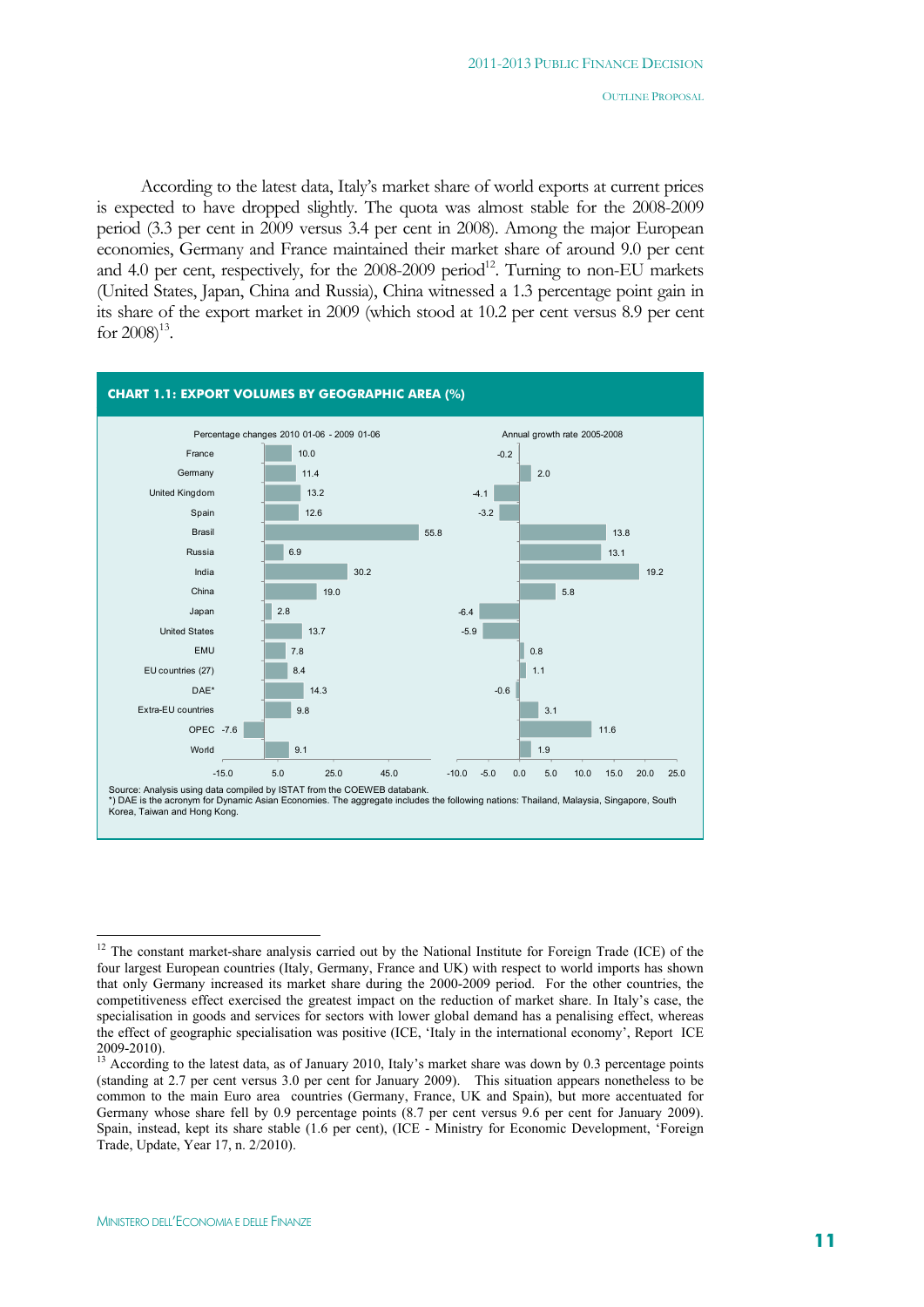According to the latest data, Italy's market share of world exports at current prices is expected to have dropped slightly. The quota was almost stable for the 2008-2009 period (3.3 per cent in 2009 versus 3.4 per cent in 2008). Among the major European economies, Germany and France maintained their market share of around 9.0 per cent and 4.0 per cent, respectively, for the  $2008-2009$  period<sup>12</sup>. Turning to non-EU markets (United States, Japan, China and Russia), China witnessed a 1.3 percentage point gain in its share of the export market in 2009 (which stood at 10.2 per cent versus 8.9 per cent for  $2008$ <sup>13</sup>.



 $\overline{a}$ 

<sup>&</sup>lt;sup>12</sup> The constant market-share analysis carried out by the National Institute for Foreign Trade (ICE) of the four largest European countries (Italy, Germany, France and UK) with respect to world imports has shown that only Germany increased its market share during the 2000-2009 period. For the other countries, the competitiveness effect exercised the greatest impact on the reduction of market share. In Italy's case, the specialisation in goods and services for sectors with lower global demand has a penalising effect, whereas the effect of geographic specialisation was positive (ICE, 'Italy in the international economy', Report ICE 2009-2010).

<sup>&</sup>lt;sup>13</sup> According to the latest data, as of January 2010, Italy's market share was down by 0.3 percentage points (standing at 2.7 per cent versus 3.0 per cent for January 2009). This situation appears nonetheless to be common to the main Euro area countries (Germany, France, UK and Spain), but more accentuated for Germany whose share fell by 0.9 percentage points (8.7 per cent versus 9.6 per cent for January 2009). Spain, instead, kept its share stable (1.6 per cent), (ICE - Ministry for Economic Development, 'Foreign Trade, Update, Year 17, n. 2/2010).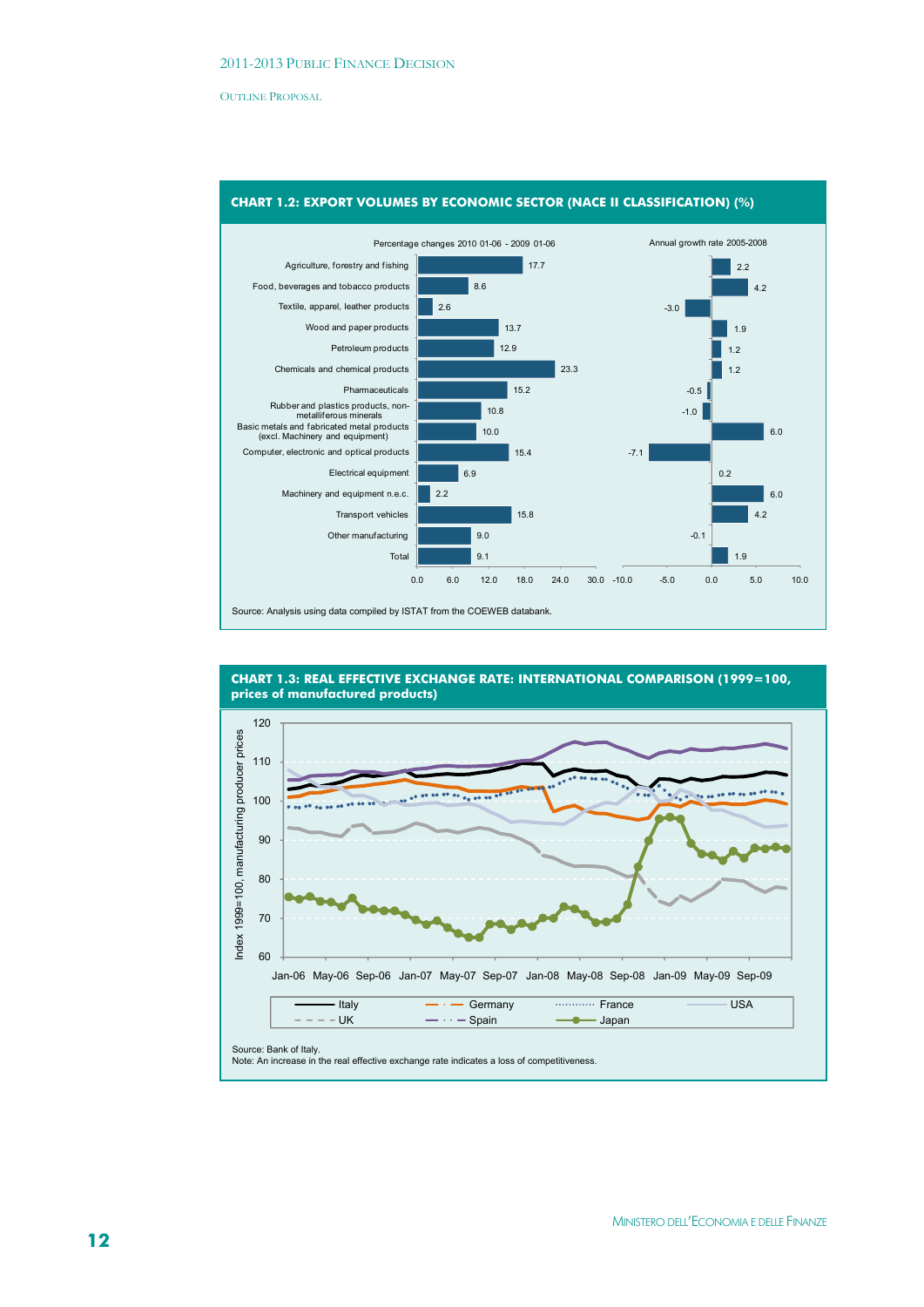

#### **CHART 1.2: EXPORT VOLUMES BY ECONOMIC SECTOR (NACE II CLASSIFICATION) (%)**



**CHART 1.3: REAL EFFECTIVE EXCHANGE RATE: INTERNATIONAL COMPARISON (1999=100, prices of manufactured products)**

Source: Bank of Italy. Note: An increase in the real effective exchange rate indicates a loss of competitiveness.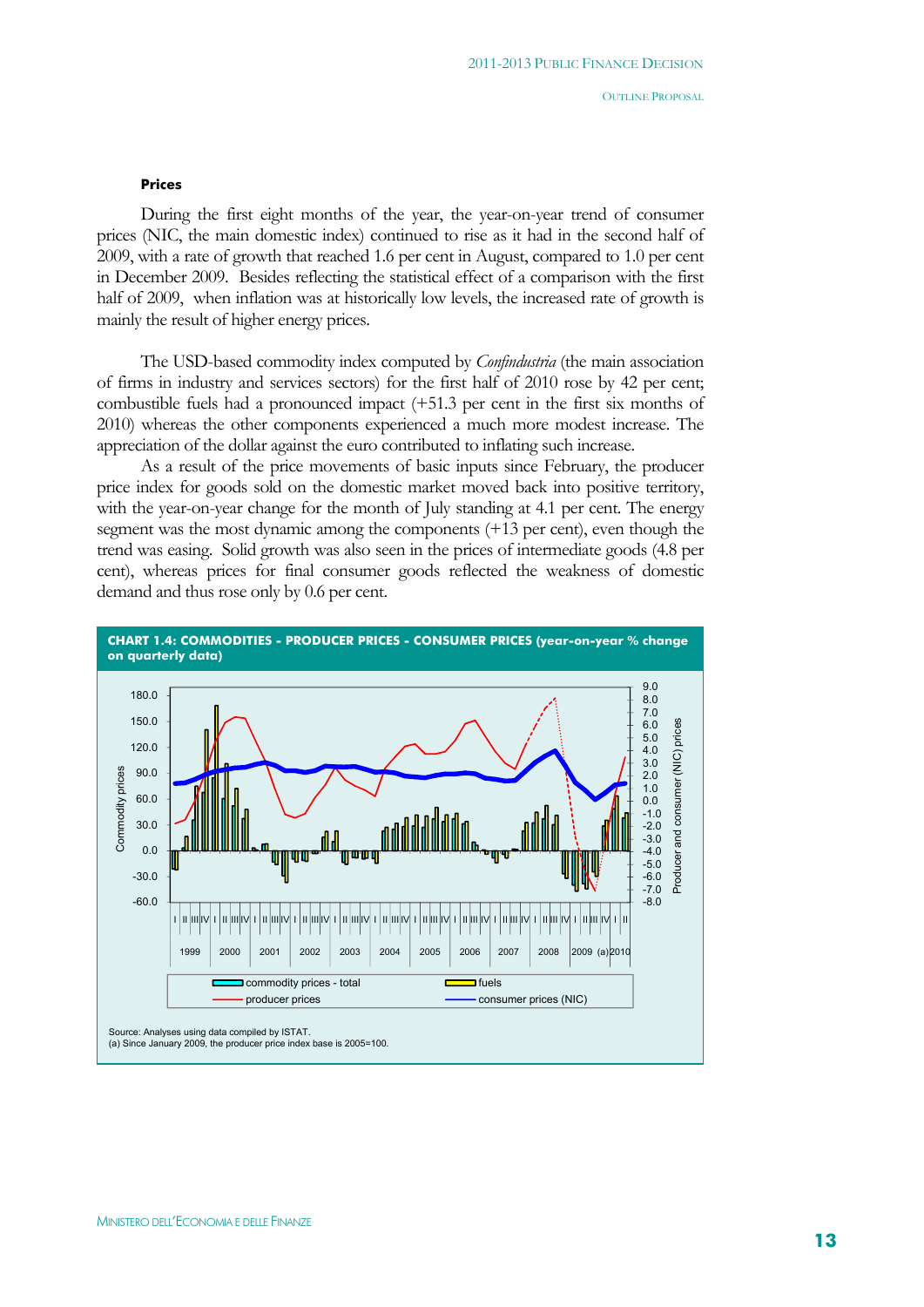#### **Prices**

During the first eight months of the year, the year-on-year trend of consumer prices (NIC, the main domestic index) continued to rise as it had in the second half of 2009, with a rate of growth that reached 1.6 per cent in August, compared to 1.0 per cent in December 2009. Besides reflecting the statistical effect of a comparison with the first half of 2009, when inflation was at historically low levels, the increased rate of growth is mainly the result of higher energy prices.

The USD-based commodity index computed by *Confindustria* (the main association of firms in industry and services sectors) for the first half of 2010 rose by 42 per cent; combustible fuels had a pronounced impact (+51.3 per cent in the first six months of 2010) whereas the other components experienced a much more modest increase. The appreciation of the dollar against the euro contributed to inflating such increase.

As a result of the price movements of basic inputs since February, the producer price index for goods sold on the domestic market moved back into positive territory, with the year-on-year change for the month of July standing at 4.1 per cent. The energy segment was the most dynamic among the components (+13 per cent), even though the trend was easing. Solid growth was also seen in the prices of intermediate goods (4.8 per cent), whereas prices for final consumer goods reflected the weakness of domestic demand and thus rose only by 0.6 per cent.

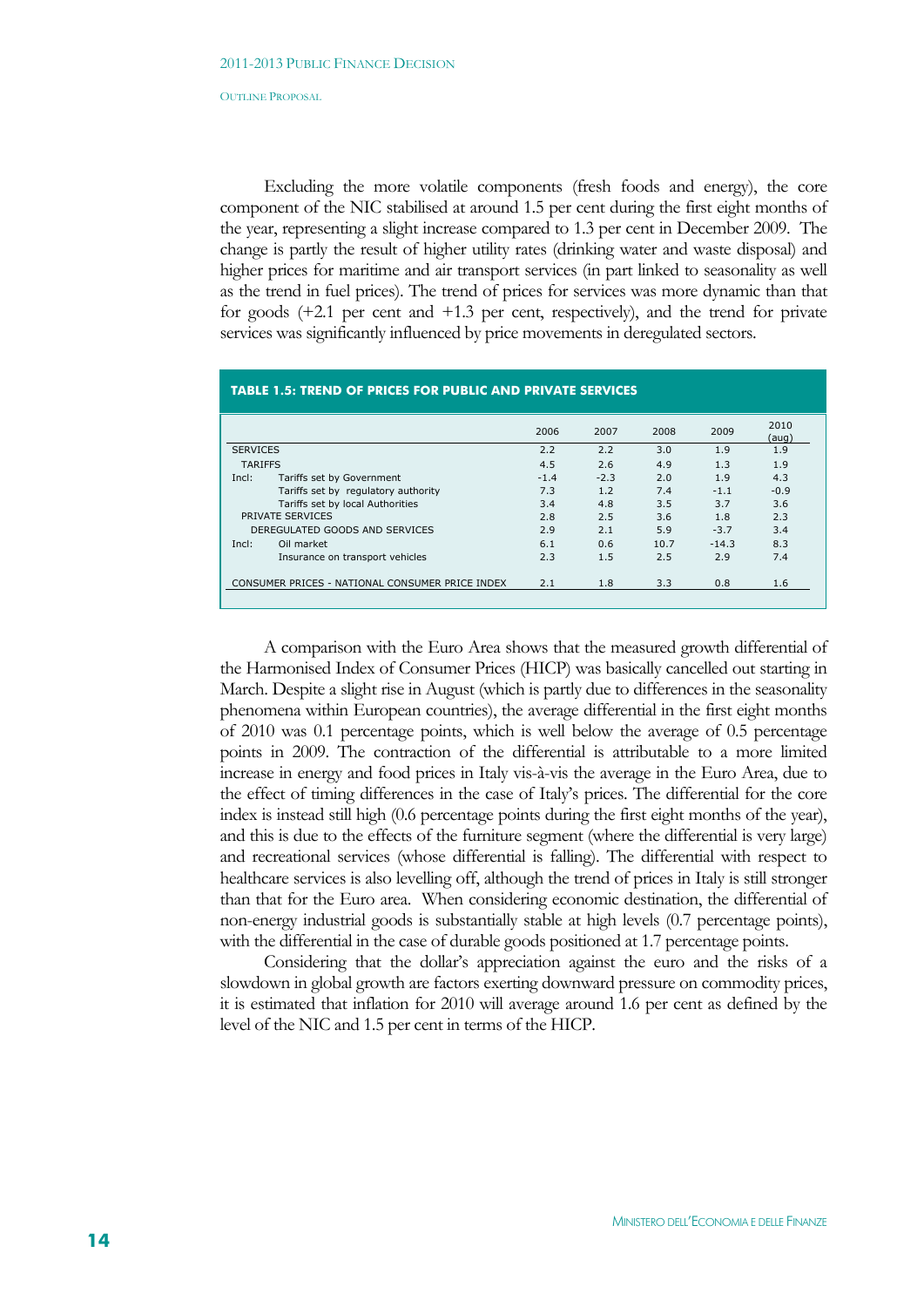Excluding the more volatile components (fresh foods and energy), the core component of the NIC stabilised at around 1.5 per cent during the first eight months of the year, representing a slight increase compared to 1.3 per cent in December 2009. The change is partly the result of higher utility rates (drinking water and waste disposal) and higher prices for maritime and air transport services (in part linked to seasonality as well as the trend in fuel prices). The trend of prices for services was more dynamic than that for goods (+2.1 per cent and +1.3 per cent, respectively), and the trend for private services was significantly influenced by price movements in deregulated sectors.

|                 |                                     | 2006   | 2007   | 2008 | 2009    | 2010<br>(aug) |
|-----------------|-------------------------------------|--------|--------|------|---------|---------------|
| <b>SERVICES</b> |                                     | 2.2    | 2.2    | 3.0  | 1.9     | 1.9           |
| <b>TARIFFS</b>  |                                     | 4.5    | 2.6    | 4.9  | 1.3     | 1.9           |
| Incl:           | Tariffs set by Government           | $-1.4$ | $-2.3$ | 2.0  | 1.9     | 4.3           |
|                 | Tariffs set by regulatory authority | 7.3    | 1.2    | 7.4  | $-1.1$  | $-0.9$        |
|                 | Tariffs set by local Authorities    | 3.4    | 4.8    | 3.5  | 3.7     | 3.6           |
|                 | PRIVATE SERVICES                    | 2.8    | 2.5    | 3.6  | 1.8     | 2.3           |
|                 | DEREGULATED GOODS AND SERVICES      | 2.9    | 2.1    | 5.9  | $-3.7$  | 3.4           |
| Incl:           | Oil market                          | 6.1    | 0.6    | 10.7 | $-14.3$ | 8.3           |
|                 | Insurance on transport vehicles     | 2.3    | 1.5    | 2.5  | 2.9     | 7.4           |

A comparison with the Euro Area shows that the measured growth differential of the Harmonised Index of Consumer Prices (HICP) was basically cancelled out starting in March. Despite a slight rise in August (which is partly due to differences in the seasonality phenomena within European countries), the average differential in the first eight months of 2010 was 0.1 percentage points, which is well below the average of 0.5 percentage points in 2009. The contraction of the differential is attributable to a more limited increase in energy and food prices in Italy vis-à-vis the average in the Euro Area, due to the effect of timing differences in the case of Italy's prices. The differential for the core index is instead still high (0.6 percentage points during the first eight months of the year), and this is due to the effects of the furniture segment (where the differential is very large) and recreational services (whose differential is falling). The differential with respect to healthcare services is also levelling off, although the trend of prices in Italy is still stronger than that for the Euro area. When considering economic destination, the differential of non-energy industrial goods is substantially stable at high levels (0.7 percentage points), with the differential in the case of durable goods positioned at 1.7 percentage points.

Considering that the dollar's appreciation against the euro and the risks of a slowdown in global growth are factors exerting downward pressure on commodity prices, it is estimated that inflation for 2010 will average around 1.6 per cent as defined by the level of the NIC and 1.5 per cent in terms of the HICP.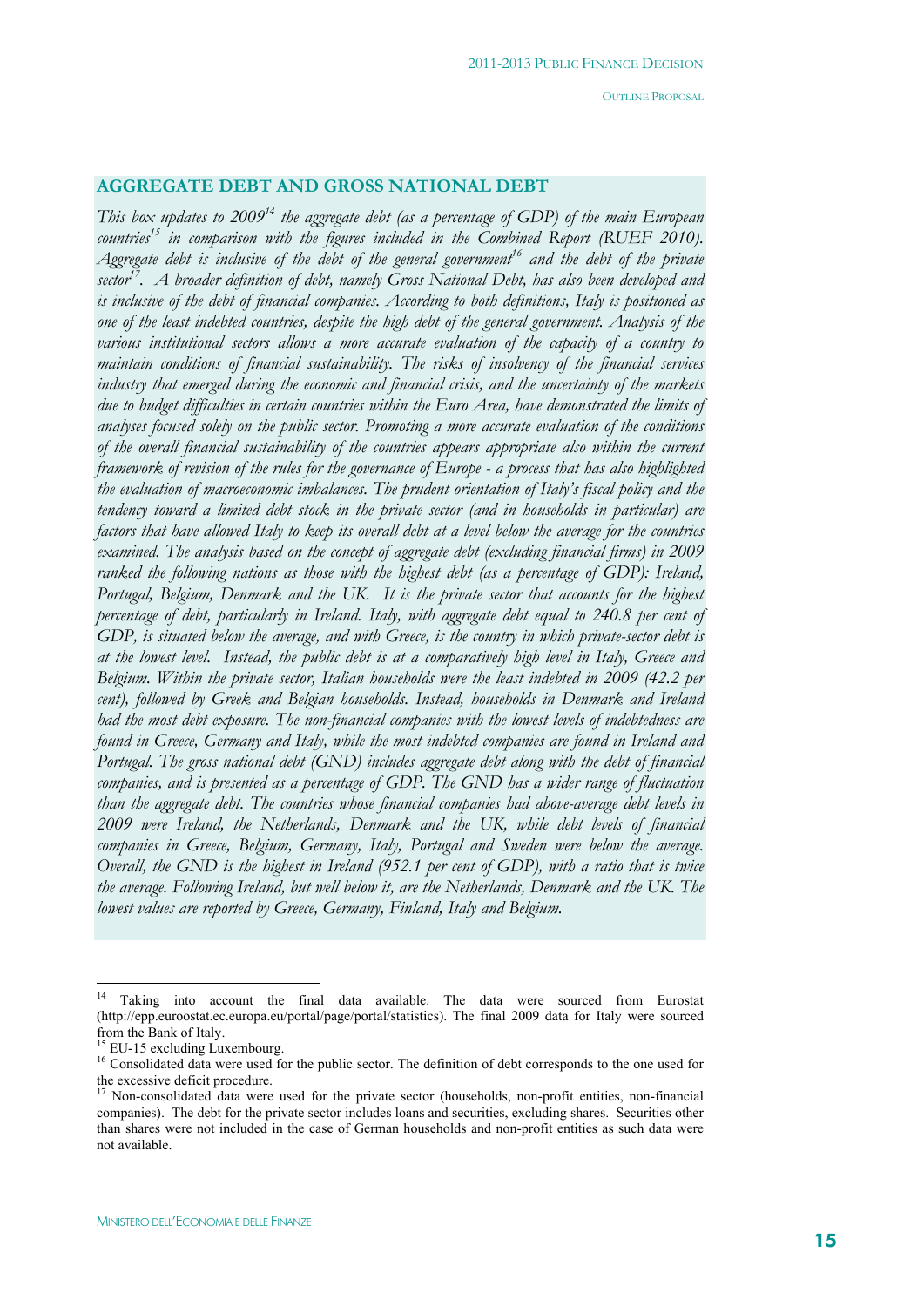# **AGGREGATE DEBT AND GROSS NATIONAL DEBT**

*This box updates to 2009<sup>14</sup> the aggregate debt (as a percentage of GDP) of the main European countries15 in comparison with the figures included in the Combined Report (RUEF 2010).*  Aggregate debt is inclusive of the debt of the general government<sup>16</sup> and the debt of the private *sector17. A broader definition of debt, namely Gross National Debt, has also been developed and is inclusive of the debt of financial companies. According to both definitions, Italy is positioned as one of the least indebted countries, despite the high debt of the general government. Analysis of the various institutional sectors allows a more accurate evaluation of the capacity of a country to maintain conditions of financial sustainability. The risks of insolvency of the financial services industry that emerged during the economic and financial crisis, and the uncertainty of the markets due to budget difficulties in certain countries within the Euro Area, have demonstrated the limits of analyses focused solely on the public sector. Promoting a more accurate evaluation of the conditions of the overall financial sustainability of the countries appears appropriate also within the current framework of revision of the rules for the governance of Europe - a process that has also highlighted the evaluation of macroeconomic imbalances. The prudent orientation of Italy's fiscal policy and the tendency toward a limited debt stock in the private sector (and in households in particular) are factors that have allowed Italy to keep its overall debt at a level below the average for the countries examined. The analysis based on the concept of aggregate debt (excluding financial firms) in 2009 ranked the following nations as those with the highest debt (as a percentage of GDP): Ireland, Portugal, Belgium, Denmark and the UK. It is the private sector that accounts for the highest percentage of debt, particularly in Ireland. Italy, with aggregate debt equal to 240.8 per cent of GDP, is situated below the average, and with Greece, is the country in which private-sector debt is at the lowest level. Instead, the public debt is at a comparatively high level in Italy, Greece and Belgium. Within the private sector, Italian households were the least indebted in 2009 (42.2 per cent), followed by Greek and Belgian households. Instead, households in Denmark and Ireland had the most debt exposure. The non-financial companies with the lowest levels of indebtedness are found in Greece, Germany and Italy, while the most indebted companies are found in Ireland and Portugal. The gross national debt (GND) includes aggregate debt along with the debt of financial companies, and is presented as a percentage of GDP. The GND has a wider range of fluctuation than the aggregate debt. The countries whose financial companies had above-average debt levels in 2009 were Ireland, the Netherlands, Denmark and the UK, while debt levels of financial companies in Greece, Belgium, Germany, Italy, Portugal and Sweden were below the average. Overall, the GND is the highest in Ireland (952.1 per cent of GDP), with a ratio that is twice the average. Following Ireland, but well below it, are the Netherlands, Denmark and the UK. The lowest values are reported by Greece, Germany, Finland, Italy and Belgium.* 

 $\overline{a}$ 

<sup>&</sup>lt;sup>14</sup> Taking into account the final data available. The data were sourced from Eurostat (http://epp.euroostat.ec.europa.eu/portal/page/portal/statistics). The final 2009 data for Italy were sourced from the Bank of Italy.

 $<sup>5</sup>$  EU-15 excluding Luxembourg.</sup>

<sup>&</sup>lt;sup>16</sup> Consolidated data were used for the public sector. The definition of debt corresponds to the one used for the excessive deficit procedure.

<sup>&</sup>lt;sup>17</sup> Non-consolidated data were used for the private sector (households, non-profit entities, non-financial companies). The debt for the private sector includes loans and securities, excluding shares. Securities other than shares were not included in the case of German households and non-profit entities as such data were not available.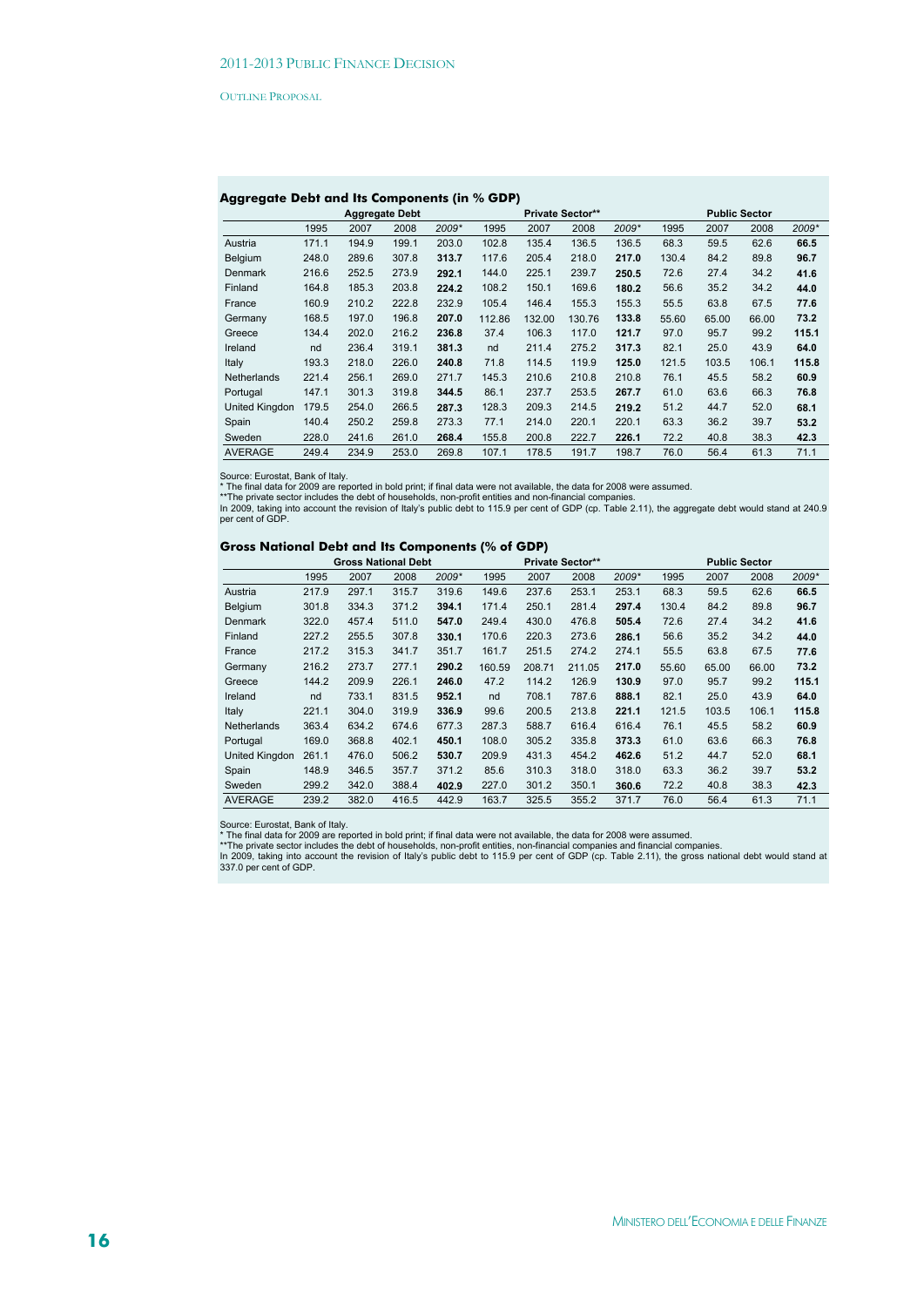# **Aggregate Debt and Its Components (in % GDP)**

|                       |       |       | <b>Aggregate Debt</b> |       |        |        | <b>Private Sector**</b> |       |       |       | <b>Public Sector</b> |       |
|-----------------------|-------|-------|-----------------------|-------|--------|--------|-------------------------|-------|-------|-------|----------------------|-------|
|                       | 1995  | 2007  | 2008                  | 2009* | 1995   | 2007   | 2008                    | 2009* | 1995  | 2007  | 2008                 | 2009* |
| Austria               | 171.1 | 194.9 | 199.1                 | 203.0 | 102.8  | 135.4  | 136.5                   | 136.5 | 68.3  | 59.5  | 62.6                 | 66.5  |
| Belgium               | 248.0 | 289.6 | 307.8                 | 313.7 | 117.6  | 205.4  | 218.0                   | 217.0 | 130.4 | 84.2  | 89.8                 | 96.7  |
| Denmark               | 216.6 | 252.5 | 273.9                 | 292.1 | 144.0  | 225.1  | 239.7                   | 250.5 | 72.6  | 27.4  | 34.2                 | 41.6  |
| Finland               | 164.8 | 185.3 | 203.8                 | 224.2 | 108.2  | 150.1  | 169.6                   | 180.2 | 56.6  | 35.2  | 34.2                 | 44.0  |
| France                | 160.9 | 210.2 | 222.8                 | 232.9 | 105.4  | 146.4  | 155.3                   | 155.3 | 55.5  | 63.8  | 67.5                 | 77.6  |
| Germany               | 168.5 | 197.0 | 196.8                 | 207.0 | 112.86 | 132.00 | 130.76                  | 133.8 | 55.60 | 65.00 | 66.00                | 73.2  |
| Greece                | 134.4 | 202.0 | 216.2                 | 236.8 | 37.4   | 106.3  | 117.0                   | 121.7 | 97.0  | 95.7  | 99.2                 | 115.1 |
| Ireland               | nd    | 236.4 | 319.1                 | 381.3 | nd     | 211.4  | 275.2                   | 317.3 | 82.1  | 25.0  | 43.9                 | 64.0  |
| Italy                 | 193.3 | 218.0 | 226.0                 | 240.8 | 71.8   | 114.5  | 119.9                   | 125.0 | 121.5 | 103.5 | 106.1                | 115.8 |
| Netherlands           | 221.4 | 256.1 | 269.0                 | 271.7 | 145.3  | 210.6  | 210.8                   | 210.8 | 76.1  | 45.5  | 58.2                 | 60.9  |
| Portugal              | 147.1 | 301.3 | 319.8                 | 344.5 | 86.1   | 237.7  | 253.5                   | 267.7 | 61.0  | 63.6  | 66.3                 | 76.8  |
| <b>United Kingdon</b> | 179.5 | 254.0 | 266.5                 | 287.3 | 128.3  | 209.3  | 214.5                   | 219.2 | 51.2  | 44.7  | 52.0                 | 68.1  |
| Spain                 | 140.4 | 250.2 | 259.8                 | 273.3 | 77.1   | 214.0  | 220.1                   | 220.1 | 63.3  | 36.2  | 39.7                 | 53.2  |
| Sweden                | 228.0 | 241.6 | 261.0                 | 268.4 | 155.8  | 200.8  | 222.7                   | 226.1 | 72.2  | 40.8  | 38.3                 | 42.3  |
| <b>AVERAGE</b>        | 249.4 | 234.9 | 253.0                 | 269.8 | 107.1  | 178.5  | 191.7                   | 198.7 | 76.0  | 56.4  | 61.3                 | 71.1  |

Source: Eurostat, Bank of Italy.<br>\* The final data for 2009 are reported in bold print; if final data were not available, the data for 2008 were assumed.<br>\*\*The private sector includes the debt of households, non-profit enti

# **Gross National Debt and Its Components (% of GDP)**

|                       |       | <b>Gross National Debt</b> |       |       |        |        | Private Sector** |       |       |       | <b>Public Sector</b> |       |
|-----------------------|-------|----------------------------|-------|-------|--------|--------|------------------|-------|-------|-------|----------------------|-------|
|                       | 1995  | 2007                       | 2008  | 2009* | 1995   | 2007   | 2008             | 2009* | 1995  | 2007  | 2008                 | 2009* |
| Austria               | 217.9 | 297.1                      | 315.7 | 319.6 | 149.6  | 237.6  | 253.1            | 253.1 | 68.3  | 59.5  | 62.6                 | 66.5  |
| Belgium               | 301.8 | 334.3                      | 371.2 | 394.1 | 171.4  | 250.1  | 281.4            | 297.4 | 130.4 | 84.2  | 89.8                 | 96.7  |
| Denmark               | 322.0 | 457.4                      | 511.0 | 547.0 | 249.4  | 430.0  | 476.8            | 505.4 | 72.6  | 27.4  | 34.2                 | 41.6  |
| Finland               | 227.2 | 255.5                      | 307.8 | 330.1 | 170.6  | 220.3  | 273.6            | 286.1 | 56.6  | 35.2  | 34.2                 | 44.0  |
| France                | 217.2 | 315.3                      | 341.7 | 351.7 | 161.7  | 251.5  | 274.2            | 274.1 | 55.5  | 63.8  | 67.5                 | 77.6  |
| Germany               | 216.2 | 273.7                      | 277.1 | 290.2 | 160.59 | 208.71 | 211.05           | 217.0 | 55.60 | 65.00 | 66.00                | 73.2  |
| Greece                | 144.2 | 209.9                      | 226.1 | 246.0 | 47.2   | 114.2  | 126.9            | 130.9 | 97.0  | 95.7  | 99.2                 | 115.1 |
| Ireland               | nd    | 733.1                      | 831.5 | 952.1 | nd     | 708.1  | 787.6            | 888.1 | 82.1  | 25.0  | 43.9                 | 64.0  |
| Italy                 | 221.1 | 304.0                      | 319.9 | 336.9 | 99.6   | 200.5  | 213.8            | 221.1 | 121.5 | 103.5 | 106.1                | 115.8 |
| Netherlands           | 363.4 | 634.2                      | 674.6 | 677.3 | 287.3  | 588.7  | 616.4            | 616.4 | 76.1  | 45.5  | 58.2                 | 60.9  |
| Portugal              | 169.0 | 368.8                      | 402.1 | 450.1 | 108.0  | 305.2  | 335.8            | 373.3 | 61.0  | 63.6  | 66.3                 | 76.8  |
| <b>United Kingdon</b> | 261.1 | 476.0                      | 506.2 | 530.7 | 209.9  | 431.3  | 454.2            | 462.6 | 51.2  | 44.7  | 52.0                 | 68.1  |
| Spain                 | 148.9 | 346.5                      | 357.7 | 371.2 | 85.6   | 310.3  | 318.0            | 318.0 | 63.3  | 36.2  | 39.7                 | 53.2  |
| Sweden                | 299.2 | 342.0                      | 388.4 | 402.9 | 227.0  | 301.2  | 350.1            | 360.6 | 72.2  | 40.8  | 38.3                 | 42.3  |
| <b>AVERAGE</b>        | 239.2 | 382.0                      | 416.5 | 442.9 | 163.7  | 325.5  | 355.2            | 371.7 | 76.0  | 56.4  | 61.3                 | 71.1  |

Source: Eurostat, Bank of Italy.<br>\* The final data for 2009 are reported in bold print; if final data were not available, the data for 2008 were assumed.<br>\*\*The private sector includes the debt of households, non-profit enti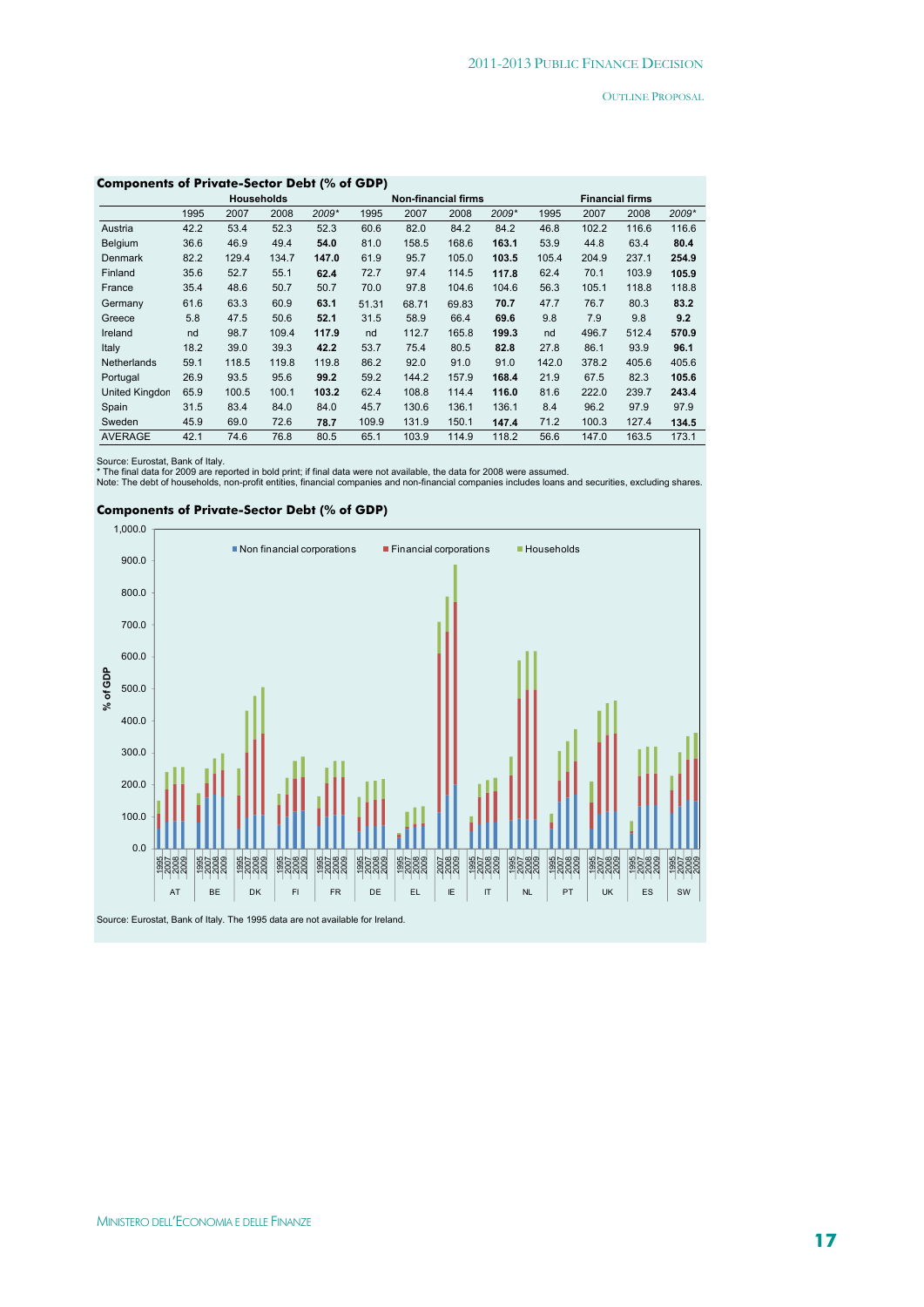| Components of Private-Sector Debt (% of GDP) |      |       |                   |       |       |                            |       |       |       |       |                        |       |  |
|----------------------------------------------|------|-------|-------------------|-------|-------|----------------------------|-------|-------|-------|-------|------------------------|-------|--|
|                                              |      |       | <b>Households</b> |       |       | <b>Non-financial firms</b> |       |       |       |       | <b>Financial firms</b> |       |  |
|                                              | 1995 | 2007  | 2008              | 2009* | 1995  | 2007                       | 2008  | 2009* | 1995  | 2007  | 2008                   | 2009* |  |
| Austria                                      | 42.2 | 53.4  | 52.3              | 52.3  | 60.6  | 82.0                       | 84.2  | 84.2  | 46.8  | 102.2 | 116.6                  | 116.6 |  |
| <b>Belgium</b>                               | 36.6 | 46.9  | 49.4              | 54.0  | 81.0  | 158.5                      | 168.6 | 163.1 | 53.9  | 44.8  | 63.4                   | 80.4  |  |
| <b>Denmark</b>                               | 82.2 | 129.4 | 134.7             | 147.0 | 61.9  | 95.7                       | 105.0 | 103.5 | 105.4 | 204.9 | 237.1                  | 254.9 |  |
| Finland                                      | 35.6 | 52.7  | 55.1              | 62.4  | 72.7  | 97.4                       | 114.5 | 117.8 | 62.4  | 70.1  | 103.9                  | 105.9 |  |
| France                                       | 35.4 | 48.6  | 50.7              | 50.7  | 70.0  | 97.8                       | 104.6 | 104.6 | 56.3  | 105.1 | 118.8                  | 118.8 |  |
| Germany                                      | 61.6 | 63.3  | 60.9              | 63.1  | 51.31 | 68.71                      | 69.83 | 70.7  | 47.7  | 76.7  | 80.3                   | 83.2  |  |
| Greece                                       | 5.8  | 47.5  | 50.6              | 52.1  | 31.5  | 58.9                       | 66.4  | 69.6  | 9.8   | 7.9   | 9.8                    | 9.2   |  |
| Ireland                                      | nd   | 98.7  | 109.4             | 117.9 | nd    | 112.7                      | 165.8 | 199.3 | nd    | 496.7 | 512.4                  | 570.9 |  |
| Italy                                        | 18.2 | 39.0  | 39.3              | 42.2  | 53.7  | 75.4                       | 80.5  | 82.8  | 27.8  | 86.1  | 93.9                   | 96.1  |  |
| <b>Netherlands</b>                           | 59.1 | 118.5 | 119.8             | 119.8 | 86.2  | 92.0                       | 91.0  | 91.0  | 142.0 | 378.2 | 405.6                  | 405.6 |  |
| Portugal                                     | 26.9 | 93.5  | 95.6              | 99.2  | 59.2  | 144.2                      | 157.9 | 168.4 | 21.9  | 67.5  | 82.3                   | 105.6 |  |
| United Kingdon                               | 65.9 | 100.5 | 100.1             | 103.2 | 62.4  | 108.8                      | 114.4 | 116.0 | 81.6  | 222.0 | 239.7                  | 243.4 |  |
| Spain                                        | 31.5 | 83.4  | 84.0              | 84.0  | 45.7  | 130.6                      | 136.1 | 136.1 | 8.4   | 96.2  | 97.9                   | 97.9  |  |
| Sweden                                       | 45.9 | 69.0  | 72.6              | 78.7  | 109.9 | 131.9                      | 150.1 | 147.4 | 71.2  | 100.3 | 127.4                  | 134.5 |  |
| <b>AVERAGE</b>                               | 42.1 | 74.6  | 76.8              | 80.5  | 65.1  | 103.9                      | 114.9 | 118.2 | 56.6  | 147.0 | 163.5                  | 173.1 |  |

#### **Components of Private-Sector Debt (% of GDP)**

Source: Eurostat, Bank of Italy.<br>\* The final data for 2009 are reported in bold print; if final data were not available, the data for 2008 were assumed.<br>Note: The debt of households, non-profit entities, financial companie

#### **Components of Private-Sector Debt (% of GDP)**

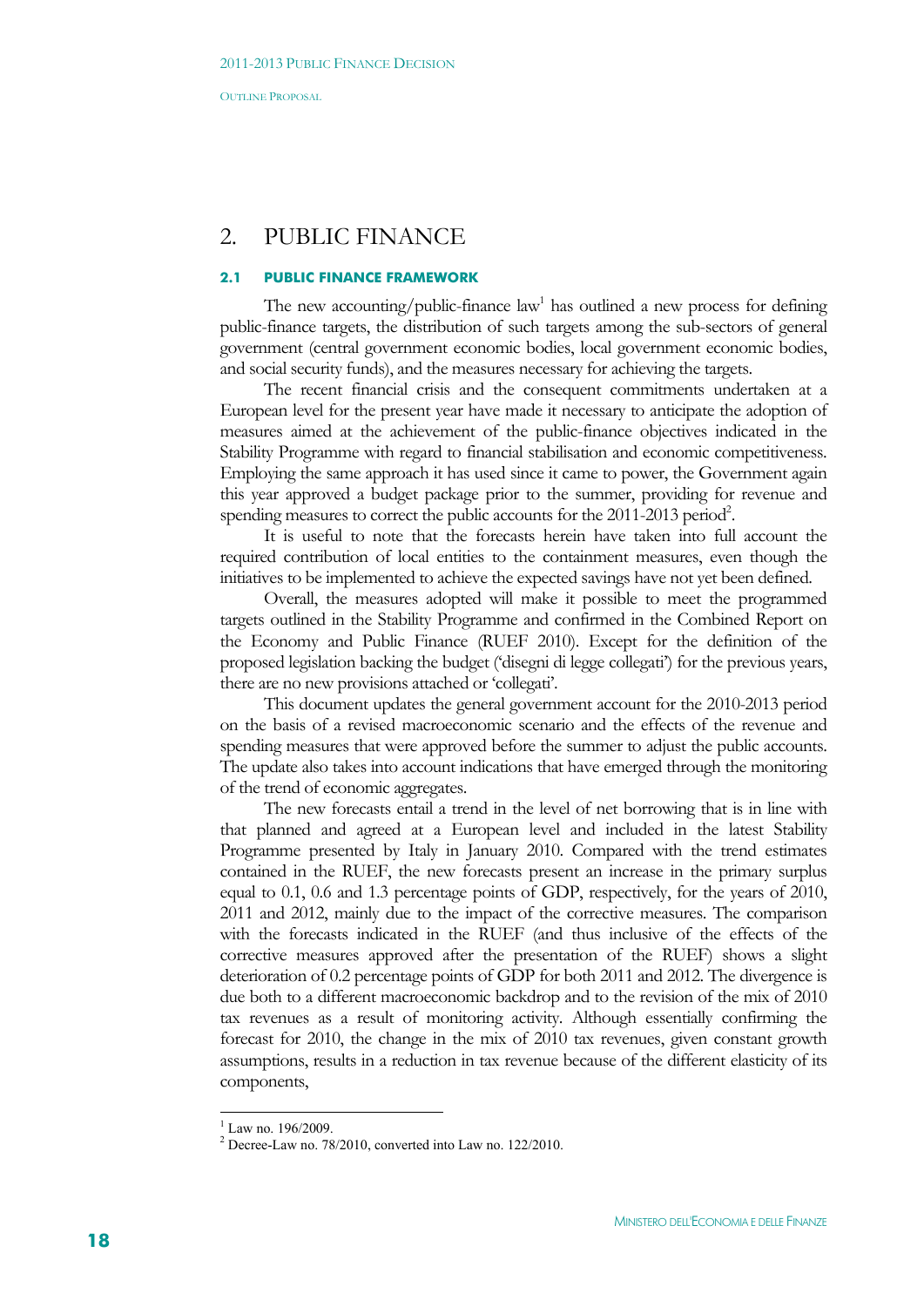# 2. PUBLIC FINANCE

## **2.1 PUBLIC FINANCE FRAMEWORK**

The new accounting/public-finance  $law<sup>1</sup>$  has outlined a new process for defining public-finance targets, the distribution of such targets among the sub-sectors of general government (central government economic bodies, local government economic bodies, and social security funds), and the measures necessary for achieving the targets.

The recent financial crisis and the consequent commitments undertaken at a European level for the present year have made it necessary to anticipate the adoption of measures aimed at the achievement of the public-finance objectives indicated in the Stability Programme with regard to financial stabilisation and economic competitiveness. Employing the same approach it has used since it came to power, the Government again this year approved a budget package prior to the summer, providing for revenue and spending measures to correct the public accounts for the 2011-2013 period<sup>2</sup>.

It is useful to note that the forecasts herein have taken into full account the required contribution of local entities to the containment measures, even though the initiatives to be implemented to achieve the expected savings have not yet been defined.

Overall, the measures adopted will make it possible to meet the programmed targets outlined in the Stability Programme and confirmed in the Combined Report on the Economy and Public Finance (RUEF 2010). Except for the definition of the proposed legislation backing the budget ('disegni di legge collegati') for the previous years, there are no new provisions attached or 'collegati'.

This document updates the general government account for the 2010-2013 period on the basis of a revised macroeconomic scenario and the effects of the revenue and spending measures that were approved before the summer to adjust the public accounts. The update also takes into account indications that have emerged through the monitoring of the trend of economic aggregates.

The new forecasts entail a trend in the level of net borrowing that is in line with that planned and agreed at a European level and included in the latest Stability Programme presented by Italy in January 2010. Compared with the trend estimates contained in the RUEF, the new forecasts present an increase in the primary surplus equal to 0.1, 0.6 and 1.3 percentage points of GDP, respectively, for the years of 2010, 2011 and 2012, mainly due to the impact of the corrective measures. The comparison with the forecasts indicated in the RUEF (and thus inclusive of the effects of the corrective measures approved after the presentation of the RUEF) shows a slight deterioration of 0.2 percentage points of GDP for both 2011 and 2012. The divergence is due both to a different macroeconomic backdrop and to the revision of the mix of 2010 tax revenues as a result of monitoring activity. Although essentially confirming the forecast for 2010, the change in the mix of 2010 tax revenues, given constant growth assumptions, results in a reduction in tax revenue because of the different elasticity of its components,

1

<sup>1</sup> Law no. 196/2009.

 $2^2$  Decree-Law no. 78/2010, converted into Law no. 122/2010.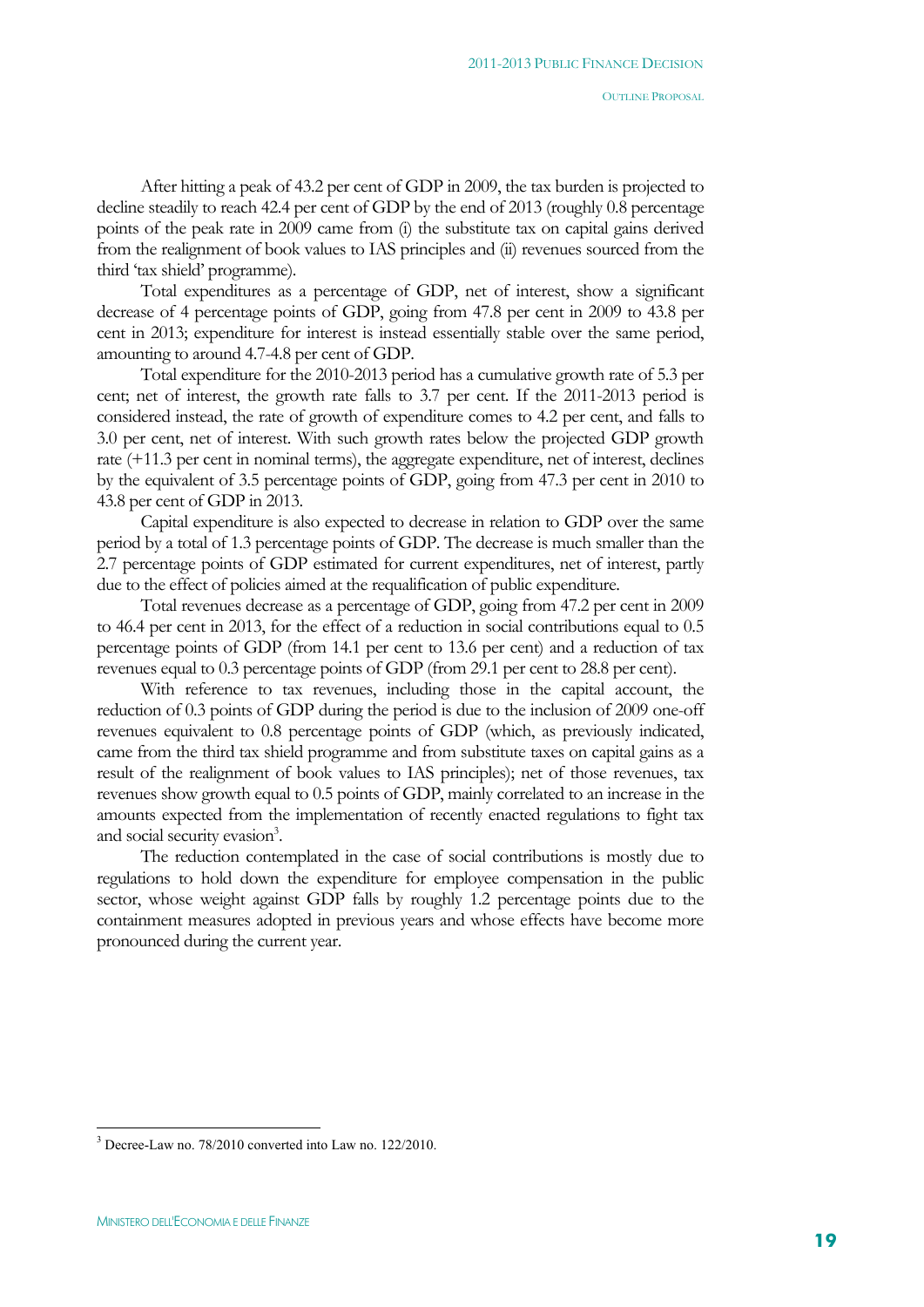After hitting a peak of 43.2 per cent of GDP in 2009, the tax burden is projected to decline steadily to reach 42.4 per cent of GDP by the end of 2013 (roughly 0.8 percentage points of the peak rate in 2009 came from (i) the substitute tax on capital gains derived from the realignment of book values to IAS principles and (ii) revenues sourced from the third 'tax shield' programme).

Total expenditures as a percentage of GDP, net of interest, show a significant decrease of 4 percentage points of GDP, going from 47.8 per cent in 2009 to 43.8 per cent in 2013; expenditure for interest is instead essentially stable over the same period, amounting to around 4.7-4.8 per cent of GDP.

Total expenditure for the 2010-2013 period has a cumulative growth rate of 5.3 per cent; net of interest, the growth rate falls to 3.7 per cent. If the 2011-2013 period is considered instead, the rate of growth of expenditure comes to 4.2 per cent, and falls to 3.0 per cent, net of interest. With such growth rates below the projected GDP growth rate (+11.3 per cent in nominal terms), the aggregate expenditure, net of interest, declines by the equivalent of 3.5 percentage points of GDP, going from 47.3 per cent in 2010 to 43.8 per cent of GDP in 2013.

Capital expenditure is also expected to decrease in relation to GDP over the same period by a total of 1.3 percentage points of GDP. The decrease is much smaller than the 2.7 percentage points of GDP estimated for current expenditures, net of interest, partly due to the effect of policies aimed at the requalification of public expenditure.

Total revenues decrease as a percentage of GDP, going from 47.2 per cent in 2009 to 46.4 per cent in 2013, for the effect of a reduction in social contributions equal to 0.5 percentage points of GDP (from 14.1 per cent to 13.6 per cent) and a reduction of tax revenues equal to 0.3 percentage points of GDP (from 29.1 per cent to 28.8 per cent).

With reference to tax revenues, including those in the capital account, the reduction of 0.3 points of GDP during the period is due to the inclusion of 2009 one-off revenues equivalent to 0.8 percentage points of GDP (which, as previously indicated, came from the third tax shield programme and from substitute taxes on capital gains as a result of the realignment of book values to IAS principles); net of those revenues, tax revenues show growth equal to 0.5 points of GDP, mainly correlated to an increase in the amounts expected from the implementation of recently enacted regulations to fight tax and social security evasion<sup>3</sup>.

The reduction contemplated in the case of social contributions is mostly due to regulations to hold down the expenditure for employee compensation in the public sector, whose weight against GDP falls by roughly 1.2 percentage points due to the containment measures adopted in previous years and whose effects have become more pronounced during the current year.

 $\overline{a}$ 

<sup>3</sup> Decree-Law no. 78/2010 converted into Law no. 122/2010.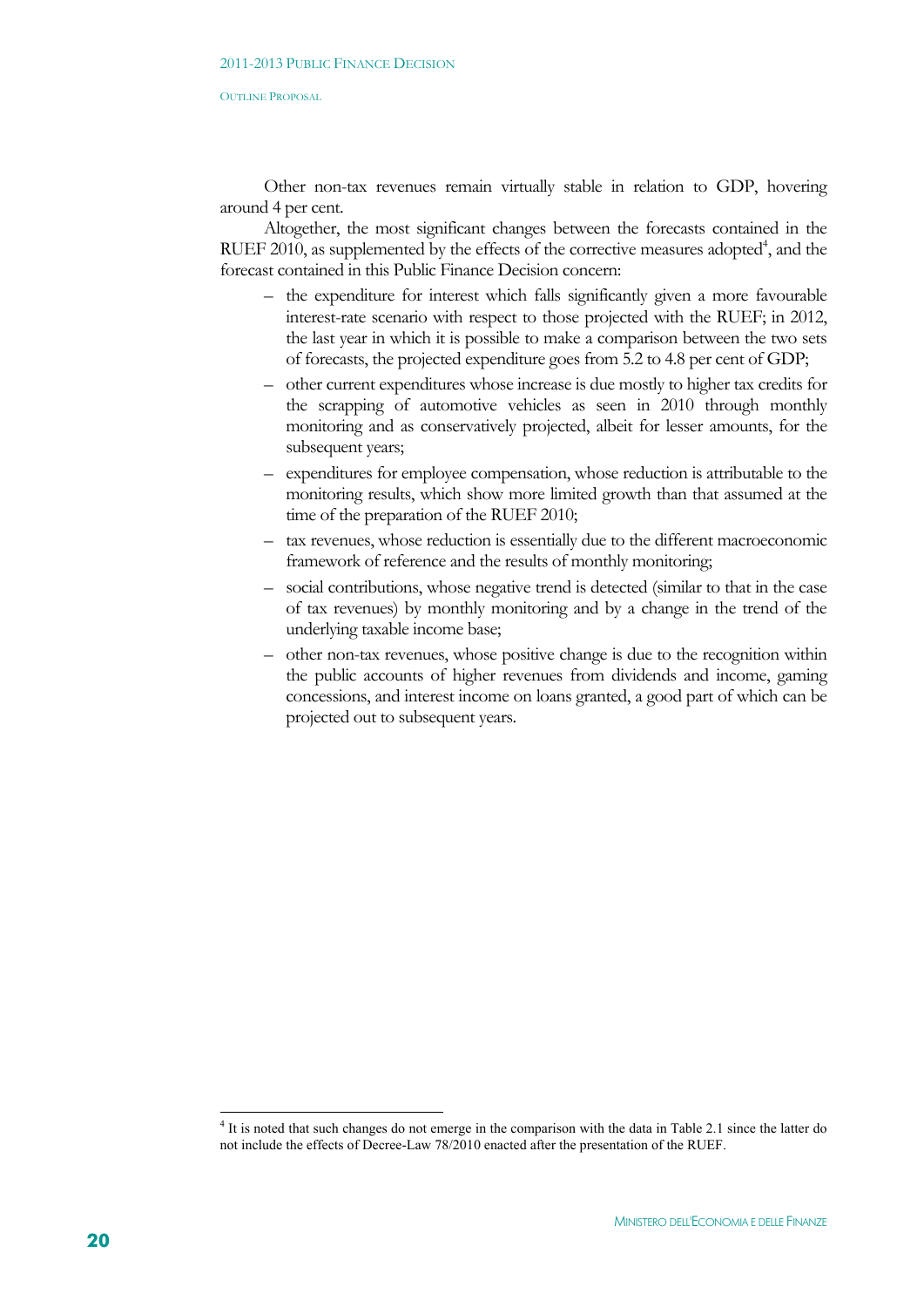Other non-tax revenues remain virtually stable in relation to GDP, hovering around 4 per cent.

Altogether, the most significant changes between the forecasts contained in the RUEF 2010, as supplemented by the effects of the corrective measures adopted<sup>4</sup>, and the forecast contained in this Public Finance Decision concern:

- the expenditure for interest which falls significantly given a more favourable interest-rate scenario with respect to those projected with the RUEF; in 2012, the last year in which it is possible to make a comparison between the two sets of forecasts, the projected expenditure goes from 5.2 to 4.8 per cent of GDP;
- other current expenditures whose increase is due mostly to higher tax credits for the scrapping of automotive vehicles as seen in 2010 through monthly monitoring and as conservatively projected, albeit for lesser amounts, for the subsequent years;
- expenditures for employee compensation, whose reduction is attributable to the monitoring results, which show more limited growth than that assumed at the time of the preparation of the RUEF 2010;
- tax revenues, whose reduction is essentially due to the different macroeconomic framework of reference and the results of monthly monitoring;
- social contributions, whose negative trend is detected (similar to that in the case of tax revenues) by monthly monitoring and by a change in the trend of the underlying taxable income base;
- other non-tax revenues, whose positive change is due to the recognition within the public accounts of higher revenues from dividends and income, gaming concessions, and interest income on loans granted, a good part of which can be projected out to subsequent years.

1

<sup>&</sup>lt;sup>4</sup> It is noted that such changes do not emerge in the comparison with the data in Table 2.1 since the latter do not include the effects of Decree-Law 78/2010 enacted after the presentation of the RUEF.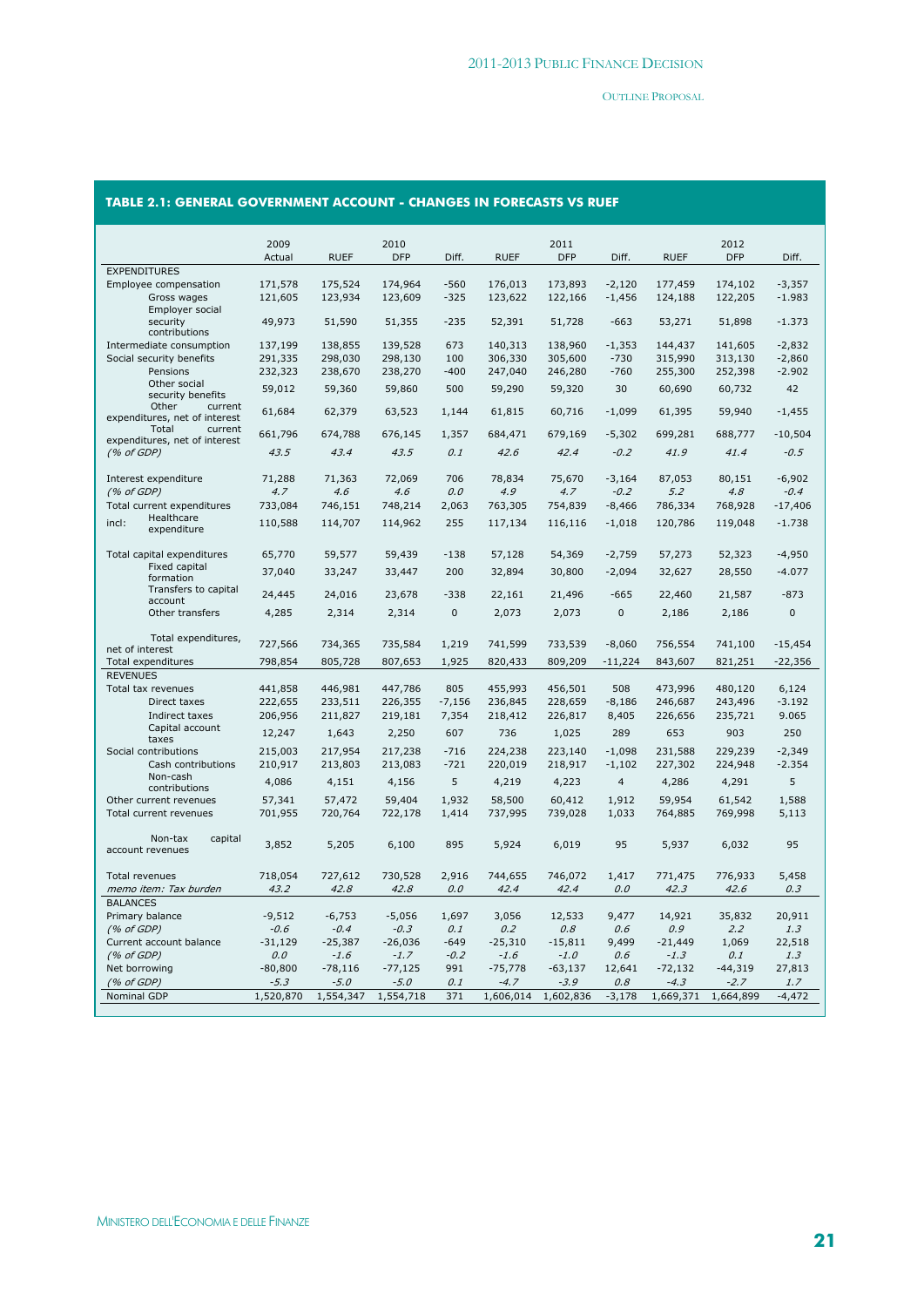# **TABLE 2.1: GENERAL GOVERNMENT ACCOUNT - CHANGES IN FORECASTS VS RUEF**

|                                                   | 2009               |             | 2010       |              |             | 2011          |                |             | 2012          |               |
|---------------------------------------------------|--------------------|-------------|------------|--------------|-------------|---------------|----------------|-------------|---------------|---------------|
|                                                   | Actual             | <b>RUEF</b> | <b>DFP</b> | Diff.        | <b>RUEF</b> | <b>DFP</b>    | Diff.          | <b>RUEF</b> | <b>DFP</b>    | Diff.         |
| <b>EXPENDITURES</b>                               |                    |             |            |              |             |               |                |             |               |               |
| Employee compensation                             | 171,578            | 175,524     | 174,964    | $-560$       | 176,013     | 173,893       | $-2.120$       | 177,459     | 174,102       | $-3,357$      |
| Gross wages                                       | 121,605            | 123,934     | 123,609    | $-325$       | 123,622     | 122,166       | $-1,456$       | 124,188     | 122,205       | $-1.983$      |
| Employer social<br>security<br>contributions      | 49,973             | 51,590      | 51,355     | $-235$       | 52,391      | 51,728        | $-663$         | 53,271      | 51,898        | $-1.373$      |
| Intermediate consumption                          | 137,199            | 138,855     | 139,528    | 673          | 140,313     | 138,960       | $-1,353$       | 144,437     | 141,605       | $-2,832$      |
| Social security benefits                          | 291,335            | 298,030     | 298,130    | 100          | 306,330     | 305,600       | $-730$         | 315,990     | 313,130       | $-2,860$      |
| Pensions                                          | 232,323            | 238,670     | 238,270    | $-400$       | 247,040     | 246,280       | $-760$         | 255,300     | 252,398       | $-2.902$      |
| Other social<br>security benefits                 | 59,012             | 59,360      | 59,860     | 500          | 59,290      | 59,320        | 30             | 60,690      | 60,732        | 42            |
| Other<br>current<br>expenditures, net of interest | 61,684             | 62,379      | 63,523     | 1,144        | 61,815      | 60,716        | $-1,099$       | 61,395      | 59,940        | $-1,455$      |
| current<br>Total<br>expenditures, net of interest | 661,796            | 674,788     | 676,145    | 1,357        | 684,471     | 679,169       | $-5,302$       | 699,281     | 688,777       | $-10,504$     |
| (% of GDP)                                        | 43.5               | 43.4        | 43.5       | 0.1          | 42.6        | 42.4          | $-0.2$         | 41.9        | 41.4          | $-0.5$        |
| Interest expenditure                              | 71,288             | 71,363      | 72,069     | 706          | 78,834      | 75,670        | $-3,164$       | 87,053      | 80,151        | $-6,902$      |
| (% of GDP)                                        | 4.7                | 4.6         | 4.6        | 0.0          | 4.9         | 4.7           | $-0.2$         | 5.2         | 4.8           | $-0.4$        |
| Total current expenditures                        | 733,084            | 746,151     | 748,214    | 2,063        | 763,305     | 754,839       | $-8,466$       | 786,334     | 768,928       | $-17,406$     |
| Healthcare<br>incl:                               | 110,588            | 114,707     | 114,962    | 255          | 117,134     | 116,116       | $-1,018$       | 120,786     | 119,048       | $-1.738$      |
| expenditure                                       |                    |             |            |              |             |               |                |             |               |               |
| Total capital expenditures                        | 65,770             | 59,577      | 59,439     | $-138$       | 57,128      | 54,369        | $-2,759$       | 57,273      | 52,323        | $-4,950$      |
| Fixed capital<br>formation                        | 37,040             | 33,247      | 33,447     | 200          | 32,894      | 30,800        | $-2,094$       | 32,627      | 28,550        | $-4.077$      |
| Transfers to capital<br>account                   | 24,445             | 24,016      | 23,678     | $-338$       | 22,161      | 21,496        | $-665$         | 22,460      | 21,587        | $-873$        |
| Other transfers                                   | 4,285              | 2,314       | 2,314      | $\mathbf{0}$ | 2,073       | 2,073         | $\mathbf{0}$   | 2,186       | 2,186         | $\mathbf 0$   |
| Total expenditures,<br>net of interest            | 727,566            | 734,365     | 735,584    | 1,219        | 741,599     | 733,539       | $-8,060$       | 756,554     | 741,100       | $-15,454$     |
| Total expenditures                                | 798,854            | 805,728     | 807,653    | 1,925        | 820,433     | 809,209       | $-11,224$      | 843,607     | 821,251       | $-22,356$     |
| <b>REVENUES</b>                                   |                    |             |            |              |             |               |                |             |               |               |
| Total tax revenues                                | 441,858            | 446,981     | 447,786    | 805          | 455,993     | 456,501       | 508            | 473,996     | 480,120       | 6,124         |
| Direct taxes                                      | 222,655            | 233,511     | 226,355    | $-7,156$     | 236,845     | 228,659       | $-8,186$       | 246,687     | 243,496       | $-3.192$      |
| Indirect taxes                                    | 206,956            | 211,827     | 219,181    | 7,354        | 218,412     | 226,817       | 8,405          | 226,656     | 235,721       | 9.065         |
| Capital account<br>taxes                          | 12,247             | 1,643       | 2,250      | 607          | 736         | 1,025         | 289            | 653         | 903           | 250           |
| Social contributions                              | 215,003            | 217,954     | 217,238    | $-716$       | 224,238     | 223,140       | $-1.098$       | 231,588     | 229,239       | $-2,349$      |
| Cash contributions                                | 210,917            | 213,803     | 213,083    | $-721$       | 220,019     | 218,917       | $-1,102$       | 227,302     | 224,948       | $-2.354$      |
| Non-cash<br>contributions                         | 4,086              | 4,151       | 4,156      | 5            | 4,219       | 4,223         | $\overline{4}$ | 4,286       | 4,291         | 5             |
| Other current revenues                            | 57,341             | 57,472      | 59,404     | 1,932        | 58,500      | 60,412        | 1,912          | 59,954      | 61,542        | 1,588         |
| Total current revenues                            | 701,955            | 720,764     | 722,178    | 1,414        | 737,995     | 739,028       | 1,033          | 764,885     | 769,998       | 5,113         |
| capital<br>Non-tax                                | 3,852              | 5,205       | 6,100      | 895          | 5,924       | 6,019         | 95             | 5,937       | 6,032         | 95            |
| account revenues                                  |                    |             |            |              |             |               |                |             |               |               |
| <b>Total revenues</b>                             | 718,054            | 727,612     | 730,528    | 2,916        | 744,655     | 746.072       | 1.417          | 771,475     | 776,933       | 5,458         |
| memo item: Tax burden                             | 43.2               | 42.8        | 42.8       | 0.0          | 42.4        | 42.4          | 0.0            | 42.3        | 42.6          | 0.3           |
| <b>BALANCES</b>                                   |                    | $-6,753$    | $-5,056$   | 1,697        | 3,056       |               |                | 14,921      |               |               |
| Primary balance<br>(% of GDP)                     | $-9,512$<br>$-0.6$ | $-0.4$      | $-0.3$     | 0.1          | 0.2         | 12,533<br>0.8 | 9,477<br>0.6   | 0.9         | 35,832<br>2.2 | 20,911<br>1.3 |
| Current account balance                           | $-31,129$          | $-25,387$   | $-26,036$  | $-649$       | $-25,310$   | $-15,811$     | 9,499          | $-21,449$   | 1,069         | 22,518        |
| (% of GDP)                                        | 0.0                | $-1.6$      | $-1.7$     | $-0.2$       | $-1.6$      | $-1.0$        | 0.6            | $-1.3$      | 0.1           | 1.3           |
| Net borrowing                                     | $-80,800$          | $-78,116$   | $-77,125$  | 991          | $-75,778$   | $-63,137$     | 12,641         | $-72,132$   | $-44,319$     | 27,813        |
| (% of GDP)                                        | $-5.3$             | $-5.0$      | $-5.0$     | 0.1          | $-4.7$      | $-3.9$        | 0.8            | $-4.3$      | $-2.7$        | 1.7           |
| Nominal GDP                                       | 1,520,870          | 1,554,347   | 1,554,718  | 371          | 1,606,014   | 1,602,836     | $-3,178$       | 1,669,371   | 1,664,899     | $-4,472$      |
|                                                   |                    |             |            |              |             |               |                |             |               |               |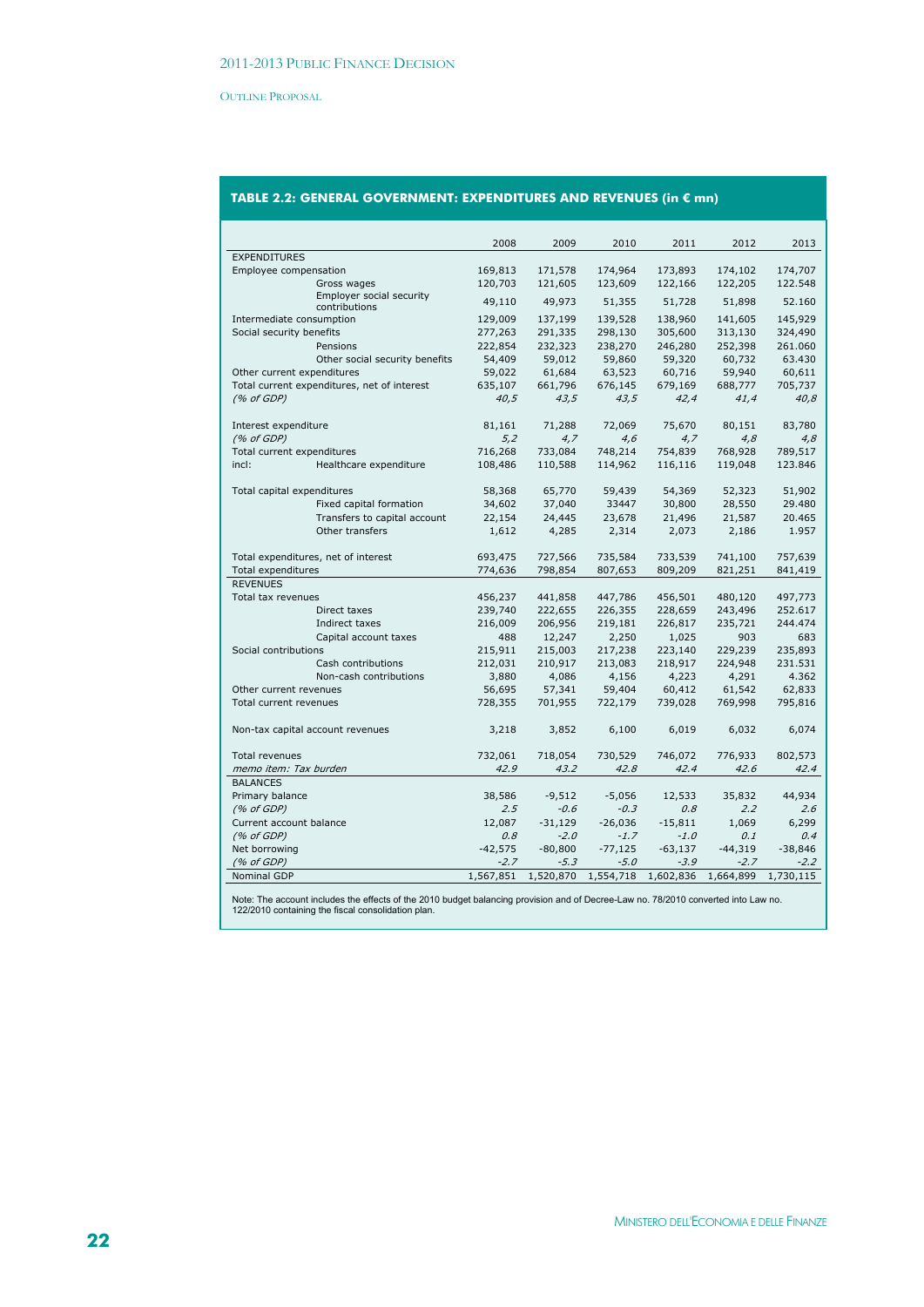# **TABLE 2.2: GENERAL GOVERNMENT: EXPENDITURES AND REVENUES (in € mn)**

|                                             | 2008      | 2009      | 2010      | 2011      | 2012      | 2013      |
|---------------------------------------------|-----------|-----------|-----------|-----------|-----------|-----------|
| <b>EXPENDITURES</b>                         |           |           |           |           |           |           |
| Employee compensation                       | 169,813   | 171,578   | 174,964   | 173,893   | 174,102   | 174,707   |
| Gross wages                                 | 120,703   | 121,605   | 123,609   | 122,166   | 122,205   | 122.548   |
| Employer social security<br>contributions   | 49,110    | 49,973    | 51,355    | 51,728    | 51,898    | 52.160    |
| Intermediate consumption                    | 129,009   | 137,199   | 139,528   | 138,960   | 141,605   | 145,929   |
| Social security benefits                    | 277,263   | 291,335   | 298,130   | 305,600   | 313,130   | 324,490   |
| Pensions                                    | 222,854   | 232,323   | 238,270   | 246,280   | 252,398   | 261.060   |
| Other social security benefits              | 54,409    | 59,012    | 59,860    | 59,320    | 60,732    | 63.430    |
| Other current expenditures                  | 59,022    | 61,684    | 63,523    | 60,716    | 59,940    | 60,611    |
| Total current expenditures, net of interest | 635,107   | 661,796   | 676,145   | 679,169   | 688,777   | 705,737   |
| (% of GDP)                                  | 40,5      | 43,5      | 43,5      | 42,4      | 41,4      | 40,8      |
|                                             |           |           |           |           |           |           |
| Interest expenditure                        | 81,161    | 71,288    | 72,069    | 75,670    | 80,151    | 83,780    |
| (% of GDP)                                  | 5,2       | 4,7       | 4,6       | 4,7       | 4,8       | 4,8       |
| Total current expenditures                  | 716,268   | 733,084   | 748,214   | 754,839   | 768,928   | 789,517   |
| incl:<br>Healthcare expenditure             | 108,486   | 110,588   | 114,962   | 116,116   | 119,048   | 123.846   |
|                                             |           |           |           |           |           |           |
| Total capital expenditures                  | 58,368    | 65,770    | 59,439    | 54,369    | 52,323    | 51,902    |
| Fixed capital formation                     | 34,602    | 37,040    | 33447     | 30,800    | 28,550    | 29.480    |
| Transfers to capital account                | 22,154    | 24,445    | 23,678    | 21,496    | 21,587    | 20.465    |
| Other transfers                             | 1,612     | 4,285     | 2,314     | 2,073     | 2,186     | 1.957     |
|                                             |           |           |           |           |           |           |
| Total expenditures, net of interest         | 693,475   | 727,566   | 735,584   | 733,539   | 741,100   | 757,639   |
| <b>Total expenditures</b>                   | 774,636   | 798,854   | 807,653   | 809,209   | 821,251   | 841,419   |
| <b>REVENUES</b>                             |           |           |           |           |           |           |
| Total tax revenues                          | 456,237   | 441,858   | 447,786   | 456,501   | 480,120   | 497,773   |
| Direct taxes                                | 239,740   | 222,655   | 226,355   | 228,659   | 243,496   | 252.617   |
| Indirect taxes                              | 216,009   | 206,956   | 219,181   | 226,817   | 235,721   | 244.474   |
| Capital account taxes                       | 488       | 12,247    | 2,250     | 1,025     | 903       | 683       |
| Social contributions                        | 215,911   | 215,003   | 217,238   | 223,140   | 229,239   | 235,893   |
| Cash contributions                          | 212,031   | 210,917   | 213,083   | 218,917   | 224,948   | 231.531   |
| Non-cash contributions                      | 3,880     | 4,086     | 4,156     | 4,223     | 4,291     | 4.362     |
| Other current revenues                      | 56,695    | 57,341    | 59,404    | 60,412    | 61,542    | 62,833    |
| Total current revenues                      | 728,355   | 701,955   | 722,179   | 739,028   | 769,998   | 795,816   |
|                                             |           |           |           |           |           |           |
| Non-tax capital account revenues            | 3,218     | 3,852     | 6,100     | 6,019     | 6,032     | 6,074     |
|                                             |           |           |           |           |           |           |
| <b>Total revenues</b>                       | 732,061   | 718,054   | 730,529   | 746,072   | 776,933   | 802,573   |
| memo item: Tax burden                       | 42.9      | 43.2      | 42.8      | 42.4      | 42.6      | 42.4      |
| <b>BALANCES</b>                             |           |           |           |           |           |           |
| Primary balance                             | 38,586    | $-9,512$  | $-5,056$  | 12,533    | 35,832    | 44,934    |
| (% of GDP)                                  | 2.5       | $-0.6$    | $-0.3$    | 0.8       | 2.2       | 2.6       |
| Current account balance                     | 12,087    | $-31,129$ | $-26,036$ | $-15,811$ | 1,069     | 6,299     |
| (% of GDP)                                  | 0.8       | $-2.0$    | $-1.7$    | $-1.0$    | 0.1       | 0.4       |
| Net borrowing                               | $-42,575$ | $-80,800$ | $-77,125$ | $-63,137$ | $-44,319$ | $-38,846$ |
| (% of GDP)                                  | $-2.7$    | $-5.3$    | $-5.0$    | $-3.9$    | $-2.7$    | $-2.2$    |
| <b>Nominal GDP</b>                          | 1,567,851 | 1,520,870 | 1,554,718 | 1,602,836 | 1,664,899 | 1,730,115 |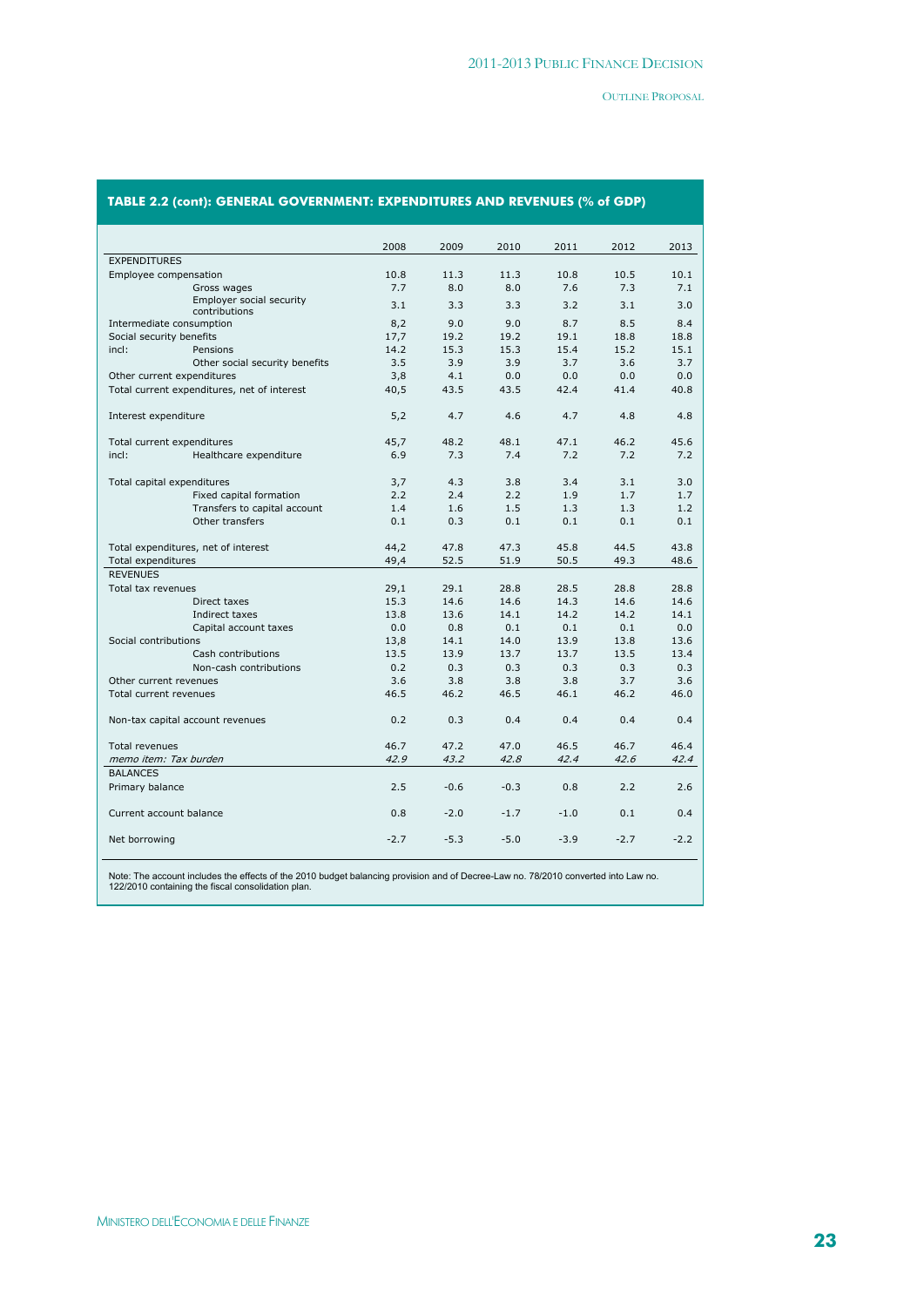# **TABLE 2.2 (cont): GENERAL GOVERNMENT: EXPENDITURES AND REVENUES (% of GDP)**

|                            |                                             | 2008   | 2009   | 2010   | 2011   | 2012   | 2013   |
|----------------------------|---------------------------------------------|--------|--------|--------|--------|--------|--------|
| <b>EXPENDITURES</b>        |                                             |        |        |        |        |        |        |
| Employee compensation      |                                             | 10.8   | 11.3   | 11.3   | 10.8   | 10.5   | 10.1   |
|                            | Gross wages                                 | 7.7    | 8.0    | 8.0    | 7.6    | 7.3    | 7.1    |
|                            | Employer social security                    |        |        |        |        |        |        |
|                            | contributions                               | 3.1    | 3.3    | 3.3    | 3.2    | 3.1    | 3.0    |
| Intermediate consumption   |                                             | 8,2    | 9.0    | 9.0    | 8.7    | 8.5    | 8.4    |
| Social security benefits   |                                             | 17,7   | 19.2   | 19.2   | 19.1   | 18.8   | 18.8   |
| incl:                      | Pensions                                    | 14.2   | 15.3   | 15.3   | 15.4   | 15.2   | 15.1   |
|                            | Other social security benefits              | 3.5    | 3.9    | 3.9    | 3.7    | 3.6    | 3.7    |
| Other current expenditures |                                             | 3,8    | 4.1    | 0.0    | 0.0    | 0.0    | 0.0    |
|                            | Total current expenditures, net of interest | 40,5   | 43.5   | 43.5   | 42.4   | 41.4   | 40.8   |
|                            |                                             |        |        |        |        |        |        |
| Interest expenditure       |                                             | 5,2    | 4.7    | 4.6    | 4.7    | 4.8    | 4.8    |
| Total current expenditures |                                             | 45,7   | 48.2   | 48.1   | 47.1   | 46.2   | 45.6   |
| incl:                      | Healthcare expenditure                      | 6.9    | 7.3    | 7.4    | 7.2    | 7.2    | 7.2    |
|                            |                                             |        |        |        |        |        |        |
| Total capital expenditures |                                             | 3,7    | 4.3    | 3.8    | 3.4    | 3.1    | 3.0    |
|                            | Fixed capital formation                     | 2.2    | 2.4    | 2.2    | 1.9    | 1.7    | 1.7    |
|                            | Transfers to capital account                | 1.4    | 1.6    | 1.5    | 1.3    | 1.3    | 1.2    |
|                            | Other transfers                             | 0.1    | 0.3    | 0.1    | 0.1    | 0.1    | 0.1    |
|                            |                                             | 44,2   | 47.8   | 47.3   | 45.8   | 44.5   | 43.8   |
| <b>Total expenditures</b>  | Total expenditures, net of interest         | 49,4   | 52.5   | 51.9   | 50.5   | 49.3   | 48.6   |
| <b>REVENUES</b>            |                                             |        |        |        |        |        |        |
| Total tax revenues         |                                             | 29,1   | 29.1   | 28.8   | 28.5   | 28.8   | 28.8   |
|                            | Direct taxes                                | 15.3   | 14.6   | 14.6   | 14.3   | 14.6   | 14.6   |
|                            | Indirect taxes                              | 13.8   | 13.6   | 14.1   | 14.2   | 14.2   | 14.1   |
|                            | Capital account taxes                       | 0.0    | 0.8    | 0.1    | 0.1    | 0.1    | 0.0    |
| Social contributions       |                                             | 13,8   | 14.1   | 14.0   | 13.9   | 13.8   | 13.6   |
|                            | Cash contributions                          | 13.5   | 13.9   | 13.7   | 13.7   | 13.5   | 13.4   |
|                            | Non-cash contributions                      | 0.2    | 0.3    | 0.3    | 0.3    | 0.3    | 0.3    |
| Other current revenues     |                                             | 3.6    | 3.8    | 3.8    | 3.8    | 3.7    | 3.6    |
| Total current revenues     |                                             | 46.5   | 46.2   | 46.5   | 46.1   | 46.2   | 46.0   |
|                            |                                             |        |        |        |        |        |        |
|                            | Non-tax capital account revenues            | 0.2    | 0.3    | 0.4    | 0.4    | 0.4    | 0.4    |
|                            |                                             |        |        |        |        |        |        |
| <b>Total revenues</b>      |                                             | 46.7   | 47.2   | 47.0   | 46.5   | 46.7   | 46.4   |
| memo item: Tax burden      |                                             | 42.9   | 43.2   | 42.8   | 42.4   | 42.6   | 42.4   |
| <b>BALANCES</b>            |                                             |        |        |        |        |        |        |
| Primary balance            |                                             | 2.5    | $-0.6$ | $-0.3$ | 0.8    | 2.2    | 2.6    |
| Current account balance    |                                             | 0.8    | $-2.0$ | $-1.7$ | $-1.0$ | 0.1    | 0.4    |
|                            |                                             |        |        |        |        |        |        |
| Net borrowing              |                                             | $-2.7$ | $-5.3$ | $-5.0$ | $-3.9$ | $-2.7$ | $-2.2$ |
|                            |                                             |        |        |        |        |        |        |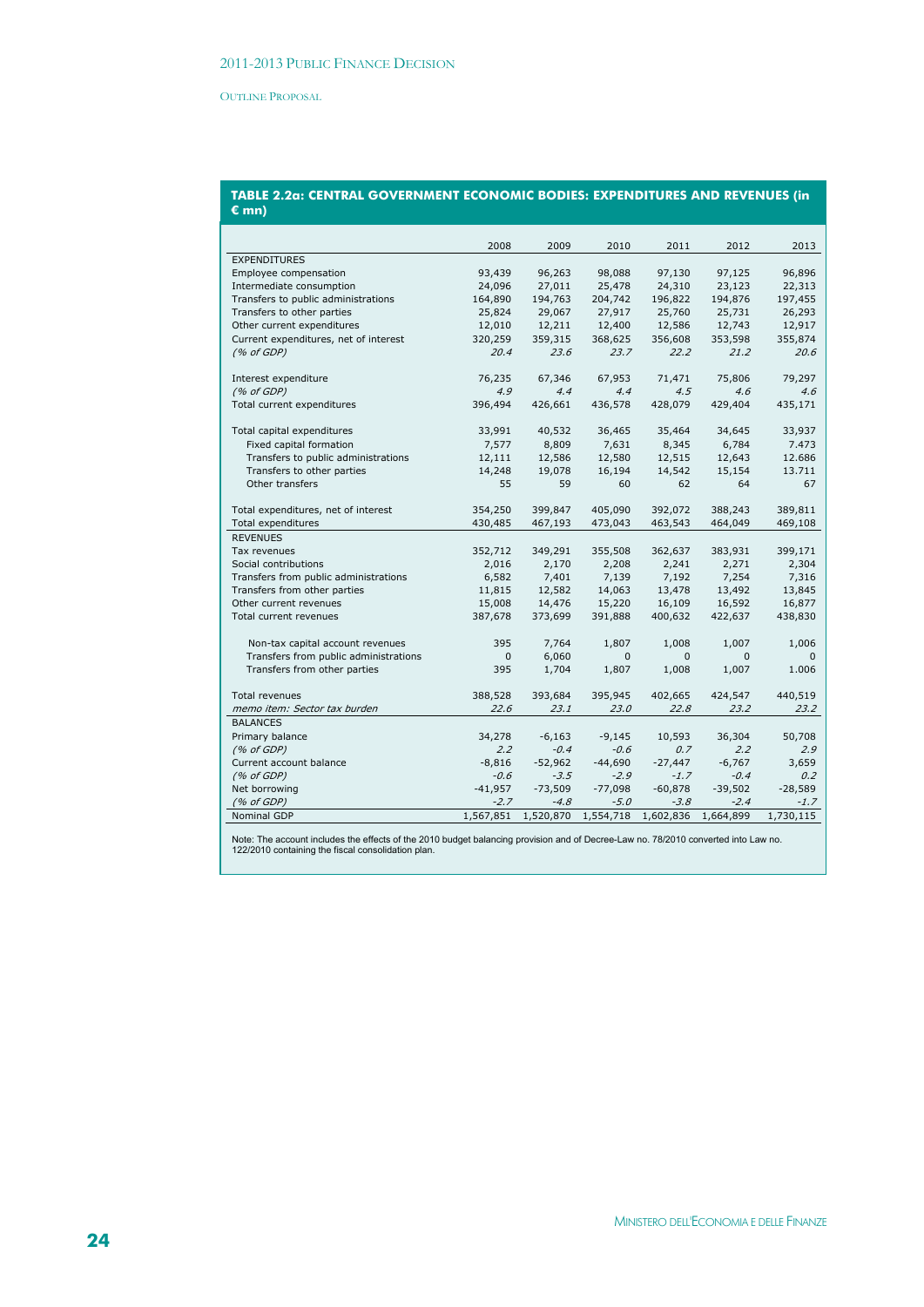#### **TABLE 2.2a: CENTRAL GOVERNMENT ECONOMIC BODIES: EXPENDITURES AND REVENUES (in € mn)**

|                                       | 2008      | 2009      | 2010         | 2011         | 2012         | 2013         |
|---------------------------------------|-----------|-----------|--------------|--------------|--------------|--------------|
| <b>EXPENDITURES</b>                   |           |           |              |              |              |              |
| Employee compensation                 | 93,439    | 96,263    | 98,088       | 97,130       | 97,125       | 96,896       |
| Intermediate consumption              | 24,096    | 27,011    | 25,478       | 24,310       | 23,123       | 22,313       |
| Transfers to public administrations   | 164,890   | 194,763   | 204,742      | 196,822      | 194,876      | 197,455      |
| Transfers to other parties            | 25,824    | 29,067    | 27,917       | 25,760       | 25,731       | 26,293       |
| Other current expenditures            | 12,010    | 12,211    | 12,400       | 12,586       | 12,743       | 12,917       |
| Current expenditures, net of interest | 320,259   | 359,315   | 368,625      | 356,608      | 353,598      | 355,874      |
| (% of GDP)                            | 20.4      | 23.6      | 23.7         | 22.2         | 21.2         | 20.6         |
| Interest expenditure                  | 76,235    | 67,346    | 67,953       | 71,471       | 75,806       | 79,297       |
| (% of GDP)                            | 4.9       | 4.4       | 4.4          | 4.5          | 4.6          | 4.6          |
| Total current expenditures            | 396,494   | 426,661   | 436,578      | 428,079      | 429,404      | 435,171      |
| Total capital expenditures            | 33,991    | 40,532    | 36,465       | 35,464       | 34,645       | 33,937       |
| Fixed capital formation               | 7,577     | 8,809     | 7,631        | 8,345        | 6,784        | 7.473        |
| Transfers to public administrations   | 12,111    | 12,586    | 12,580       | 12,515       | 12,643       | 12.686       |
| Transfers to other parties            | 14,248    | 19,078    | 16,194       | 14,542       | 15,154       | 13.711       |
| Other transfers                       | 55        | 59        | 60           | 62           | 64           | 67           |
| Total expenditures, net of interest   | 354,250   | 399,847   | 405,090      | 392,072      | 388,243      | 389,811      |
| Total expenditures                    | 430,485   | 467,193   | 473,043      | 463,543      | 464,049      | 469,108      |
| <b>REVENUES</b>                       |           |           |              |              |              |              |
| Tax revenues                          | 352,712   | 349,291   | 355,508      | 362,637      | 383,931      | 399,171      |
| Social contributions                  | 2,016     | 2,170     | 2,208        | 2,241        | 2,271        | 2,304        |
| Transfers from public administrations | 6,582     | 7,401     | 7,139        | 7,192        | 7,254        | 7,316        |
| Transfers from other parties          | 11,815    | 12,582    | 14,063       | 13,478       | 13,492       | 13,845       |
| Other current revenues                | 15,008    | 14,476    | 15,220       | 16,109       | 16,592       | 16,877       |
| Total current revenues                | 387,678   | 373,699   | 391,888      | 400,632      | 422,637      | 438,830      |
|                                       |           |           |              |              |              |              |
| Non-tax capital account revenues      | 395       | 7,764     | 1,807        | 1,008        | 1,007        | 1,006        |
| Transfers from public administrations | 0         | 6,060     | $\mathbf{0}$ | $\mathbf{0}$ | $\mathbf{0}$ | $\mathbf{0}$ |
| Transfers from other parties          | 395       | 1,704     | 1,807        | 1,008        | 1,007        | 1.006        |
| <b>Total revenues</b>                 | 388,528   | 393,684   | 395,945      | 402,665      | 424,547      | 440,519      |
| memo item: Sector tax burden          | 22.6      | 23.1      | 23.0         | 22.8         | 23.2         | 23.2         |
| <b>BALANCES</b>                       |           |           |              |              |              |              |
| Primary balance                       | 34,278    | $-6,163$  | $-9,145$     | 10,593       | 36,304       | 50,708       |
| (% of GDP)                            | 2.2       | $-0.4$    | $-0.6$       | 0.7          | 2.2          | 2.9          |
| Current account balance               | $-8,816$  | $-52,962$ | $-44,690$    | $-27,447$    | $-6,767$     | 3,659        |
| (% of GDP)                            | $-0.6$    | $-3.5$    | $-2.9$       | $-1.7$       | $-0.4$       | 0.2          |
| Net borrowing                         | $-41,957$ | $-73,509$ | $-77,098$    | $-60,878$    | $-39,502$    | $-28,589$    |
| (% of GDP)                            | $-2.7$    | $-4.8$    | $-5.0$       | $-3.8$       | $-2.4$       | -1.7         |
| <b>Nominal GDP</b>                    | 1,567,851 | 1,520,870 | 1,554,718    | 1,602,836    | 1,664,899    | 1,730,115    |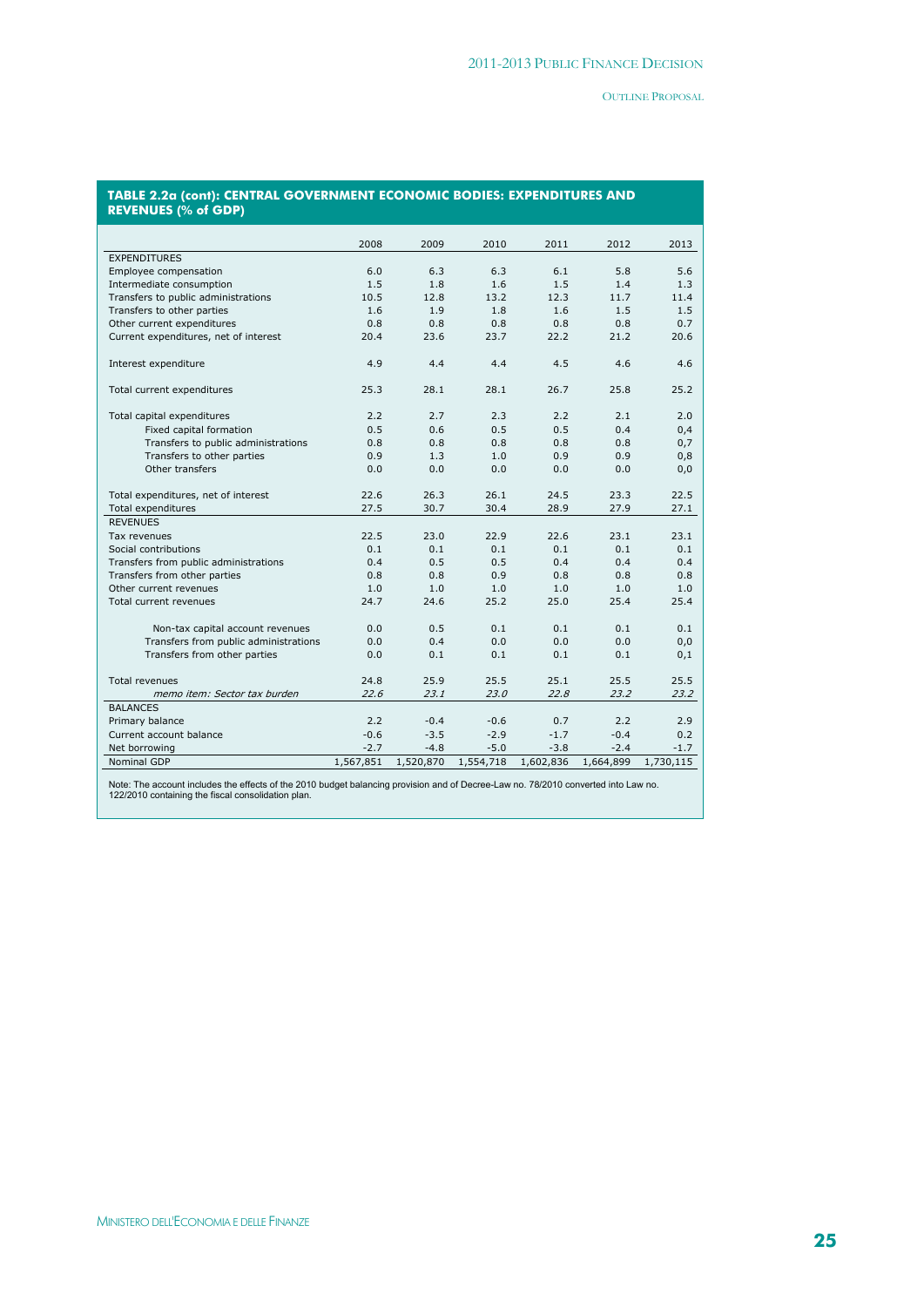#### **TABLE 2.2a (cont): CENTRAL GOVERNMENT ECONOMIC BODIES: EXPENDITURES AND REVENUES (% of GDP)**

|                                       | 2008      | 2009      | 2010      | 2011      | 2012      | 2013      |
|---------------------------------------|-----------|-----------|-----------|-----------|-----------|-----------|
| <b>EXPENDITURES</b>                   |           |           |           |           |           |           |
| Employee compensation                 | 6.0       | 6.3       | 6.3       | 6.1       | 5.8       | 5.6       |
| Intermediate consumption              | 1.5       | 1.8       | 1.6       | 1.5       | 1.4       | 1.3       |
| Transfers to public administrations   | 10.5      | 12.8      | 13.2      | 12.3      | 11.7      | 11.4      |
| Transfers to other parties            | 1.6       | 1.9       | 1.8       | 1.6       | 1.5       | 1.5       |
| Other current expenditures            | 0.8       | 0.8       | 0.8       | 0.8       | 0.8       | 0.7       |
| Current expenditures, net of interest | 20.4      | 23.6      | 23.7      | 22.2      | 21.2      | 20.6      |
|                                       |           |           |           |           |           |           |
| Interest expenditure                  | 4.9       | 4.4       | 4.4       | 4.5       | 4.6       | 4.6       |
| Total current expenditures            | 25.3      | 28.1      | 28.1      | 26.7      | 25.8      | 25.2      |
| Total capital expenditures            | 2.2       | 2.7       | 2.3       | 2.2       | 2.1       | 2.0       |
| Fixed capital formation               | 0.5       | 0.6       | 0.5       | 0.5       | 0.4       | 0,4       |
| Transfers to public administrations   | 0.8       | 0.8       | 0.8       | 0.8       | 0.8       | 0,7       |
| Transfers to other parties            | 0.9       | 1.3       | 1.0       | 0.9       | 0.9       | 0,8       |
| Other transfers                       | 0.0       | 0.0       | 0.0       | 0.0       | 0.0       | 0,0       |
|                                       |           |           |           |           |           |           |
| Total expenditures, net of interest   | 22.6      | 26.3      | 26.1      | 24.5      | 23.3      | 22.5      |
| Total expenditures                    | 27.5      | 30.7      | 30.4      | 28.9      | 27.9      | 27.1      |
| <b>REVENUES</b>                       |           |           |           |           |           |           |
| Tax revenues                          | 22.5      | 23.0      | 22.9      | 22.6      | 23.1      | 23.1      |
| Social contributions                  | 0.1       | 0.1       | 0.1       | 0.1       | 0.1       | 0.1       |
| Transfers from public administrations | 0.4       | 0.5       | 0.5       | 0.4       | 0.4       | 0.4       |
| Transfers from other parties          | 0.8       | 0.8       | 0.9       | 0.8       | 0.8       | 0.8       |
| Other current revenues                | 1.0       | 1.0       | 1.0       | 1.0       | 1.0       | 1.0       |
| Total current revenues                | 24.7      | 24.6      | 25.2      | 25.0      | 25.4      | 25.4      |
| Non-tax capital account revenues      | 0.0       | 0.5       | 0.1       | 0.1       | 0.1       | 0.1       |
| Transfers from public administrations | 0.0       | 0.4       | 0.0       | 0.0       | 0.0       | 0,0       |
| Transfers from other parties          | 0.0       | 0.1       | 0.1       | 0.1       | 0.1       | 0,1       |
| <b>Total revenues</b>                 | 24.8      | 25.9      | 25.5      | 25.1      | 25.5      | 25.5      |
| memo item: Sector tax burden          | 22.6      | 23.1      | 23.0      | 22.8      | 23.2      | 23.2      |
| <b>BALANCES</b>                       |           |           |           |           |           |           |
| Primary balance                       | 2.2       | $-0.4$    | $-0.6$    | 0.7       | 2.2       | 2.9       |
| Current account balance               | $-0.6$    | $-3.5$    | $-2.9$    | $-1.7$    | $-0.4$    | 0.2       |
| Net borrowing                         | $-2.7$    | $-4.8$    | $-5.0$    | $-3.8$    | $-2.4$    | $-1.7$    |
| <b>Nominal GDP</b>                    | 1,567,851 | 1,520,870 | 1,554,718 | 1,602,836 | 1,664,899 | 1,730,115 |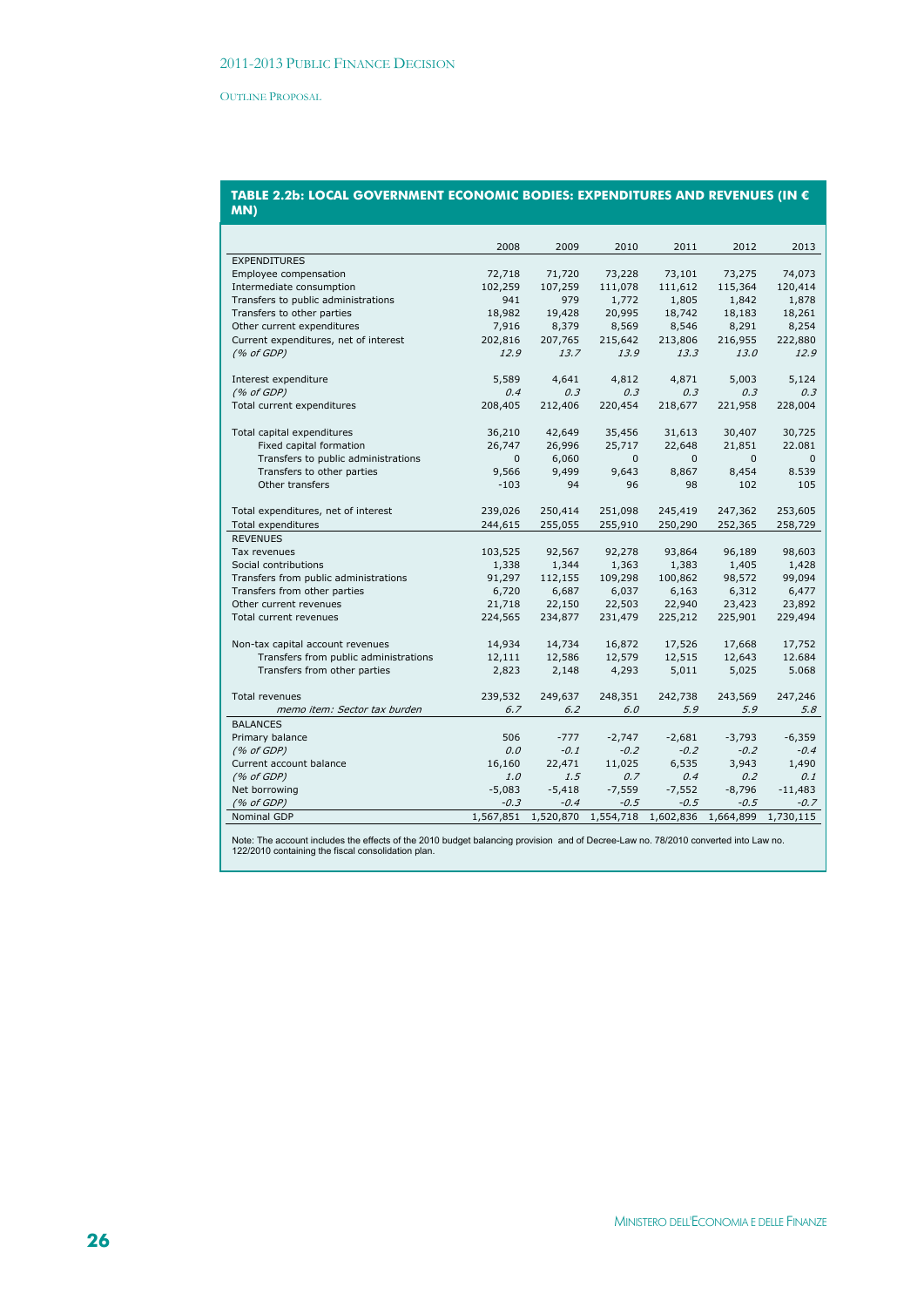#### **TABLE 2.2b: LOCAL GOVERNMENT ECONOMIC BODIES: EXPENDITURES AND REVENUES (IN € MN)**

|                                       | 2008         | 2009      | 2010     | 2011                | 2012      | 2013      |
|---------------------------------------|--------------|-----------|----------|---------------------|-----------|-----------|
| <b>EXPENDITURES</b>                   |              |           |          |                     |           |           |
| Employee compensation                 | 72,718       | 71,720    | 73,228   | 73,101              | 73,275    | 74,073    |
| Intermediate consumption              | 102,259      | 107,259   | 111,078  | 111,612             | 115,364   | 120,414   |
| Transfers to public administrations   | 941          | 979       | 1,772    | 1,805               | 1,842     | 1,878     |
| Transfers to other parties            | 18,982       | 19,428    | 20,995   | 18,742              | 18,183    | 18,261    |
| Other current expenditures            | 7,916        | 8,379     | 8,569    | 8,546               | 8,291     | 8,254     |
| Current expenditures, net of interest | 202,816      | 207,765   | 215,642  | 213,806             | 216,955   | 222,880   |
| (% of GDP)                            | 12.9         | 13.7      | 13.9     | 13.3                | 13.0      | 12.9      |
|                                       |              |           |          |                     |           |           |
| Interest expenditure                  | 5,589        | 4,641     | 4,812    | 4,871               | 5,003     | 5,124     |
| (% of GDP)                            | 0.4          | 0.3       | 0.3      | 0.3                 | 0.3       | 0.3       |
| Total current expenditures            | 208,405      | 212,406   | 220,454  | 218,677             | 221,958   | 228,004   |
| Total capital expenditures            | 36,210       | 42,649    | 35,456   | 31,613              | 30,407    | 30,725    |
| Fixed capital formation               | 26,747       | 26,996    | 25,717   | 22,648              | 21,851    | 22.081    |
| Transfers to public administrations   | $\mathbf{0}$ | 6,060     | $\Omega$ | $\Omega$            | $\Omega$  | $\Omega$  |
| Transfers to other parties            | 9,566        | 9,499     | 9,643    | 8,867               | 8,454     | 8.539     |
| Other transfers                       | $-103$       | 94        | 96       | 98                  | 102       | 105       |
|                                       |              |           |          |                     |           |           |
| Total expenditures, net of interest   | 239,026      | 250,414   | 251,098  | 245,419             | 247,362   | 253,605   |
| Total expenditures                    | 244,615      | 255,055   | 255,910  | 250,290             | 252,365   | 258,729   |
| <b>REVENUES</b>                       |              |           |          |                     |           |           |
| Tax revenues                          | 103,525      | 92,567    | 92,278   | 93,864              | 96,189    | 98,603    |
| Social contributions                  | 1,338        | 1,344     | 1,363    | 1,383               | 1,405     | 1,428     |
| Transfers from public administrations | 91,297       | 112,155   | 109,298  | 100,862             | 98,572    | 99,094    |
| Transfers from other parties          | 6,720        | 6,687     | 6,037    | 6,163               | 6,312     | 6,477     |
| Other current revenues                | 21,718       | 22,150    | 22,503   | 22,940              | 23,423    | 23,892    |
| Total current revenues                | 224,565      | 234,877   | 231,479  | 225,212             | 225,901   | 229,494   |
|                                       |              |           |          |                     |           |           |
| Non-tax capital account revenues      | 14,934       | 14,734    | 16,872   | 17,526              | 17,668    | 17,752    |
| Transfers from public administrations | 12,111       | 12,586    | 12,579   | 12,515              | 12,643    | 12.684    |
| Transfers from other parties          | 2,823        | 2,148     | 4,293    | 5,011               | 5,025     | 5.068     |
| <b>Total revenues</b>                 | 239,532      | 249,637   | 248,351  | 242,738             | 243,569   | 247,246   |
| memo item: Sector tax burden          | 6.7          | 6.2       | 6.0      | 5.9                 | 5.9       | 5.8       |
| <b>BALANCES</b>                       |              |           |          |                     |           |           |
| Primary balance                       | 506          | $-777$    | $-2,747$ | $-2,681$            | $-3,793$  | $-6,359$  |
| (% of GDP)                            | 0.0          | $-0.1$    | $-0.2$   | $-0.2$              | $-0.2$    | $-0.4$    |
| Current account balance               | 16,160       | 22,471    | 11,025   | 6,535               | 3,943     | 1,490     |
| (% of GDP)                            | 1.0          | 1.5       | 0.7      | 0.4                 | 0.2       | 0.1       |
| Net borrowing                         | $-5,083$     | $-5,418$  | $-7,559$ | $-7,552$            | $-8,796$  | $-11,483$ |
| (% of GDP)                            | $-0.3$       | $-0.4$    | $-0.5$   | $-0.5$              | $-0.5$    | $-0.7$    |
| Nominal GDP                           | 1,567,851    | 1,520,870 |          | 1,554,718 1,602,836 | 1,664,899 | 1,730,115 |
|                                       |              |           |          |                     |           |           |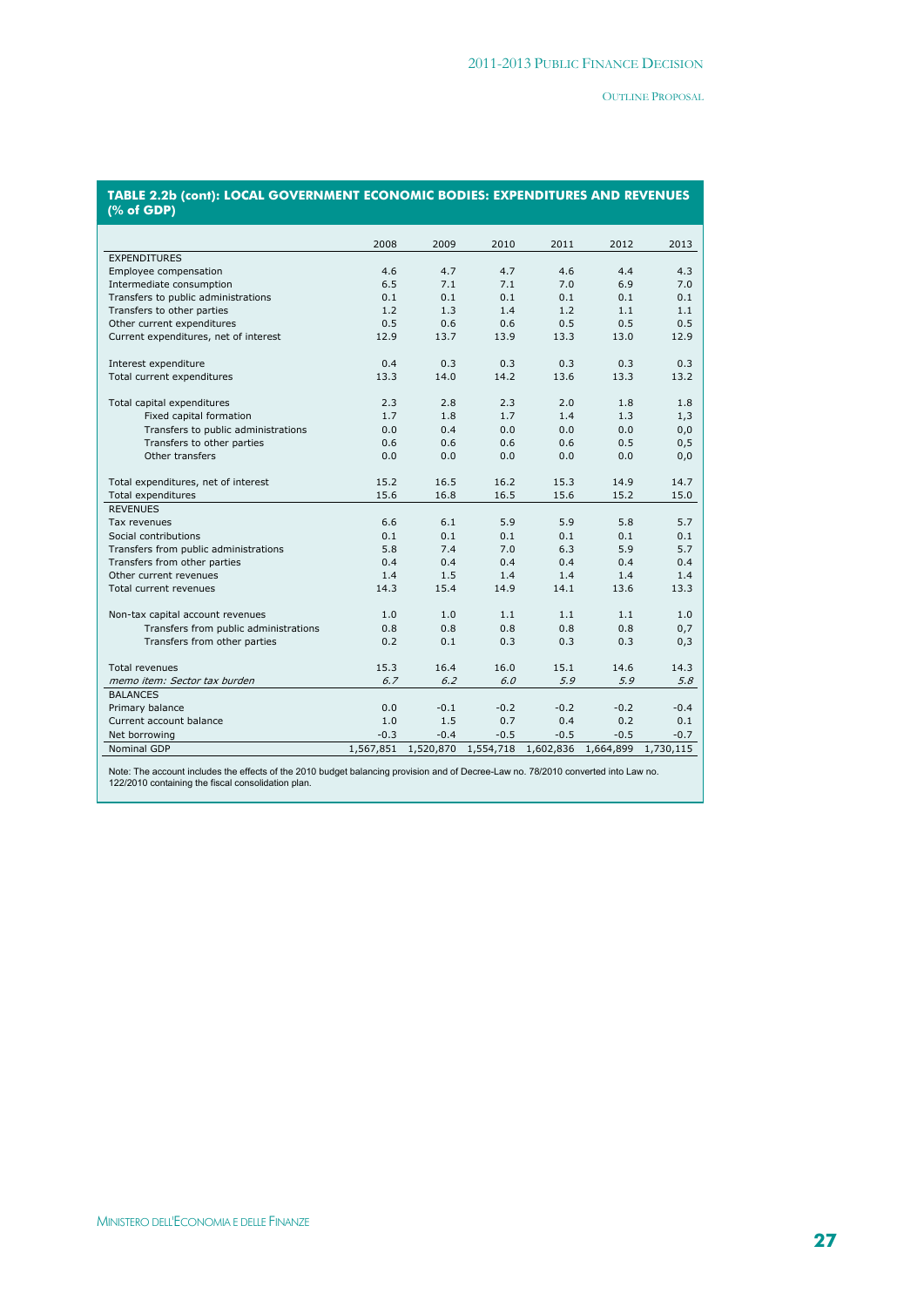| <b>TABLE 2.2b (cont): LOCAL GOVERNMENT ECONOMIC BODIES: EXPENDITURES AND REVENUES</b><br>(% of GDP) |  |
|-----------------------------------------------------------------------------------------------------|--|
|                                                                                                     |  |

|                                       | 2008      | 2009                | 2010   | 2011      | 2012      | 2013      |
|---------------------------------------|-----------|---------------------|--------|-----------|-----------|-----------|
| <b>EXPENDITURES</b>                   |           |                     |        |           |           |           |
| Employee compensation                 | 4.6       | 4.7                 | 4.7    | 4.6       | 4.4       | 4.3       |
| Intermediate consumption              | 6.5       | 7.1                 | 7.1    | 7.0       | 6.9       | 7.0       |
| Transfers to public administrations   | 0.1       | 0.1                 | 0.1    | 0.1       | 0.1       | 0.1       |
| Transfers to other parties            | 1.2       | 1.3                 | 1.4    | 1.2       | 1.1       | 1.1       |
| Other current expenditures            | 0.5       | 0.6                 | 0.6    | 0.5       | 0.5       | 0.5       |
| Current expenditures, net of interest | 12.9      | 13.7                | 13.9   | 13.3      | 13.0      | 12.9      |
| Interest expenditure                  | 0.4       | 0.3                 | 0.3    | 0.3       | 0.3       | 0.3       |
| Total current expenditures            | 13.3      | 14.0                | 14.2   | 13.6      | 13.3      | 13.2      |
| Total capital expenditures            | 2.3       | 2.8                 | 2.3    | 2.0       | 1.8       | 1.8       |
| Fixed capital formation               | 1.7       | 1.8                 | 1.7    | 1.4       | 1.3       | 1,3       |
| Transfers to public administrations   | 0.0       | 0.4                 | 0.0    | 0.0       | 0.0       | 0,0       |
| Transfers to other parties            | 0.6       | 0.6                 | 0.6    | 0.6       | 0.5       | 0, 5      |
| Other transfers                       | 0.0       | 0.0                 | 0.0    | 0.0       | 0.0       | 0,0       |
| Total expenditures, net of interest   | 15.2      | 16.5                | 16.2   | 15.3      | 14.9      | 14.7      |
| Total expenditures                    | 15.6      | 16.8                | 16.5   | 15.6      | 15.2      | 15.0      |
| <b>REVENUES</b>                       |           |                     |        |           |           |           |
| Tax revenues                          | 6.6       | 6.1                 | 5.9    | 5.9       | 5.8       | 5.7       |
| Social contributions                  | 0.1       | 0.1                 | 0.1    | 0.1       | 0.1       | 0.1       |
| Transfers from public administrations | 5.8       | 7.4                 | 7.0    | 6.3       | 5.9       | 5.7       |
| Transfers from other parties          | 0.4       | 0.4                 | 0.4    | 0.4       | 0.4       | 0.4       |
| Other current revenues                | 1.4       | 1.5                 | 1.4    | 1.4       | 1.4       | 1.4       |
| Total current revenues                | 14.3      | 15.4                | 14.9   | 14.1      | 13.6      | 13.3      |
| Non-tax capital account revenues      | 1.0       | 1.0                 | 1.1    | 1.1       | 1.1       | 1.0       |
| Transfers from public administrations | 0.8       | 0.8                 | 0.8    | 0.8       | 0.8       | 0,7       |
| Transfers from other parties          | 0.2       | 0.1                 | 0.3    | 0.3       | 0.3       | 0,3       |
| <b>Total revenues</b>                 | 15.3      | 16.4                | 16.0   | 15.1      | 14.6      | 14.3      |
| memo item: Sector tax burden          | 6.7       | 6.2                 | 6.0    | 5.9       | 5.9       | 5.8       |
| <b>BALANCES</b>                       |           |                     |        |           |           |           |
| Primary balance                       | 0.0       | $-0.1$              | $-0.2$ | $-0.2$    | $-0.2$    | $-0.4$    |
| Current account balance               | 1.0       | 1.5                 | 0.7    | 0.4       | 0.2       | 0.1       |
| Net borrowing                         | $-0.3$    | $-0.4$              | $-0.5$ | $-0.5$    | $-0.5$    | $-0.7$    |
| Nominal GDP                           | 1,567,851 | 1,520,870 1,554,718 |        | 1,602,836 | 1,664,899 | 1,730,115 |
|                                       |           |                     |        |           |           |           |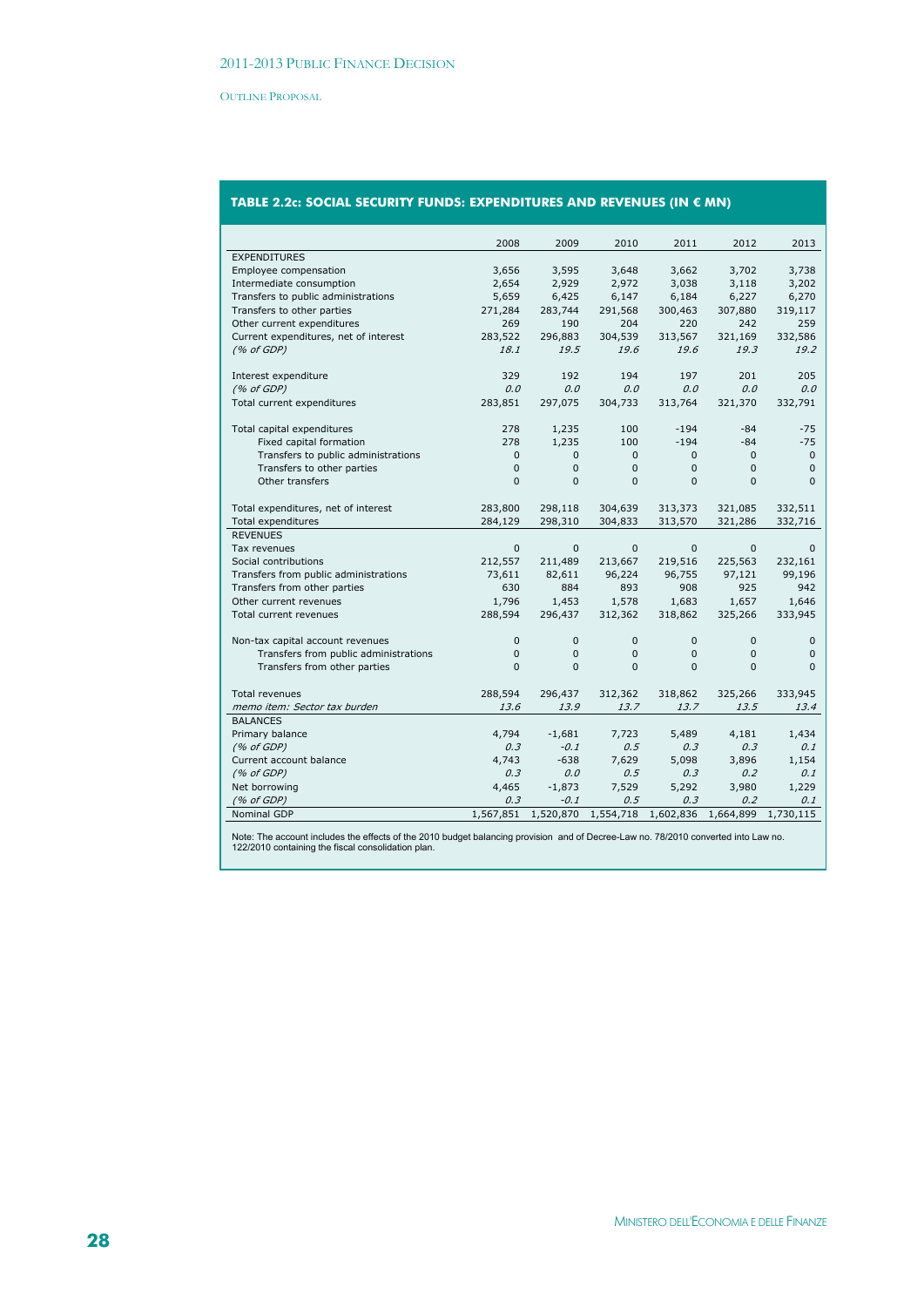# **TABLE 2.2c: SOCIAL SECURITY FUNDS: EXPENDITURES AND REVENUES (IN € MN)**

|                                       | 2008           | 2009         | 2010         | 2011         | 2012           | 2013         |
|---------------------------------------|----------------|--------------|--------------|--------------|----------------|--------------|
| <b>EXPENDITURES</b>                   |                |              |              |              |                |              |
| Employee compensation                 | 3,656          | 3,595        | 3,648        | 3,662        | 3,702          | 3,738        |
| Intermediate consumption              | 2,654          | 2,929        | 2,972        | 3,038        | 3,118          | 3,202        |
| Transfers to public administrations   | 5,659          | 6,425        | 6,147        | 6,184        | 6,227          | 6,270        |
| Transfers to other parties            | 271,284        | 283,744      | 291,568      | 300,463      | 307,880        | 319,117      |
| Other current expenditures            | 269            | 190          | 204          | 220          | 242            | 259          |
| Current expenditures, net of interest | 283,522        | 296,883      | 304,539      | 313,567      | 321,169        | 332,586      |
| (% of GDP)                            | 18.1           | 19.5         | 19.6         | 19.6         | 19.3           | 19.2         |
|                                       |                |              |              |              |                |              |
| Interest expenditure                  | 329            | 192          | 194          | 197          | 201            | 205          |
| (% of GDP)                            | 0.0            | 0.0          | 0.0          | 0.0          | 0.0            | 0.0          |
| Total current expenditures            | 283,851        | 297,075      | 304,733      | 313,764      | 321,370        | 332,791      |
|                                       |                |              |              |              |                |              |
| Total capital expenditures            | 278            | 1,235        | 100          | $-194$       | $-84$          | $-75$        |
| Fixed capital formation               | 278            | 1,235        | 100          | $-194$       | $-84$          | $-75$        |
| Transfers to public administrations   | $\mathbf{0}$   | $\mathbf{0}$ | $\mathbf{0}$ | $\mathbf{0}$ | $\mathbf{0}$   | $\mathbf 0$  |
| Transfers to other parties            | $\overline{0}$ | $\mathbf{0}$ | $\Omega$     | $\Omega$     | $\overline{0}$ | $\mathbf{0}$ |
| Other transfers                       | $\Omega$       | $\Omega$     | $\Omega$     | $\Omega$     | $\Omega$       | $\Omega$     |
|                                       |                |              |              |              |                |              |
| Total expenditures, net of interest   | 283,800        | 298,118      | 304,639      | 313,373      | 321,085        | 332,511      |
| Total expenditures                    | 284,129        | 298,310      | 304,833      | 313,570      | 321,286        | 332,716      |
| <b>REVENUES</b>                       |                |              |              |              |                |              |
| Tax revenues                          | $\mathbf{0}$   | 0            | $\mathbf{0}$ | $\mathbf{0}$ | $\mathbf{0}$   | $\mathbf{0}$ |
| Social contributions                  | 212,557        | 211,489      | 213,667      | 219,516      | 225,563        | 232,161      |
| Transfers from public administrations | 73,611         | 82,611       | 96,224       | 96,755       | 97,121         | 99,196       |
| Transfers from other parties          | 630            | 884          | 893          | 908          | 925            | 942          |
| Other current revenues                | 1,796          | 1,453        | 1,578        | 1,683        | 1,657          | 1,646        |
| Total current revenues                | 288,594        | 296,437      | 312,362      | 318,862      | 325,266        | 333,945      |
|                                       |                |              |              |              |                |              |
| Non-tax capital account revenues      | $\mathbf{0}$   | $\mathbf{0}$ | $\mathbf{0}$ | $\mathbf{0}$ | 0              | $\mathbf 0$  |
| Transfers from public administrations | 0              | $\mathbf{0}$ | $\mathbf{0}$ | $\mathbf{0}$ | $\mathbf 0$    | $\mathbf{0}$ |
| Transfers from other parties          | 0              | $\mathbf 0$  | $\mathbf{0}$ | $\Omega$     | $\overline{0}$ | $\mathbf 0$  |
| <b>Total revenues</b>                 | 288,594        | 296,437      | 312,362      | 318,862      | 325,266        | 333,945      |
| memo item: Sector tax burden          | 13.6           | 13.9         | 13.7         | 13.7         | 13.5           | 13.4         |
| <b>BALANCES</b>                       |                |              |              |              |                |              |
| Primary balance                       | 4,794          | $-1,681$     | 7,723        | 5,489        | 4,181          | 1,434        |
| (% of GDP)                            | 0.3            | $-0.1$       | 0.5          | 0.3          | 0.3            | 0.1          |
|                                       |                | $-638$       |              |              |                |              |
| Current account balance<br>(% of GDP) | 4,743<br>0.3   | 0.0          | 7,629<br>0.5 | 5,098<br>0.3 | 3,896<br>0.2   | 1,154<br>0.1 |
| Net borrowing                         | 4,465          | $-1,873$     | 7,529        | 5,292        | 3,980          | 1,229        |
|                                       |                |              |              |              | 0.2            |              |
| (% of GDP)                            | 0.3            | $-0.1$       | 0.5          | 0.3          |                | 0.1          |
| Nominal GDP                           | 1,567,851      | 1,520,870    | 1,554,718    | 1,602,836    | 1,664,899      | 1,730,115    |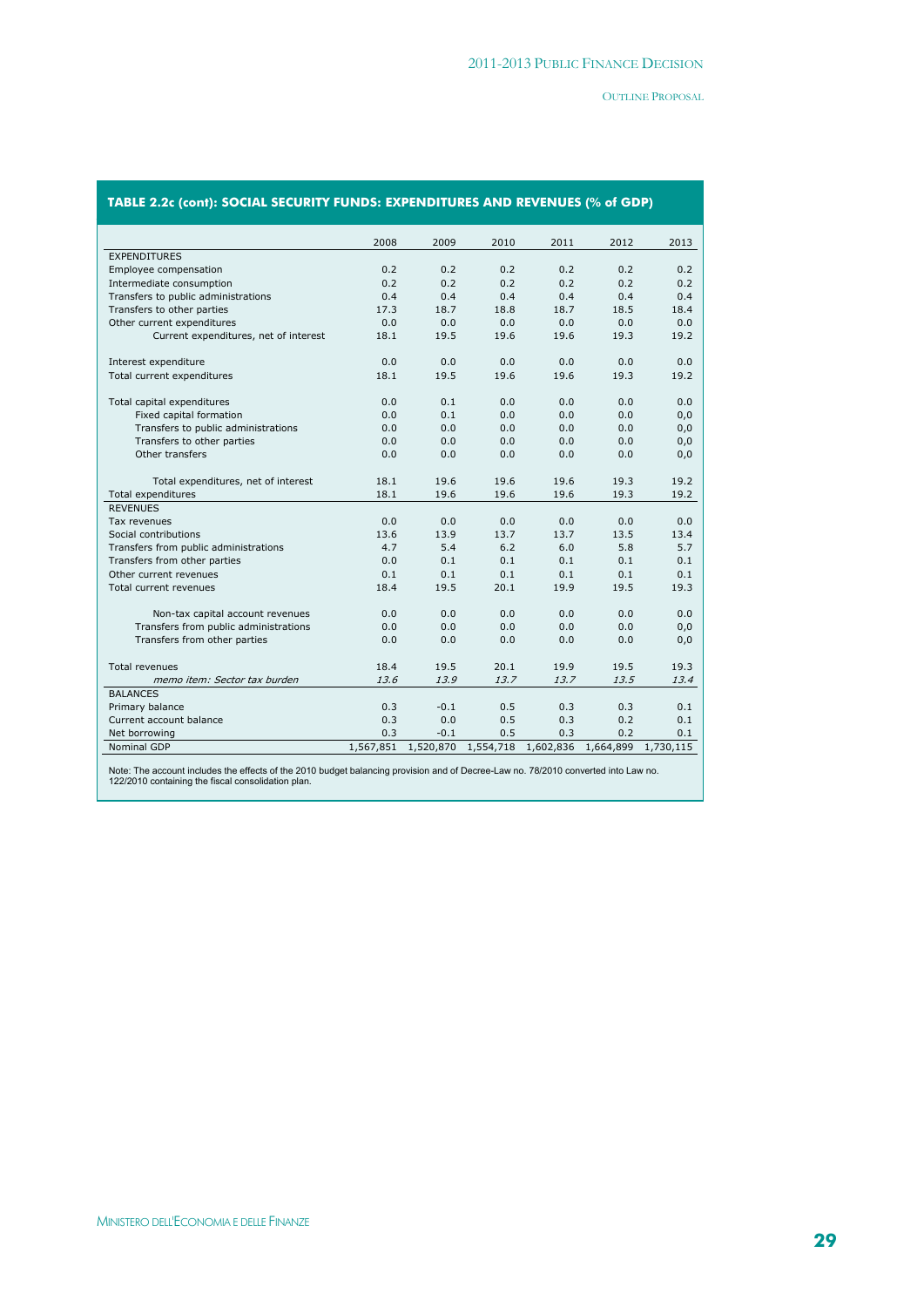|                                            | 2008      | 2009      | 2010      | 2011      | 2012      | 2013      |
|--------------------------------------------|-----------|-----------|-----------|-----------|-----------|-----------|
| <b>EXPENDITURES</b>                        |           |           |           |           |           |           |
| Employee compensation                      | 0.2       | 0.2       | 0.2       | 0.2       | 0.2       | 0.2       |
| Intermediate consumption                   | 0.2       | 0.2       | 0.2       | 0.2       | 0.2       | 0.2       |
| Transfers to public administrations        | 0.4       | 0.4       | 0.4       | 0.4       | 0.4       | 0.4       |
| Transfers to other parties                 | 17.3      | 18.7      | 18.8      | 18.7      | 18.5      | 18.4      |
| Other current expenditures                 | 0.0       | 0.0       | 0.0       | 0.0       | 0.0       | 0.0       |
| Current expenditures, net of interest      | 18.1      | 19.5      | 19.6      | 19.6      | 19.3      | 19.2      |
|                                            |           |           |           |           |           |           |
| Interest expenditure                       | 0.0       | 0.0       | 0.0       | 0.0       | 0.0       | 0.0       |
| Total current expenditures                 | 18.1      | 19.5      | 19.6      | 19.6      | 19.3      | 19.2      |
|                                            |           |           |           |           |           |           |
| Total capital expenditures                 | 0.0       | 0.1       | 0.0       | 0.0       | 0.0       | 0.0       |
| Fixed capital formation                    | 0.0       | 0.1       | 0.0       | 0.0       | 0.0       | 0,0       |
| Transfers to public administrations        | 0.0       | 0.0       | 0.0       | 0.0       | 0.0       | 0,0       |
| Transfers to other parties                 | 0.0       | 0.0       | 0.0       | 0.0       | 0.0       | 0,0       |
| Other transfers                            | 0.0       | 0.0       | 0.0       | 0.0       | 0.0       | 0,0       |
|                                            |           |           |           |           |           |           |
| Total expenditures, net of interest        | 18.1      | 19.6      | 19.6      | 19.6      | 19.3      | 19.2      |
| <b>Total expenditures</b>                  | 18.1      | 19.6      | 19.6      | 19.6      | 19.3      | 19.2      |
| <b>REVENUES</b>                            |           |           |           |           |           |           |
| Tax revenues                               | 0.0       | 0.0       | 0.0       | 0.0       | 0.0       | 0.0       |
| Social contributions                       | 13.6      | 13.9      | 13.7      | 13.7      | 13.5      | 13.4      |
| Transfers from public administrations      | 4.7       | 5.4       | 6.2       | 6.0       | 5.8       | 5.7       |
| Transfers from other parties               | 0.0       | 0.1       | 0.1       | 0.1       | 0.1       | 0.1       |
| Other current revenues                     | 0.1       | 0.1       | 0.1       | 0.1       | 0.1       | 0.1       |
| Total current revenues                     | 18.4      | 19.5      | 20.1      | 19.9      | 19.5      | 19.3      |
|                                            |           |           |           |           |           |           |
| Non-tax capital account revenues           | 0.0       | 0.0       | 0.0       | 0.0       | 0.0       | 0.0       |
| Transfers from public administrations      | 0.0       | 0.0       | 0.0       | 0.0       | 0.0       | 0,0       |
| Transfers from other parties               | 0.0       | 0.0       | 0.0       | 0.0       | 0.0       | 0,0       |
| <b>Total revenues</b>                      | 18.4      | 19.5      | 20.1      | 19.9      | 19.5      | 19.3      |
| memo item: Sector tax burden               | 13.6      | 13.9      | 13.7      | 13.7      | 13.5      | 13.4      |
| <b>BALANCES</b>                            |           |           |           |           |           |           |
|                                            | 0.3       | $-0.1$    | 0.5       | 0.3       | 0.3       | 0.1       |
| Primary balance<br>Current account balance | 0.3       | 0.0       | 0.5       | 0.3       | 0.2       | 0.1       |
| Net borrowing                              | 0.3       | $-0.1$    | 0.5       | 0.3       | 0.2       | 0.1       |
| Nominal GDP                                | 1,567,851 | 1,520,870 | 1,554,718 | 1,602,836 | 1,664,899 | 1,730,115 |
|                                            |           |           |           |           |           |           |

# **TABLE 2.2c (cont): SOCIAL SECURITY FUNDS: EXPENDITURES AND REVENUES (% of GDP)**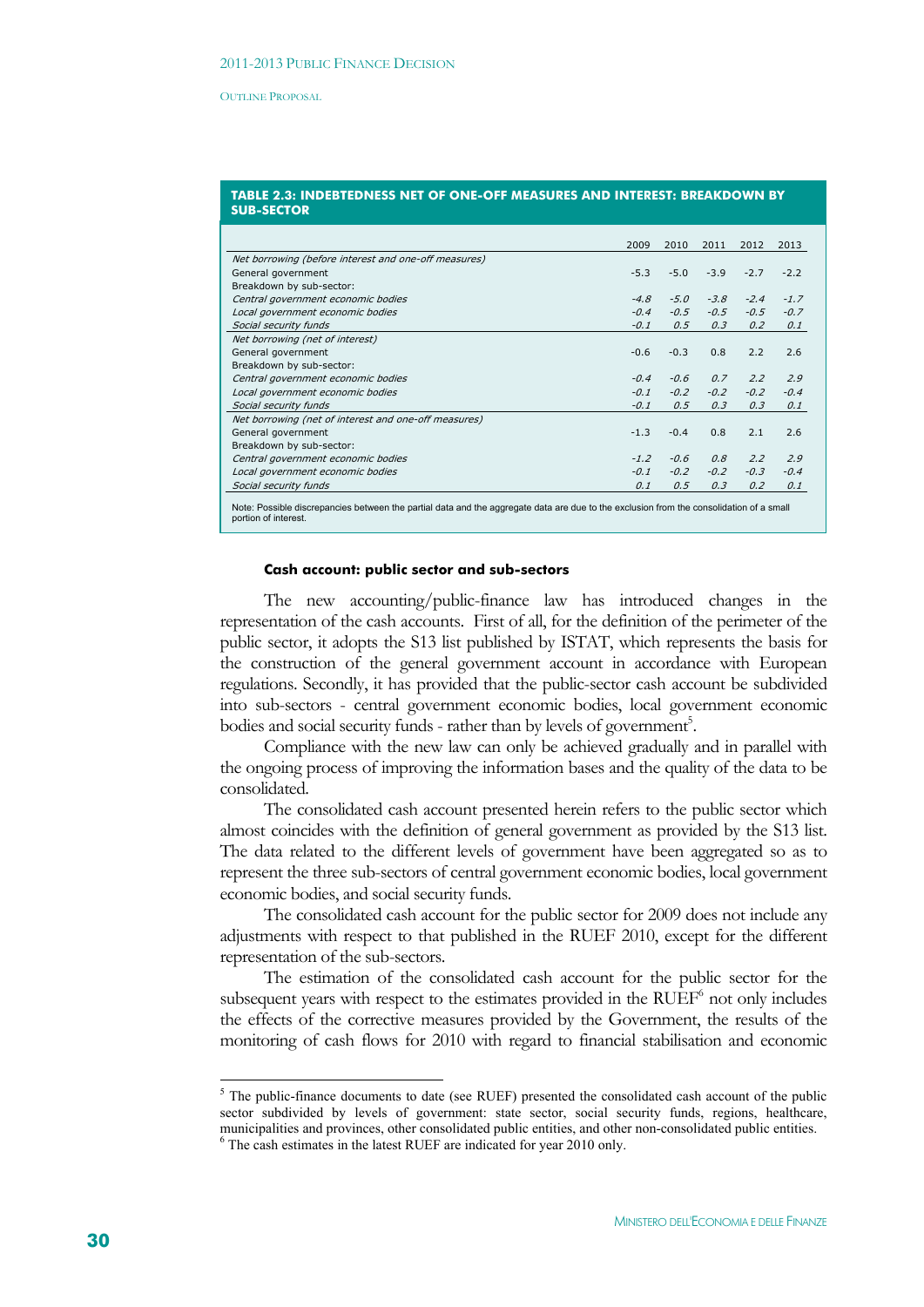| TABLE 2.3: INDEBTEDNESS NET OF ONE-OFF MEASURES AND INTEREST: BREAKDOWN BY |  |
|----------------------------------------------------------------------------|--|
| <b>SUB-SECTOR</b>                                                          |  |

|                                                      | 2009   | 2010   | 2011   | 2012   | 2013   |
|------------------------------------------------------|--------|--------|--------|--------|--------|
| Net borrowing (before interest and one-off measures) |        |        |        |        |        |
| General government                                   | $-5.3$ | $-5.0$ | $-3.9$ | $-2.7$ | $-2.2$ |
| Breakdown by sub-sector:                             |        |        |        |        |        |
| Central government economic bodies                   | $-4.8$ | $-5.0$ | $-3.8$ | $-2.4$ | $-1.7$ |
| Local government economic bodies                     | $-0.4$ | $-0.5$ | $-0.5$ | $-0.5$ | $-0.7$ |
| Social security funds                                | $-0.1$ | 0.5    | 0.3    | 0.2    | 0.1    |
| Net borrowing (net of interest)                      |        |        |        |        |        |
| General government                                   | $-0.6$ | $-0.3$ | 0.8    | 2.2    | 2.6    |
| Breakdown by sub-sector:                             |        |        |        |        |        |
| Central government economic bodies                   | $-0.4$ | $-0.6$ | 0.7    | 2.2    | 2.9    |
| Local government economic bodies                     | $-0.1$ | $-0.2$ | $-0.2$ | $-0.2$ | $-0.4$ |
| Social security funds                                | $-0.1$ | 0.5    | 0.3    | 0.3    | 0.1    |
| Net borrowing (net of interest and one-off measures) |        |        |        |        |        |
| General government                                   | $-1.3$ | $-0.4$ | 0.8    | 2.1    | 2.6    |
| Breakdown by sub-sector:                             |        |        |        |        |        |
| Central government economic bodies                   | $-1.2$ | $-0.6$ | 0.8    | 2.2    | 2.9    |
| Local government economic bodies                     | $-0.1$ | $-0.2$ | $-0.2$ | $-0.3$ | $-0.4$ |
| Social security funds                                | 0.1    | 0.5    | 0.3    | 0.2    | 0.1    |
|                                                      |        |        |        |        |        |

Note: Possible discrepancies between the partial data and the aggregate data are due to the exclusion from the consolidation of a small portion of interest.

#### **Cash account: public sector and sub-sectors**

The new accounting/public-finance law has introduced changes in the representation of the cash accounts. First of all, for the definition of the perimeter of the public sector, it adopts the S13 list published by ISTAT, which represents the basis for the construction of the general government account in accordance with European regulations. Secondly, it has provided that the public-sector cash account be subdivided into sub-sectors - central government economic bodies, local government economic bodies and social security funds - rather than by levels of government<sup>5</sup>.

Compliance with the new law can only be achieved gradually and in parallel with the ongoing process of improving the information bases and the quality of the data to be consolidated.

The consolidated cash account presented herein refers to the public sector which almost coincides with the definition of general government as provided by the S13 list. The data related to the different levels of government have been aggregated so as to represent the three sub-sectors of central government economic bodies, local government economic bodies, and social security funds.

The consolidated cash account for the public sector for 2009 does not include any adjustments with respect to that published in the RUEF 2010, except for the different representation of the sub-sectors.

The estimation of the consolidated cash account for the public sector for the subsequent years with respect to the estimates provided in the RUEF<sup>6</sup> not only includes the effects of the corrective measures provided by the Government, the results of the monitoring of cash flows for 2010 with regard to financial stabilisation and economic

1

<sup>&</sup>lt;sup>5</sup> The public-finance documents to date (see RUEF) presented the consolidated cash account of the public sector subdivided by levels of government: state sector, social security funds, regions, healthcare, municipalities and provinces, other consolidated public entities, and other non-consolidated public entities. 6  $6$  The cash estimates in the latest RUEF are indicated for year 2010 only.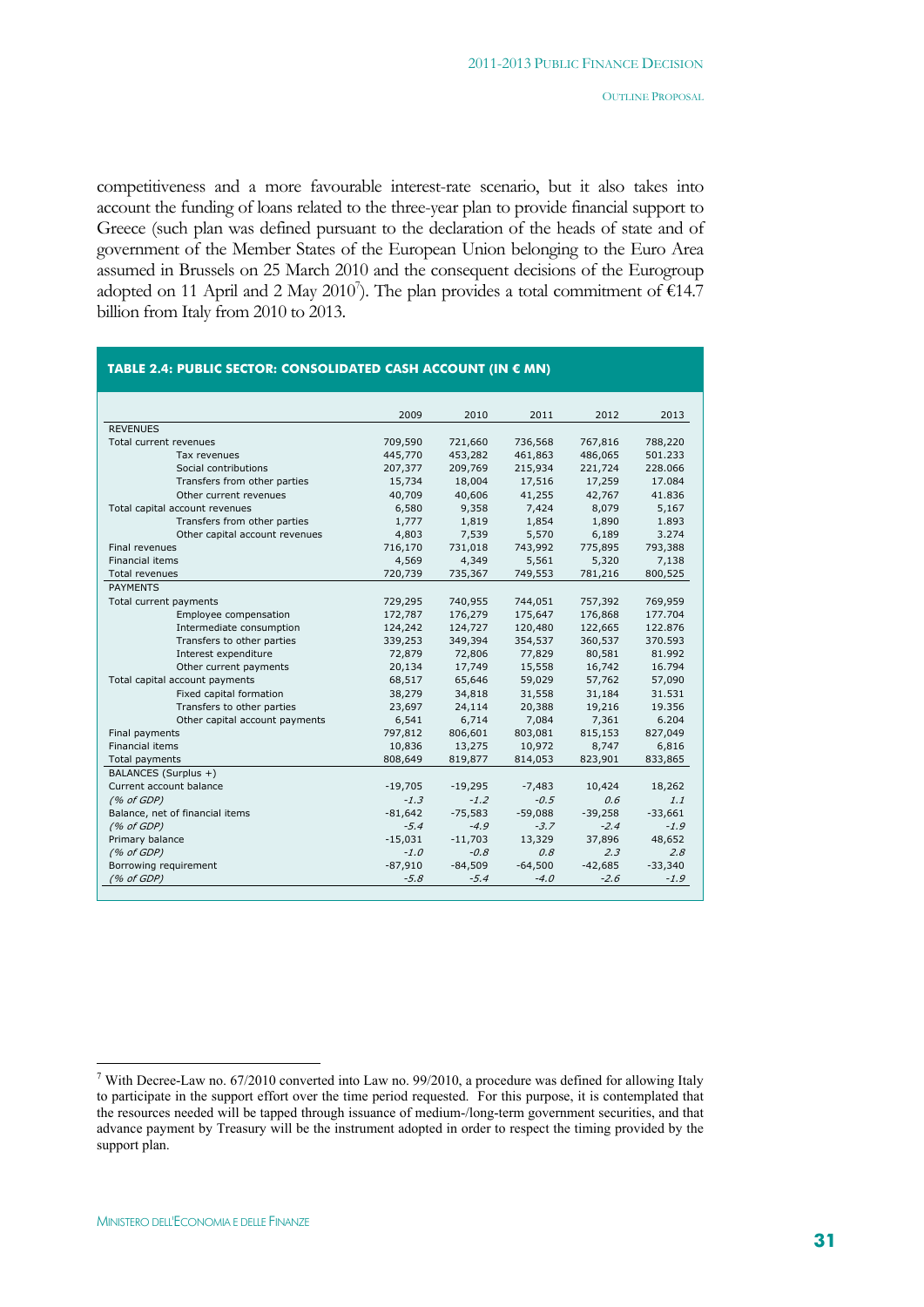competitiveness and a more favourable interest-rate scenario, but it also takes into account the funding of loans related to the three-year plan to provide financial support to Greece (such plan was defined pursuant to the declaration of the heads of state and of government of the Member States of the European Union belonging to the Euro Area assumed in Brussels on 25 March 2010 and the consequent decisions of the Eurogroup adopted on 11 April and 2 May 2010<sup>7</sup>). The plan provides a total commitment of  $\epsilon$ 14.7 billion from Italy from 2010 to 2013.

| TABLE 2.4: PUBLIC SECTOR: CONSOLIDATED CASH ACCOUNT (IN € MN) |           |           |           |           |           |
|---------------------------------------------------------------|-----------|-----------|-----------|-----------|-----------|
|                                                               |           |           |           |           |           |
|                                                               | 2009      | 2010      | 2011      | 2012      | 2013      |
| <b>REVENUES</b>                                               |           |           |           |           |           |
| Total current revenues                                        | 709,590   | 721,660   | 736,568   | 767,816   | 788,220   |
| Tax revenues                                                  | 445,770   | 453,282   | 461,863   | 486,065   | 501.233   |
| Social contributions                                          | 207,377   | 209,769   | 215,934   | 221,724   | 228.066   |
| Transfers from other parties                                  | 15,734    | 18,004    | 17,516    | 17,259    | 17.084    |
| Other current revenues                                        | 40,709    | 40,606    | 41,255    | 42,767    | 41.836    |
| Total capital account revenues                                | 6,580     | 9,358     | 7,424     | 8,079     | 5,167     |
| Transfers from other parties                                  | 1,777     | 1,819     | 1,854     | 1,890     | 1.893     |
| Other capital account revenues                                | 4,803     | 7,539     | 5,570     | 6,189     | 3.274     |
| Final revenues                                                | 716,170   | 731,018   | 743,992   | 775,895   | 793,388   |
| <b>Financial items</b>                                        | 4,569     | 4,349     | 5,561     | 5,320     | 7,138     |
| <b>Total revenues</b>                                         | 720,739   | 735,367   | 749,553   | 781,216   | 800,525   |
| <b>PAYMENTS</b>                                               |           |           |           |           |           |
| Total current payments                                        | 729,295   | 740,955   | 744,051   | 757,392   | 769,959   |
| Employee compensation                                         | 172,787   | 176,279   | 175,647   | 176,868   | 177.704   |
| Intermediate consumption                                      | 124,242   | 124,727   | 120,480   | 122,665   | 122.876   |
| Transfers to other parties                                    | 339,253   | 349,394   | 354,537   | 360,537   | 370.593   |
| Interest expenditure                                          | 72,879    | 72,806    | 77,829    | 80,581    | 81.992    |
| Other current payments                                        | 20,134    | 17,749    | 15,558    | 16,742    | 16.794    |
| Total capital account payments                                | 68,517    | 65,646    | 59,029    | 57,762    | 57,090    |
| Fixed capital formation                                       | 38,279    | 34,818    | 31,558    | 31,184    | 31.531    |
| Transfers to other parties                                    | 23,697    | 24,114    | 20,388    | 19,216    | 19.356    |
| Other capital account payments                                | 6,541     | 6,714     | 7,084     | 7,361     | 6.204     |
| Final payments                                                | 797,812   | 806,601   | 803,081   | 815,153   | 827,049   |
| <b>Financial items</b>                                        | 10,836    | 13,275    | 10,972    | 8,747     | 6,816     |
| <b>Total payments</b>                                         | 808,649   | 819,877   | 814,053   | 823,901   | 833,865   |
| BALANCES (Surplus +)                                          |           |           |           |           |           |
| Current account balance                                       | $-19,705$ | $-19,295$ | $-7,483$  | 10,424    | 18,262    |
| (% of GDP)                                                    | $-1.3$    | $-1.2$    | $-0.5$    | 0.6       | 1.1       |
| Balance, net of financial items                               | $-81,642$ | $-75,583$ | $-59,088$ | $-39,258$ | $-33,661$ |
| (% of GDP)                                                    | $-5.4$    | $-4.9$    | $-3.7$    | $-2.4$    | $-1.9$    |
| Primary balance                                               | $-15,031$ | $-11,703$ | 13,329    | 37,896    | 48,652    |
| (% of GDP)                                                    | $-1.0$    | $-0.8$    | 0.8       | 2.3       | 2.8       |
| Borrowing requirement                                         | $-87,910$ | $-84,509$ | $-64,500$ | $-42,685$ | $-33,340$ |
| (% of GDP)                                                    | $-5.8$    | $-5.4$    | $-4.0$    | $-2.6$    | $-1.9$    |
|                                                               |           |           |           |           |           |

<sup>&</sup>lt;sup>7</sup> With Decree-Law no. 67/2010 converted into Law no. 99/2010, a procedure was defined for allowing Italy to participate in the support effort over the time period requested. For this purpose, it is contemplated that the resources needed will be tapped through issuance of medium-/long-term government securities, and that advance payment by Treasury will be the instrument adopted in order to respect the timing provided by the support plan.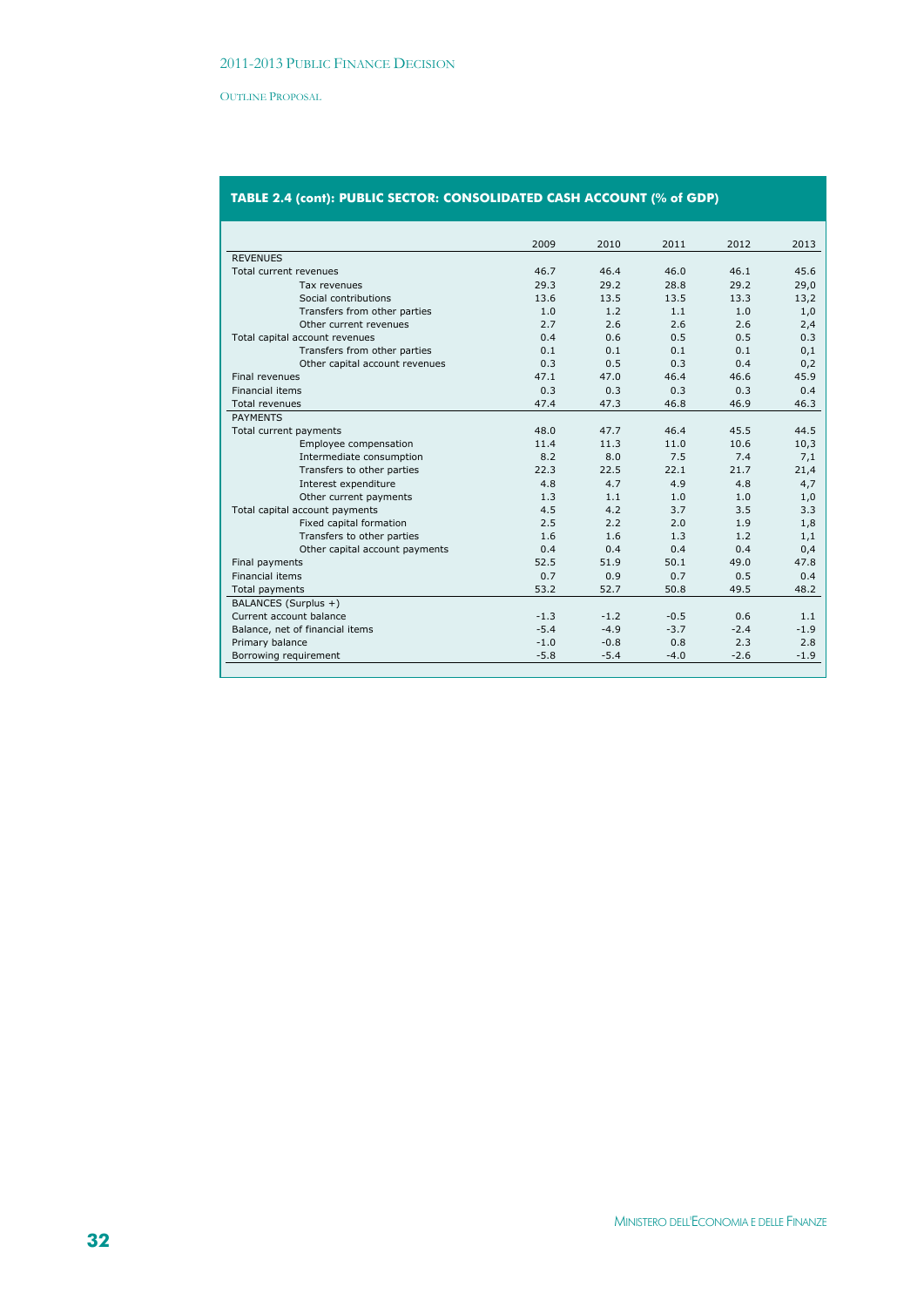|                                 | 2009   | 2010   | 2011   | 2012   | 2013   |
|---------------------------------|--------|--------|--------|--------|--------|
| <b>REVENUES</b>                 |        |        |        |        |        |
| Total current revenues          | 46.7   | 46.4   | 46.0   | 46.1   | 45.6   |
| Tax revenues                    | 29.3   | 29.2   | 28.8   | 29.2   | 29,0   |
| Social contributions            | 13.6   | 13.5   | 13.5   | 13.3   | 13,2   |
| Transfers from other parties    | 1.0    | 1.2    | 1.1    | 1.0    | 1,0    |
| Other current revenues          | 2.7    | 2.6    | 2.6    | 2.6    | 2,4    |
| Total capital account revenues  | 0.4    | 0.6    | 0.5    | 0.5    | 0.3    |
| Transfers from other parties    | 0.1    | 0.1    | 0.1    | 0.1    | 0,1    |
| Other capital account revenues  | 0.3    | 0.5    | 0.3    | 0.4    | 0,2    |
| Final revenues                  | 47.1   | 47.0   | 46.4   | 46.6   | 45.9   |
| <b>Financial items</b>          | 0.3    | 0.3    | 0.3    | 0.3    | 0.4    |
| Total revenues                  | 47.4   | 47.3   | 46.8   | 46.9   | 46.3   |
| <b>PAYMENTS</b>                 |        |        |        |        |        |
| Total current payments          | 48.0   | 47.7   | 46.4   | 45.5   | 44.5   |
| Employee compensation           | 11.4   | 11.3   | 11.0   | 10.6   | 10,3   |
| Intermediate consumption        | 8.2    | 8.0    | 7.5    | 7.4    | 7,1    |
| Transfers to other parties      | 22.3   | 22.5   | 22.1   | 21.7   | 21,4   |
| Interest expenditure            | 4.8    | 4.7    | 4.9    | 4.8    | 4,7    |
| Other current payments          | 1.3    | 1.1    | 1.0    | 1.0    | 1,0    |
| Total capital account payments  | 4.5    | 4.2    | 3.7    | 3.5    | 3.3    |
| Fixed capital formation         | 2.5    | 2.2    | 2.0    | 1.9    | 1,8    |
| Transfers to other parties      | 1.6    | 1.6    | 1.3    | 1.2    | 1,1    |
| Other capital account payments  | 0.4    | 0.4    | 0.4    | 0.4    | 0,4    |
| Final payments                  | 52.5   | 51.9   | 50.1   | 49.0   | 47.8   |
| <b>Financial items</b>          | 0.7    | 0.9    | 0.7    | 0.5    | 0.4    |
| Total payments                  | 53.2   | 52.7   | 50.8   | 49.5   | 48.2   |
| BALANCES (Surplus +)            |        |        |        |        |        |
| Current account balance         | $-1.3$ | $-1.2$ | $-0.5$ | 0.6    | 1.1    |
| Balance, net of financial items | $-5.4$ | $-4.9$ | $-3.7$ | $-2.4$ | $-1.9$ |
| Primary balance                 | $-1.0$ | $-0.8$ | 0.8    | 2.3    | 2.8    |
| Borrowing requirement           | $-5.8$ | $-5.4$ | $-4.0$ | $-2.6$ | $-1.9$ |
|                                 |        |        |        |        |        |

# **TABLE 2.4 (cont): PUBLIC SECTOR: CONSOLIDATED CASH ACCOUNT (% of GDP)**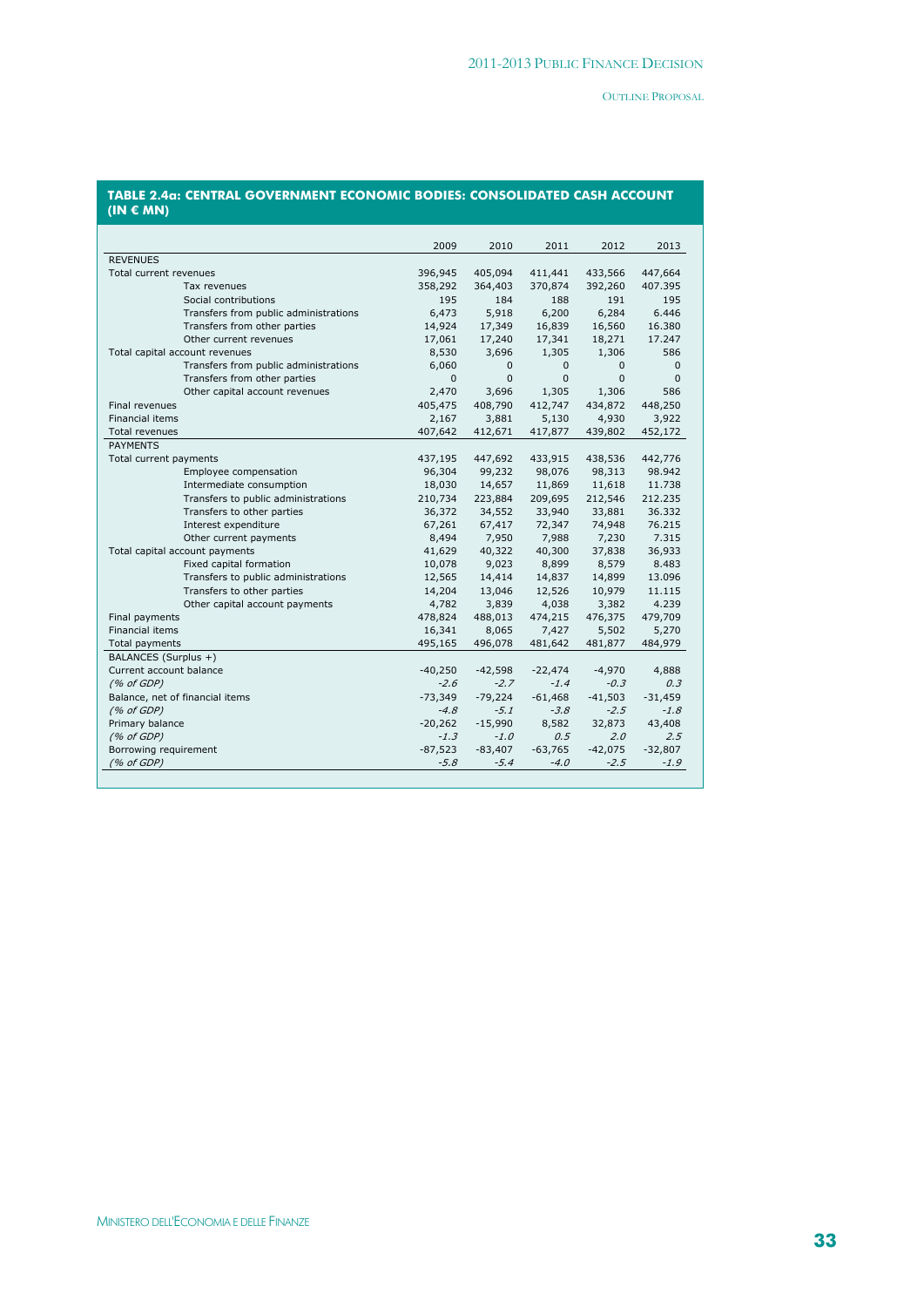#### **TABLE 2.4a: CENTRAL GOVERNMENT ECONOMIC BODIES: CONSOLIDATED CASH ACCOUNT (IN € MN)**

|                                       | 2009         | 2010         | 2011         | 2012         | 2013         |
|---------------------------------------|--------------|--------------|--------------|--------------|--------------|
| <b>REVENUES</b>                       |              |              |              |              |              |
| Total current revenues                | 396,945      | 405,094      | 411,441      | 433,566      | 447,664      |
| Tax revenues                          | 358,292      | 364,403      | 370,874      | 392,260      | 407.395      |
| Social contributions                  | 195          | 184          | 188          | 191          | 195          |
| Transfers from public administrations | 6,473        | 5,918        | 6,200        | 6,284        | 6.446        |
| Transfers from other parties          | 14,924       | 17,349       | 16,839       | 16,560       | 16.380       |
| Other current revenues                | 17,061       | 17,240       | 17,341       | 18,271       | 17.247       |
| Total capital account revenues        | 8,530        | 3,696        | 1,305        | 1,306        | 586          |
| Transfers from public administrations | 6,060        | $\mathbf{0}$ | $\mathbf{0}$ | $\mathbf{0}$ | $\mathbf{0}$ |
| Transfers from other parties          | $\mathbf{0}$ | $\Omega$     | $\Omega$     | $\Omega$     | $\Omega$     |
| Other capital account revenues        | 2,470        | 3,696        | 1,305        | 1,306        | 586          |
| Final revenues                        | 405,475      | 408,790      | 412,747      | 434,872      | 448,250      |
| <b>Financial items</b>                | 2,167        | 3,881        | 5,130        | 4,930        | 3,922        |
| Total revenues                        | 407,642      | 412,671      | 417,877      | 439,802      | 452,172      |
| <b>PAYMENTS</b>                       |              |              |              |              |              |
| Total current payments                | 437,195      | 447,692      | 433,915      | 438,536      | 442,776      |
| Employee compensation                 | 96,304       | 99,232       | 98,076       | 98,313       | 98.942       |
| Intermediate consumption              | 18,030       | 14,657       | 11,869       | 11,618       | 11.738       |
| Transfers to public administrations   | 210,734      | 223,884      | 209,695      | 212,546      | 212.235      |
| Transfers to other parties            | 36,372       | 34,552       | 33,940       | 33,881       | 36.332       |
| Interest expenditure                  | 67,261       | 67,417       | 72,347       | 74,948       | 76.215       |
| Other current payments                | 8,494        | 7,950        | 7,988        | 7,230        | 7.315        |
| Total capital account payments        | 41,629       | 40,322       | 40,300       | 37,838       | 36,933       |
| Fixed capital formation               | 10,078       | 9,023        | 8,899        | 8,579        | 8.483        |
| Transfers to public administrations   | 12,565       | 14,414       | 14,837       | 14,899       | 13.096       |
| Transfers to other parties            | 14,204       | 13,046       | 12,526       | 10,979       | 11.115       |
| Other capital account payments        | 4,782        | 3,839        | 4,038        | 3,382        | 4.239        |
| Final payments                        | 478,824      | 488,013      | 474,215      | 476,375      | 479,709      |
| Financial items                       | 16,341       | 8,065        | 7,427        | 5,502        | 5,270        |
| <b>Total payments</b>                 | 495,165      | 496,078      | 481,642      | 481,877      | 484,979      |
| BALANCES (Surplus +)                  |              |              |              |              |              |
| Current account balance               | $-40,250$    | $-42,598$    | $-22,474$    | $-4,970$     | 4,888        |
| (% of GDP)                            | $-2.6$       | $-2.7$       | $-1.4$       | $-0.3$       | 0.3          |
| Balance, net of financial items       | $-73,349$    | $-79,224$    | $-61,468$    | $-41,503$    | $-31,459$    |
| (% of GDP)                            | $-4.8$       | $-5.1$       | $-3.8$       | $-2.5$       | $-1.8$       |
| Primary balance                       | $-20,262$    | $-15,990$    | 8,582        | 32,873       | 43,408       |
| (% of GDP)                            | $-1.3$       | $-1.0$       | 0.5          | 2.0          | 2.5          |
| Borrowing requirement                 | $-87,523$    | $-83,407$    | $-63,765$    | $-42,075$    | $-32,807$    |
| (% of GDP)                            | $-5.8$       | $-5.4$       | $-4.0$       | $-2.5$       | $-1.9$       |
|                                       |              |              |              |              |              |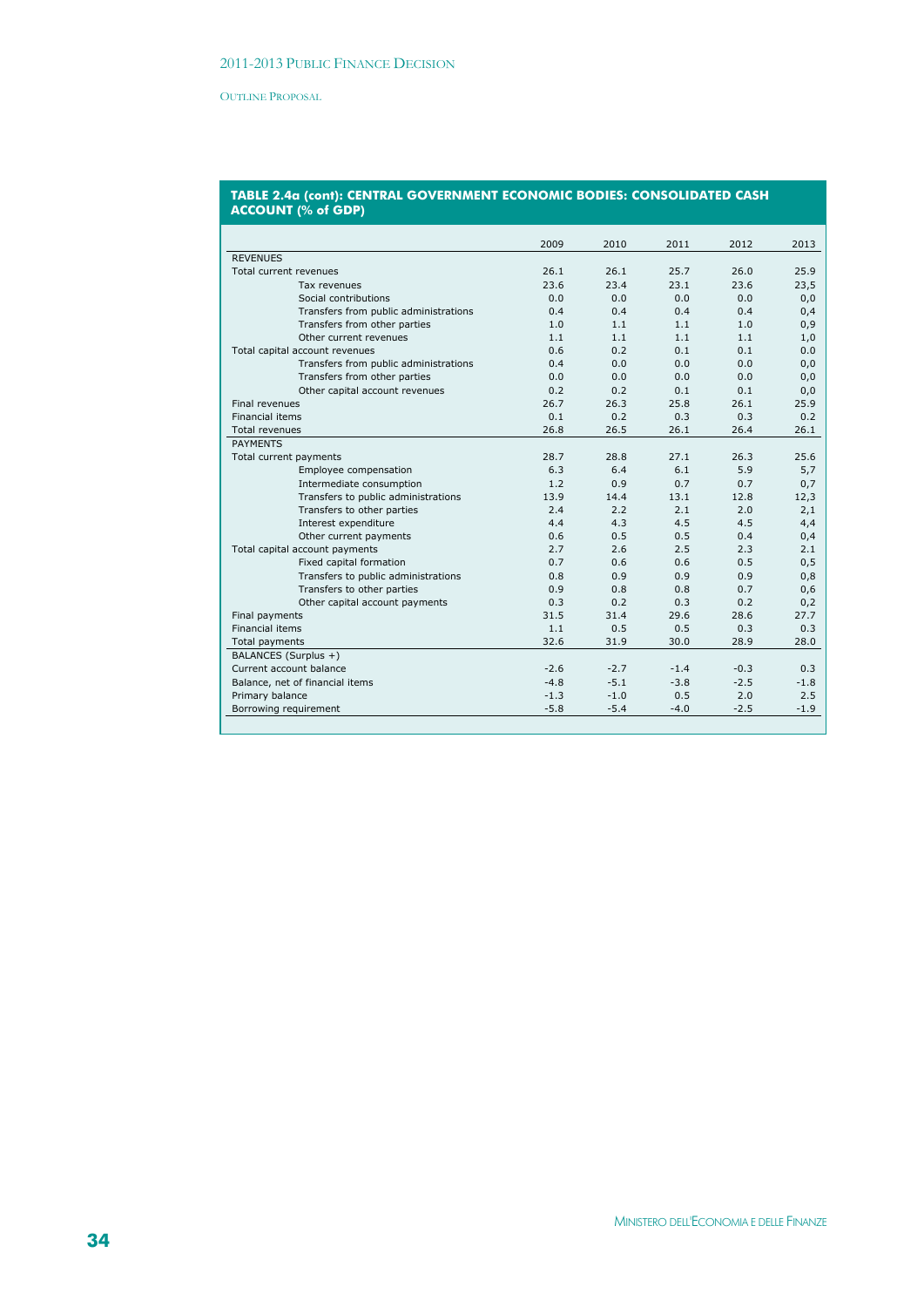#### **TABLE 2.4a (cont): CENTRAL GOVERNMENT ECONOMIC BODIES: CONSOLIDATED CASH ACCOUNT (% of GDP)**

|                                       | 2009   | 2010   | 2011   | 2012   | 2013   |
|---------------------------------------|--------|--------|--------|--------|--------|
| <b>REVENUES</b>                       |        |        |        |        |        |
| Total current revenues                | 26.1   | 26.1   | 25.7   | 26.0   | 25.9   |
| Tax revenues                          | 23.6   | 23.4   | 23.1   | 23.6   | 23,5   |
| Social contributions                  | 0.0    | 0.0    | 0.0    | 0.0    | 0,0    |
| Transfers from public administrations | 0.4    | 0.4    | 0.4    | 0.4    | 0,4    |
| Transfers from other parties          | 1.0    | 1.1    | 1.1    | 1.0    | 0,9    |
| Other current revenues                | 1.1    | 1.1    | 1.1    | 1.1    | 1,0    |
| Total capital account revenues        | 0.6    | 0.2    | 0.1    | 0.1    | 0.0    |
| Transfers from public administrations | 0.4    | 0.0    | 0.0    | 0.0    | 0,0    |
| Transfers from other parties          | 0.0    | 0.0    | 0.0    | 0.0    | 0,0    |
| Other capital account revenues        | 0.2    | 0.2    | 0.1    | 0.1    | 0,0    |
| Final revenues                        | 26.7   | 26.3   | 25.8   | 26.1   | 25.9   |
| <b>Financial items</b>                | 0.1    | 0.2    | 0.3    | 0.3    | 0.2    |
| <b>Total revenues</b>                 | 26.8   | 26.5   | 26.1   | 26.4   | 26.1   |
| <b>PAYMENTS</b>                       |        |        |        |        |        |
| Total current payments                | 28.7   | 28.8   | 27.1   | 26.3   | 25.6   |
| Employee compensation                 | 6.3    | 6.4    | 6.1    | 5.9    | 5,7    |
| Intermediate consumption              | 1.2    | 0.9    | 0.7    | 0.7    | 0,7    |
| Transfers to public administrations   | 13.9   | 14.4   | 13.1   | 12.8   | 12,3   |
| Transfers to other parties            | 2.4    | 2.2    | 2.1    | 2.0    | 2,1    |
| Interest expenditure                  | 4.4    | 4.3    | 4.5    | 4.5    | 4,4    |
| Other current payments                | 0.6    | 0.5    | 0.5    | 0.4    | 0,4    |
| Total capital account payments        | 2.7    | 2.6    | 2.5    | 2.3    | 2.1    |
| Fixed capital formation               | 0.7    | 0.6    | 0.6    | 0.5    | 0,5    |
| Transfers to public administrations   | 0.8    | 0.9    | 0.9    | 0.9    | 0,8    |
| Transfers to other parties            | 0.9    | 0.8    | 0.8    | 0.7    | 0,6    |
| Other capital account payments        | 0.3    | 0.2    | 0.3    | 0.2    | 0,2    |
| Final payments                        | 31.5   | 31.4   | 29.6   | 28.6   | 27.7   |
| <b>Financial items</b>                | 1.1    | 0.5    | 0.5    | 0.3    | 0.3    |
| Total payments                        | 32.6   | 31.9   | 30.0   | 28.9   | 28.0   |
| BALANCES (Surplus +)                  |        |        |        |        |        |
| Current account balance               | $-2.6$ | $-2.7$ | $-1.4$ | $-0.3$ | 0.3    |
| Balance, net of financial items       | $-4.8$ | $-5.1$ | $-3.8$ | $-2.5$ | $-1.8$ |
| Primary balance                       | $-1.3$ | $-1.0$ | 0.5    | 2.0    | 2.5    |
| Borrowing requirement                 | $-5.8$ | $-5.4$ | $-4.0$ | $-2.5$ | $-1.9$ |
|                                       |        |        |        |        |        |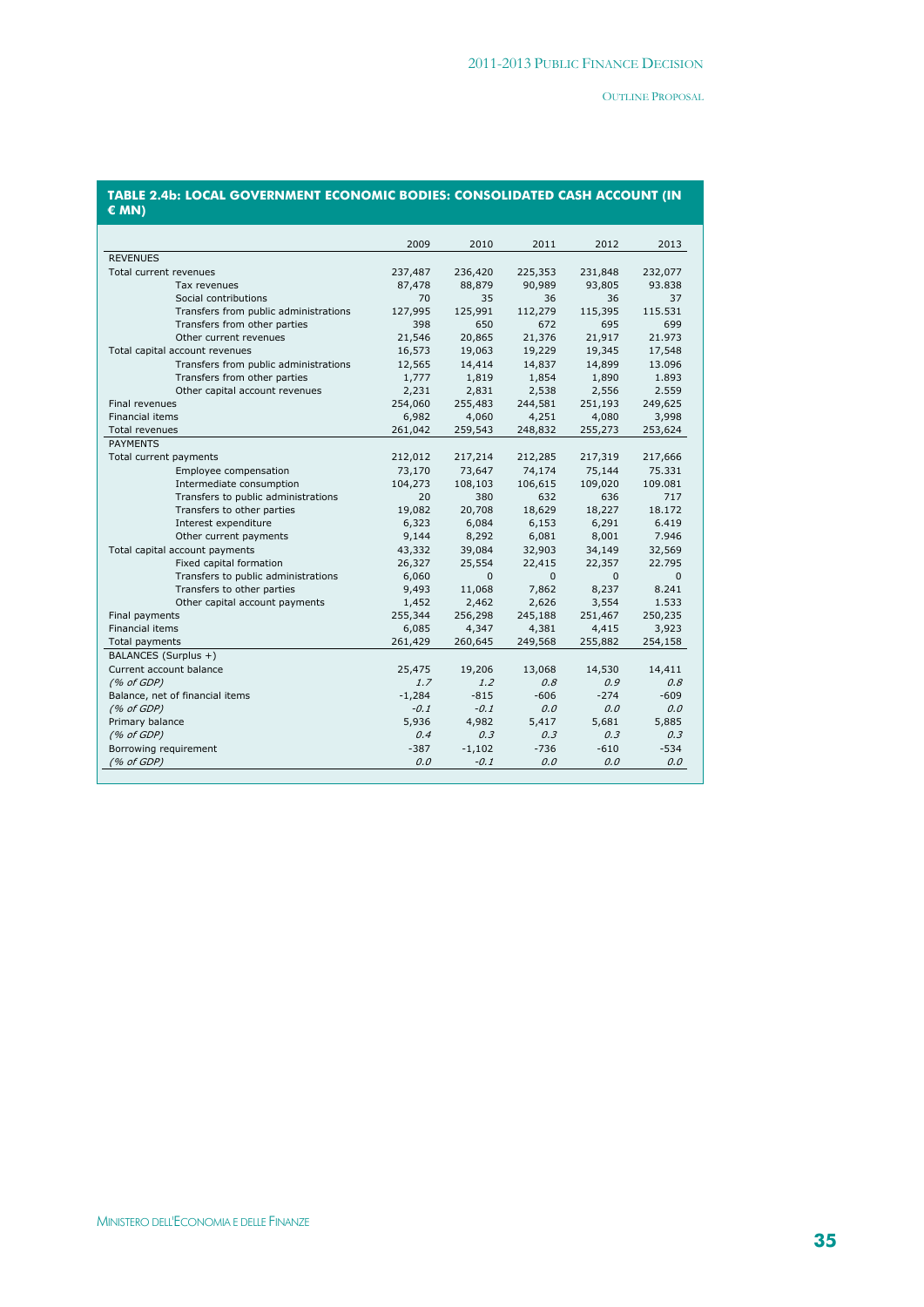|                                       | 2009     | 2010         | 2011    | 2012         | 2013         |
|---------------------------------------|----------|--------------|---------|--------------|--------------|
| <b>REVENUES</b>                       |          |              |         |              |              |
| Total current revenues                | 237,487  | 236,420      | 225,353 | 231,848      | 232,077      |
| Tax revenues                          | 87,478   | 88,879       | 90,989  | 93,805       | 93.838       |
| Social contributions                  | 70       | 35           | 36      | 36           | 37           |
| Transfers from public administrations | 127,995  | 125,991      | 112,279 | 115,395      | 115.531      |
| Transfers from other parties          | 398      | 650          | 672     | 695          | 699          |
| Other current revenues                | 21,546   | 20,865       | 21,376  | 21,917       | 21.973       |
| Total capital account revenues        | 16,573   | 19,063       | 19,229  | 19,345       | 17,548       |
| Transfers from public administrations | 12,565   | 14,414       | 14,837  | 14,899       | 13.096       |
| Transfers from other parties          | 1,777    | 1,819        | 1,854   | 1,890        | 1.893        |
| Other capital account revenues        | 2,231    | 2,831        | 2,538   | 2,556        | 2.559        |
| Final revenues                        | 254,060  | 255,483      | 244,581 | 251,193      | 249,625      |
| <b>Financial items</b>                | 6,982    | 4,060        | 4,251   | 4,080        | 3,998        |
| Total revenues                        | 261,042  | 259,543      | 248,832 | 255,273      | 253,624      |
| <b>PAYMENTS</b>                       |          |              |         |              |              |
| Total current payments                | 212,012  | 217,214      | 212,285 | 217,319      | 217,666      |
| Employee compensation                 | 73,170   | 73,647       | 74,174  | 75,144       | 75.331       |
| Intermediate consumption              | 104,273  | 108,103      | 106,615 | 109,020      | 109.081      |
| Transfers to public administrations   | 20       | 380          | 632     | 636          | 717          |
| Transfers to other parties            | 19,082   | 20,708       | 18,629  | 18,227       | 18.172       |
| Interest expenditure                  | 6,323    | 6,084        | 6,153   | 6,291        | 6.419        |
| Other current payments                | 9,144    | 8,292        | 6,081   | 8,001        | 7.946        |
| Total capital account payments        | 43,332   | 39,084       | 32,903  | 34,149       | 32,569       |
| Fixed capital formation               | 26,327   | 25,554       | 22,415  | 22,357       | 22.795       |
| Transfers to public administrations   | 6,060    | $\mathbf{0}$ | 0       | $\mathbf{0}$ | $\mathbf{0}$ |
| Transfers to other parties            | 9,493    | 11,068       | 7,862   | 8,237        | 8.241        |
| Other capital account payments        | 1,452    | 2,462        | 2,626   | 3,554        | 1.533        |
| Final payments                        | 255,344  | 256,298      | 245,188 | 251,467      | 250,235      |
| Financial items                       | 6,085    | 4,347        | 4,381   | 4,415        | 3,923        |
| Total payments                        | 261,429  | 260,645      | 249,568 | 255,882      | 254,158      |
| BALANCES (Surplus +)                  |          |              |         |              |              |
| Current account balance               | 25,475   | 19,206       | 13,068  | 14,530       | 14,411       |
| (% of GDP)                            | 1.7      | 1.2          | 0.8     | 0.9          | 0.8          |
| Balance, net of financial items       | $-1,284$ | $-815$       | $-606$  | $-274$       | $-609$       |
| (% of GDP)                            | $-0.1$   | $-0.1$       | 0.0     | 0.0          | 0.0          |
| Primary balance                       | 5,936    | 4,982        | 5,417   | 5,681        | 5,885        |
| (% of GDP)                            | 0.4      | 0.3          | 0.3     | 0.3          | 0.3          |
| Borrowing requirement                 | $-387$   | $-1,102$     | $-736$  | $-610$       | $-534$       |
|                                       |          |              |         |              |              |
| (% of GDP)                            | 0.0      | $-0.1$       | 0.0     | 0.0          | 0.0          |

#### **TABLE 2.4b: LOCAL GOVERNMENT ECONOMIC BODIES: CONSOLIDATED CASH ACCOUNT (IN € MN)**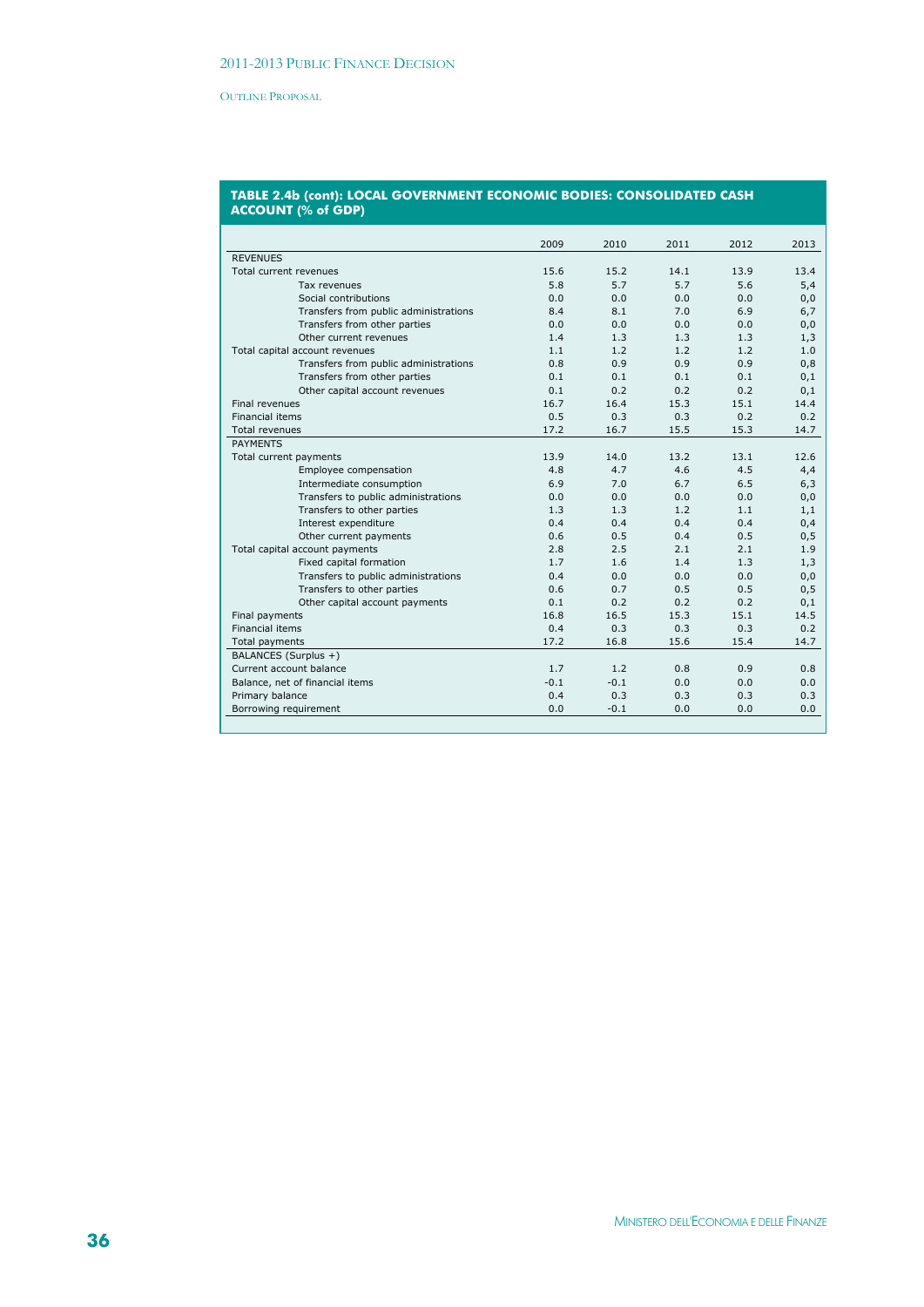| 2009<br>2010<br>2011<br>2012<br>2013<br><b>REVENUES</b><br>14.1<br>13.9<br>Total current revenues<br>15.6<br>15.2<br>13.4<br>5.8<br>5.7<br>5.7<br>5.6<br>5,4<br>Tax revenues<br>Social contributions<br>0.0<br>0.0<br>0.0<br>0.0<br>0,0<br>8.4<br>8.1<br>Transfers from public administrations<br>7.0<br>6.9<br>6,7<br>Transfers from other parties<br>0.0<br>0.0<br>0.0<br>0.0<br>0,0<br>1.4<br>1.3<br>1.3<br>Other current revenues<br>1.3<br>1,3<br>1.1<br>1.2<br>1.2<br>1.2<br>1.0<br>Total capital account revenues<br>0.9<br>0.9<br>Transfers from public administrations<br>0.8<br>0.9<br>0,8<br>0.1<br>0.1<br>Transfers from other parties<br>0.1<br>0.1<br>0,1<br>0.1<br>0.2<br>0.2<br>Other capital account revenues<br>0.2<br>0,1<br>16.4<br><b>Final revenues</b><br>16.7<br>15.3<br>15.1<br>14.4<br>0.5<br>0.3<br>0.3<br>0.2<br><b>Financial items</b><br>0.2<br>16.7<br>17.2<br>15.5<br>15.3<br>14.7<br><b>Total revenues</b><br><b>PAYMENTS</b><br>13.9<br>14.0<br>13.2<br>13.1<br>12.6<br>Total current payments<br>4.6<br>4.5<br>Employee compensation<br>4.8<br>4.7<br>4,4<br>Intermediate consumption<br>6.9<br>7.0<br>6.7<br>6.5<br>6,3<br>Transfers to public administrations<br>0.0<br>0.0<br>0.0<br>0.0<br>0,0<br>1.2<br>Transfers to other parties<br>1.3<br>1.3<br>1.1<br>1,1<br>0.4<br>0.4<br>0.4<br>0.4<br>0,4<br>Interest expenditure<br>0.6<br>0.5<br>0.4<br>0.5<br>Other current payments<br>0,5<br>2.5<br>Total capital account payments<br>2.8<br>2.1<br>2.1<br>1.9<br>1.7<br>1.6<br>Fixed capital formation<br>1.4<br>1.3<br>1,3<br>Transfers to public administrations<br>0.4<br>0.0<br>0.0<br>0.0<br>0,0<br>Transfers to other parties<br>0.6<br>0.7<br>0.5<br>0.5<br>0,5<br>0.1<br>0.2<br>0.2<br>0.2<br>Other capital account payments<br>0,1<br>16.8<br>16.5<br>15.1<br>Final payments<br>15.3<br>14.5<br><b>Financial items</b><br>0.4<br>0.3<br>0.3<br>0.3<br>0.2<br>17.2<br>16.8<br>15.6<br>15.4<br>Total payments<br>14.7<br>BALANCES (Surplus +)<br>Current account balance<br>1.7<br>1.2<br>0.8<br>0.9<br>0.8<br>$-0.1$<br>$-0.1$<br>0.0<br>Balance, net of financial items<br>0.0<br>0.0<br>Primary balance<br>0.4<br>0.3<br>0.3<br>0.3<br>0.3<br>Borrowing requirement<br>0.0<br>$-0.1$<br>0.0<br>0.0<br>0.0 |  |  |  |
|-----------------------------------------------------------------------------------------------------------------------------------------------------------------------------------------------------------------------------------------------------------------------------------------------------------------------------------------------------------------------------------------------------------------------------------------------------------------------------------------------------------------------------------------------------------------------------------------------------------------------------------------------------------------------------------------------------------------------------------------------------------------------------------------------------------------------------------------------------------------------------------------------------------------------------------------------------------------------------------------------------------------------------------------------------------------------------------------------------------------------------------------------------------------------------------------------------------------------------------------------------------------------------------------------------------------------------------------------------------------------------------------------------------------------------------------------------------------------------------------------------------------------------------------------------------------------------------------------------------------------------------------------------------------------------------------------------------------------------------------------------------------------------------------------------------------------------------------------------------------------------------------------------------------------------------------------------------------------------------------------------------------------------------------------------------------------------------------------------------------------------------------------------------------------------------------------------------------------------------------------------------|--|--|--|
|                                                                                                                                                                                                                                                                                                                                                                                                                                                                                                                                                                                                                                                                                                                                                                                                                                                                                                                                                                                                                                                                                                                                                                                                                                                                                                                                                                                                                                                                                                                                                                                                                                                                                                                                                                                                                                                                                                                                                                                                                                                                                                                                                                                                                                                           |  |  |  |
|                                                                                                                                                                                                                                                                                                                                                                                                                                                                                                                                                                                                                                                                                                                                                                                                                                                                                                                                                                                                                                                                                                                                                                                                                                                                                                                                                                                                                                                                                                                                                                                                                                                                                                                                                                                                                                                                                                                                                                                                                                                                                                                                                                                                                                                           |  |  |  |
|                                                                                                                                                                                                                                                                                                                                                                                                                                                                                                                                                                                                                                                                                                                                                                                                                                                                                                                                                                                                                                                                                                                                                                                                                                                                                                                                                                                                                                                                                                                                                                                                                                                                                                                                                                                                                                                                                                                                                                                                                                                                                                                                                                                                                                                           |  |  |  |
|                                                                                                                                                                                                                                                                                                                                                                                                                                                                                                                                                                                                                                                                                                                                                                                                                                                                                                                                                                                                                                                                                                                                                                                                                                                                                                                                                                                                                                                                                                                                                                                                                                                                                                                                                                                                                                                                                                                                                                                                                                                                                                                                                                                                                                                           |  |  |  |
|                                                                                                                                                                                                                                                                                                                                                                                                                                                                                                                                                                                                                                                                                                                                                                                                                                                                                                                                                                                                                                                                                                                                                                                                                                                                                                                                                                                                                                                                                                                                                                                                                                                                                                                                                                                                                                                                                                                                                                                                                                                                                                                                                                                                                                                           |  |  |  |
|                                                                                                                                                                                                                                                                                                                                                                                                                                                                                                                                                                                                                                                                                                                                                                                                                                                                                                                                                                                                                                                                                                                                                                                                                                                                                                                                                                                                                                                                                                                                                                                                                                                                                                                                                                                                                                                                                                                                                                                                                                                                                                                                                                                                                                                           |  |  |  |
|                                                                                                                                                                                                                                                                                                                                                                                                                                                                                                                                                                                                                                                                                                                                                                                                                                                                                                                                                                                                                                                                                                                                                                                                                                                                                                                                                                                                                                                                                                                                                                                                                                                                                                                                                                                                                                                                                                                                                                                                                                                                                                                                                                                                                                                           |  |  |  |
|                                                                                                                                                                                                                                                                                                                                                                                                                                                                                                                                                                                                                                                                                                                                                                                                                                                                                                                                                                                                                                                                                                                                                                                                                                                                                                                                                                                                                                                                                                                                                                                                                                                                                                                                                                                                                                                                                                                                                                                                                                                                                                                                                                                                                                                           |  |  |  |
|                                                                                                                                                                                                                                                                                                                                                                                                                                                                                                                                                                                                                                                                                                                                                                                                                                                                                                                                                                                                                                                                                                                                                                                                                                                                                                                                                                                                                                                                                                                                                                                                                                                                                                                                                                                                                                                                                                                                                                                                                                                                                                                                                                                                                                                           |  |  |  |
|                                                                                                                                                                                                                                                                                                                                                                                                                                                                                                                                                                                                                                                                                                                                                                                                                                                                                                                                                                                                                                                                                                                                                                                                                                                                                                                                                                                                                                                                                                                                                                                                                                                                                                                                                                                                                                                                                                                                                                                                                                                                                                                                                                                                                                                           |  |  |  |
|                                                                                                                                                                                                                                                                                                                                                                                                                                                                                                                                                                                                                                                                                                                                                                                                                                                                                                                                                                                                                                                                                                                                                                                                                                                                                                                                                                                                                                                                                                                                                                                                                                                                                                                                                                                                                                                                                                                                                                                                                                                                                                                                                                                                                                                           |  |  |  |
|                                                                                                                                                                                                                                                                                                                                                                                                                                                                                                                                                                                                                                                                                                                                                                                                                                                                                                                                                                                                                                                                                                                                                                                                                                                                                                                                                                                                                                                                                                                                                                                                                                                                                                                                                                                                                                                                                                                                                                                                                                                                                                                                                                                                                                                           |  |  |  |
|                                                                                                                                                                                                                                                                                                                                                                                                                                                                                                                                                                                                                                                                                                                                                                                                                                                                                                                                                                                                                                                                                                                                                                                                                                                                                                                                                                                                                                                                                                                                                                                                                                                                                                                                                                                                                                                                                                                                                                                                                                                                                                                                                                                                                                                           |  |  |  |
|                                                                                                                                                                                                                                                                                                                                                                                                                                                                                                                                                                                                                                                                                                                                                                                                                                                                                                                                                                                                                                                                                                                                                                                                                                                                                                                                                                                                                                                                                                                                                                                                                                                                                                                                                                                                                                                                                                                                                                                                                                                                                                                                                                                                                                                           |  |  |  |
|                                                                                                                                                                                                                                                                                                                                                                                                                                                                                                                                                                                                                                                                                                                                                                                                                                                                                                                                                                                                                                                                                                                                                                                                                                                                                                                                                                                                                                                                                                                                                                                                                                                                                                                                                                                                                                                                                                                                                                                                                                                                                                                                                                                                                                                           |  |  |  |
|                                                                                                                                                                                                                                                                                                                                                                                                                                                                                                                                                                                                                                                                                                                                                                                                                                                                                                                                                                                                                                                                                                                                                                                                                                                                                                                                                                                                                                                                                                                                                                                                                                                                                                                                                                                                                                                                                                                                                                                                                                                                                                                                                                                                                                                           |  |  |  |
|                                                                                                                                                                                                                                                                                                                                                                                                                                                                                                                                                                                                                                                                                                                                                                                                                                                                                                                                                                                                                                                                                                                                                                                                                                                                                                                                                                                                                                                                                                                                                                                                                                                                                                                                                                                                                                                                                                                                                                                                                                                                                                                                                                                                                                                           |  |  |  |
|                                                                                                                                                                                                                                                                                                                                                                                                                                                                                                                                                                                                                                                                                                                                                                                                                                                                                                                                                                                                                                                                                                                                                                                                                                                                                                                                                                                                                                                                                                                                                                                                                                                                                                                                                                                                                                                                                                                                                                                                                                                                                                                                                                                                                                                           |  |  |  |
|                                                                                                                                                                                                                                                                                                                                                                                                                                                                                                                                                                                                                                                                                                                                                                                                                                                                                                                                                                                                                                                                                                                                                                                                                                                                                                                                                                                                                                                                                                                                                                                                                                                                                                                                                                                                                                                                                                                                                                                                                                                                                                                                                                                                                                                           |  |  |  |
|                                                                                                                                                                                                                                                                                                                                                                                                                                                                                                                                                                                                                                                                                                                                                                                                                                                                                                                                                                                                                                                                                                                                                                                                                                                                                                                                                                                                                                                                                                                                                                                                                                                                                                                                                                                                                                                                                                                                                                                                                                                                                                                                                                                                                                                           |  |  |  |
|                                                                                                                                                                                                                                                                                                                                                                                                                                                                                                                                                                                                                                                                                                                                                                                                                                                                                                                                                                                                                                                                                                                                                                                                                                                                                                                                                                                                                                                                                                                                                                                                                                                                                                                                                                                                                                                                                                                                                                                                                                                                                                                                                                                                                                                           |  |  |  |
|                                                                                                                                                                                                                                                                                                                                                                                                                                                                                                                                                                                                                                                                                                                                                                                                                                                                                                                                                                                                                                                                                                                                                                                                                                                                                                                                                                                                                                                                                                                                                                                                                                                                                                                                                                                                                                                                                                                                                                                                                                                                                                                                                                                                                                                           |  |  |  |
|                                                                                                                                                                                                                                                                                                                                                                                                                                                                                                                                                                                                                                                                                                                                                                                                                                                                                                                                                                                                                                                                                                                                                                                                                                                                                                                                                                                                                                                                                                                                                                                                                                                                                                                                                                                                                                                                                                                                                                                                                                                                                                                                                                                                                                                           |  |  |  |
|                                                                                                                                                                                                                                                                                                                                                                                                                                                                                                                                                                                                                                                                                                                                                                                                                                                                                                                                                                                                                                                                                                                                                                                                                                                                                                                                                                                                                                                                                                                                                                                                                                                                                                                                                                                                                                                                                                                                                                                                                                                                                                                                                                                                                                                           |  |  |  |
|                                                                                                                                                                                                                                                                                                                                                                                                                                                                                                                                                                                                                                                                                                                                                                                                                                                                                                                                                                                                                                                                                                                                                                                                                                                                                                                                                                                                                                                                                                                                                                                                                                                                                                                                                                                                                                                                                                                                                                                                                                                                                                                                                                                                                                                           |  |  |  |
|                                                                                                                                                                                                                                                                                                                                                                                                                                                                                                                                                                                                                                                                                                                                                                                                                                                                                                                                                                                                                                                                                                                                                                                                                                                                                                                                                                                                                                                                                                                                                                                                                                                                                                                                                                                                                                                                                                                                                                                                                                                                                                                                                                                                                                                           |  |  |  |
|                                                                                                                                                                                                                                                                                                                                                                                                                                                                                                                                                                                                                                                                                                                                                                                                                                                                                                                                                                                                                                                                                                                                                                                                                                                                                                                                                                                                                                                                                                                                                                                                                                                                                                                                                                                                                                                                                                                                                                                                                                                                                                                                                                                                                                                           |  |  |  |
|                                                                                                                                                                                                                                                                                                                                                                                                                                                                                                                                                                                                                                                                                                                                                                                                                                                                                                                                                                                                                                                                                                                                                                                                                                                                                                                                                                                                                                                                                                                                                                                                                                                                                                                                                                                                                                                                                                                                                                                                                                                                                                                                                                                                                                                           |  |  |  |
|                                                                                                                                                                                                                                                                                                                                                                                                                                                                                                                                                                                                                                                                                                                                                                                                                                                                                                                                                                                                                                                                                                                                                                                                                                                                                                                                                                                                                                                                                                                                                                                                                                                                                                                                                                                                                                                                                                                                                                                                                                                                                                                                                                                                                                                           |  |  |  |
|                                                                                                                                                                                                                                                                                                                                                                                                                                                                                                                                                                                                                                                                                                                                                                                                                                                                                                                                                                                                                                                                                                                                                                                                                                                                                                                                                                                                                                                                                                                                                                                                                                                                                                                                                                                                                                                                                                                                                                                                                                                                                                                                                                                                                                                           |  |  |  |
|                                                                                                                                                                                                                                                                                                                                                                                                                                                                                                                                                                                                                                                                                                                                                                                                                                                                                                                                                                                                                                                                                                                                                                                                                                                                                                                                                                                                                                                                                                                                                                                                                                                                                                                                                                                                                                                                                                                                                                                                                                                                                                                                                                                                                                                           |  |  |  |
|                                                                                                                                                                                                                                                                                                                                                                                                                                                                                                                                                                                                                                                                                                                                                                                                                                                                                                                                                                                                                                                                                                                                                                                                                                                                                                                                                                                                                                                                                                                                                                                                                                                                                                                                                                                                                                                                                                                                                                                                                                                                                                                                                                                                                                                           |  |  |  |
|                                                                                                                                                                                                                                                                                                                                                                                                                                                                                                                                                                                                                                                                                                                                                                                                                                                                                                                                                                                                                                                                                                                                                                                                                                                                                                                                                                                                                                                                                                                                                                                                                                                                                                                                                                                                                                                                                                                                                                                                                                                                                                                                                                                                                                                           |  |  |  |
|                                                                                                                                                                                                                                                                                                                                                                                                                                                                                                                                                                                                                                                                                                                                                                                                                                                                                                                                                                                                                                                                                                                                                                                                                                                                                                                                                                                                                                                                                                                                                                                                                                                                                                                                                                                                                                                                                                                                                                                                                                                                                                                                                                                                                                                           |  |  |  |
|                                                                                                                                                                                                                                                                                                                                                                                                                                                                                                                                                                                                                                                                                                                                                                                                                                                                                                                                                                                                                                                                                                                                                                                                                                                                                                                                                                                                                                                                                                                                                                                                                                                                                                                                                                                                                                                                                                                                                                                                                                                                                                                                                                                                                                                           |  |  |  |
|                                                                                                                                                                                                                                                                                                                                                                                                                                                                                                                                                                                                                                                                                                                                                                                                                                                                                                                                                                                                                                                                                                                                                                                                                                                                                                                                                                                                                                                                                                                                                                                                                                                                                                                                                                                                                                                                                                                                                                                                                                                                                                                                                                                                                                                           |  |  |  |
|                                                                                                                                                                                                                                                                                                                                                                                                                                                                                                                                                                                                                                                                                                                                                                                                                                                                                                                                                                                                                                                                                                                                                                                                                                                                                                                                                                                                                                                                                                                                                                                                                                                                                                                                                                                                                                                                                                                                                                                                                                                                                                                                                                                                                                                           |  |  |  |

#### **TABLE 2.4b (cont): LOCAL GOVERNMENT ECONOMIC BODIES: CONSOLIDATED CASH ACCOUNT (% of GDP)**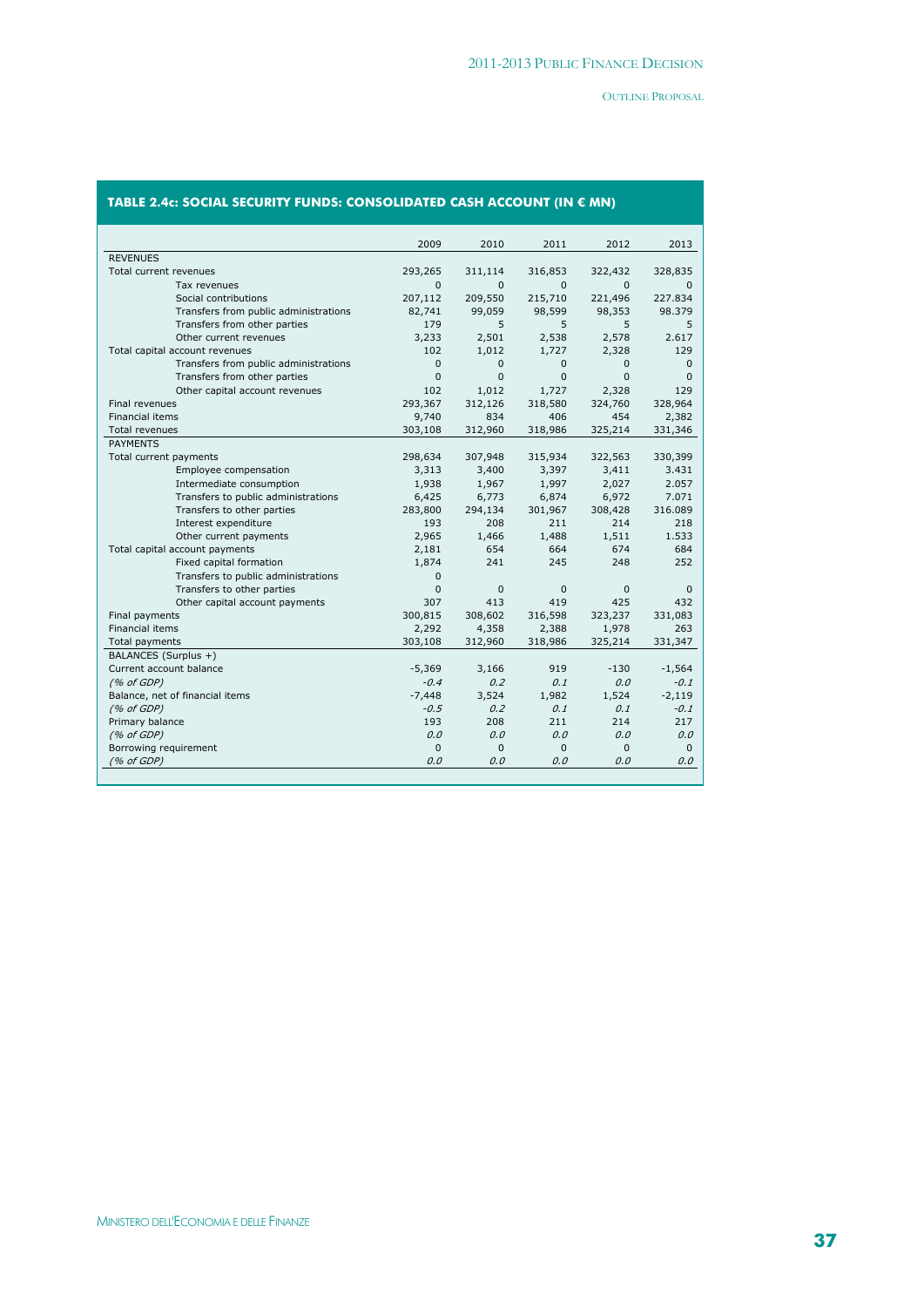|                                       | 2009        | 2010         | 2011         | 2012         | 2013         |
|---------------------------------------|-------------|--------------|--------------|--------------|--------------|
| <b>REVENUES</b>                       |             |              |              |              |              |
| Total current revenues                | 293,265     | 311,114      | 316,853      | 322,432      | 328,835      |
| Tax revenues                          | $\Omega$    | $\Omega$     | $\Omega$     | $\Omega$     | $\Omega$     |
| Social contributions                  | 207,112     | 209,550      | 215,710      | 221,496      | 227.834      |
| Transfers from public administrations | 82,741      | 99,059       | 98,599       | 98,353       | 98.379       |
| Transfers from other parties          | 179         | 5            | 5            | 5            | 5            |
| Other current revenues                | 3,233       | 2,501        | 2,538        | 2,578        | 2.617        |
| Total capital account revenues        | 102         | 1,012        | 1,727        | 2,328        | 129          |
| Transfers from public administrations | 0           | $\Omega$     | 0            | $\mathbf{0}$ | $\Omega$     |
| Transfers from other parties          | 0           | $\Omega$     | 0            | $\mathbf{0}$ | $\mathbf{0}$ |
| Other capital account revenues        | 102         | 1,012        | 1,727        | 2,328        | 129          |
| Final revenues                        | 293,367     | 312,126      | 318,580      | 324,760      | 328,964      |
| Financial items                       | 9,740       | 834          | 406          | 454          | 2,382        |
| Total revenues                        | 303,108     | 312,960      | 318,986      | 325,214      | 331,346      |
| <b>PAYMENTS</b>                       |             |              |              |              |              |
| Total current payments                | 298,634     | 307,948      | 315,934      | 322,563      | 330,399      |
| Employee compensation                 | 3,313       | 3,400        | 3,397        | 3,411        | 3.431        |
| Intermediate consumption              | 1,938       | 1,967        | 1,997        | 2,027        | 2.057        |
| Transfers to public administrations   | 6,425       | 6,773        | 6,874        | 6,972        | 7.071        |
| Transfers to other parties            | 283,800     | 294,134      | 301,967      | 308,428      | 316.089      |
| Interest expenditure                  | 193         | 208          | 211          | 214          | 218          |
| Other current payments                | 2,965       | 1,466        | 1,488        | 1,511        | 1.533        |
| Total capital account payments        | 2,181       | 654          | 664          | 674          | 684          |
| Fixed capital formation               | 1,874       | 241          | 245          | 248          | 252          |
| Transfers to public administrations   | 0           |              |              |              |              |
| Transfers to other parties            | 0           | $\mathbf{0}$ | $\mathbf{0}$ | $\mathbf{0}$ | $\mathbf{0}$ |
| Other capital account payments        | 307         | 413          | 419          | 425          | 432          |
| Final payments                        | 300,815     | 308,602      | 316,598      | 323,237      | 331,083      |
| Financial items                       | 2,292       | 4,358        | 2,388        | 1,978        | 263          |
| Total payments                        | 303,108     | 312,960      | 318,986      | 325,214      | 331,347      |
| BALANCES (Surplus +)                  |             |              |              |              |              |
| Current account balance               | $-5,369$    | 3,166        | 919          | $-130$       | $-1,564$     |
| (% of GDP)                            | $-0.4$      | 0.2          | 0.1          | 0.0          | $-0.1$       |
| Balance, net of financial items       | $-7,448$    | 3,524        | 1,982        | 1,524        | $-2,119$     |
| (% of GDP)                            | $-0.5$      | 0.2          | 0.1          | 0.1          | $-0.1$       |
| Primary balance                       | 193         | 208          | 211          | 214          | 217          |
| (% of GDP)                            | 0,0         | 0.0          | 0.0          | 0.0          | 0.0          |
| Borrowing requirement                 | $\mathbf 0$ | $\Omega$     | $\mathbf{0}$ | $\mathbf{0}$ | $\mathbf{0}$ |
| (% of GDP)                            | 0.0         | 0.0          | 0.0          | 0.0          | 0.0          |

# **TABLE 2.4c: SOCIAL SECURITY FUNDS: CONSOLIDATED CASH ACCOUNT (IN € MN)**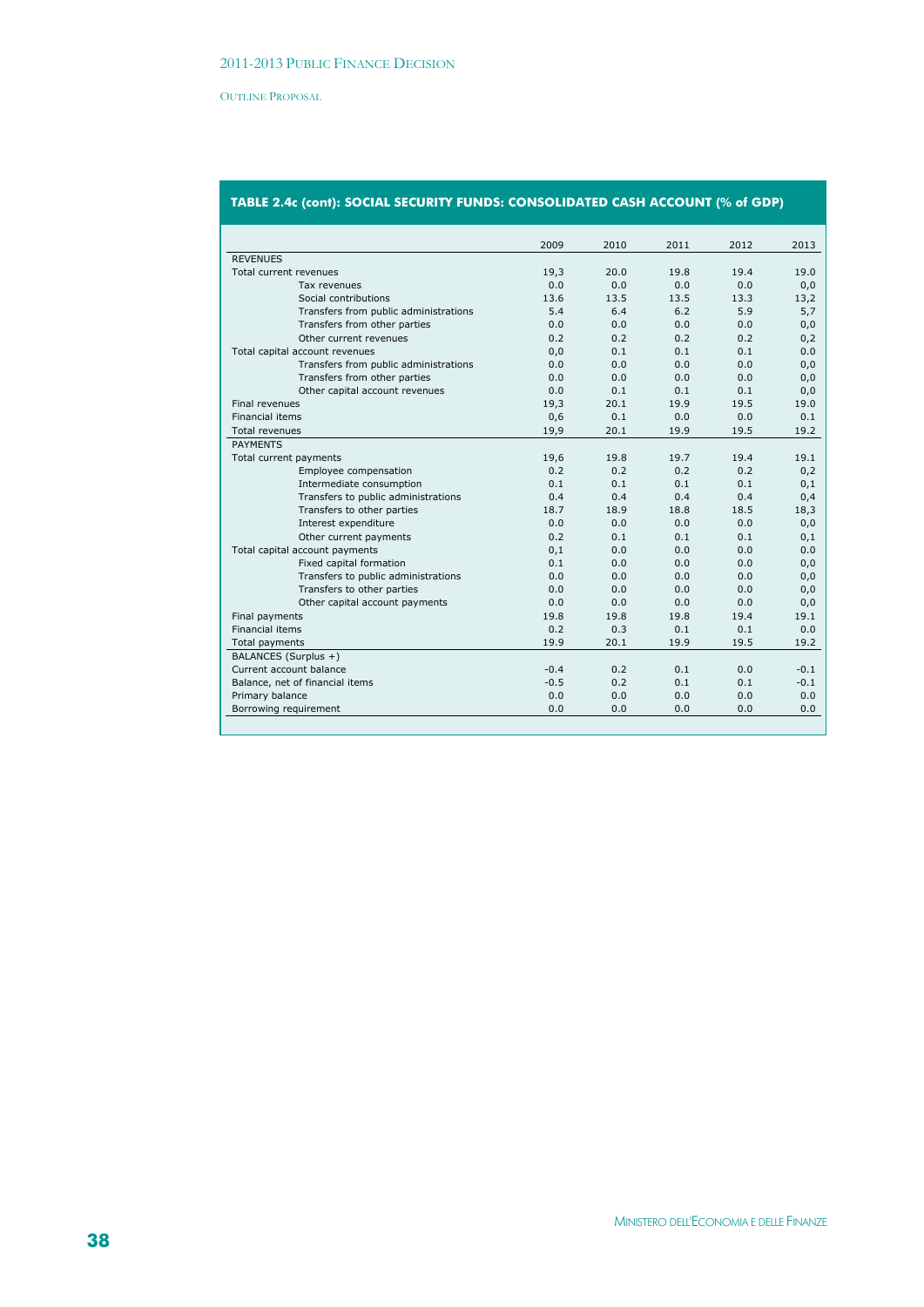|                                       | 2009   | 2010 | 2011 | 2012 | 2013   |
|---------------------------------------|--------|------|------|------|--------|
| <b>REVENUES</b>                       |        |      |      |      |        |
| Total current revenues                | 19,3   | 20.0 | 19.8 | 19.4 | 19.0   |
| Tax revenues                          | 0.0    | 0.0  | 0.0  | 0.0  | 0,0    |
| Social contributions                  | 13.6   | 13.5 | 13.5 | 13.3 | 13,2   |
| Transfers from public administrations | 5.4    | 6.4  | 6.2  | 5.9  | 5,7    |
| Transfers from other parties          | 0.0    | 0.0  | 0.0  | 0.0  | 0,0    |
| Other current revenues                | 0.2    | 0.2  | 0.2  | 0.2  | 0,2    |
| Total capital account revenues        | 0,0    | 0.1  | 0.1  | 0.1  | 0.0    |
| Transfers from public administrations | 0.0    | 0.0  | 0.0  | 0.0  | 0,0    |
| Transfers from other parties          | 0.0    | 0.0  | 0.0  | 0.0  | 0,0    |
| Other capital account revenues        | 0.0    | 0.1  | 0.1  | 0.1  | 0,0    |
| <b>Final revenues</b>                 | 19,3   | 20.1 | 19.9 | 19.5 | 19.0   |
| <b>Financial items</b>                | 0,6    | 0.1  | 0.0  | 0.0  | 0.1    |
| <b>Total revenues</b>                 | 19,9   | 20.1 | 19.9 | 19.5 | 19.2   |
| <b>PAYMENTS</b>                       |        |      |      |      |        |
| Total current payments                | 19,6   | 19.8 | 19.7 | 19.4 | 19.1   |
| Employee compensation                 | 0.2    | 0.2  | 0.2  | 0.2  | 0,2    |
| Intermediate consumption              | 0.1    | 0.1  | 0.1  | 0.1  | 0,1    |
| Transfers to public administrations   | 0.4    | 0.4  | 0.4  | 0.4  | 0,4    |
| Transfers to other parties            | 18.7   | 18.9 | 18.8 | 18.5 | 18,3   |
| Interest expenditure                  | 0.0    | 0.0  | 0.0  | 0.0  | 0,0    |
| Other current payments                | 0.2    | 0.1  | 0.1  | 0.1  | 0,1    |
| Total capital account payments        | 0,1    | 0.0  | 0.0  | 0.0  | 0.0    |
| Fixed capital formation               | 0.1    | 0.0  | 0.0  | 0.0  | 0,0    |
| Transfers to public administrations   | 0.0    | 0.0  | 0.0  | 0.0  | 0,0    |
| Transfers to other parties            | 0.0    | 0.0  | 0.0  | 0.0  | 0,0    |
| Other capital account payments        | 0.0    | 0.0  | 0.0  | 0.0  | 0,0    |
| Final payments                        | 19.8   | 19.8 | 19.8 | 19.4 | 19.1   |
| <b>Financial items</b>                | 0.2    | 0.3  | 0.1  | 0.1  | 0.0    |
| Total payments                        | 19.9   | 20.1 | 19.9 | 19.5 | 19.2   |
| BALANCES (Surplus +)                  |        |      |      |      |        |
| Current account balance               | $-0.4$ | 0.2  | 0.1  | 0.0  | $-0.1$ |
| Balance, net of financial items       | $-0.5$ | 0.2  | 0.1  | 0.1  | $-0.1$ |
| Primary balance                       | 0.0    | 0.0  | 0.0  | 0.0  | 0.0    |
| Borrowing requirement                 | 0.0    | 0.0  | 0.0  | 0.0  | 0.0    |
|                                       |        |      |      |      |        |

# **TABLE 2.4c (cont): SOCIAL SECURITY FUNDS: CONSOLIDATED CASH ACCOUNT (% of GDP)**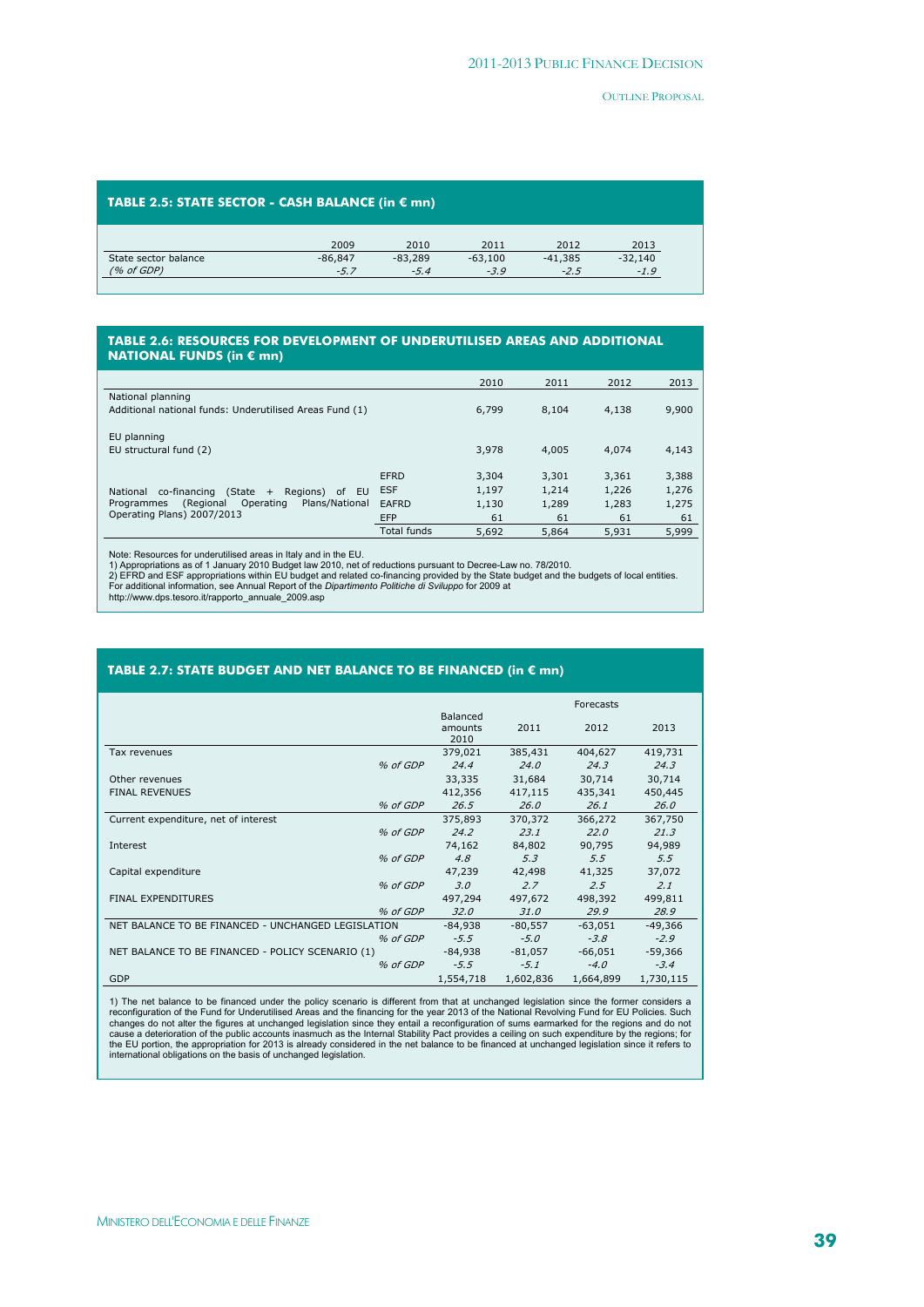#### **TABLE 2.5: STATE SECTOR - CASH BALANCE (in € mn)**

|                      | 2009      | 2010      | 2011      | 2012      | 2013      |
|----------------------|-----------|-----------|-----------|-----------|-----------|
| State sector balance | $-86.847$ | $-83.289$ | $-63,100$ | $-41,385$ | $-32,140$ |
| (% of GDP)           | -5.7      | $-5.4$    | $-3.9$    | $-2.5$    | $-1.9$    |

#### **TABLE 2.6: RESOURCES FOR DEVELOPMENT OF UNDERUTILISED AREAS AND ADDITIONAL NATIONAL FUNDS (in € mn)**

|                                                                              |                    | 2010  | 2011  | 2012  | 2013  |
|------------------------------------------------------------------------------|--------------------|-------|-------|-------|-------|
| National planning<br>Additional national funds: Underutilised Areas Fund (1) |                    | 6,799 | 8,104 | 4,138 | 9,900 |
| EU planning<br>EU structural fund (2)                                        |                    | 3,978 | 4,005 | 4,074 | 4,143 |
|                                                                              | EFRD               | 3,304 | 3,301 | 3,361 | 3,388 |
| $(State +$<br>Regions)<br>EU<br>co-financing<br>of<br>National               | <b>ESF</b>         | 1,197 | 1,214 | 1,226 | 1,276 |
| Plans/National<br>(Regional<br>Operating<br>Programmes                       | EAFRD              | 1,130 | 1,289 | 1,283 | 1,275 |
| Operating Plans) 2007/2013                                                   | <b>EFP</b>         | 61    | 61    | 61    | 61    |
|                                                                              | <b>Total funds</b> | 5.692 | 5,864 | 5,931 | 5,999 |

Note: Resources for underutilised areas in Italy and in the EU.

1) Appropriations as of 1 January 2010 Budget law 2010, net of reductions pursuant to Decree-Law no. 78/2010.<br>2) EFRD and ESF appropriations within EU budget and related co-financing provided by the State budget and the bu

#### **TABLE 2.7: STATE BUDGET AND NET BALANCE TO BE FINANCED (in € mn)**

|                                                    |          |                             |             | Forecasts     |           |
|----------------------------------------------------|----------|-----------------------------|-------------|---------------|-----------|
|                                                    |          | Balanced<br>amounts<br>2010 | 2011        | 2012          | 2013      |
| Tax revenues                                       |          | 379,021                     | 385,431     | 404,627       | 419,731   |
|                                                    | % of GDP | 24.4                        | 24.0        | 24.3          | 24.3      |
| Other revenues                                     |          | 33,335                      | 31,684      | 30,714        | 30,714    |
| <b>FINAL REVENUES</b>                              |          | 412,356                     | 417,115     | 435,341       | 450,445   |
|                                                    | % of GDP | 26.5                        | 26.0        | 26.1          | 26.0      |
| Current expenditure, net of interest               |          | 375,893                     | 370,372     | 366,272       | 367,750   |
|                                                    | % of GDP | 24.2                        | 23.1        | 22.0          | 21.3      |
| Interest                                           |          | 74,162                      | 84,802      | 90,795        | 94,989    |
|                                                    | % of GDP | 4.8                         | 5.3         | $5.5^{\circ}$ | 5.5       |
| Capital expenditure                                |          | 47,239                      | 42,498      | 41,325        | 37,072    |
|                                                    | % of GDP | 3.0                         | 2.7         | 2.5           | 2.1       |
| <b>FINAL EXPENDITURES</b>                          |          | 497,294                     | 497,672     | 498,392       | 499,811   |
|                                                    | % of GDP | <i>32.0</i>                 | <i>31.0</i> | 29.9          | 28.9      |
| NET BALANCE TO BE FINANCED - UNCHANGED LEGISLATION |          | $-84,938$                   | $-80,557$   | $-63,051$     | $-49,366$ |
|                                                    | % of GDP | $-5.5$                      | $-5.0$      | $-3.8$        | $-2.9$    |
| NET BALANCE TO BE FINANCED - POLICY SCENARIO (1)   |          | $-84,938$                   | $-81,057$   | $-66,051$     | $-59,366$ |
|                                                    | % of GDP | $-5.5$                      | $-5.1$      | $-4.0$        | $-3.4$    |
| GDP                                                |          | 1,554,718                   | 1,602,836   | 1,664,899     | 1,730,115 |

1) The net balance to be financed under the policy scenario is different from that at unchanged legislation since the former considers a configuration of the Fund for Underutilised Areas and the financing for the year 2013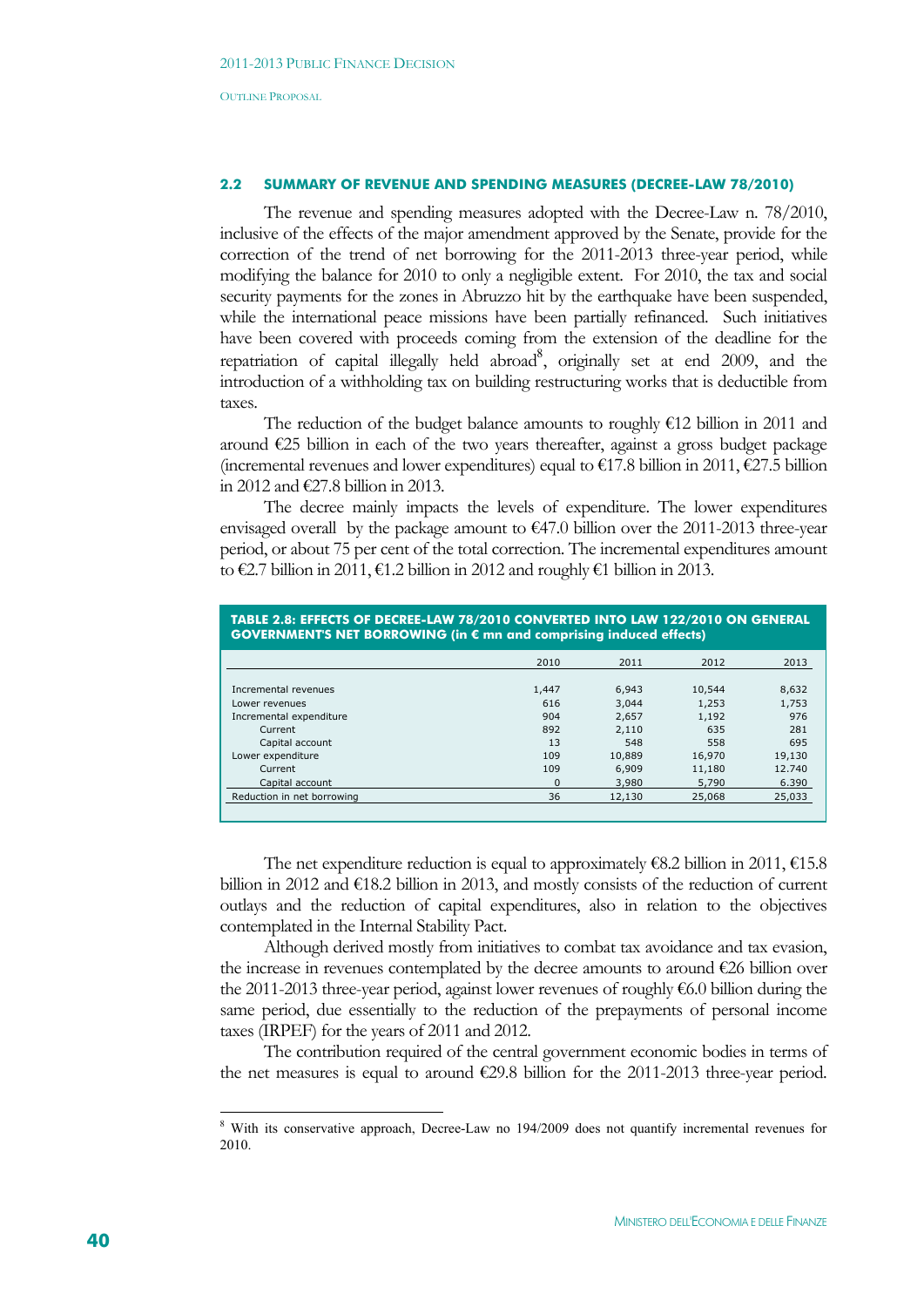#### **2.2 SUMMARY OF REVENUE AND SPENDING MEASURES (DECREE-LAW 78/2010)**

The revenue and spending measures adopted with the Decree-Law n. 78/2010, inclusive of the effects of the major amendment approved by the Senate, provide for the correction of the trend of net borrowing for the 2011-2013 three-year period, while modifying the balance for 2010 to only a negligible extent. For 2010, the tax and social security payments for the zones in Abruzzo hit by the earthquake have been suspended, while the international peace missions have been partially refinanced. Such initiatives have been covered with proceeds coming from the extension of the deadline for the repatriation of capital illegally held abroad<sup>8</sup>, originally set at end 2009, and the introduction of a withholding tax on building restructuring works that is deductible from taxes.

The reduction of the budget balance amounts to roughly €12 billion in 2011 and around €25 billion in each of the two years thereafter, against a gross budget package (incremental revenues and lower expenditures) equal to  $\epsilon$ 17.8 billion in 2011,  $\epsilon$ 27.5 billion in 2012 and €27.8 billion in 2013.

The decree mainly impacts the levels of expenditure. The lower expenditures envisaged overall by the package amount to  $\epsilon$ 47.0 billion over the 2011-2013 three-year period, or about 75 per cent of the total correction. The incremental expenditures amount to €2.7 billion in 2011, €1.2 billion in 2012 and roughly €1 billion in 2013.

| TABLE 2.8: EFFECTS OF DECREE-LAW 78/2010 CONVERTED INTO LAW 122/2010 ON GENERAL<br>GOVERNMENT'S NET BORROWING (in € mn and comprising induced effects) |          |        |        |        |  |  |
|--------------------------------------------------------------------------------------------------------------------------------------------------------|----------|--------|--------|--------|--|--|
|                                                                                                                                                        | 2010     | 2011   | 2012   | 2013   |  |  |
| Incremental revenues                                                                                                                                   | 1,447    | 6,943  | 10,544 | 8,632  |  |  |
| Lower revenues                                                                                                                                         | 616      | 3,044  | 1,253  | 1,753  |  |  |
| Incremental expenditure                                                                                                                                | 904      | 2,657  | 1,192  | 976    |  |  |
| Current                                                                                                                                                | 892      | 2,110  | 635    | 281    |  |  |
| Capital account                                                                                                                                        | 13       | 548    | 558    | 695    |  |  |
| Lower expenditure                                                                                                                                      | 109      | 10,889 | 16,970 | 19,130 |  |  |
| Current                                                                                                                                                | 109      | 6,909  | 11,180 | 12.740 |  |  |
| Capital account                                                                                                                                        | $\Omega$ | 3,980  | 5,790  | 6.390  |  |  |
| Reduction in net borrowing                                                                                                                             | 36       | 12,130 | 25,068 | 25,033 |  |  |

The net expenditure reduction is equal to approximately  $\epsilon$ 8.2 billion in 2011,  $\epsilon$ 15.8 billion in 2012 and  $\epsilon$ 18.2 billion in 2013, and mostly consists of the reduction of current outlays and the reduction of capital expenditures, also in relation to the objectives contemplated in the Internal Stability Pact.

Although derived mostly from initiatives to combat tax avoidance and tax evasion, the increase in revenues contemplated by the decree amounts to around €26 billion over the 2011-2013 three-year period, against lower revenues of roughly  $€6.0$  billion during the same period, due essentially to the reduction of the prepayments of personal income taxes (IRPEF) for the years of 2011 and 2012.

The contribution required of the central government economic bodies in terms of the net measures is equal to around  $\epsilon$ 29.8 billion for the 2011-2013 three-year period.

1

<sup>&</sup>lt;sup>8</sup> With its conservative approach, Decree-Law no 194/2009 does not quantify incremental revenues for 2010.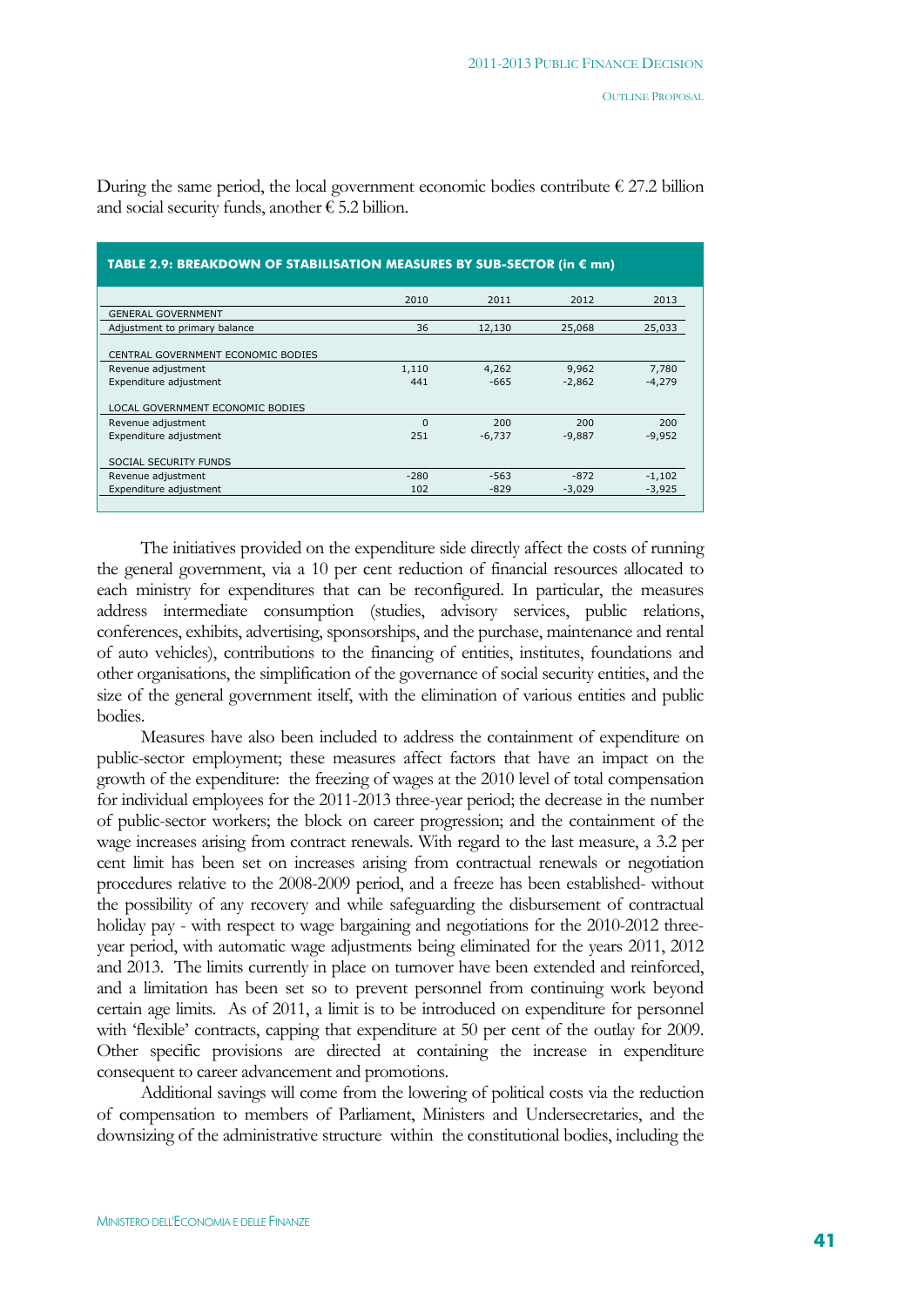| TABLE 2.9: BREAKDOWN OF STABILISATION MEASURES BY SUB-SECTOR (in € mn) |          |          |          |          |  |  |  |  |
|------------------------------------------------------------------------|----------|----------|----------|----------|--|--|--|--|
|                                                                        | 2010     | 2011     | 2012     | 2013     |  |  |  |  |
| <b>GENERAL GOVERNMENT</b>                                              |          |          |          |          |  |  |  |  |
| Adjustment to primary balance                                          | 36       | 12,130   | 25,068   | 25,033   |  |  |  |  |
| CENTRAL GOVERNMENT ECONOMIC BODIES                                     |          |          |          |          |  |  |  |  |
| Revenue adjustment                                                     | 1,110    | 4,262    | 9,962    | 7,780    |  |  |  |  |
| Expenditure adjustment                                                 | 441      | $-665$   | $-2,862$ | $-4,279$ |  |  |  |  |
| LOCAL GOVERNMENT ECONOMIC BODIES                                       |          |          |          |          |  |  |  |  |
| Revenue adjustment                                                     | $\Omega$ | 200      | 200      | 200      |  |  |  |  |
| Expenditure adjustment                                                 | 251      | $-6,737$ | $-9,887$ | $-9,952$ |  |  |  |  |
| SOCIAL SECURITY FUNDS                                                  |          |          |          |          |  |  |  |  |
| Revenue adjustment                                                     | $-280$   | $-563$   | $-872$   | $-1,102$ |  |  |  |  |
| Expenditure adjustment                                                 | 102      | $-829$   | $-3,029$ | $-3,925$ |  |  |  |  |
|                                                                        |          |          |          |          |  |  |  |  |

During the same period, the local government economic bodies contribute  $\epsilon$  27.2 billion and social security funds, another  $\epsilon$  5.2 billion.

The initiatives provided on the expenditure side directly affect the costs of running the general government, via a 10 per cent reduction of financial resources allocated to each ministry for expenditures that can be reconfigured. In particular, the measures address intermediate consumption (studies, advisory services, public relations, conferences, exhibits, advertising, sponsorships, and the purchase, maintenance and rental of auto vehicles), contributions to the financing of entities, institutes, foundations and other organisations, the simplification of the governance of social security entities, and the size of the general government itself, with the elimination of various entities and public bodies.

Measures have also been included to address the containment of expenditure on public-sector employment; these measures affect factors that have an impact on the growth of the expenditure: the freezing of wages at the 2010 level of total compensation for individual employees for the 2011-2013 three-year period; the decrease in the number of public-sector workers; the block on career progression; and the containment of the wage increases arising from contract renewals. With regard to the last measure, a 3.2 per cent limit has been set on increases arising from contractual renewals or negotiation procedures relative to the 2008-2009 period, and a freeze has been established- without the possibility of any recovery and while safeguarding the disbursement of contractual holiday pay - with respect to wage bargaining and negotiations for the 2010-2012 threeyear period, with automatic wage adjustments being eliminated for the years 2011, 2012 and 2013. The limits currently in place on turnover have been extended and reinforced, and a limitation has been set so to prevent personnel from continuing work beyond certain age limits. As of 2011, a limit is to be introduced on expenditure for personnel with 'flexible' contracts, capping that expenditure at 50 per cent of the outlay for 2009. Other specific provisions are directed at containing the increase in expenditure consequent to career advancement and promotions.

Additional savings will come from the lowering of political costs via the reduction of compensation to members of Parliament, Ministers and Undersecretaries, and the downsizing of the administrative structure within the constitutional bodies, including the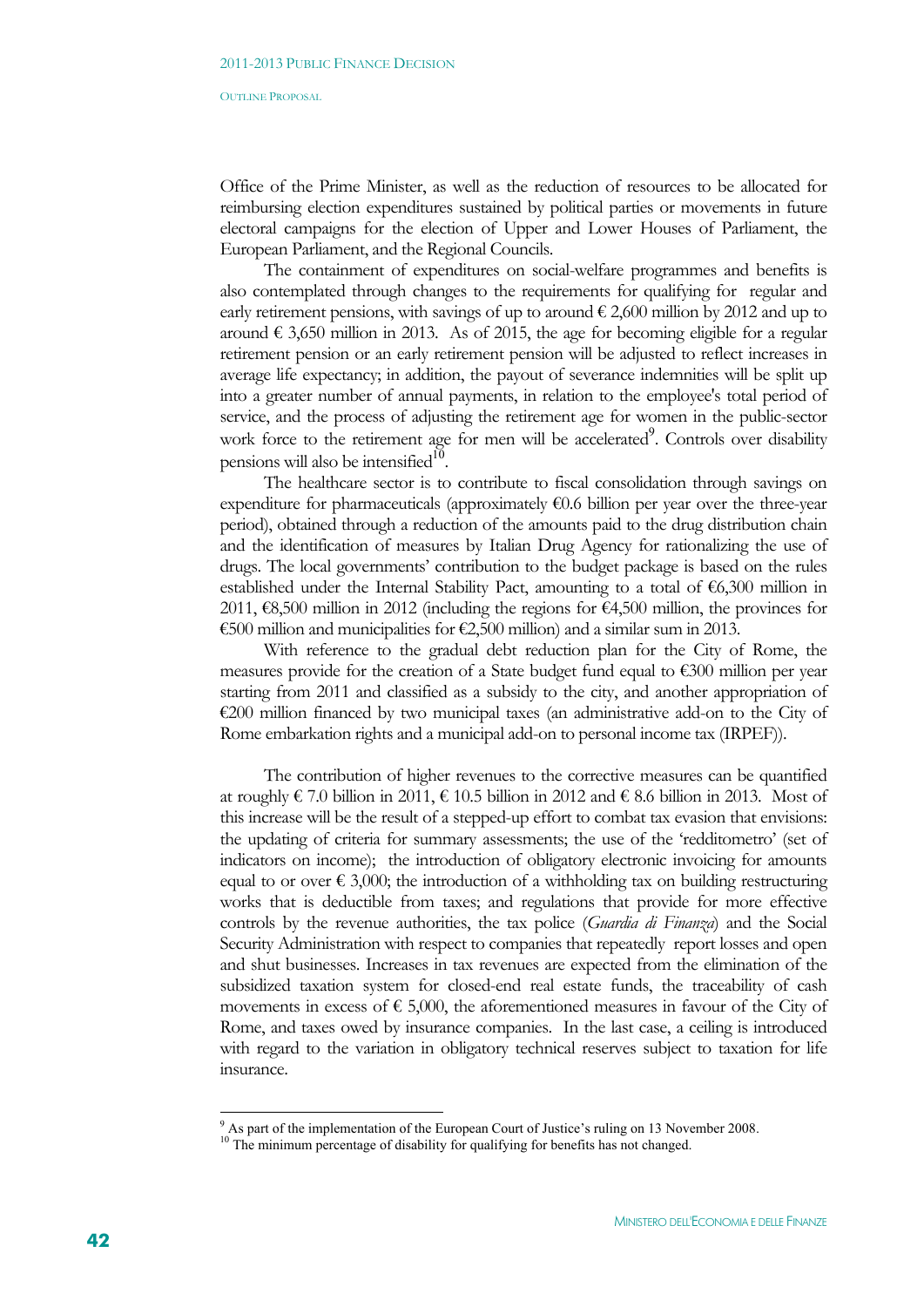Office of the Prime Minister, as well as the reduction of resources to be allocated for reimbursing election expenditures sustained by political parties or movements in future electoral campaigns for the election of Upper and Lower Houses of Parliament, the European Parliament, and the Regional Councils.

The containment of expenditures on social-welfare programmes and benefits is also contemplated through changes to the requirements for qualifying for regular and early retirement pensions, with savings of up to around  $\epsilon$  2,600 million by 2012 and up to around  $\epsilon$  3,650 million in 2013. As of 2015, the age for becoming eligible for a regular retirement pension or an early retirement pension will be adjusted to reflect increases in average life expectancy; in addition, the payout of severance indemnities will be split up into a greater number of annual payments, in relation to the employee's total period of service, and the process of adjusting the retirement age for women in the public-sector work force to the retirement age for men will be accelerated<sup>9</sup>. Controls over disability pensions will also be intensified $10$ .

The healthcare sector is to contribute to fiscal consolidation through savings on expenditure for pharmaceuticals (approximately  $\epsilon$ 0.6 billion per year over the three-year period), obtained through a reduction of the amounts paid to the drug distribution chain and the identification of measures by Italian Drug Agency for rationalizing the use of drugs. The local governments' contribution to the budget package is based on the rules established under the Internal Stability Pact, amounting to a total of  $\epsilon$ 6,300 million in 2011, €8,500 million in 2012 (including the regions for €4,500 million, the provinces for €500 million and municipalities for €2,500 million) and a similar sum in 2013.

With reference to the gradual debt reduction plan for the City of Rome, the measures provide for the creation of a State budget fund equal to  $\epsilon$ 300 million per year starting from 2011 and classified as a subsidy to the city, and another appropriation of €200 million financed by two municipal taxes (an administrative add-on to the City of Rome embarkation rights and a municipal add-on to personal income tax (IRPEF)).

The contribution of higher revenues to the corrective measures can be quantified at roughly € 7.0 billion in 2011, € 10.5 billion in 2012 and € 8.6 billion in 2013. Most of this increase will be the result of a stepped-up effort to combat tax evasion that envisions: the updating of criteria for summary assessments; the use of the 'redditometro' (set of indicators on income); the introduction of obligatory electronic invoicing for amounts equal to or over  $\epsilon$  3,000; the introduction of a withholding tax on building restructuring works that is deductible from taxes; and regulations that provide for more effective controls by the revenue authorities, the tax police (*Guardia di Finanza*) and the Social Security Administration with respect to companies that repeatedly report losses and open and shut businesses. Increases in tax revenues are expected from the elimination of the subsidized taxation system for closed-end real estate funds, the traceability of cash movements in excess of  $\epsilon$  5,000, the aforementioned measures in favour of the City of Rome, and taxes owed by insurance companies. In the last case, a ceiling is introduced with regard to the variation in obligatory technical reserves subject to taxation for life insurance.

1

<sup>&</sup>lt;sup>9</sup> As part of the implementation of the European Court of Justice's ruling on 13 November 2008.

 $10$  The minimum percentage of disability for qualifying for benefits has not changed.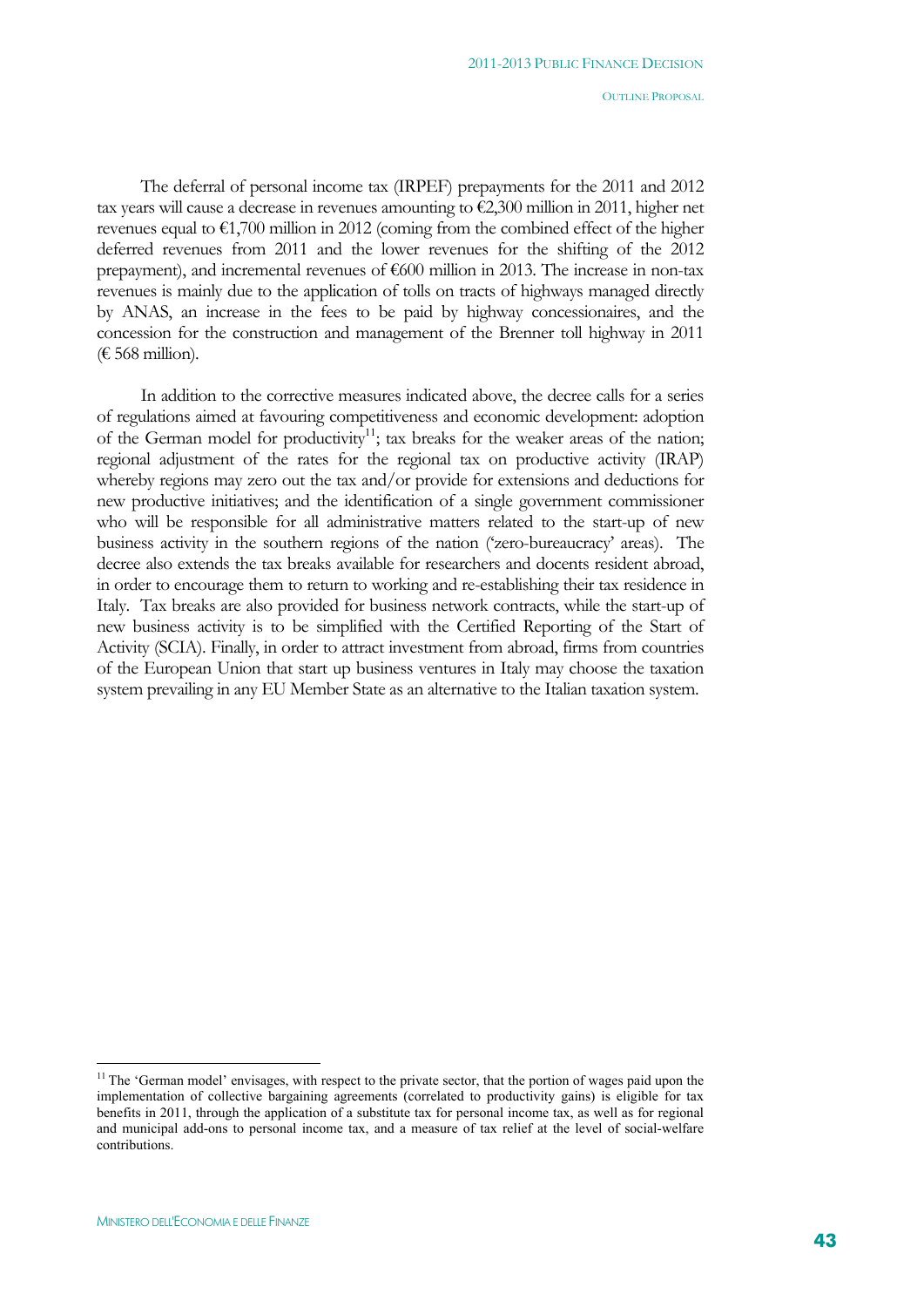The deferral of personal income tax (IRPEF) prepayments for the 2011 and 2012 tax years will cause a decrease in revenues amounting to €2,300 million in 2011, higher net revenues equal to  $\epsilon$ 1,700 million in 2012 (coming from the combined effect of the higher deferred revenues from 2011 and the lower revenues for the shifting of the 2012 prepayment), and incremental revenues of  $\epsilon$ 600 million in 2013. The increase in non-tax revenues is mainly due to the application of tolls on tracts of highways managed directly by ANAS, an increase in the fees to be paid by highway concessionaires, and the concession for the construction and management of the Brenner toll highway in 2011 (€ 568 million).

In addition to the corrective measures indicated above, the decree calls for a series of regulations aimed at favouring competitiveness and economic development: adoption of the German model for productivity<sup>11</sup>; tax breaks for the weaker areas of the nation; regional adjustment of the rates for the regional tax on productive activity (IRAP) whereby regions may zero out the tax and/or provide for extensions and deductions for new productive initiatives; and the identification of a single government commissioner who will be responsible for all administrative matters related to the start-up of new business activity in the southern regions of the nation ('zero-bureaucracy' areas). The decree also extends the tax breaks available for researchers and docents resident abroad, in order to encourage them to return to working and re-establishing their tax residence in Italy. Tax breaks are also provided for business network contracts, while the start-up of new business activity is to be simplified with the Certified Reporting of the Start of Activity (SCIA). Finally, in order to attract investment from abroad, firms from countries of the European Union that start up business ventures in Italy may choose the taxation system prevailing in any EU Member State as an alternative to the Italian taxation system.

 $\overline{a}$ 

<sup>&</sup>lt;sup>11</sup> The 'German model' envisages, with respect to the private sector, that the portion of wages paid upon the implementation of collective bargaining agreements (correlated to productivity gains) is eligible for tax benefits in 2011, through the application of a substitute tax for personal income tax, as well as for regional and municipal add-ons to personal income tax, and a measure of tax relief at the level of social-welfare contributions.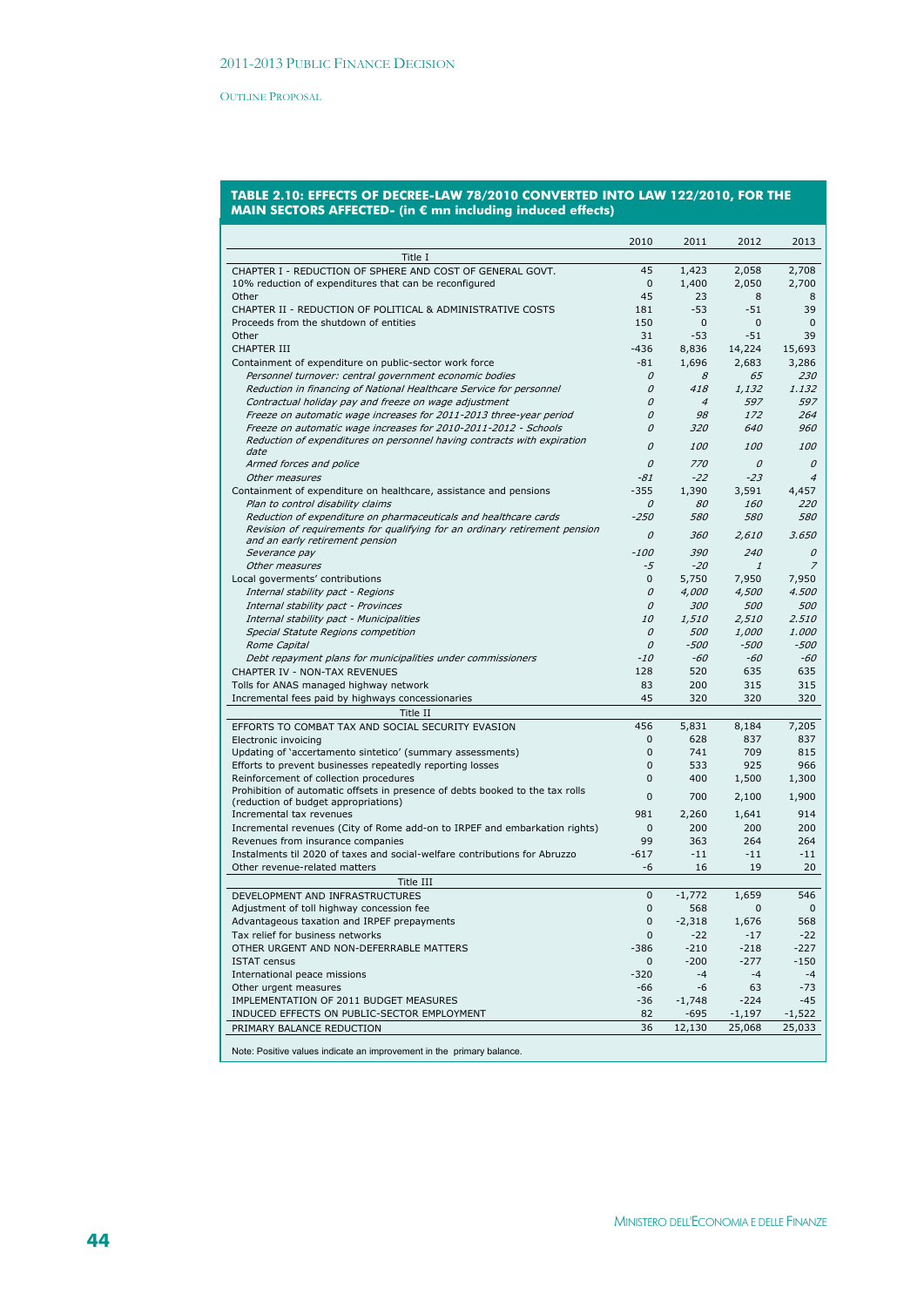#### **TABLE 2.10: EFFECTS OF DECREE-LAW 78/2010 CONVERTED INTO LAW 122/2010, FOR THE MAIN SECTORS AFFECTED- (in € mn including induced effects)**

| Title I                                                                       | 2010           | 2011           | 2012          | 2013           |
|-------------------------------------------------------------------------------|----------------|----------------|---------------|----------------|
| CHAPTER I - REDUCTION OF SPHERE AND COST OF GENERAL GOVT.                     | 45             | 1,423          | 2,058         | 2,708          |
| 10% reduction of expenditures that can be reconfigured                        | 0              | 1,400          | 2,050         | 2,700          |
| Other                                                                         | 45             | 23             | 8             | 8              |
| CHAPTER II - REDUCTION OF POLITICAL & ADMINISTRATIVE COSTS                    | 181            | $-53$          | $-51$         | 39             |
| Proceeds from the shutdown of entities                                        | 150            | 0              | $\mathbf{0}$  | $\mathbf{0}$   |
|                                                                               |                |                |               | 39             |
| Other                                                                         | 31             | $-53$          | -51           |                |
| <b>CHAPTER III</b>                                                            | $-436$         | 8,836          | 14,224        | 15,693         |
| Containment of expenditure on public-sector work force                        | -81            | 1,696          | 2,683         | 3,286          |
| Personnel turnover: central government economic bodies                        | 0              | 8              | 65            | 230            |
| Reduction in financing of National Healthcare Service for personnel           | 0              | 418            | 1,132         | 1.132          |
| Contractual holiday pay and freeze on wage adjustment                         | 0              | $\overline{4}$ | 597           | 597            |
| Freeze on automatic wage increases for 2011-2013 three-year period            | 0              | 98             | 172           | 264            |
| Freeze on automatic wage increases for 2010-2011-2012 - Schools               | 0              | 320            | 640           | 960            |
| Reduction of expenditures on personnel having contracts with expiration       | 0              | 100            | 100           | 100            |
| date                                                                          |                |                |               |                |
| Armed forces and police                                                       | 0              | 770            | 0             | 0              |
| Other measures                                                                | -81            | $-22$          | $-23$         | $\overline{4}$ |
| Containment of expenditure on healthcare, assistance and pensions             | $-355$         | 1,390          | 3,591         | 4,457          |
| Plan to control disability claims                                             | 0              | 80             | <i>160</i>    | 220            |
| Reduction of expenditure on pharmaceuticals and healthcare cards              | $-250$         | 580            | 580           | <i>580</i>     |
| Revision of requirements for qualifying for an ordinary retirement pension    | 0              | 360            | 2,610         | 3.650          |
| and an early retirement pension                                               |                |                |               |                |
| Severance pay                                                                 | -100           | 390            | 240           | 0              |
| Other measures                                                                | -5             | $-20$          | $\mathcal{I}$ | $\overline{z}$ |
| Local goverments' contributions                                               | 0              | 5,750          | 7,950         | 7.950          |
| Internal stability pact - Regions                                             | 0              | 4,000          | 4,500         | 4.500          |
| Internal stability pact - Provinces                                           | 0              | 300            | 500           | 500            |
| Internal stability pact - Municipalities                                      | <i>10</i>      | 1,510          | 2,510         | 2.510          |
| Special Statute Regions competition                                           | 0              | <i>500</i>     | <i>1,000</i>  | 1.000          |
| Rome Capital                                                                  | 0              | $-500$         | $-500$        | $-500$         |
| Debt repayment plans for municipalities under commissioners                   | $-10$          | -60            | -60           | -60            |
| CHAPTER IV - NON-TAX REVENUES                                                 | 128            | 520            | 635           | 635            |
| Tolls for ANAS managed highway network                                        | 83             | 200            | 315           | 315            |
| Incremental fees paid by highways concessionaries                             | 45             | 320            | 320           | 320            |
|                                                                               |                |                |               |                |
| Title II                                                                      |                |                |               |                |
| EFFORTS TO COMBAT TAX AND SOCIAL SECURITY EVASION                             | 456            | 5,831          | 8,184         | 7,205          |
| Electronic invoicing                                                          | $\mathbf{0}$   | 628            | 837           | 837            |
| Updating of 'accertamento sintetico' (summary assessments)                    | $\overline{0}$ | 741            | 709           | 815            |
| Efforts to prevent businesses repeatedly reporting losses                     | 0              | 533            | 925           | 966            |
| Reinforcement of collection procedures                                        | 0              | 400            | 1,500         | 1,300          |
| Prohibition of automatic offsets in presence of debts booked to the tax rolls | 0              | 700            | 2,100         | 1,900          |
| (reduction of budget appropriations)                                          |                |                |               |                |
| Incremental tax revenues                                                      | 981            | 2,260          | 1,641         | 914            |
| Incremental revenues (City of Rome add-on to IRPEF and embarkation rights)    | 0              | 200            | 200           | 200            |
| Revenues from insurance companies                                             | 99             | 363            | 264           | 264            |
| Instalments til 2020 of taxes and social-welfare contributions for Abruzzo    | $-617$         | $-11$          | $-11$         | $-11$          |
| Other revenue-related matters                                                 | -6             | 16             | 19            | 20             |
| Title III                                                                     |                |                |               |                |
| DEVELOPMENT AND INFRASTRUCTURES                                               | 0              | $-1,772$       | 1,659         | 546            |
| Adjustment of toll highway concession fee                                     | 0              | 568            | 0             | 0              |
| Advantageous taxation and IRPEF prepayments                                   | 0              | $-2,318$       | 1,676         | 568            |
| Tax relief for business networks                                              | 0              | $-22$          | $-17$         | $-22$          |
| OTHER URGENT AND NON-DEFERRABLE MATTERS                                       | $-386$         | $-210$         | $-218$        | $-227$         |
| <b>ISTAT census</b>                                                           | 0              | $-200$         | $-277$        | $-150$         |
| International peace missions                                                  | $-320$         | $-4$           | $-4$          | $-4$           |
| Other urgent measures                                                         | -66            | -6             | 63            | $-73$          |
| IMPLEMENTATION OF 2011 BUDGET MEASURES                                        | -36            | $-1,748$       | $-224$        | -45            |
| INDUCED EFFECTS ON PUBLIC-SECTOR EMPLOYMENT                                   | 82             | $-695$         | $-1,197$      | $-1,522$       |
|                                                                               | 36             | 12,130         |               |                |
| PRIMARY BALANCE REDUCTION                                                     |                |                | 25,068        | 25,033         |
| Note: Positive values indicate an improvement in the primary balance.         |                |                |               |                |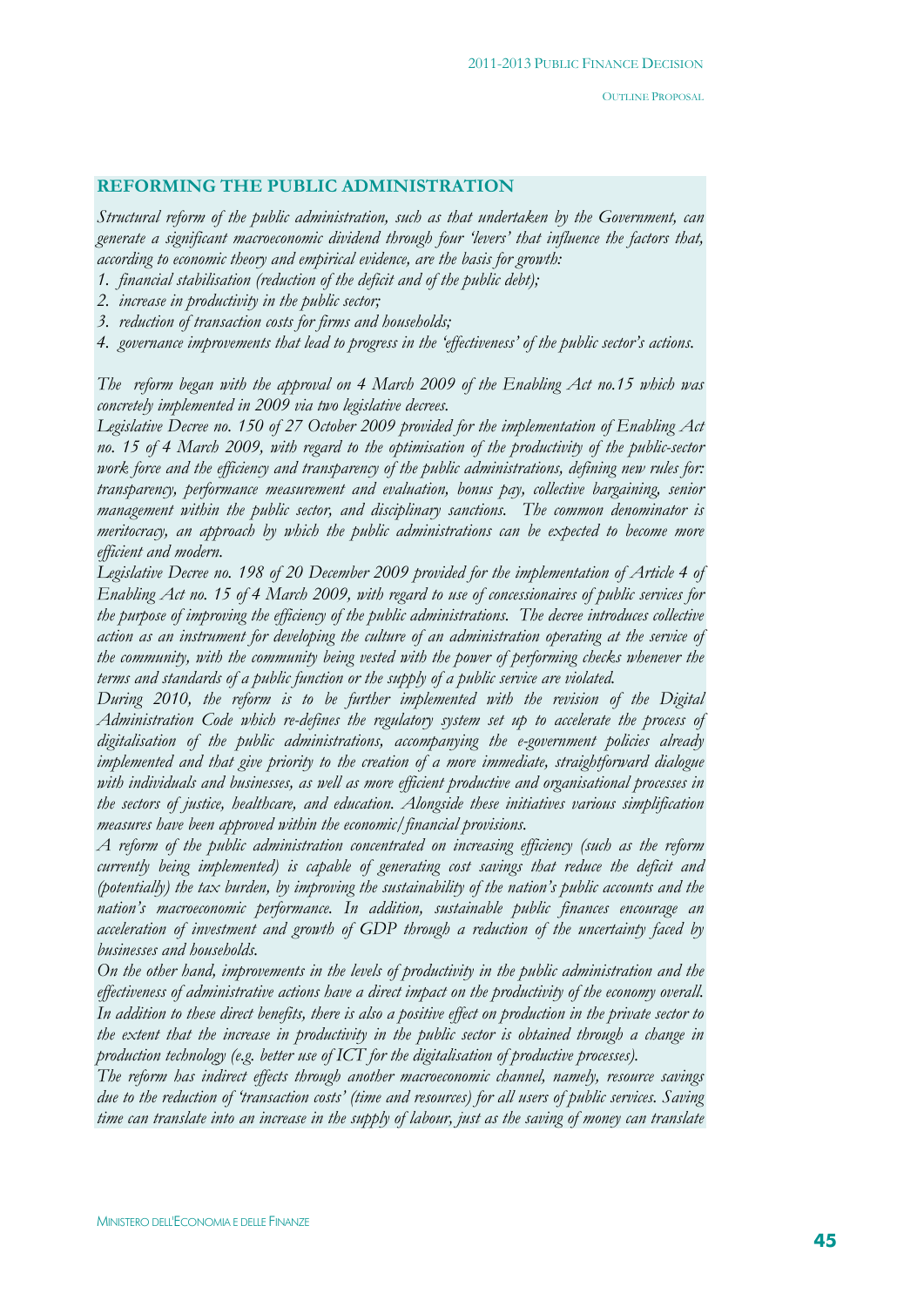# **REFORMING THE PUBLIC ADMINISTRATION**

*Structural reform of the public administration, such as that undertaken by the Government, can generate a significant macroeconomic dividend through four 'levers' that influence the factors that, according to economic theory and empirical evidence, are the basis for growth:* 

- *1. financial stabilisation (reduction of the deficit and of the public debt);*
- *2. increase in productivity in the public sector;*
- *3. reduction of transaction costs for firms and households;*
- *4. governance improvements that lead to progress in the 'effectiveness' of the public sector's actions.*

*The reform began with the approval on 4 March 2009 of the Enabling Act no.15 which was concretely implemented in 2009 via two legislative decrees.* 

*Legislative Decree no. 150 of 27 October 2009 provided for the implementation of Enabling Act no. 15 of 4 March 2009, with regard to the optimisation of the productivity of the public-sector work force and the efficiency and transparency of the public administrations, defining new rules for: transparency, performance measurement and evaluation, bonus pay, collective bargaining, senior management within the public sector, and disciplinary sanctions. The common denominator is meritocracy, an approach by which the public administrations can be expected to become more efficient and modern.* 

*Legislative Decree no. 198 of 20 December 2009 provided for the implementation of Article 4 of Enabling Act no. 15 of 4 March 2009, with regard to use of concessionaires of public services for the purpose of improving the efficiency of the public administrations. The decree introduces collective action as an instrument for developing the culture of an administration operating at the service of the community, with the community being vested with the power of performing checks whenever the terms and standards of a public function or the supply of a public service are violated.* 

*During 2010, the reform is to be further implemented with the revision of the Digital Administration Code which re-defines the regulatory system set up to accelerate the process of digitalisation of the public administrations, accompanying the e-government policies already implemented and that give priority to the creation of a more immediate, straightforward dialogue with individuals and businesses, as well as more efficient productive and organisational processes in the sectors of justice, healthcare, and education. Alongside these initiatives various simplification measures have been approved within the economic/financial provisions.* 

*A reform of the public administration concentrated on increasing efficiency (such as the reform currently being implemented) is capable of generating cost savings that reduce the deficit and (potentially) the tax burden, by improving the sustainability of the nation's public accounts and the nation's macroeconomic performance. In addition, sustainable public finances encourage an acceleration of investment and growth of GDP through a reduction of the uncertainty faced by businesses and households.* 

*On the other hand, improvements in the levels of productivity in the public administration and the effectiveness of administrative actions have a direct impact on the productivity of the economy overall. In addition to these direct benefits, there is also a positive effect on production in the private sector to the extent that the increase in productivity in the public sector is obtained through a change in production technology (e.g. better use of ICT for the digitalisation of productive processes).* 

*The reform has indirect effects through another macroeconomic channel, namely, resource savings due to the reduction of 'transaction costs' (time and resources) for all users of public services. Saving time can translate into an increase in the supply of labour, just as the saving of money can translate*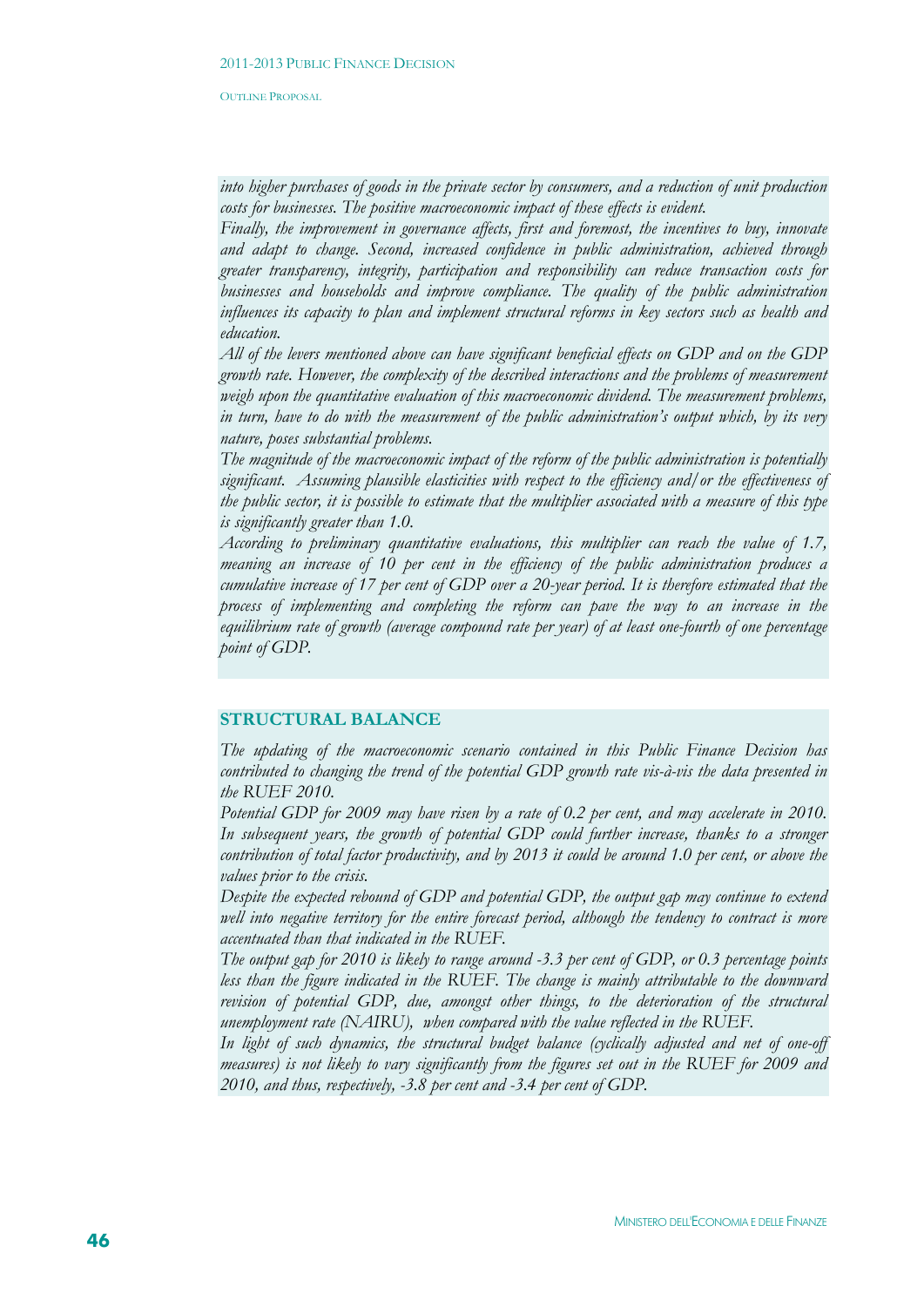*into higher purchases of goods in the private sector by consumers, and a reduction of unit production costs for businesses. The positive macroeconomic impact of these effects is evident.* 

*Finally, the improvement in governance affects, first and foremost, the incentives to buy, innovate and adapt to change. Second, increased confidence in public administration, achieved through greater transparency, integrity, participation and responsibility can reduce transaction costs for businesses and households and improve compliance. The quality of the public administration influences its capacity to plan and implement structural reforms in key sectors such as health and education.* 

*All of the levers mentioned above can have significant beneficial effects on GDP and on the GDP growth rate. However, the complexity of the described interactions and the problems of measurement weigh upon the quantitative evaluation of this macroeconomic dividend. The measurement problems, in turn, have to do with the measurement of the public administration's output which, by its very nature, poses substantial problems.* 

*The magnitude of the macroeconomic impact of the reform of the public administration is potentially significant. Assuming plausible elasticities with respect to the efficiency and/or the effectiveness of the public sector, it is possible to estimate that the multiplier associated with a measure of this type is significantly greater than 1.0.* 

*According to preliminary quantitative evaluations, this multiplier can reach the value of 1.7, meaning an increase of 10 per cent in the efficiency of the public administration produces a cumulative increase of 17 per cent of GDP over a 20-year period. It is therefore estimated that the process of implementing and completing the reform can pave the way to an increase in the equilibrium rate of growth (average compound rate per year) of at least one-fourth of one percentage point of GDP.* 

#### **STRUCTURAL BALANCE**

*The updating of the macroeconomic scenario contained in this Public Finance Decision has contributed to changing the trend of the potential GDP growth rate vis-à-vis the data presented in the RUEF 2010.* 

*Potential GDP for 2009 may have risen by a rate of 0.2 per cent, and may accelerate in 2010.*  In subsequent years, the growth of potential GDP could further increase, thanks to a stronger *contribution of total factor productivity, and by 2013 it could be around 1.0 per cent, or above the values prior to the crisis.* 

*Despite the expected rebound of GDP and potential GDP, the output gap may continue to extend well into negative territory for the entire forecast period, although the tendency to contract is more accentuated than that indicated in the RUEF.* 

*The output gap for 2010 is likely to range around -3.3 per cent of GDP, or 0.3 percentage points less than the figure indicated in the RUEF. The change is mainly attributable to the downward revision of potential GDP, due, amongst other things, to the deterioration of the structural unemployment rate (NAIRU), when compared with the value reflected in the RUEF.* 

*In light of such dynamics, the structural budget balance (cyclically adjusted and net of one-off measures) is not likely to vary significantly from the figures set out in the RUEF for 2009 and 2010, and thus, respectively, -3.8 per cent and -3.4 per cent of GDP.*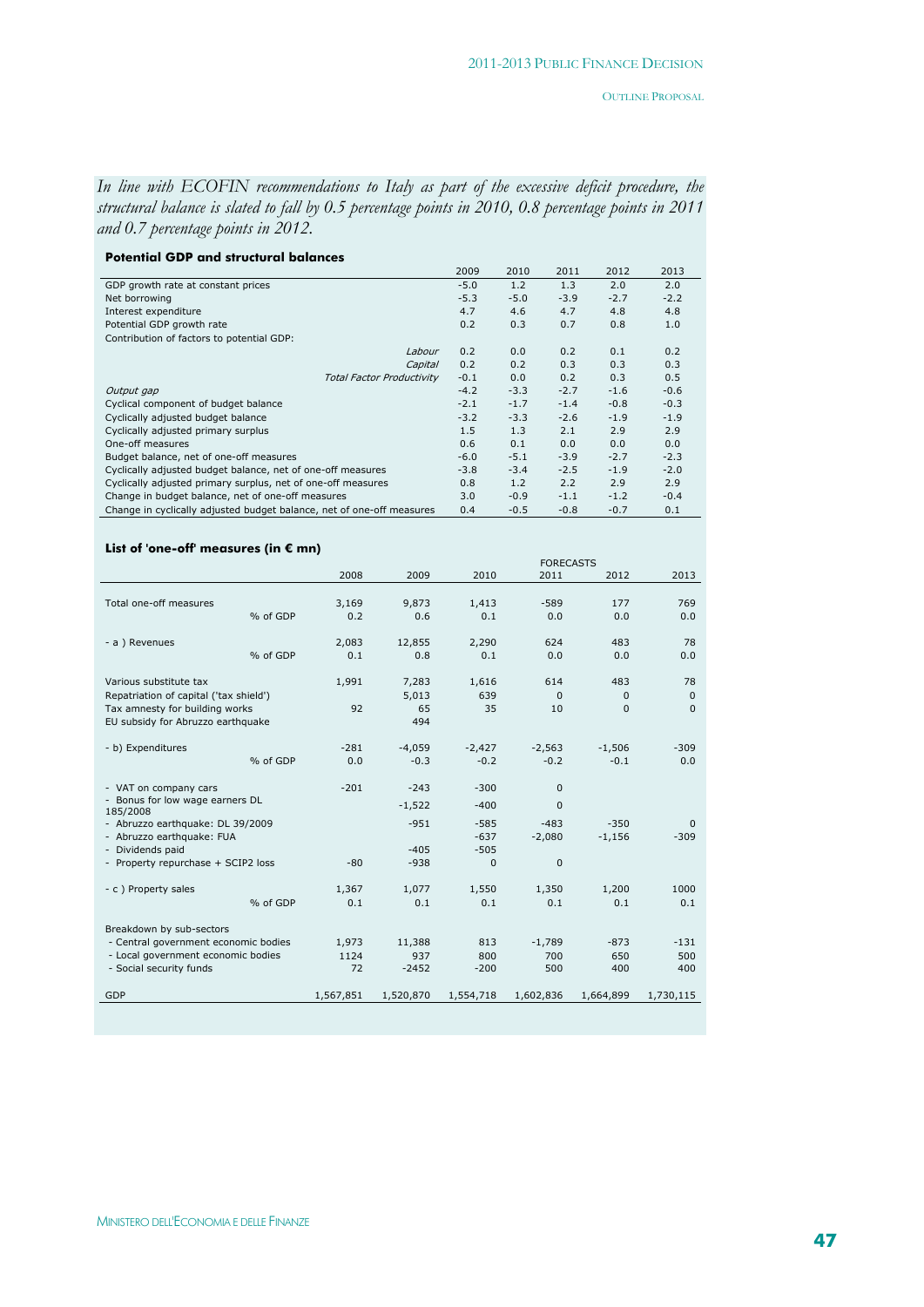$\overline{\phantom{0}}$ 

*In line with ECOFIN recommendations to Italy as part of the excessive deficit procedure, the structural balance is slated to fall by 0.5 percentage points in 2010, 0.8 percentage points in 2011 and 0.7 percentage points in 2012.* 

| <b>Potential GDP and structural balances</b> |  |
|----------------------------------------------|--|
|----------------------------------------------|--|

|                                                                       | 2009   | 2010   | 2011   | 2012   | 2013   |
|-----------------------------------------------------------------------|--------|--------|--------|--------|--------|
| GDP growth rate at constant prices                                    | $-5.0$ | 1.2    | 1.3    | 2.0    | 2.0    |
| Net borrowing                                                         | $-5.3$ | $-5.0$ | $-3.9$ | $-2.7$ | $-2.2$ |
| Interest expenditure                                                  | 4.7    | 4.6    | 4.7    | 4.8    | 4.8    |
| Potential GDP growth rate                                             | 0.2    | 0.3    | 0.7    | 0.8    | 1.0    |
| Contribution of factors to potential GDP:                             |        |        |        |        |        |
| Labour                                                                | 0.2    | 0.0    | 0.2    | 0.1    | 0.2    |
| Capital                                                               | 0.2    | 0.2    | 0.3    | 0.3    | 0.3    |
| <b>Total Factor Productivity</b>                                      | $-0.1$ | 0.0    | 0.2    | 0.3    | 0.5    |
| Output gap                                                            | $-4.2$ | $-3.3$ | $-2.7$ | $-1.6$ | $-0.6$ |
| Cyclical component of budget balance                                  | $-2.1$ | $-1.7$ | $-1.4$ | $-0.8$ | $-0.3$ |
| Cyclically adjusted budget balance                                    | $-3.2$ | $-3.3$ | $-2.6$ | $-1.9$ | $-1.9$ |
| Cyclically adjusted primary surplus                                   | 1.5    | 1.3    | 2.1    | 2.9    | 2.9    |
| One-off measures                                                      | 0.6    | 0.1    | 0.0    | 0.0    | 0.0    |
| Budget balance, net of one-off measures                               | $-6.0$ | $-5.1$ | $-3.9$ | $-2.7$ | $-2.3$ |
| Cyclically adjusted budget balance, net of one-off measures           |        | $-3.4$ | $-2.5$ | $-1.9$ | $-2.0$ |
| Cyclically adjusted primary surplus, net of one-off measures          |        | 1.2    | 2.2    | 2.9    | 2.9    |
| Change in budget balance, net of one-off measures                     |        | $-0.9$ | $-1.1$ | $-1.2$ | $-0.4$ |
| Change in cyclically adjusted budget balance, net of one-off measures |        | $-0.5$ | $-0.8$ | $-0.7$ | 0.1    |

#### **List of 'one-off' measures (in € mn)**

|                                        |          |           |           | <b>FURECASIS</b> |              |              |              |
|----------------------------------------|----------|-----------|-----------|------------------|--------------|--------------|--------------|
|                                        |          | 2008      | 2009      | 2010             | 2011         | 2012         | 2013         |
|                                        |          |           |           |                  |              |              |              |
| Total one-off measures                 |          | 3,169     | 9,873     | 1,413            | $-589$       | 177          | 769          |
|                                        | % of GDP | 0.2       | 0.6       | 0.1              | 0.0          | 0.0          | 0.0          |
|                                        |          |           |           |                  |              |              |              |
|                                        |          |           |           |                  |              |              |              |
| - a ) Revenues                         |          | 2,083     | 12,855    | 2,290            | 624          | 483          | 78           |
|                                        | % of GDP | 0.1       | 0.8       | 0.1              | 0.0          | 0.0          | 0.0          |
|                                        |          |           |           |                  |              |              |              |
| Various substitute tax                 |          | 1,991     | 7,283     | 1,616            | 614          | 483          | 78           |
| Repatriation of capital ('tax shield') |          |           | 5,013     | 639              | $\Omega$     | 0            | $\mathbf{0}$ |
|                                        |          |           |           |                  |              |              |              |
| Tax amnesty for building works         |          | 92        | 65        | 35               | 10           | $\mathbf{0}$ | $\Omega$     |
| EU subsidy for Abruzzo earthquake      |          |           | 494       |                  |              |              |              |
|                                        |          |           |           |                  |              |              |              |
| - b) Expenditures                      |          | $-281$    | $-4.059$  | $-2,427$         | $-2,563$     | $-1,506$     | $-309$       |
|                                        | % of GDP | 0.0       | $-0.3$    | $-0.2$           | $-0.2$       | $-0.1$       | 0.0          |
|                                        |          |           |           |                  |              |              |              |
| - VAT on company cars                  |          | $-201$    | $-243$    | $-300$           | 0            |              |              |
| - Bonus for low wage earners DL        |          |           |           |                  |              |              |              |
| 185/2008                               |          |           | $-1,522$  | $-400$           | $\mathbf{0}$ |              |              |
| - Abruzzo earthquake: DL 39/2009       |          |           | $-951$    | $-585$           | $-483$       | $-350$       | $\Omega$     |
| - Abruzzo earthquake: FUA              |          |           |           | $-637$           | $-2,080$     | $-1,156$     | $-309$       |
| - Dividends paid                       |          |           | $-405$    | $-505$           |              |              |              |
|                                        |          |           |           |                  |              |              |              |
| - Property repurchase + SCIP2 loss     |          | $-80$     | $-938$    | $\mathbf{0}$     | $\mathbf{0}$ |              |              |
|                                        |          |           |           |                  |              |              |              |
| - c) Property sales                    |          | 1,367     | 1,077     | 1,550            | 1,350        | 1,200        | 1000         |
|                                        | % of GDP | 0.1       | 0.1       | 0.1              | 0.1          | 0.1          | 0.1          |
|                                        |          |           |           |                  |              |              |              |
| Breakdown by sub-sectors               |          |           |           |                  |              |              |              |
| - Central government economic bodies   |          | 1,973     | 11,388    | 813              | $-1,789$     | $-873$       | $-131$       |
| - Local government economic bodies     |          | 1124      | 937       | 800              | 700          | 650          | 500          |
|                                        |          |           |           |                  |              |              |              |
| - Social security funds                |          | 72        | $-2452$   | $-200$           | 500          | 400          | 400          |
| GDP                                    |          | 1,567,851 | 1,520,870 | 1,554,718        | 1,602,836    | 1,664,899    | 1,730,115    |
|                                        |          |           |           |                  |              |              |              |
|                                        |          |           |           |                  |              |              |              |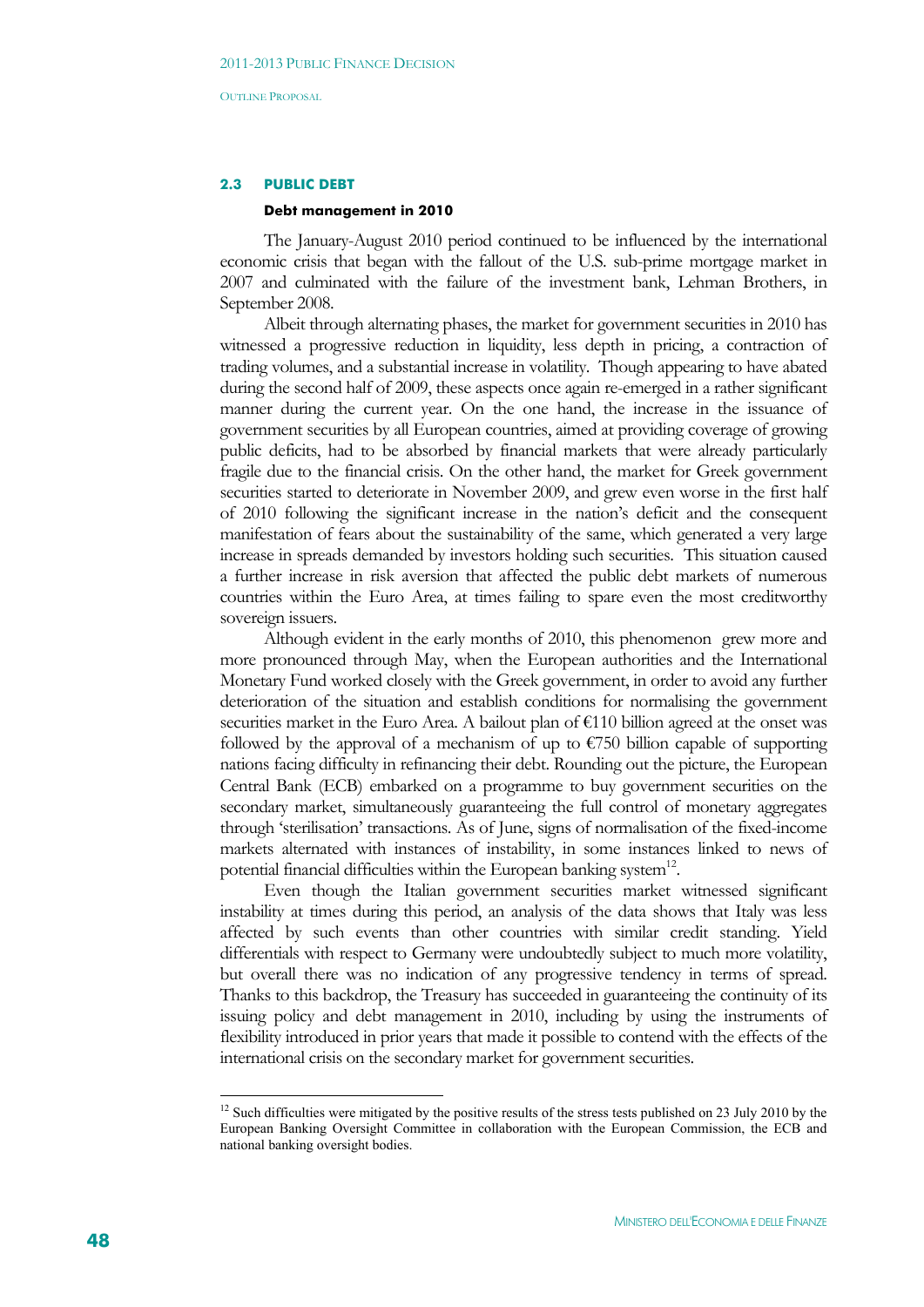#### **2.3 PUBLIC DEBT**

#### **Debt management in 2010**

The January-August 2010 period continued to be influenced by the international economic crisis that began with the fallout of the U.S. sub-prime mortgage market in 2007 and culminated with the failure of the investment bank, Lehman Brothers, in September 2008.

Albeit through alternating phases, the market for government securities in 2010 has witnessed a progressive reduction in liquidity, less depth in pricing, a contraction of trading volumes, and a substantial increase in volatility. Though appearing to have abated during the second half of 2009, these aspects once again re-emerged in a rather significant manner during the current year. On the one hand, the increase in the issuance of government securities by all European countries, aimed at providing coverage of growing public deficits, had to be absorbed by financial markets that were already particularly fragile due to the financial crisis. On the other hand, the market for Greek government securities started to deteriorate in November 2009, and grew even worse in the first half of 2010 following the significant increase in the nation's deficit and the consequent manifestation of fears about the sustainability of the same, which generated a very large increase in spreads demanded by investors holding such securities. This situation caused a further increase in risk aversion that affected the public debt markets of numerous countries within the Euro Area, at times failing to spare even the most creditworthy sovereign issuers.

Although evident in the early months of 2010, this phenomenon grew more and more pronounced through May, when the European authorities and the International Monetary Fund worked closely with the Greek government, in order to avoid any further deterioration of the situation and establish conditions for normalising the government securities market in the Euro Area. A bailout plan of €110 billion agreed at the onset was followed by the approval of a mechanism of up to  $\epsilon$ 750 billion capable of supporting nations facing difficulty in refinancing their debt. Rounding out the picture, the European Central Bank (ECB) embarked on a programme to buy government securities on the secondary market, simultaneously guaranteeing the full control of monetary aggregates through 'sterilisation' transactions. As of June, signs of normalisation of the fixed-income markets alternated with instances of instability, in some instances linked to news of potential financial difficulties within the European banking system $^{12}$ .

Even though the Italian government securities market witnessed significant instability at times during this period, an analysis of the data shows that Italy was less affected by such events than other countries with similar credit standing. Yield differentials with respect to Germany were undoubtedly subject to much more volatility, but overall there was no indication of any progressive tendency in terms of spread. Thanks to this backdrop, the Treasury has succeeded in guaranteeing the continuity of its issuing policy and debt management in 2010, including by using the instruments of flexibility introduced in prior years that made it possible to contend with the effects of the international crisis on the secondary market for government securities.

<u>.</u>

<sup>&</sup>lt;sup>12</sup> Such difficulties were mitigated by the positive results of the stress tests published on 23 July 2010 by the European Banking Oversight Committee in collaboration with the European Commission, the ECB and national banking oversight bodies.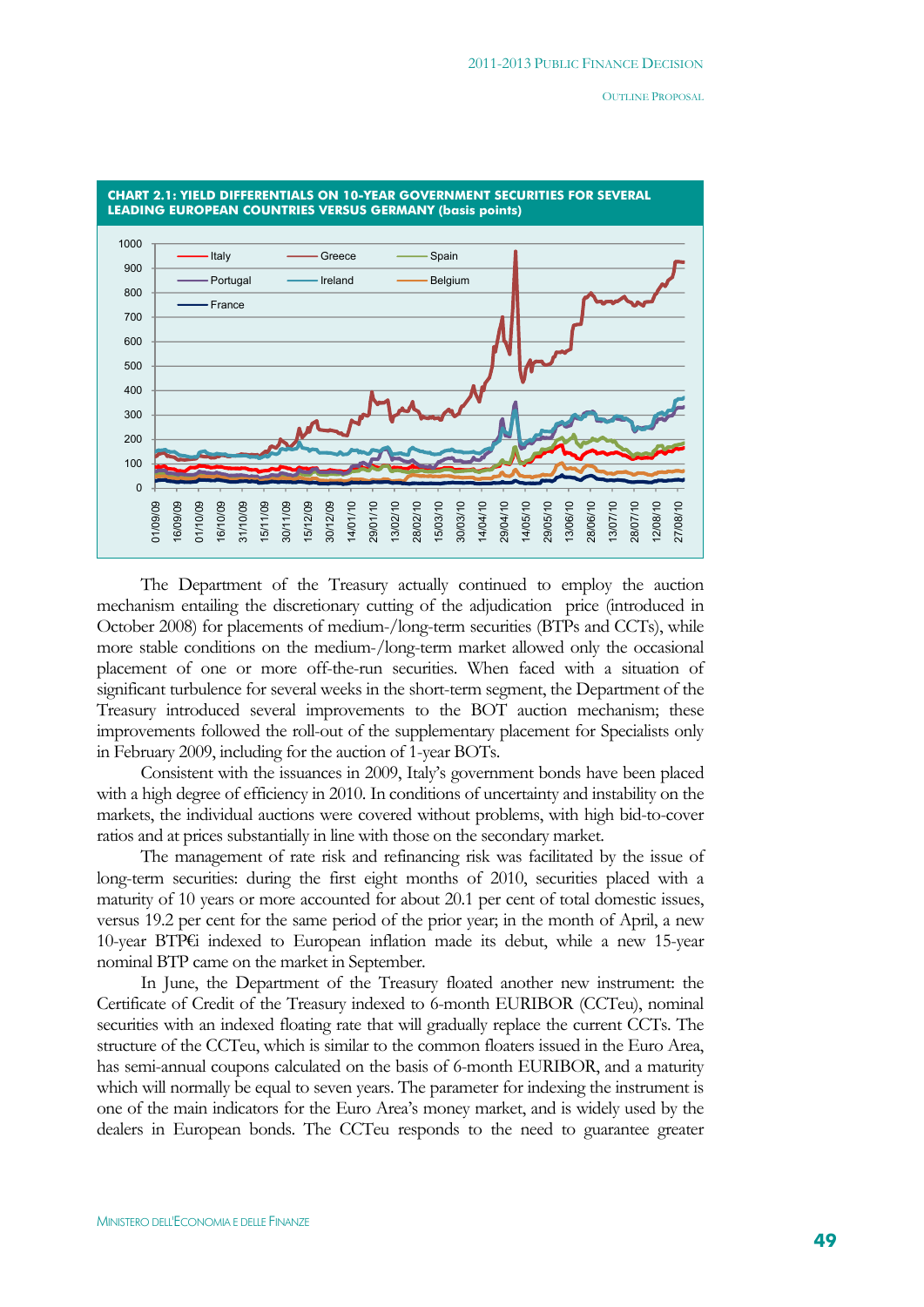

The Department of the Treasury actually continued to employ the auction mechanism entailing the discretionary cutting of the adjudication price (introduced in October 2008) for placements of medium-/long-term securities (BTPs and CCTs), while more stable conditions on the medium-/long-term market allowed only the occasional placement of one or more off-the-run securities. When faced with a situation of significant turbulence for several weeks in the short-term segment, the Department of the Treasury introduced several improvements to the BOT auction mechanism; these improvements followed the roll-out of the supplementary placement for Specialists only in February 2009, including for the auction of 1-year BOTs.

Consistent with the issuances in 2009, Italy's government bonds have been placed with a high degree of efficiency in 2010. In conditions of uncertainty and instability on the markets, the individual auctions were covered without problems, with high bid-to-cover ratios and at prices substantially in line with those on the secondary market.

The management of rate risk and refinancing risk was facilitated by the issue of long-term securities: during the first eight months of 2010, securities placed with a maturity of 10 years or more accounted for about 20.1 per cent of total domestic issues, versus 19.2 per cent for the same period of the prior year; in the month of April, a new 10-year BTP€i indexed to European inflation made its debut, while a new 15-year nominal BTP came on the market in September.

In June, the Department of the Treasury floated another new instrument: the Certificate of Credit of the Treasury indexed to 6-month EURIBOR (CCTeu), nominal securities with an indexed floating rate that will gradually replace the current CCTs. The structure of the CCTeu, which is similar to the common floaters issued in the Euro Area, has semi-annual coupons calculated on the basis of 6-month EURIBOR, and a maturity which will normally be equal to seven years. The parameter for indexing the instrument is one of the main indicators for the Euro Area's money market, and is widely used by the dealers in European bonds. The CCTeu responds to the need to guarantee greater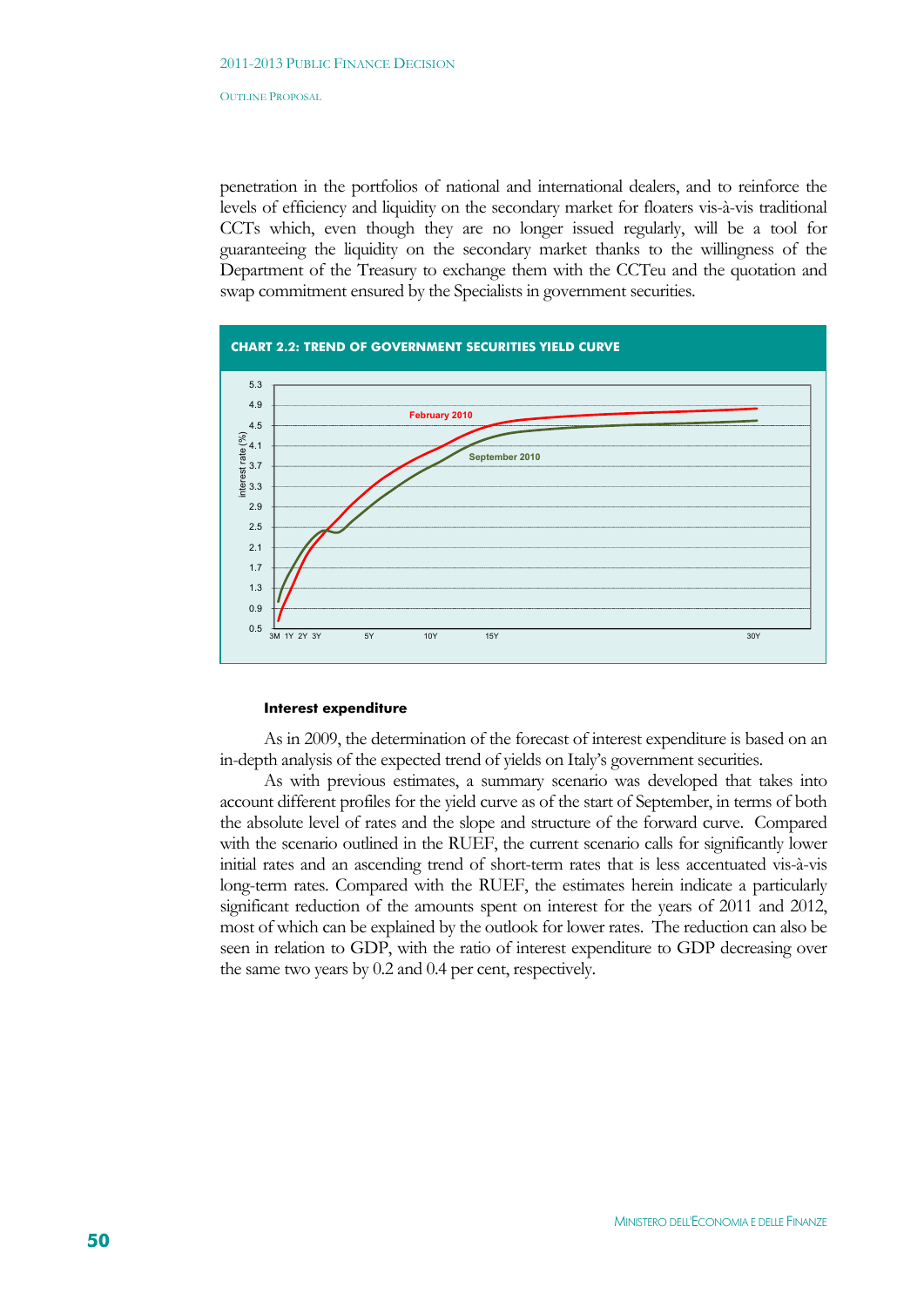penetration in the portfolios of national and international dealers, and to reinforce the levels of efficiency and liquidity on the secondary market for floaters vis-à-vis traditional CCTs which, even though they are no longer issued regularly, will be a tool for guaranteeing the liquidity on the secondary market thanks to the willingness of the Department of the Treasury to exchange them with the CCTeu and the quotation and swap commitment ensured by the Specialists in government securities.



#### **Interest expenditure**

As in 2009, the determination of the forecast of interest expenditure is based on an in-depth analysis of the expected trend of yields on Italy's government securities.

As with previous estimates, a summary scenario was developed that takes into account different profiles for the yield curve as of the start of September, in terms of both the absolute level of rates and the slope and structure of the forward curve. Compared with the scenario outlined in the RUEF, the current scenario calls for significantly lower initial rates and an ascending trend of short-term rates that is less accentuated vis-à-vis long-term rates. Compared with the RUEF, the estimates herein indicate a particularly significant reduction of the amounts spent on interest for the years of 2011 and 2012, most of which can be explained by the outlook for lower rates. The reduction can also be seen in relation to GDP, with the ratio of interest expenditure to GDP decreasing over the same two years by 0.2 and 0.4 per cent, respectively.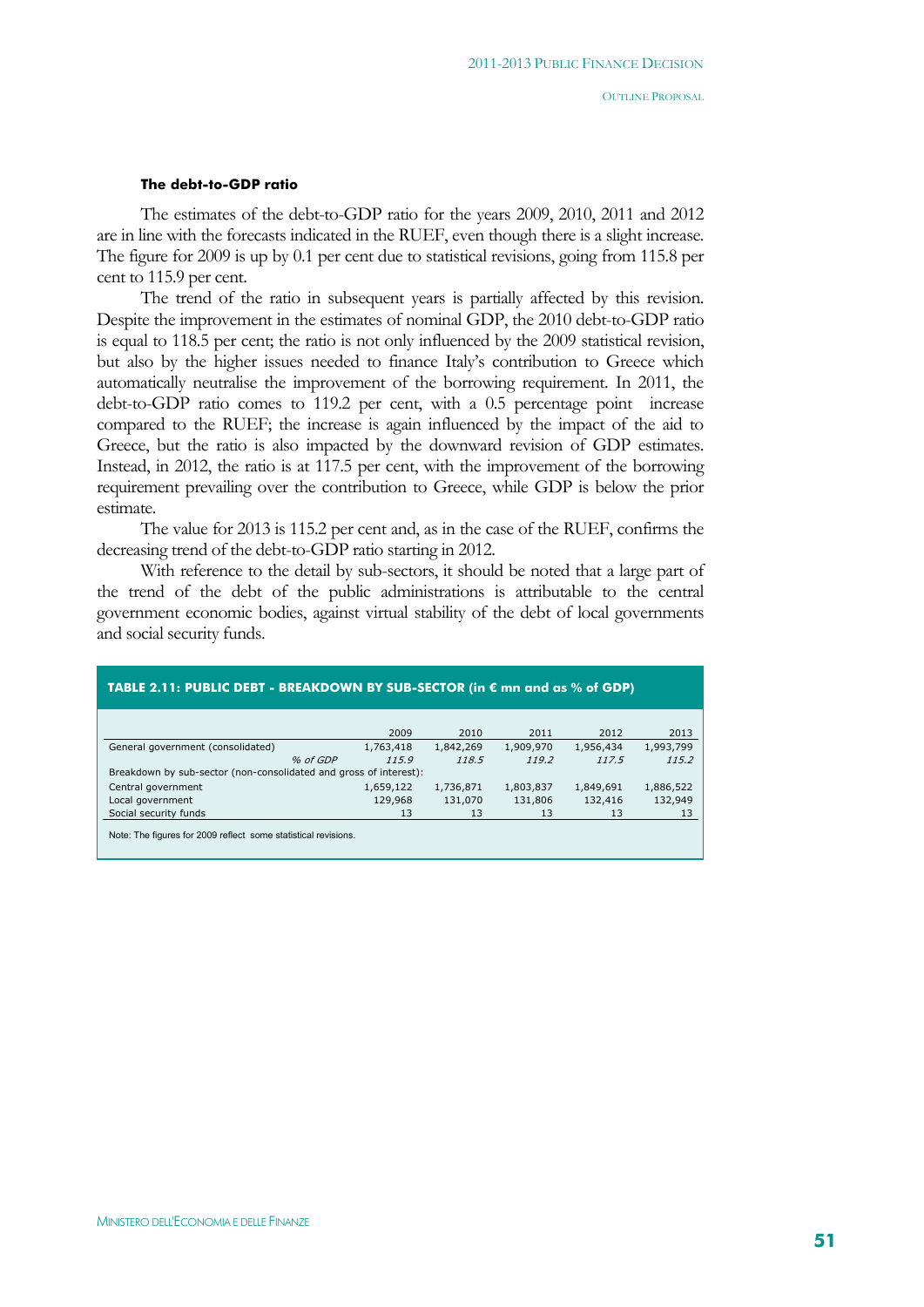#### **The debt-to-GDP ratio**

The estimates of the debt-to-GDP ratio for the years 2009, 2010, 2011 and 2012 are in line with the forecasts indicated in the RUEF, even though there is a slight increase. The figure for 2009 is up by 0.1 per cent due to statistical revisions, going from 115.8 per cent to 115.9 per cent.

The trend of the ratio in subsequent years is partially affected by this revision. Despite the improvement in the estimates of nominal GDP, the 2010 debt-to-GDP ratio is equal to 118.5 per cent; the ratio is not only influenced by the 2009 statistical revision, but also by the higher issues needed to finance Italy's contribution to Greece which automatically neutralise the improvement of the borrowing requirement. In 2011, the debt-to-GDP ratio comes to 119.2 per cent, with a 0.5 percentage point increase compared to the RUEF; the increase is again influenced by the impact of the aid to Greece, but the ratio is also impacted by the downward revision of GDP estimates. Instead, in 2012, the ratio is at 117.5 per cent, with the improvement of the borrowing requirement prevailing over the contribution to Greece, while GDP is below the prior estimate.

The value for 2013 is 115.2 per cent and, as in the case of the RUEF, confirms the decreasing trend of the debt-to-GDP ratio starting in 2012.

With reference to the detail by sub-sectors, it should be noted that a large part of the trend of the debt of the public administrations is attributable to the central government economic bodies, against virtual stability of the debt of local governments and social security funds.

| TABLE 2.11: PUBLIC DEBT - BREAKDOWN BY SUB-SECTOR (in € mn and as % of GDP) |           |           |           |           |           |  |  |  |  |
|-----------------------------------------------------------------------------|-----------|-----------|-----------|-----------|-----------|--|--|--|--|
|                                                                             |           |           |           |           |           |  |  |  |  |
|                                                                             | 2009      | 2010      | 2011      | 2012      | 2013      |  |  |  |  |
| General government (consolidated)                                           | 1,763,418 | 1,842,269 | 1,909,970 | 1,956,434 | 1,993,799 |  |  |  |  |
| % of GDP                                                                    | 115.9     | 118.5     | 119.2     | 117.5     | 115.2     |  |  |  |  |
| Breakdown by sub-sector (non-consolidated and gross of interest):           |           |           |           |           |           |  |  |  |  |
| Central government                                                          | 1,659,122 | 1,736,871 | 1,803,837 | 1,849,691 | 1,886,522 |  |  |  |  |
| Local government                                                            | 129,968   | 131,070   | 131,806   | 132,416   | 132,949   |  |  |  |  |
| Social security funds                                                       | 13        | 13        | 13        | 13        | 13        |  |  |  |  |
| Note: The figures for 2000 reflect, come otatiotical revisions              |           |           |           |           |           |  |  |  |  |

Note: The figures for 2009 reflect some statistical revisions.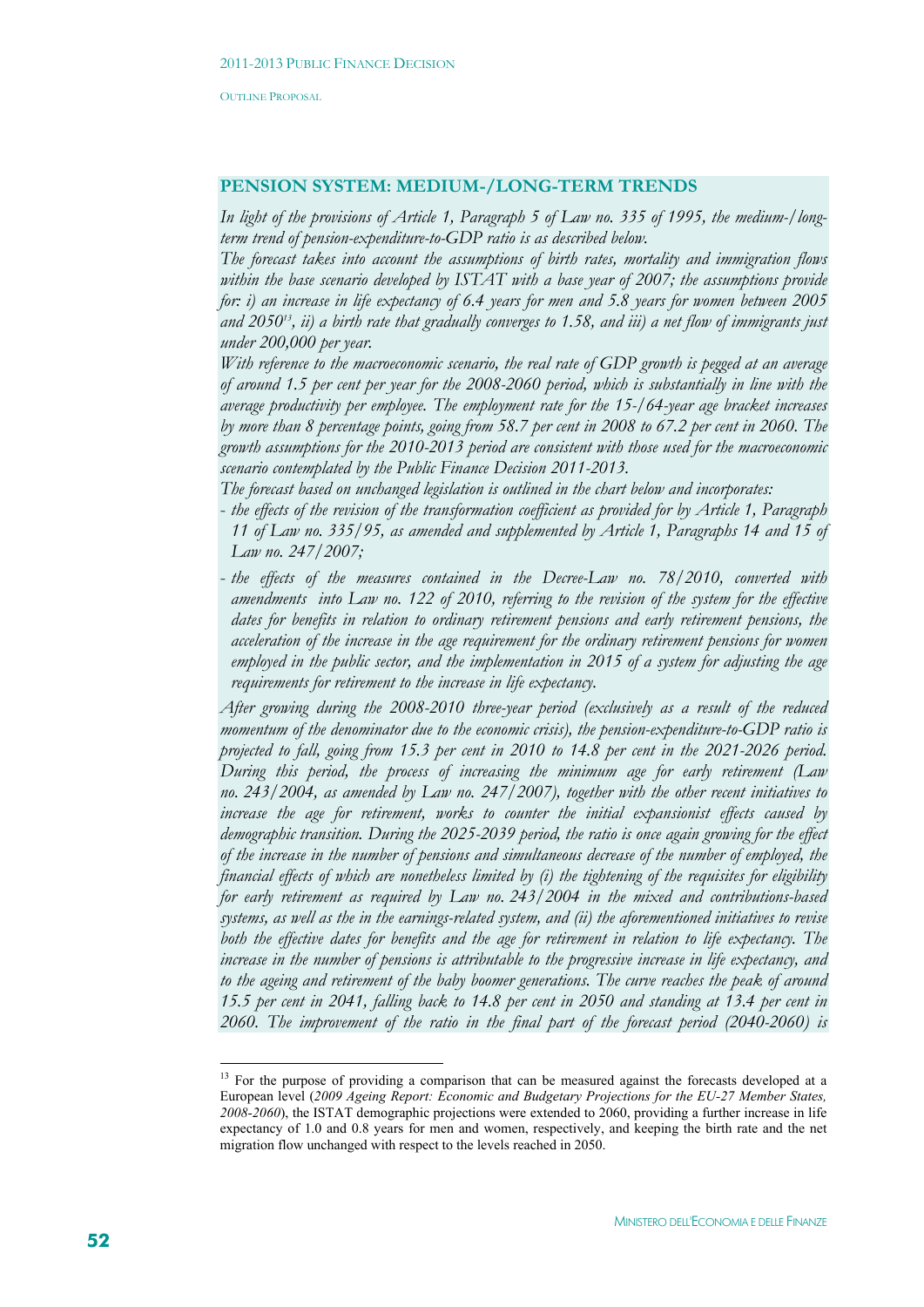# **PENSION SYSTEM: MEDIUM-/LONG-TERM TRENDS**

*In light of the provisions of Article 1, Paragraph 5 of Law no. 335 of 1995, the medium-/longterm trend of pension-expenditure-to-GDP ratio is as described below.* 

*The forecast takes into account the assumptions of birth rates, mortality and immigration flows within the base scenario developed by ISTAT with a base year of 2007; the assumptions provide for: i) an increase in life expectancy of 6.4 years for men and 5.8 years for women between 2005 and 205013, ii) a birth rate that gradually converges to 1.58, and iii) a net flow of immigrants just under 200,000 per year.* 

*With reference to the macroeconomic scenario, the real rate of GDP growth is pegged at an average of around 1.5 per cent per year for the 2008-2060 period, which is substantially in line with the average productivity per employee. The employment rate for the 15-/64-year age bracket increases by more than 8 percentage points, going from 58.7 per cent in 2008 to 67.2 per cent in 2060. The growth assumptions for the 2010-2013 period are consistent with those used for the macroeconomic scenario contemplated by the Public Finance Decision 2011-2013.* 

*The forecast based on unchanged legislation is outlined in the chart below and incorporates:* 

- *the effects of the revision of the transformation coefficient as provided for by Article 1, Paragraph 11 of Law no. 335/95, as amended and supplemented by Article 1, Paragraphs 14 and 15 of Law no. 247/2007;*
- *the effects of the measures contained in the Decree-Law no. 78/2010, converted with amendments into Law no. 122 of 2010, referring to the revision of the system for the effective dates for benefits in relation to ordinary retirement pensions and early retirement pensions, the acceleration of the increase in the age requirement for the ordinary retirement pensions for women employed in the public sector, and the implementation in 2015 of a system for adjusting the age requirements for retirement to the increase in life expectancy.*

*After growing during the 2008-2010 three-year period (exclusively as a result of the reduced momentum of the denominator due to the economic crisis), the pension-expenditure-to-GDP ratio is projected to fall, going from 15.3 per cent in 2010 to 14.8 per cent in the 2021-2026 period. During this period, the process of increasing the minimum age for early retirement (Law no. 243/2004, as amended by Law no. 247/2007), together with the other recent initiatives to increase the age for retirement, works to counter the initial expansionist effects caused by demographic transition. During the 2025-2039 period, the ratio is once again growing for the effect of the increase in the number of pensions and simultaneous decrease of the number of employed, the financial effects of which are nonetheless limited by (i) the tightening of the requisites for eligibility for early retirement as required by Law no. 243/2004 in the mixed and contributions-based systems, as well as the in the earnings-related system, and (ii) the aforementioned initiatives to revise*  both the effective dates for benefits and the age for retirement in relation to life expectancy. The *increase in the number of pensions is attributable to the progressive increase in life expectancy, and to the ageing and retirement of the baby boomer generations. The curve reaches the peak of around 15.5 per cent in 2041, falling back to 14.8 per cent in 2050 and standing at 13.4 per cent in 2060. The improvement of the ratio in the final part of the forecast period (2040-2060) is* 

1

<sup>&</sup>lt;sup>13</sup> For the purpose of providing a comparison that can be measured against the forecasts developed at a European level (*2009 Ageing Report: Economic and Budgetary Projections for the EU-27 Member States, 2008-2060*), the ISTAT demographic projections were extended to 2060, providing a further increase in life expectancy of 1.0 and 0.8 years for men and women, respectively, and keeping the birth rate and the net migration flow unchanged with respect to the levels reached in 2050.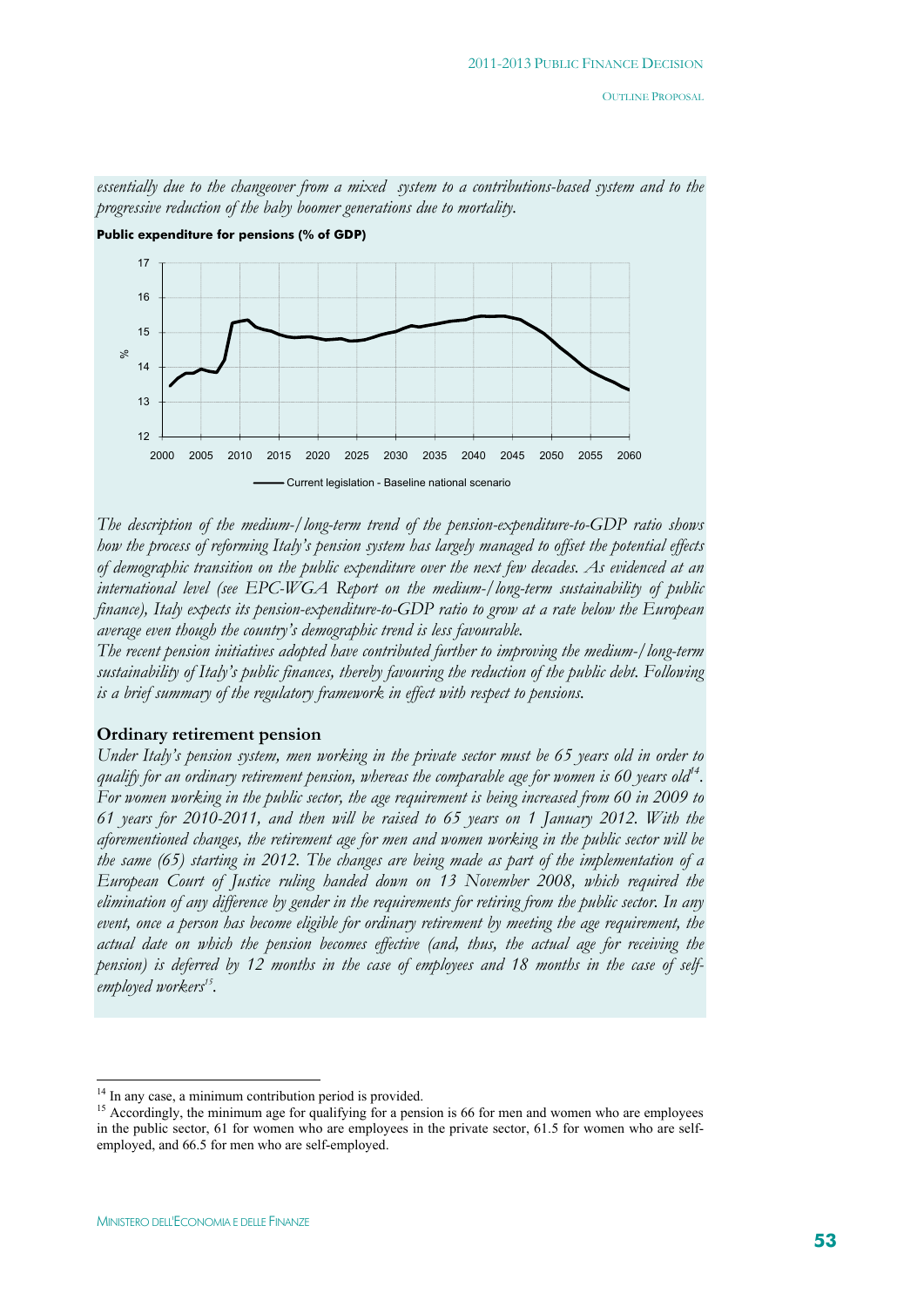

*essentially due to the changeover from a mixed system to a contributions-based system and to the progressive reduction of the baby boomer generations due to mortality.* 

*The description of the medium-/long-term trend of the pension-expenditure-to-GDP ratio shows how the process of reforming Italy's pension system has largely managed to offset the potential effects of demographic transition on the public expenditure over the next few decades. As evidenced at an international level (see EPC-WGA Report on the medium-/long-term sustainability of public finance), Italy expects its pension-expenditure-to-GDP ratio to grow at a rate below the European average even though the country's demographic trend is less favourable.* 

*The recent pension initiatives adopted have contributed further to improving the medium-/long-term sustainability of Italy's public finances, thereby favouring the reduction of the public debt. Following is a brief summary of the regulatory framework in effect with respect to pensions.* 

#### **Ordinary retirement pension**

*Under Italy's pension system, men working in the private sector must be 65 years old in order to*  qualify for an ordinary retirement pension, whereas the comparable age for women is 60 years old<sup>14</sup>. *For women working in the public sector, the age requirement is being increased from 60 in 2009 to 61 years for 2010-2011, and then will be raised to 65 years on 1 January 2012. With the aforementioned changes, the retirement age for men and women working in the public sector will be the same (65) starting in 2012. The changes are being made as part of the implementation of a European Court of Justice ruling handed down on 13 November 2008, which required the elimination of any difference by gender in the requirements for retiring from the public sector. In any event, once a person has become eligible for ordinary retirement by meeting the age requirement, the actual date on which the pension becomes effective (and, thus, the actual age for receiving the pension) is deferred by 12 months in the case of employees and 18 months in the case of self*employed workers<sup>15</sup>.

<sup>&</sup>lt;sup>14</sup> In any case, a minimum contribution period is provided.

<sup>&</sup>lt;sup>15</sup> Accordingly, the minimum age for qualifying for a pension is 66 for men and women who are employees in the public sector, 61 for women who are employees in the private sector, 61.5 for women who are selfemployed, and 66.5 for men who are self-employed.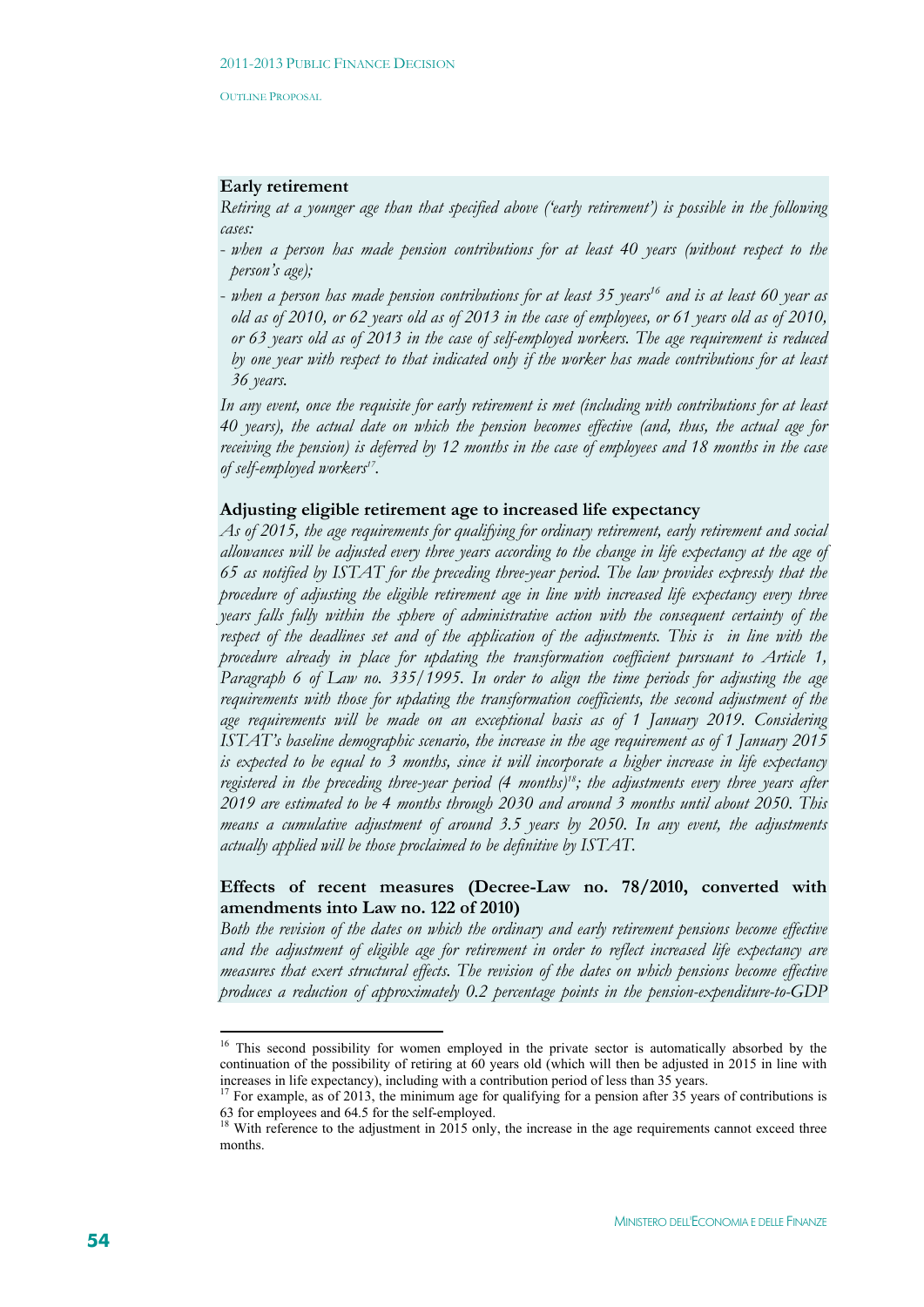## **Early retirement**

*Retiring at a younger age than that specified above ('early retirement') is possible in the following cases:* 

- *when a person has made pension contributions for at least 40 years (without respect to the person's age);*
- *when a person has made pension contributions for at least 35 years16 and is at least 60 year as old as of 2010, or 62 years old as of 2013 in the case of employees, or 61 years old as of 2010, or 63 years old as of 2013 in the case of self-employed workers. The age requirement is reduced by one year with respect to that indicated only if the worker has made contributions for at least 36 years.*

*In any event, once the requisite for early retirement is met (including with contributions for at least 40 years), the actual date on which the pension becomes effective (and, thus, the actual age for receiving the pension) is deferred by 12 months in the case of employees and 18 months in the case of self-employed workers17.* 

## **Adjusting eligible retirement age to increased life expectancy**

*As of 2015, the age requirements for qualifying for ordinary retirement, early retirement and social allowances will be adjusted every three years according to the change in life expectancy at the age of 65 as notified by ISTAT for the preceding three-year period. The law provides expressly that the procedure of adjusting the eligible retirement age in line with increased life expectancy every three years falls fully within the sphere of administrative action with the consequent certainty of the respect of the deadlines set and of the application of the adjustments. This is in line with the procedure already in place for updating the transformation coefficient pursuant to Article 1, Paragraph 6 of Law no. 335/1995. In order to align the time periods for adjusting the age requirements with those for updating the transformation coefficients, the second adjustment of the age requirements will be made on an exceptional basis as of 1 January 2019. Considering ISTAT's baseline demographic scenario, the increase in the age requirement as of 1 January 2015 is expected to be equal to 3 months, since it will incorporate a higher increase in life expectancy registered in the preceding three-year period (4 months)18; the adjustments every three years after 2019 are estimated to be 4 months through 2030 and around 3 months until about 2050. This means a cumulative adjustment of around 3.5 years by 2050. In any event, the adjustments actually applied will be those proclaimed to be definitive by ISTAT.* 

# **Effects of recent measures (Decree-Law no. 78/2010, converted with amendments into Law no. 122 of 2010)**

*Both the revision of the dates on which the ordinary and early retirement pensions become effective and the adjustment of eligible age for retirement in order to reflect increased life expectancy are measures that exert structural effects. The revision of the dates on which pensions become effective produces a reduction of approximately 0.2 percentage points in the pension-expenditure-to-GDP* 

1

<sup>&</sup>lt;sup>16</sup> This second possibility for women employed in the private sector is automatically absorbed by the continuation of the possibility of retiring at 60 years old (which will then be adjusted in 2015 in line with increases in life expectancy), including with a contribution period of less than 35 years. 17 For example, as of 2013, the minimum age for qualifying for a pension after 35 years of contributions is

<sup>63</sup> for employees and 64.5 for the self-employed.

<sup>&</sup>lt;sup>18</sup> With reference to the adjustment in 2015 only, the increase in the age requirements cannot exceed three months.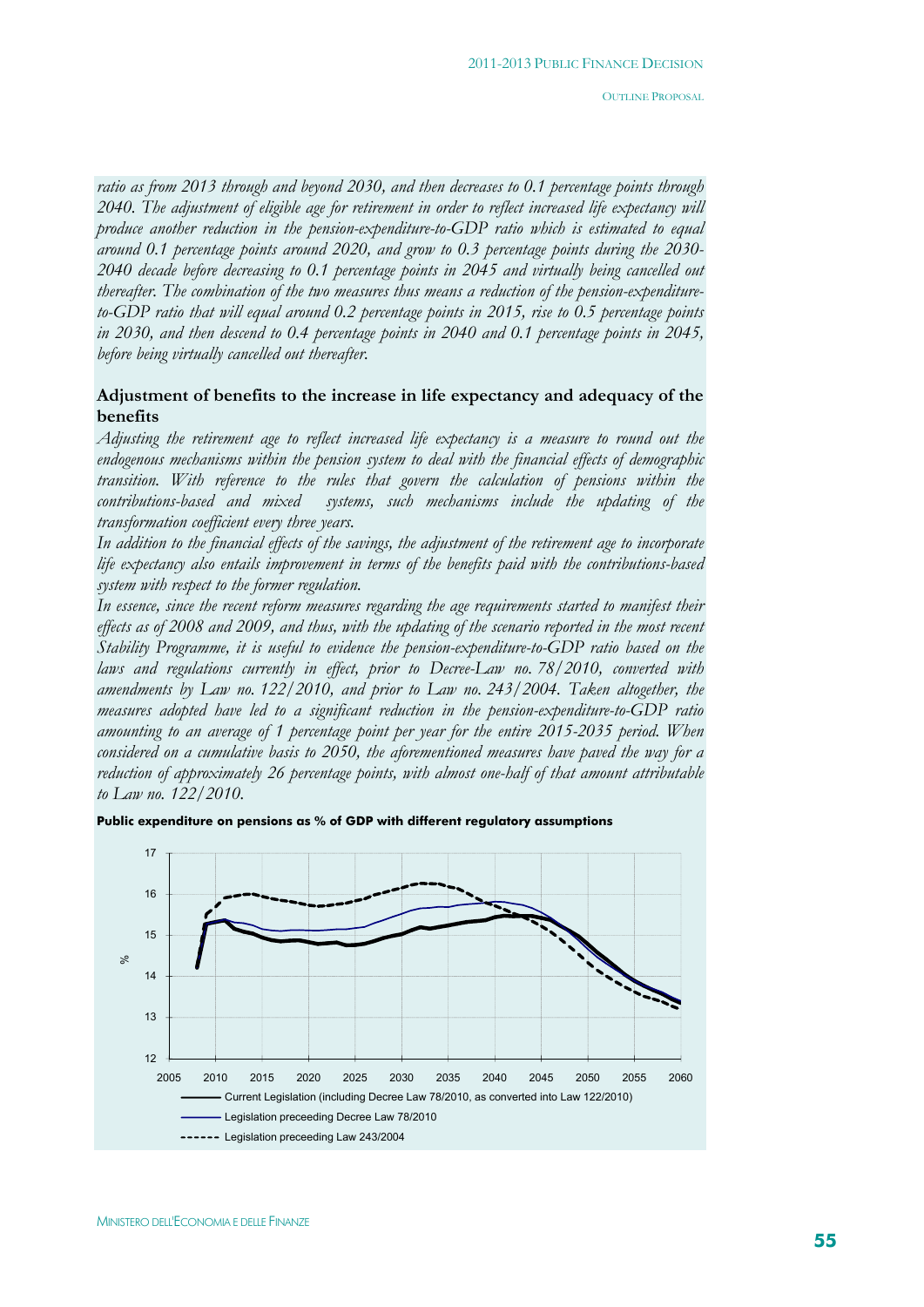*ratio as from 2013 through and beyond 2030, and then decreases to 0.1 percentage points through 2040. The adjustment of eligible age for retirement in order to reflect increased life expectancy will produce another reduction in the pension-expenditure-to-GDP ratio which is estimated to equal around 0.1 percentage points around 2020, and grow to 0.3 percentage points during the 2030- 2040 decade before decreasing to 0.1 percentage points in 2045 and virtually being cancelled out thereafter. The combination of the two measures thus means a reduction of the pension-expenditureto-GDP ratio that will equal around 0.2 percentage points in 2015, rise to 0.5 percentage points in 2030, and then descend to 0.4 percentage points in 2040 and 0.1 percentage points in 2045, before being virtually cancelled out thereafter.*

# **Adjustment of benefits to the increase in life expectancy and adequacy of the benefits**

*Adjusting the retirement age to reflect increased life expectancy is a measure to round out the endogenous mechanisms within the pension system to deal with the financial effects of demographic transition. With reference to the rules that govern the calculation of pensions within the contributions-based and mixed systems, such mechanisms include the updating of the transformation coefficient every three years.* 

*In addition to the financial effects of the savings, the adjustment of the retirement age to incorporate life expectancy also entails improvement in terms of the benefits paid with the contributions-based system with respect to the former regulation.* 

*In essence, since the recent reform measures regarding the age requirements started to manifest their effects as of 2008 and 2009, and thus, with the updating of the scenario reported in the most recent Stability Programme, it is useful to evidence the pension-expenditure-to-GDP ratio based on the laws and regulations currently in effect, prior to Decree-Law no. 78/2010, converted with amendments by Law no. 122/2010, and prior to Law no. 243/2004. Taken altogether, the measures adopted have led to a significant reduction in the pension-expenditure-to-GDP ratio amounting to an average of 1 percentage point per year for the entire 2015-2035 period. When considered on a cumulative basis to 2050, the aforementioned measures have paved the way for a reduction of approximately 26 percentage points, with almost one-half of that amount attributable to Law no. 122/2010.* 

**Public expenditure on pensions as % of GDP with different regulatory assumptions**